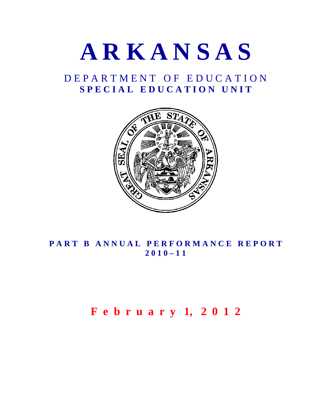

# D E P A R T M E N T O F E D U C A T I O N S P E C I A L E D U C A T I O N U N I T



# PART B ANNUAL PERFORMANCE REPORT **2 0 1 0 – 1 1**

# **F e b r u a r y 1, 2 0 1 2**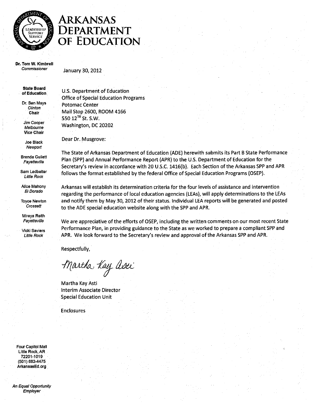

# ARKANSAS DEPARTMENT OF EDUCATION

Dr. Tom W. Kimbrell Commissioner

January 30, 2012

**State Board** of Education

Dr. Ben Mays Clinton Chair

Jim Cooper Melhourne **Vice Chair** 

Joe Black Newport

**Brenda Gullett** Fayetteville

Sam Ledbetter **Little Rock** 

Alice Mahony El Dorado

**Toyce Newton** Crossett

Mireya Reith Fayetteville

Vicki Saviers **Little Rock** 

U.S. Department of Education **Office of Special Education Programs Potomac Center** Mail Stop 2600, ROOM 4166 550 12<sup>TH</sup> St. S.W. Washington, DC 20202

Dear Dr. Musgrove:

The State of Arkansas Department of Education (ADE) herewith submits its Part B State Performance Plan (SPP) and Annual Performance Report (APR) to the U.S. Department of Education for the Secretary's review in accordance with 20 U.S.C. 1416(b). Each Section of the Arkansas SPP and APR follows the format established by the federal Office of Special Education Programs (OSEP).

Arkansas will establish its determination criteria for the four levels of assistance and intervention regarding the performance of local education agencies (LEAs), will apply determinations to the LEAs and notify them by May 30, 2012 of their status. Individual LEA reports will be generated and posted to the ADE special education website along with the SPP and APR.

We are appreciative of the efforts of OSEP, including the written comments on our most recent State Performance Plan, in providing guidance to the State as we worked to prepare a compliant SPP and APR. We look forward to the Secretary's review and approval of the Arkansas SPP and APR.

Respectfully,

Martha Kay asti

Martha Kay Asti Interim Associate Director **Special Education Unit** 

**Enclosures** 

Four Capitol Mall Little Rock, AR 72201-1019 (501) 682-4475 ArkansasEd.org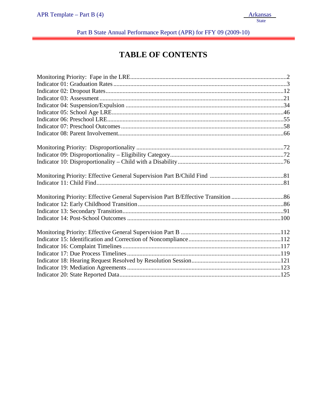# $APR$  Template – Part B (4) Arkansas State

Part B State Annual Performance Report (APR) for FFY 09 (2009-10)

# **TABLE OF CONTENTS**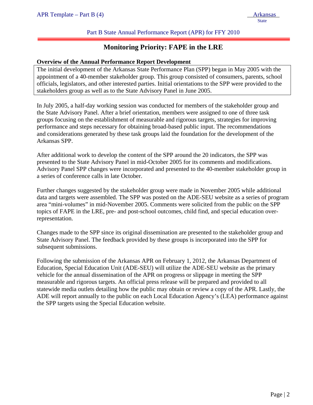#### Part B State Annual Performance Report (APR) for FFY 2010

# **Monitoring Priority: FAPE in the LRE**

#### **Overview of the Annual Performance Report Development**

The initial development of the Arkansas State Performance Plan (SPP) began in May 2005 with the appointment of a 40-member stakeholder group. This group consisted of consumers, parents, school officials, legislators, and other interested parties. Initial orientations to the SPP were provided to the stakeholders group as well as to the State Advisory Panel in June 2005.

In July 2005, a half-day working session was conducted for members of the stakeholder group and the State Advisory Panel. After a brief orientation, members were assigned to one of three task groups focusing on the establishment of measurable and rigorous targets, strategies for improving performance and steps necessary for obtaining broad-based public input. The recommendations and considerations generated by these task groups laid the foundation for the development of the Arkansas SPP.

After additional work to develop the content of the SPP around the 20 indicators, the SPP was presented to the State Advisory Panel in mid-October 2005 for its comments and modifications. Advisory Panel SPP changes were incorporated and presented to the 40-member stakeholder group in a series of conference calls in late October.

Further changes suggested by the stakeholder group were made in November 2005 while additional data and targets were assembled. The SPP was posted on the ADE-SEU website as a series of program area "mini-volumes" in mid-November 2005. Comments were solicited from the public on the SPP topics of FAPE in the LRE, pre- and post-school outcomes, child find, and special education overrepresentation.

Changes made to the SPP since its original dissemination are presented to the stakeholder group and State Advisory Panel. The feedback provided by these groups is incorporated into the SPP for subsequent submissions.

Following the submission of the Arkansas APR on February 1, 2012, the Arkansas Department of Education, Special Education Unit (ADE-SEU) will utilize the ADE-SEU website as the primary vehicle for the annual dissemination of the APR on progress or slippage in meeting the SPP measurable and rigorous targets. An official press release will be prepared and provided to all statewide media outlets detailing how the public may obtain or review a copy of the APR. Lastly, the ADE will report annually to the public on each Local Education Agency's (LEA) performance against the SPP targets using the Special Education website.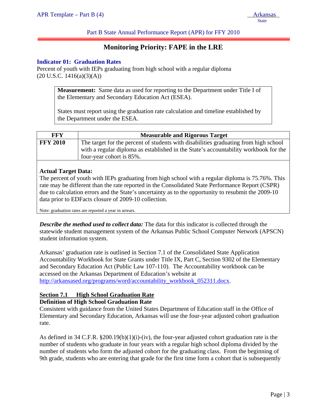Part B State Annual Performance Report (APR) for FFY 2010

# **Monitoring Priority: FAPE in the LRE**

#### **Indicator 01: Graduation Rates**

Percent of youth with IEPs graduating from high school with a regular diploma  $(20 \text{ U.S.C. } 1416(a)(3)(A))$ 

> **Measurement:** Same data as used for reporting to the Department under Title I of the Elementary and Secondary Education Act (ESEA).

> States must report using the graduation rate calculation and timeline established by the Department under the ESEA.

| FFY             | <b>Measurable and Rigorous Target</b>                                                |
|-----------------|--------------------------------------------------------------------------------------|
| <b>FFY 2010</b> | The target for the percent of students with disabilities graduating from high school |
|                 | with a regular diploma as established in the State's accountability workbook for the |
|                 | four-year cohort is 85%.                                                             |

#### **Actual Target Data:**

The percent of youth with IEPs graduating from high school with a regular diploma is 75.76%. This rate may be different than the rate reported in the Consolidated State Performance Report (CSPR) due to calculation errors and the State's uncertainty as to the opportunity to resubmit the 2009-10 data prior to EDFacts closure of 2009-10 collection.

Note: graduation rates are reported a year in arrears.

*Describe the method used to collect data:* The data for this indicator is collected through the statewide student management system of the Arkansas Public School Computer Network (APSCN) student information system.

Arkansas' graduation rate is outlined in Section 7.1 of the Consolidated State Application Accountability Workbook for State Grants under Title IX, Part C, Section 9302 of the Elementary and Secondary Education Act (Public Law 107-110). The Accountability workbook can be accessed on the Arkansas Department of Education's website at http://arkansased.org/programs/word/accountability\_workbook\_052311.docx.

# **Section 7.1 High School Graduation Rate**

#### **Definition of High School Graduation Rate**

Consistent with guidance from the United States Department of Education staff in the Office of Elementary and Secondary Education, Arkansas will use the four-year adjusted cohort graduation rate.

As defined in 34 C.F.R. §200.19(b)(1)(i)-(iv), the four-year adjusted cohort graduation rate is the number of students who graduate in four years with a regular high school diploma divided by the number of students who form the adjusted cohort for the graduating class. From the beginning of 9th grade, students who are entering that grade for the first time form a cohort that is subsequently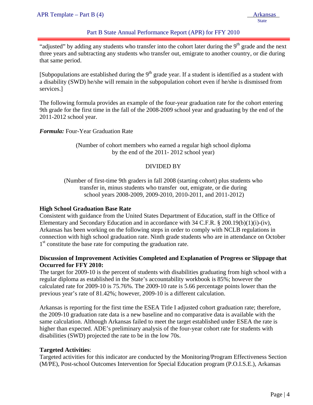APR Template – Part B (4) Arkansas

ļ

**State** 

### Part B State Annual Performance Report (APR) for FFY 2010

"adjusted" by adding any students who transfer into the cohort later during the  $9<sup>th</sup>$  grade and the next three years and subtracting any students who transfer out, emigrate to another country, or die during that same period.

[Subpopulations are established during the  $9<sup>th</sup>$  grade year. If a student is identified as a student with a disability (SWD) he/she will remain in the subpopulation cohort even if he/she is dismissed from services.]

The following formula provides an example of the four-year graduation rate for the cohort entering 9th grade for the first time in the fall of the 2008-2009 school year and graduating by the end of the 2011-2012 school year.

*Formula:* Four-Year Graduation Rate

(Number of cohort members who earned a regular high school diploma by the end of the 2011- 2012 school year)

### DIVIDED BY

(Number of first-time 9th graders in fall 2008 (starting cohort) plus students who transfer in, minus students who transfer out, emigrate, or die during school years 2008-2009, 2009-2010, 2010-2011, and 2011-2012)

#### **High School Graduation Base Rate**

Consistent with guidance from the United States Department of Education, staff in the Office of Elementary and Secondary Education and in accordance with 34 C.F.R. § 200.19(b)(1)(i)-(iv), Arkansas has been working on the following steps in order to comply with NCLB regulations in connection with high school graduation rate. Ninth grade students who are in attendance on October 1<sup>st</sup> constitute the base rate for computing the graduation rate.

### **Discussion of Improvement Activities Completed and Explanation of Progress or Slippage that Occurred for FFY 2010:**

The target for 2009-10 is the percent of students with disabilities graduating from high school with a regular diploma as established in the State's accountability workbook is 85%; however the calculated rate for 2009-10 is 75.76%. The 2009-10 rate is 5.66 percentage points lower than the previous year's rate of 81.42%; however, 2009-10 is a different calculation.

Arkansas is reporting for the first time the ESEA Title I adjusted cohort graduation rate; therefore, the 2009-10 graduation rate data is a new baseline and no comparative data is available with the same calculation. Although Arkansas failed to meet the target established under ESEA the rate is higher than expected. ADE's preliminary analysis of the four-year cohort rate for students with disabilities (SWD) projected the rate to be in the low 70s.

#### **Targeted Activities**:

Targeted activities for this indicator are conducted by the Monitoring/Program Effectiveness Section (M/PE), Post-school Outcomes Intervention for Special Education program (P.O.I.S.E.), Arkansas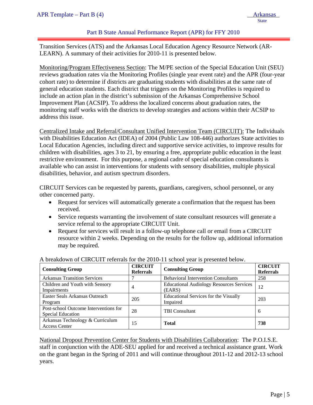#### Part B State Annual Performance Report (APR) for FFY 2010

Transition Services (ATS) and the Arkansas Local Education Agency Resource Network (AR-LEARN). A summary of their activities for 2010-11 is presented below.

Monitoring/Program Effectiveness Section: The M/PE section of the Special Education Unit (SEU) reviews graduation rates via the Monitoring Profiles (single year event rate) and the APR (four-year cohort rate) to determine if districts are graduating students with disabilities at the same rate of general education students. Each district that triggers on the Monitoring Profiles is required to include an action plan in the district's submission of the Arkansas Comprehensive School Improvement Plan (ACSIP). To address the localized concerns about graduation rates, the monitoring staff works with the districts to develop strategies and actions within their ACSIP to address this issue.

Centralized Intake and Referral/Consultant Unified Intervention Team (CIRCUIT): The Individuals with Disabilities Education Act (IDEA) of 2004 (Public Law 108-446) authorizes State activities to Local Education Agencies, including direct and supportive service activities, to improve results for children with disabilities, ages 3 to 21, by ensuring a free, appropriate public education in the least restrictive environment. For this purpose, a regional cadre of special education consultants is available who can assist in interventions for students with sensory disabilities, multiple physical disabilities, behavior, and autism spectrum disorders.

CIRCUIT Services can be requested by parents, guardians, caregivers, school personnel, or any other concerned party.

- Request for services will automatically generate a confirmation that the request has been received.
- Service requests warranting the involvement of state consultant resources will generate a service referral to the appropriate CIRCUIT Unit.
- Request for services will result in a follow-up telephone call or email from a CIRCUIT resource within 2 weeks. Depending on the results for the follow up, additional information may be required.

| <b>Consulting Group</b>                                    | <b>CIRCUIT</b><br><b>Referrals</b> | <b>Consulting Group</b>                                   | <b>CIRCUIT</b><br><b>Referrals</b> |
|------------------------------------------------------------|------------------------------------|-----------------------------------------------------------|------------------------------------|
| <b>Arkansas Transition Services</b>                        |                                    | <b>Behavioral Intervention Consultants</b>                | 258                                |
| Children and Youth with Sensory<br>Impairments             | 4                                  | <b>Educational Audiology Resources Services</b><br>(EARS) | 12                                 |
| Easter Seals Arkansas Outreach<br>Program                  | 205                                | Educational Services for the Visually<br>Impaired         | 203                                |
| Post-school Outcome Interventions for<br>Special Education | 28                                 | <b>TBI</b> Consultant                                     | 6                                  |
| Arkansas Technology & Curriculum<br><b>Access Center</b>   | 15                                 | <b>Total</b>                                              | 738                                |

#### A breakdown of CIRCUIT referrals for the 2010-11 school year is presented below.

National Dropout Prevention Center for Students with Disabilities Collaboration: The P.O.I.S.E. staff in conjunction with the ADE-SEU applied for and received a technical assistance grant. Work on the grant began in the Spring of 2011 and will continue throughout 2011-12 and 2012-13 school years.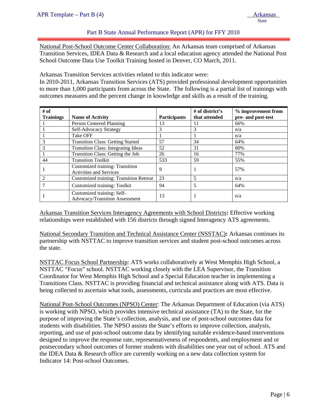**State** 

# Part B State Annual Performance Report (APR) for FFY 2010

National Post-School Outcome Center Collaboration: An Arkansas team comprised of Arkansas Transition Services, IDEA Data & Research and a local education agency attended the National Post School Outcome Data Use Toolkit Training hosted in Denver, CO March, 2011.

Arkansas Transition Services activities related to this indicator were:

In 2010-2011, Arkansas Transition Services (ATS) provided professional development opportunities to more than 1,000 participants from across the State. The following is a partial list of trainings with outcomes measures and the percent change in knowledge and skills as a result of the training.

| # of<br><b>Trainings</b> | <b>Name of Activity</b>                                           | <b>Participants</b> | # of district's<br>that attended | % improvement from<br>pre- and post-test |
|--------------------------|-------------------------------------------------------------------|---------------------|----------------------------------|------------------------------------------|
|                          | Person Centered Planning                                          | 13                  | 11                               | 66%                                      |
|                          | Self-Advocacy Strategy                                            | 3                   | 3                                | n/a                                      |
|                          | <b>Take OFF</b>                                                   |                     |                                  | n/a                                      |
|                          | <b>Transition Class: Getting Started</b>                          | 57                  | 34                               | 64%                                      |
|                          | <b>Transition Class: Integrating Ideas</b>                        | 52                  | 31                               | 80%                                      |
|                          | Transition Class: Getting the Job                                 | 26                  | 16                               | 77%                                      |
| 44                       | <b>Transition Toolkit</b>                                         | 533                 | 59                               | 55%                                      |
|                          | Customized training: Transition<br><b>Activities and Services</b> | 9                   |                                  | 57%                                      |
|                          | <b>Customized training: Transition Retreat</b>                    | 23                  | 5                                | n/a                                      |
|                          | Customized training: Toolkit                                      | 94                  | 5                                | 64%                                      |
|                          | Customized training: Self-<br>Advocacy/Transition Assessment      | 13                  |                                  | n/a                                      |

Arkansas Transition Services Interagency Agreements with School Districts**:** Effective working relationships were established with 156 districts through signed Interagency ATS agreements.

National Secondary Transition and Technical Assistance Center (NSSTAC)**:** Arkansas continues its partnership with NSTTAC to improve transition services and student post-school outcomes across the state.

NSTTAC Focus School Partnership: ATS works collaboratively at West Memphis High School, a NSTTAC "Focus" school. NSTTAC working closely with the LEA Supervisor, the Transition Coordinator for West Memphis High School and a Special Education teacher in implementing a Transitions Class. NSTTAC is providing financial and technical assistance along with ATS. Data is being collected to ascertain what tools, assessments, curricula and practices are most effective.

National Post-School Outcomes (NPSO) Center: The Arkansas Department of Education (via ATS) is working with NPSO, which provides intensive technical assistance (TA) to the State, for the purpose of improving the State's collection, analysis, and use of post-school outcomes data for students with disabilities. The NPSO assists the State's efforts to improve collection, analysis, reporting, and use of post-school outcome data by identifying suitable evidence-based interventions designed to improve the response rate, representativeness of respondents, and employment and or postsecondary school outcomes of former students with disabilities one year out of school. ATS and the IDEA Data & Research office are currently working on a new data collection system for Indicator 14: Post-school Outcomes.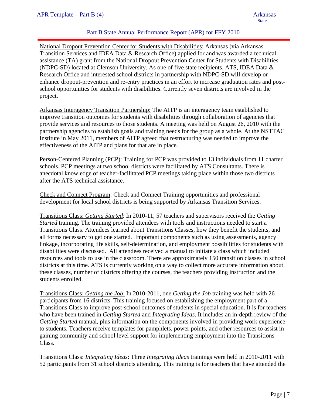### Part B State Annual Performance Report (APR) for FFY 2010

National Dropout Prevention Center for Students with Disabilities: Arkansas (via Arkansas Transition Services and IDEA Data & Research Office) applied for and was awarded a technical assistance (TA) grant from the National Dropout Prevention Center for Students with Disabilities (NDPC-SD) located at Clemson University. As one of five state recipients, ATS, IDEA Data & Research Office and interested school districts in partnership with NDPC-SD will develop or enhance dropout-prevention and re-entry practices in an effort to increase graduation rates and postschool opportunities for students with disabilities. Currently seven districts are involved in the project.

Arkansas Interagency Transition Partnership: The AITP is an interagency team established to improve transition outcomes for students with disabilities through collaboration of agencies that provide services and resources to those students. A meeting was held on August 26, 2010 with the partnership agencies to establish goals and training needs for the group as a whole. At the NSTTAC Institute in May 2011, members of AITP agreed that restructuring was needed to improve the effectiveness of the AITP and plans for that are in place.

Person-Centered Planning (PCP): Training for PCP was provided to 13 individuals from 11 charter schools. PCP meetings at two school districts were facilitated by ATS Consultants. There is anecdotal knowledge of teacher-facilitated PCP meetings taking place within those two districts after the ATS technical assistance.

Check and Connect Program: Check and Connect Training opportunities and professional development for local school districts is being supported by Arkansas Transition Services.

Transitions Class: *Getting Started*: In 2010-11, 57 teachers and supervisors received the *Getting Started* training. The training provided attendees with tools and instructions needed to start a Transitions Class. Attendees learned about Transitions Classes, how they benefit the students, and all forms necessary to get one started. Important components such as using assessments, agency linkage, incorporating life skills, self-determination, and employment possibilities for students with disabilities were discussed. All attendees received a manual to initiate a class which included resources and tools to use in the classroom. There are approximately 150 transition classes in school districts at this time. ATS is currently working on a way to collect more accurate information about these classes, number of districts offering the courses, the teachers providing instruction and the students enrolled.

Transitions Class: *Getting the Job*: In 2010-2011, one *Getting the Job* training was held with 26 participants from 16 districts. This training focused on establishing the employment part of a Transitions Class to improve post-school outcomes of students in special education. It is for teachers who have been trained in *Getting Started* and *Integrating Ideas*. It includes an in-depth review of the *Getting Started* manual, plus information on the components involved in providing work experience to students. Teachers receive templates for pamphlets, power points, and other resources to assist in gaining community and school level support for implementing employment into the Transitions Class.

Transitions Class: *Integrating Ideas*: Three *Integrating Ideas* trainings were held in 2010-2011 with 52 participants from 31 school districts attending. This training is for teachers that have attended the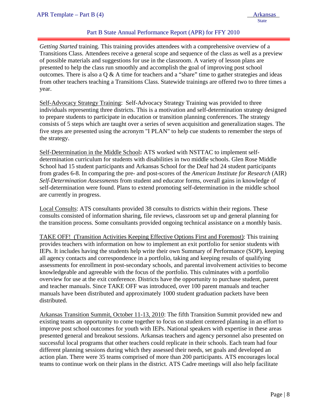# Part B State Annual Performance Report (APR) for FFY 2010

*Getting Started* training. This training provides attendees with a comprehensive overview of a Transitions Class. Attendees receive a general scope and sequence of the class as well as a preview of possible materials and suggestions for use in the classroom. A variety of lesson plans are presented to help the class run smoothly and accomplish the goal of improving post school outcomes. There is also a  $\overline{Q} \& A$  time for teachers and a "share" time to gather strategies and ideas from other teachers teaching a Transitions Class. Statewide trainings are offered two to three times a year.

Self-Advocacy Strategy Training: Self-Advocacy Strategy Training was provided to three individuals representing three districts. This is a motivation and self-determination strategy designed to prepare students to participate in education or transition planning conferences. The strategy consists of 5 steps which are taught over a series of seven acquisition and generalization stages. The five steps are presented using the acronym "I PLAN" to help cue students to remember the steps of the strategy.

Self-Determination in the Middle School**:** ATS worked with NSTTAC to implement selfdetermination curriculum for students with disabilities in two middle schools. Glen Rose Middle School had 15 student participants and Arkansas School for the Deaf had 24 student participants from grades 6-8. In comparing the pre- and post-scores of the *American Institute for Research* (AIR) *Self-Determination Assessments* from student and educator forms, overall gains in knowledge of self-determination were found. Plans to extend promoting self-determination in the middle school are currently in progress.

Local Consults: ATS consultants provided 38 consults to districts within their regions. These consults consisted of information sharing, file reviews, classroom set up and general planning for the transition process. Some consultants provided ongoing technical assistance on a monthly basis.

TAKE OFF! (Transition Activities Keeping Effective Options First and Foremost): This training provides teachers with information on how to implement an exit portfolio for senior students with IEPs. It includes having the students help write their own Summary of Performance (SOP), keeping all agency contacts and correspondence in a portfolio, taking and keeping results of qualifying assessments for enrollment in post-secondary schools, and parental involvement activities to become knowledgeable and agreeable with the focus of the portfolio. This culminates with a portfolio overview for use at the exit conference. Districts have the opportunity to purchase student, parent and teacher manuals. Since TAKE OFF was introduced, over 100 parent manuals and teacher manuals have been distributed and approximately 1000 student graduation packets have been distributed.

Arkansas Transition Summit, October 11-13, 2010: The fifth Transition Summit provided new and existing teams an opportunity to come together to focus on student centered planning in an effort to improve post school outcomes for youth with IEPs. National speakers with expertise in these areas presented general and breakout sessions. Arkansas teachers and agency personnel also presented on successful local programs that other teachers could replicate in their schools. Each team had four different planning sessions during which they assessed their needs, set goals and developed an action plan. There were 35 teams comprised of more than 200 participants. ATS encourages local teams to continue work on their plans in the district. ATS Cadre meetings will also help facilitate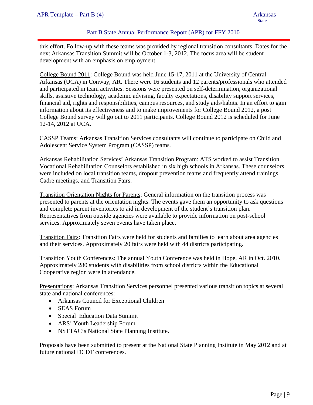#### Part B State Annual Performance Report (APR) for FFY 2010

this effort. Follow-up with these teams was provided by regional transition consultants. Dates for the next Arkansas Transition Summit will be October 1-3, 2012. The focus area will be student development with an emphasis on employment.

College Bound 2011: College Bound was held June 15-17, 2011 at the University of Central Arkansas (UCA) in Conway, AR. There were 16 students and 12 parents/professionals who attended and participated in team activities. Sessions were presented on self-determination, organizational skills, assistive technology, academic advising, faculty expectations, disability support services, financial aid, rights and responsibilities, campus resources, and study aids/habits. In an effort to gain information about its effectiveness and to make improvements for College Bound 2012, a post College Bound survey will go out to 2011 participants. College Bound 2012 is scheduled for June 12-14, 2012 at UCA.

CASSP Teams: Arkansas Transition Services consultants will continue to participate on Child and Adolescent Service System Program (CASSP) teams.

Arkansas Rehabilitation Services' Arkansas Transition Program: ATS worked to assist Transition Vocational Rehabilitation Counselors established in six high schools in Arkansas. These counselors were included on local transition teams, dropout prevention teams and frequently attend trainings, Cadre meetings, and Transition Fairs.

Transition Orientation Nights for Parents: General information on the transition process was presented to parents at the orientation nights. The events gave them an opportunity to ask questions and complete parent inventories to aid in development of the student's transition plan. Representatives from outside agencies were available to provide information on post-school services. Approximately seven events have taken place.

Transition Fairs: Transition Fairs were held for students and families to learn about area agencies and their services. Approximately 20 fairs were held with 44 districts participating.

Transition Youth Conferences: The annual Youth Conference was held in Hope, AR in Oct. 2010. Approximately 280 students with disabilities from school districts within the Educational Cooperative region were in attendance.

Presentations: Arkansas Transition Services personnel presented various transition topics at several state and national conferences:

- Arkansas Council for Exceptional Children
- SEAS Forum
- Special Education Data Summit
- ARS' Youth Leadership Forum
- NSTTAC's National State Planning Institute.

Proposals have been submitted to present at the National State Planning Institute in May 2012 and at future national DCDT conferences.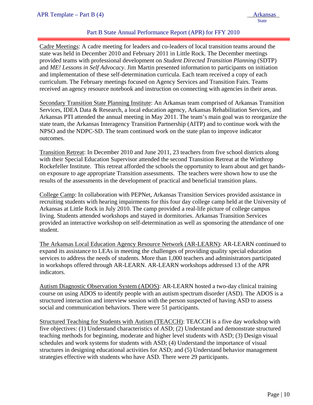# Part B State Annual Performance Report (APR) for FFY 2010

Cadre Meetings: A cadre meeting for leaders and co-leaders of local transition teams around the state was held in December 2010 and February 2011 in Little Rock. The December meetings provided teams with professional development on *Student Directed Transition Planning* (SDTP) and *ME! Lessons in Self Advocacy*. Jim Martin presented information to participants on initiation and implementation of these self-determination curricula. Each team received a copy of each curriculum. The February meetings focused on Agency Services and Transition Fairs. Teams received an agency resource notebook and instruction on connecting with agencies in their areas.

Secondary Transition State Planning Institute: An Arkansas team comprised of Arkansas Transition Services, IDEA Data & Research, a local education agency, Arkansas Rehabilitation Services, and Arkansas PTI attended the annual meeting in May 2011. The team's main goal was to reorganize the state team, the Arkansas Interagency Transition Partnership (AITP) and to continue work with the NPSO and the NDPC-SD. The team continued work on the state plan to improve indicator outcomes.

Transition Retreat: In December 2010 and June 2011, 23 teachers from five school districts along with their Special Education Supervisor attended the second Transition Retreat at the Winthrop Rockefeller Institute. This retreat afforded the schools the opportunity to learn about and get handson exposure to age appropriate Transition assessments. The teachers were shown how to use the results of the assessments in the development of practical and beneficial transition plans.

College Camp: In collaboration with PEPNet, Arkansas Transition Services provided assistance in recruiting students with hearing impairments for this four day college camp held at the University of Arkansas at Little Rock in July 2010. The camp provided a real-life picture of college campus living. Students attended workshops and stayed in dormitories. Arkansas Transition Services provided an interactive workshop on self-determination as well as sponsoring the attendance of one student.

The Arkansas Local Education Agency Resource Network (AR-LEARN): AR-LEARN continued to expand its assistance to LEAs in meeting the challenges of providing quality special education services to address the needs of students. More than 1,000 teachers and administrators participated in workshops offered through AR-LEARN. AR-LEARN workshops addressed 13 of the APR indicators.

Autism Diagnostic Observation System (ADOS): AR-LEARN hosted a two-day clinical training course on using ADOS to identify people with an autism spectrum disorder (ASD). The ADOS is a structured interaction and interview session with the person suspected of having ASD to assess social and communication behaviors. There were 51 participants.

Structured Teaching for Students with Autism (TEACCH): TEACCH is a five day workshop with five objectives: (1) Understand characteristics of ASD; (2) Understand and demonstrate structured teaching methods for beginning, moderate and higher level students with ASD; (3) Design visual schedules and work systems for students with ASD; (4) Understand the importance of visual structures in designing educational activities for ASD; and (5) Understand behavior management strategies effective with students who have ASD. There were 29 participants.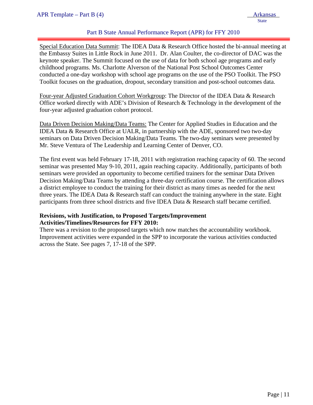# Part B State Annual Performance Report (APR) for FFY 2010

Special Education Data Summit: The IDEA Data & Research Office hosted the bi-annual meeting at the Embassy Suites in Little Rock in June 2011. Dr. Alan Coulter, the co-director of DAC was the keynote speaker. The Summit focused on the use of data for both school age programs and early childhood programs. Ms. Charlotte Alverson of the National Post School Outcomes Center conducted a one-day workshop with school age programs on the use of the PSO Toolkit. The PSO Toolkit focuses on the graduation, dropout, secondary transition and post-school outcomes data.

Four-year Adjusted Graduation Cohort Workgroup: The Director of the IDEA Data & Research Office worked directly with ADE's Division of Research & Technology in the development of the four-year adjusted graduation cohort protocol.

Data Driven Decision Making/Data Teams: The Center for Applied Studies in Education and the IDEA Data & Research Office at UALR, in partnership with the ADE, sponsored two two-day seminars on Data Driven Decision Making/Data Teams. The two-day seminars were presented by Mr. Steve Ventura of The Leadership and Learning Center of Denver, CO.

The first event was held February 17-18, 2011 with registration reaching capacity of 60. The second seminar was presented May 9-10, 2011, again reaching capacity. Additionally, participants of both seminars were provided an opportunity to become certified trainers for the seminar Data Driven Decision Making/Data Teams by attending a three-day certification course. The certification allows a district employee to conduct the training for their district as many times as needed for the next three years. The IDEA Data  $\&$  Research staff can conduct the training anywhere in the state. Eight participants from three school districts and five IDEA Data & Research staff became certified.

### **Revisions, with Justification, to Proposed Targets/Improvement Activities/Timelines/Resources for FFY 2010:**

There was a revision to the proposed targets which now matches the accountability workbook. Improvement activities were expanded in the SPP to incorporate the various activities conducted across the State. See pages 7, 17-18 of the SPP.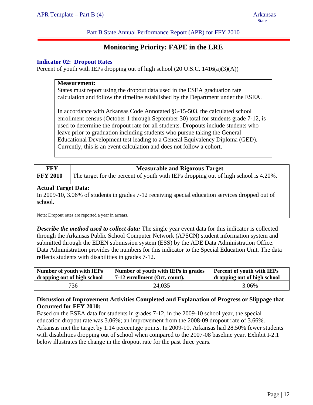Part B State Annual Performance Report (APR) for FFY 2010

# **Monitoring Priority: FAPE in the LRE**

#### **Indicator 02: Dropout Rates**

Percent of youth with IEPs dropping out of high school  $(20 \text{ U.S.C. } 1416(a)(3)(\text{A}))$ 

#### **Measurement:**

States must report using the dropout data used in the ESEA graduation rate calculation and follow the timeline established by the Department under the ESEA.

In accordance with Arkansas Code Annotated §6-15-503, the calculated school enrollment census (October 1 through September 30) total for students grade 7-12, is used to determine the dropout rate for all students. Dropouts include students who leave prior to graduation including students who pursue taking the General Educational Development test leading to a General Equivalency Diploma (GED). Currently, this is an event calculation and does not follow a cohort.

| FFY             | <b>Measurable and Rigorous Target</b>                                               |
|-----------------|-------------------------------------------------------------------------------------|
| <b>FFY 2010</b> | The target for the percent of youth with IEPs dropping out of high school is 4.20%. |

#### **Actual Target Data:**

In 2009-10, 3.06% of students in grades 7-12 receiving special education services dropped out of school.

Note: Dropout rates are reported a year in arrears.

*Describe the method used to collect data:* The single year event data for this indicator is collected through the Arkansas Public School Computer Network (APSCN) student information system and submitted through the EDEN submission system (ESS) by the ADE Data Administration Office. Data Administration provides the numbers for this indicator to the Special Education Unit. The data reflects students with disabilities in grades 7-12.

| <b>Number of youth with IEPs</b> | Number of youth with IEPs in grades | Percent of youth with IEPs  |
|----------------------------------|-------------------------------------|-----------------------------|
| dropping out of high school      | 7-12 enrollment (Oct. count).       | dropping out of high school |
| 736                              | 24,035                              | 3.06%                       |

# **Discussion of Improvement Activities Completed and Explanation of Progress or Slippage that Occurred for FFY 2010:**

Based on the ESEA data for students in grades 7-12, in the 2009-10 school year, the special education dropout rate was 3.06%; an improvement from the 2008-09 dropout rate of 3.66%. Arkansas met the target by 1.14 percentage points. In 2009-10, Arkansas had 28.50% fewer students with disabilities dropping out of school when compared to the 2007-08 baseline year. Exhibit I-2.1 below illustrates the change in the dropout rate for the past three years.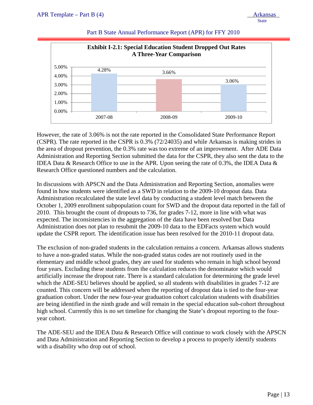

#### Part B State Annual Performance Report (APR) for FFY 2010

However, the rate of 3.06% is not the rate reported in the Consolidated State Performance Report (CSPR). The rate reported in the CSPR is 0.3% (72/24035) and while Arkansas is making strides in the area of dropout prevention, the 0.3% rate was too extreme of an improvement. After ADE Data Administration and Reporting Section submitted the data for the CSPR, they also sent the data to the IDEA Data & Research Office to use in the APR. Upon seeing the rate of 0.3%, the IDEA Data & Research Office questioned numbers and the calculation.

In discussions with APSCN and the Data Administration and Reporting Section, anomalies were found in how students were identified as a SWD in relation to the 2009-10 dropout data. Data Administration recalculated the state level data by conducting a student level match between the October 1, 2009 enrollment subpopulation count for SWD and the dropout data reported in the fall of 2010. This brought the count of dropouts to 736, for grades 7-12, more in line with what was expected. The inconsistencies in the aggregation of the data have been resolved but Data Administration does not plan to resubmit the 2009-10 data to the EDFacts system which would update the CSPR report. The identification issue has been resolved for the 2010-11 dropout data.

The exclusion of non-graded students in the calculation remains a concern. Arkansas allows students to have a non-graded status. While the non-graded status codes are not routinely used in the elementary and middle school grades, they are used for students who remain in high school beyond four years. Excluding these students from the calculation reduces the denominator which would artificially increase the dropout rate. There is a standard calculation for determining the grade level which the ADE-SEU believes should be applied, so all students with disabilities in grades 7-12 are counted. This concern will be addressed when the reporting of dropout data is tied to the four-year graduation cohort. Under the new four-year graduation cohort calculation students with disabilities are being identified in the ninth grade and will remain in the special education sub-cohort throughout high school. Currently this is no set timeline for changing the State's dropout reporting to the fouryear cohort.

The ADE-SEU and the IDEA Data & Research Office will continue to work closely with the APSCN and Data Administration and Reporting Section to develop a process to properly identify students with a disability who drop out of school.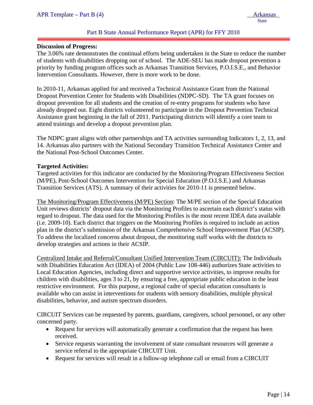#### Part B State Annual Performance Report (APR) for FFY 2010

#### **Discussion of Progress:**

ļ

The 3.06% rate demonstrates the continual efforts being undertaken in the State to reduce the number of students with disabilities dropping out of school. The ADE-SEU has made dropout prevention a priority by funding program offices such as Arkansas Transition Services, P.O.I.S.E., and Behavior Intervention Consultants. However, there is more work to be done.

In 2010-11, Arkansas applied for and received a Technical Assistance Grant from the National Dropout Prevention Center for Students with Disabilities (NDPC-SD). The TA grant focuses on dropout prevention for all students and the creation of re-entry programs for students who have already dropped out. Eight districts volunteered to participate in the Dropout Prevention Technical Assistance grant beginning in the fall of 2011. Participating districts will identify a core team to attend trainings and develop a dropout prevention plan.

The NDPC grant aligns with other partnerships and TA activities surrounding Indicators 1, 2, 13, and 14. Arkansas also partners with the National Secondary Transition Technical Assistance Center and the National Post-School Outcomes Center.

#### **Targeted Activities:**

Targeted activities for this indicator are conducted by the Monitoring/Program Effectiveness Section (M/PE), Post-School Outcomes Intervention for Special Education (P.O.I.S.E.) and Arkansas Transition Services (ATS). A summary of their activities for 2010-11 is presented below.

The Monitoring/Program Effectiveness (M/PE) Section: The M/PE section of the Special Education Unit reviews districts' dropout data via the Monitoring Profiles to ascertain each district's status with regard to dropout. The data used for the Monitoring Profiles is the most recent IDEA data available (i.e. 2009-10). Each district that triggers on the Monitoring Profiles is required to include an action plan in the district's submission of the Arkansas Comprehensive School Improvement Plan (ACSIP). To address the localized concerns about dropout, the monitoring staff works with the districts to develop strategies and actions in their ACSIP.

Centralized Intake and Referral/Consultant Unified Intervention Team (CIRCUIT): The Individuals with Disabilities Education Act (IDEA) of 2004 (Public Law 108-446) authorizes State activities to Local Education Agencies, including direct and supportive service activities, to improve results for children with disabilities, ages 3 to 21, by ensuring a free, appropriate public education in the least restrictive environment. For this purpose, a regional cadre of special education consultants is available who can assist in interventions for students with sensory disabilities, multiple physical disabilities, behavior, and autism spectrum disorders.

CIRCUIT Services can be requested by parents, guardians, caregivers, school personnel, or any other concerned party.

- Request for services will automatically generate a confirmation that the request has been received.
- Service requests warranting the involvement of state consultant resources will generate a service referral to the appropriate CIRCUIT Unit.
- Request for services will result in a follow-up telephone call or email from a CIRCUIT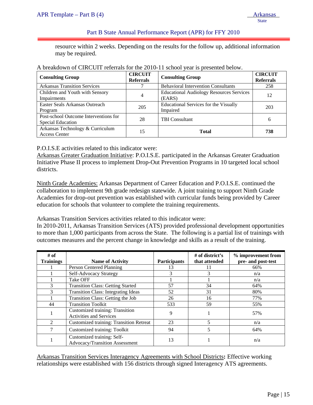#### Part B State Annual Performance Report (APR) for FFY 2010

resource within 2 weeks. Depending on the results for the follow up, additional information may be required.

| <b>Consulting Group</b>                                    | <b>CIRCUIT</b><br><b>Referrals</b> | <b>Consulting Group</b>                                   | <b>CIRCUIT</b><br><b>Referrals</b> |
|------------------------------------------------------------|------------------------------------|-----------------------------------------------------------|------------------------------------|
| <b>Arkansas Transition Services</b>                        |                                    | <b>Behavioral Intervention Consultants</b>                | 258                                |
| Children and Youth with Sensory<br>Impairments             | 4                                  | <b>Educational Audiology Resources Services</b><br>(EARS) | 12                                 |
| Easter Seals Arkansas Outreach<br>Program                  | 205                                | <b>Educational Services for the Visually</b><br>Impaired  | 203                                |
| Post-school Outcome Interventions for<br>Special Education | 28                                 | <b>TBI</b> Consultant                                     | 6                                  |
| Arkansas Technology & Curriculum<br><b>Access Center</b>   | 15                                 | <b>Total</b>                                              | 738                                |

#### A breakdown of CIRCUIT referrals for the 2010-11 school year is presented below.

P.O.I.S.E activities related to this indicator were:

Arkansas Greater Graduation Initiative: P.O.I.S.E. participated in the Arkansas Greater Graduation Initiative Phase II process to implement Drop-Out Prevention Programs in 10 targeted local school districts.

Ninth Grade Academies: Arkansas Department of Career Education and P.O.I.S.E. continued the collaboration to implement 9th grade redesign statewide. A joint training to support Ninth Grade Academies for drop-out prevention was established with curricular funds being provided by Career education for schools that volunteer to complete the training requirements.

Arkansas Transition Services activities related to this indicator were:

In 2010-2011, Arkansas Transition Services (ATS) provided professional development opportunities to more than 1,000 participants from across the State. The following is a partial list of trainings with outcomes measures and the percent change in knowledge and skills as a result of the training.

| # of<br><b>Trainings</b> | <b>Name of Activity</b>                                           | <b>Participants</b> | # of district's<br>that attended | % improvement from<br>pre- and post-test |
|--------------------------|-------------------------------------------------------------------|---------------------|----------------------------------|------------------------------------------|
|                          | Person Centered Planning                                          | 13                  |                                  | 66%                                      |
|                          | Self-Advocacy Strategy                                            | 3                   | 3                                | n/a                                      |
|                          | Take OFF                                                          |                     |                                  | n/a                                      |
| 3                        | <b>Transition Class: Getting Started</b>                          | 57                  | 34                               | 64%                                      |
| 3                        | <b>Transition Class: Integrating Ideas</b>                        | 52                  | 31                               | 80%                                      |
|                          | Transition Class: Getting the Job                                 | 26                  | 16                               | 77%                                      |
| 44                       | <b>Transition Toolkit</b>                                         | 533                 | 59                               | 55%                                      |
|                          | Customized training: Transition<br><b>Activities and Services</b> | 9                   |                                  | 57%                                      |
| $\mathfrak{D}$           | <b>Customized training: Transition Retreat</b>                    | 23                  | 5                                | n/a                                      |
| 7                        | Customized training: Toolkit                                      | 94                  | 5                                | 64%                                      |
|                          | Customized training: Self-<br>Advocacy/Transition Assessment      | 13                  |                                  | n/a                                      |

Arkansas Transition Services Interagency Agreements with School Districts**:** Effective working relationships were established with 156 districts through signed Interagency ATS agreements.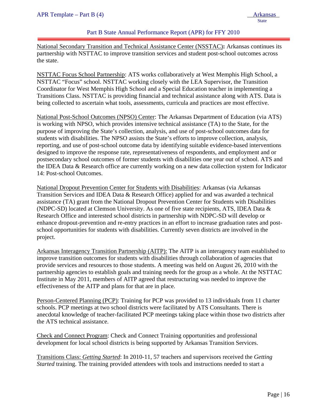#### Part B State Annual Performance Report (APR) for FFY 2010

National Secondary Transition and Technical Assistance Center (NSSTAC)**:** Arkansas continues its partnership with NSTTAC to improve transition services and student post-school outcomes across the state.

NSTTAC Focus School Partnership: ATS works collaboratively at West Memphis High School, a NSTTAC "Focus" school. NSTTAC working closely with the LEA Supervisor, the Transition Coordinator for West Memphis High School and a Special Education teacher in implementing a Transitions Class. NSTTAC is providing financial and technical assistance along with ATS. Data is being collected to ascertain what tools, assessments, curricula and practices are most effective.

National Post-School Outcomes (NPSO) Center: The Arkansas Department of Education (via ATS) is working with NPSO, which provides intensive technical assistance (TA) to the State, for the purpose of improving the State's collection, analysis, and use of post-school outcomes data for students with disabilities. The NPSO assists the State's efforts to improve collection, analysis, reporting, and use of post-school outcome data by identifying suitable evidence-based interventions designed to improve the response rate, representativeness of respondents, and employment and or postsecondary school outcomes of former students with disabilities one year out of school. ATS and the IDEA Data & Research office are currently working on a new data collection system for Indicator 14: Post-school Outcomes.

National Dropout Prevention Center for Students with Disabilities: Arkansas (via Arkansas Transition Services and IDEA Data & Research Office) applied for and was awarded a technical assistance (TA) grant from the National Dropout Prevention Center for Students with Disabilities (NDPC-SD) located at Clemson University. As one of five state recipients, ATS, IDEA Data & Research Office and interested school districts in partnership with NDPC-SD will develop or enhance dropout-prevention and re-entry practices in an effort to increase graduation rates and postschool opportunities for students with disabilities. Currently seven districts are involved in the project.

Arkansas Interagency Transition Partnership (AITP): The AITP is an interagency team established to improve transition outcomes for students with disabilities through collaboration of agencies that provide services and resources to those students. A meeting was held on August 26, 2010 with the partnership agencies to establish goals and training needs for the group as a whole. At the NSTTAC Institute in May 2011, members of AITP agreed that restructuring was needed to improve the effectiveness of the AITP and plans for that are in place.

Person-Centered Planning (PCP): Training for PCP was provided to 13 individuals from 11 charter schools. PCP meetings at two school districts were facilitated by ATS Consultants. There is anecdotal knowledge of teacher-facilitated PCP meetings taking place within those two districts after the ATS technical assistance.

Check and Connect Program: Check and Connect Training opportunities and professional development for local school districts is being supported by Arkansas Transition Services.

Transitions Class: *Getting Started*: In 2010-11, 57 teachers and supervisors received the *Getting Started* training. The training provided attendees with tools and instructions needed to start a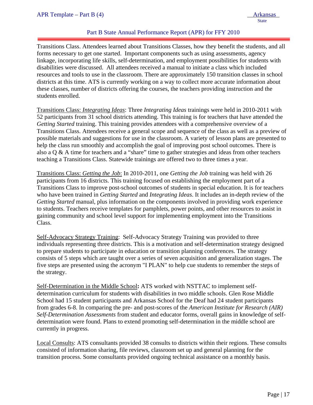### Part B State Annual Performance Report (APR) for FFY 2010

Transitions Class. Attendees learned about Transitions Classes, how they benefit the students, and all forms necessary to get one started. Important components such as using assessments, agency linkage, incorporating life skills, self-determination, and employment possibilities for students with disabilities were discussed. All attendees received a manual to initiate a class which included resources and tools to use in the classroom. There are approximately 150 transition classes in school districts at this time. ATS is currently working on a way to collect more accurate information about these classes, number of districts offering the courses, the teachers providing instruction and the students enrolled.

Transitions Class: *Integrating Ideas*: Three *Integrating Ideas* trainings were held in 2010-2011 with 52 participants from 31 school districts attending. This training is for teachers that have attended the *Getting Started* training. This training provides attendees with a comprehensive overview of a Transitions Class. Attendees receive a general scope and sequence of the class as well as a preview of possible materials and suggestions for use in the classroom. A variety of lesson plans are presented to help the class run smoothly and accomplish the goal of improving post school outcomes. There is also a Q & A time for teachers and a "share" time to gather strategies and ideas from other teachers teaching a Transitions Class. Statewide trainings are offered two to three times a year.

Transitions Class: *Getting the Job*: In 2010-2011, one *Getting the Job* training was held with 26 participants from 16 districts. This training focused on establishing the employment part of a Transitions Class to improve post-school outcomes of students in special education. It is for teachers who have been trained in *Getting Started* and *Integrating Ideas*. It includes an in-depth review of the *Getting Started* manual, plus information on the components involved in providing work experience to students. Teachers receive templates for pamphlets, power points, and other resources to assist in gaining community and school level support for implementing employment into the Transitions Class.

Self-Advocacy Strategy Training: Self-Advocacy Strategy Training was provided to three individuals representing three districts. This is a motivation and self-determination strategy designed to prepare students to participate in education or transition planning conferences. The strategy consists of 5 steps which are taught over a series of seven acquisition and generalization stages. The five steps are presented using the acronym "I PLAN" to help cue students to remember the steps of the strategy.

Self-Determination in the Middle School**:** ATS worked with NSTTAC to implement selfdetermination curriculum for students with disabilities in two middle schools. Glen Rose Middle School had 15 student participants and Arkansas School for the Deaf had 24 student participants from grades 6-8. In comparing the pre- and post-scores of the *American Institute for Research (AIR) Self-Determination Assessments* from student and educator forms, overall gains in knowledge of selfdetermination were found. Plans to extend promoting self-determination in the middle school are currently in progress.

Local Consults: ATS consultants provided 38 consults to districts within their regions. These consults consisted of information sharing, file reviews, classroom set up and general planning for the transition process. Some consultants provided ongoing technical assistance on a monthly basis.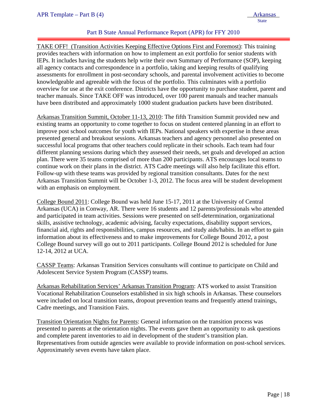### Part B State Annual Performance Report (APR) for FFY 2010

TAKE OFF! (Transition Activities Keeping Effective Options First and Foremost): This training provides teachers with information on how to implement an exit portfolio for senior students with IEPs. It includes having the students help write their own Summary of Performance (SOP), keeping all agency contacts and correspondence in a portfolio, taking and keeping results of qualifying assessments for enrollment in post-secondary schools, and parental involvement activities to become knowledgeable and agreeable with the focus of the portfolio. This culminates with a portfolio overview for use at the exit conference. Districts have the opportunity to purchase student, parent and teacher manuals. Since TAKE OFF was introduced, over 100 parent manuals and teacher manuals have been distributed and approximately 1000 student graduation packets have been distributed.

Arkansas Transition Summit, October 11-13, 2010: The fifth Transition Summit provided new and existing teams an opportunity to come together to focus on student centered planning in an effort to improve post school outcomes for youth with IEPs. National speakers with expertise in these areas presented general and breakout sessions. Arkansas teachers and agency personnel also presented on successful local programs that other teachers could replicate in their schools. Each team had four different planning sessions during which they assessed their needs, set goals and developed an action plan. There were 35 teams comprised of more than 200 participants. ATS encourages local teams to continue work on their plans in the district. ATS Cadre meetings will also help facilitate this effort. Follow-up with these teams was provided by regional transition consultants. Dates for the next Arkansas Transition Summit will be October 1-3, 2012. The focus area will be student development with an emphasis on employment.

College Bound 2011: College Bound was held June 15-17, 2011 at the University of Central Arkansas (UCA) in Conway, AR. There were 16 students and 12 parents/professionals who attended and participated in team activities. Sessions were presented on self-determination, organizational skills, assistive technology, academic advising, faculty expectations, disability support services, financial aid, rights and responsibilities, campus resources, and study aids/habits. In an effort to gain information about its effectiveness and to make improvements for College Bound 2012, a post College Bound survey will go out to 2011 participants. College Bound 2012 is scheduled for June 12-14, 2012 at UCA.

CASSP Teams: Arkansas Transition Services consultants will continue to participate on Child and Adolescent Service System Program (CASSP) teams.

Arkansas Rehabilitation Services' Arkansas Transition Program: ATS worked to assist Transition Vocational Rehabilitation Counselors established in six high schools in Arkansas. These counselors were included on local transition teams, dropout prevention teams and frequently attend trainings, Cadre meetings, and Transition Fairs.

Transition Orientation Nights for Parents: General information on the transition process was presented to parents at the orientation nights. The events gave them an opportunity to ask questions and complete parent inventories to aid in development of the student's transition plan. Representatives from outside agencies were available to provide information on post-school services. Approximately seven events have taken place.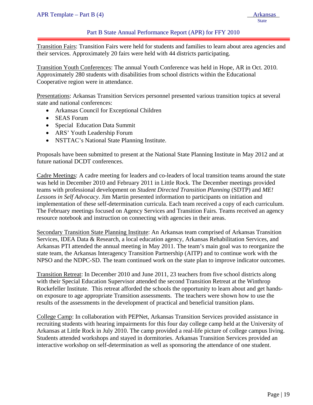#### Part B State Annual Performance Report (APR) for FFY 2010

Transition Fairs: Transition Fairs were held for students and families to learn about area agencies and their services. Approximately 20 fairs were held with 44 districts participating.

Transition Youth Conferences: The annual Youth Conference was held in Hope, AR in Oct. 2010. Approximately 280 students with disabilities from school districts within the Educational Cooperative region were in attendance.

Presentations: Arkansas Transition Services personnel presented various transition topics at several state and national conferences:

- Arkansas Council for Exceptional Children
- SEAS Forum
- Special Education Data Summit
- ARS' Youth Leadership Forum
- NSTTAC's National State Planning Institute.

Proposals have been submitted to present at the National State Planning Institute in May 2012 and at future national DCDT conferences.

Cadre Meetings: A cadre meeting for leaders and co-leaders of local transition teams around the state was held in December 2010 and February 2011 in Little Rock. The December meetings provided teams with professional development on *Student Directed Transition Planning* (SDTP) and *ME! Lessons in Self Advocacy*. Jim Martin presented information to participants on initiation and implementation of these self-determination curricula. Each team received a copy of each curriculum. The February meetings focused on Agency Services and Transition Fairs. Teams received an agency resource notebook and instruction on connecting with agencies in their areas.

Secondary Transition State Planning Institute: An Arkansas team comprised of Arkansas Transition Services, IDEA Data & Research, a local education agency, Arkansas Rehabilitation Services, and Arkansas PTI attended the annual meeting in May 2011. The team's main goal was to reorganize the state team, the Arkansas Interagency Transition Partnership (AITP) and to continue work with the NPSO and the NDPC-SD. The team continued work on the state plan to improve indicator outcomes.

Transition Retreat: In December 2010 and June 2011, 23 teachers from five school districts along with their Special Education Supervisor attended the second Transition Retreat at the Winthrop Rockefeller Institute. This retreat afforded the schools the opportunity to learn about and get handson exposure to age appropriate Transition assessments. The teachers were shown how to use the results of the assessments in the development of practical and beneficial transition plans.

College Camp: In collaboration with PEPNet, Arkansas Transition Services provided assistance in recruiting students with hearing impairments for this four day college camp held at the University of Arkansas at Little Rock in July 2010. The camp provided a real-life picture of college campus living. Students attended workshops and stayed in dormitories. Arkansas Transition Services provided an interactive workshop on self-determination as well as sponsoring the attendance of one student.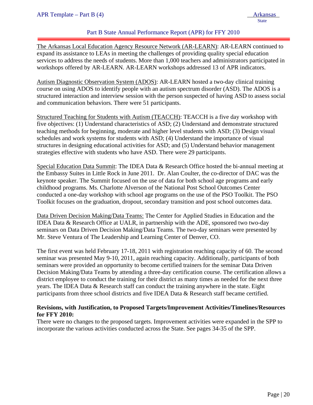#### Part B State Annual Performance Report (APR) for FFY 2010

ļ The Arkansas Local Education Agency Resource Network (AR-LEARN): AR-LEARN continued to expand its assistance to LEAs in meeting the challenges of providing quality special education services to address the needs of students. More than 1,000 teachers and administrators participated in workshops offered by AR-LEARN. AR-LEARN workshops addressed 13 of APR indicators.

Autism Diagnostic Observation System (ADOS): AR-LEARN hosted a two-day clinical training course on using ADOS to identify people with an autism spectrum disorder (ASD). The ADOS is a structured interaction and interview session with the person suspected of having ASD to assess social and communication behaviors. There were 51 participants.

Structured Teaching for Students with Autism (TEACCH): TEACCH is a five day workshop with five objectives: (1) Understand characteristics of ASD; (2) Understand and demonstrate structured teaching methods for beginning, moderate and higher level students with ASD; (3) Design visual schedules and work systems for students with ASD; (4) Understand the importance of visual structures in designing educational activities for ASD; and (5) Understand behavior management strategies effective with students who have ASD. There were 29 participants.

Special Education Data Summit: The IDEA Data & Research Office hosted the bi-annual meeting at the Embassy Suites in Little Rock in June 2011. Dr. Alan Coulter, the co-director of DAC was the keynote speaker. The Summit focused on the use of data for both school age programs and early childhood programs. Ms. Charlotte Alverson of the National Post School Outcomes Center conducted a one-day workshop with school age programs on the use of the PSO Toolkit. The PSO Toolkit focuses on the graduation, dropout, secondary transition and post school outcomes data.

Data Driven Decision Making/Data Teams: The Center for Applied Studies in Education and the IDEA Data & Research Office at UALR, in partnership with the ADE, sponsored two two-day seminars on Data Driven Decision Making/Data Teams. The two-day seminars were presented by Mr. Steve Ventura of The Leadership and Learning Center of Denver, CO.

The first event was held February 17-18, 2011 with registration reaching capacity of 60. The second seminar was presented May 9-10, 2011, again reaching capacity. Additionally, participants of both seminars were provided an opportunity to become certified trainers for the seminar Data Driven Decision Making/Data Teams by attending a three-day certification course. The certification allows a district employee to conduct the training for their district as many times as needed for the next three years. The IDEA Data & Research staff can conduct the training anywhere in the state. Eight participants from three school districts and five IDEA Data & Research staff became certified.

### **Revisions, with Justification, to Proposed Targets/Improvement Activities/Timelines/Resources for FFY 2010:**

There were no changes to the proposed targets. Improvement activities were expanded in the SPP to incorporate the various activities conducted across the State. See pages 34-35 of the SPP.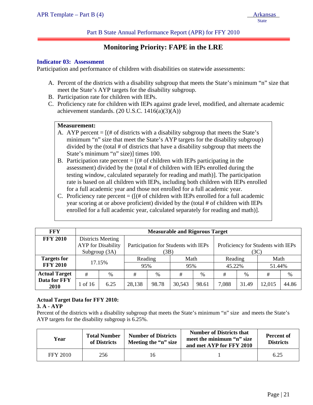Part B State Annual Performance Report (APR) for FFY 2010

# **Monitoring Priority: FAPE in the LRE**

#### **Indicator 03: Assessment**

ļ

Participation and performance of children with disabilities on statewide assessments:

- A. Percent of the districts with a disability subgroup that meets the State's minimum "n" size that meet the State's AYP targets for the disability subgroup.
- B. Participation rate for children with IEPs.
- C. Proficiency rate for children with IEPs against grade level, modified, and alternate academic achievement standards.  $(20$  U.S.C.  $1416(a)(3)(A))$

#### **Measurement:**

- A. AYP percent  $=$   $[(# of \text{ districts with a disability subgroup that meets the State's}]$ minimum "n" size that meet the State's AYP targets for the disability subgroup) divided by the (total # of districts that have a disability subgroup that meets the State's minimum "n" size)] times 100.
- B. Participation rate percent  $=$   $[(# of children with IEPs participating in the$ assessment) divided by the (total # of children with IEPs enrolled during the testing window, calculated separately for reading and math)]. The participation rate is based on all children with IEPs, including both children with IEPs enrolled for a full academic year and those not enrolled for a full academic year.
- C. Proficiency rate percent  $=$  ( $[(# of children with IEPs enrolled for a full academic$ year scoring at or above proficient) divided by the (total # of children with IEPs enrolled for a full academic year, calculated separately for reading and math)].

| <b>FFY</b>           | <b>Measurable and Rigorous Target</b> |                                                |                                              |       |        |       |         |                                    |        |       |
|----------------------|---------------------------------------|------------------------------------------------|----------------------------------------------|-------|--------|-------|---------|------------------------------------|--------|-------|
| <b>FFY 2010</b>      | Subgroup (3A)                         | Districts Meeting<br><b>AYP</b> for Disability | Participation for Students with IEPs<br>(3B) |       |        |       | (3C)    | Proficiency for Students with IEPs |        |       |
| <b>Targets for</b>   | 17.15%                                |                                                | Reading                                      |       | Math   |       | Reading |                                    | Math   |       |
| <b>FFY 2010</b>      |                                       |                                                | 95%                                          |       | 95%    |       | 45.22%  |                                    | 51.44% |       |
| <b>Actual Target</b> | #                                     | %                                              | #                                            | $\%$  | #      | $\%$  | #       | %                                  | #      | %     |
| Data for FFY<br>2010 | 1 of 16                               | 6.25                                           | 28,138                                       | 98.78 | 30,543 | 98.61 | 7,088   | 31.49                              | 12,015 | 44.86 |

# **Actual Target Data for FFY 2010:**

#### **3. A - AYP**

Percent of the districts with a disability subgroup that meets the State's minimum "n" size and meets the State's AYP targets for the disability subgroup is 6.25%.

| Year            | <b>Total Number</b><br>of Districts | <b>Number of Districts</b><br>Meeting the "n" size | <b>Number of Districts that</b><br>meet the minimum "n" size<br>and met AYP for FFY 2010 | <b>Percent of</b><br><b>Districts</b> |
|-----------------|-------------------------------------|----------------------------------------------------|------------------------------------------------------------------------------------------|---------------------------------------|
| <b>FFY 2010</b> | 256                                 | Iб                                                 |                                                                                          | 6.25                                  |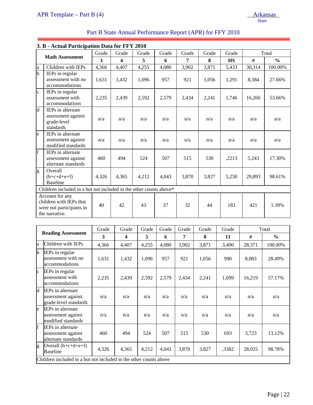| APR Template – Part B $(4)$ | <b>Arkansas</b> |
|-----------------------------|-----------------|
|                             | <b>State</b>    |

| Part B State Annual Performance Report (APR) for FFY 2010 |  |
|-----------------------------------------------------------|--|
|-----------------------------------------------------------|--|

|              | 3. B - Actual Participation Data for FFY 2010                                            |       |                         |       |       |       |       |           |        |               |
|--------------|------------------------------------------------------------------------------------------|-------|-------------------------|-------|-------|-------|-------|-----------|--------|---------------|
|              |                                                                                          | Grade | Grade                   | Grade | Grade | Grade | Grade | Grade     |        | Total         |
|              | <b>Math Assessment</b>                                                                   | 3     | $\overline{\mathbf{4}}$ | 5     | 6     | 7     | 8     | <b>HS</b> | #      | $\frac{0}{0}$ |
| a            | Children with IEPs                                                                       | 4,366 | 4,407                   | 4,255 | 4,080 | 3,902 | 3,871 | 5,433     | 30,314 | 100.00%       |
| b            | IEPs in regular<br>assessment with no<br>accommodations                                  | 1,631 | 1,432                   | 1,096 | 957   | 921   | 1,056 | 1,291     | 8,384  | 27.66%        |
| $\mathbf{c}$ | IEPs in regular<br>assessment with<br>accommodations                                     | 2,235 | 2,439                   | 2,592 | 2,579 | 2,434 | 2,241 | 1,746     | 16,266 | 53.66%        |
| d            | IEPs in alternate<br>assessment against<br>grade-level<br>standards                      | n/a   | n/a                     | n/a   | n/a   | n/a   | n/a   | n/a       | n/a    | n/a           |
| e            | IEPs in alternate<br>assessment against<br>modified standards                            | n/a   | n/a                     | n/a   | n/a   | n/a   | n/a   | n/a       | n/a    | n/a           |
| f            | <b>IEPs</b> in alternate<br>assessment against<br>alternate standards                    | 460   | 494                     | 524   | 507   | 515   | 530   | ,2213     | 5,243  | 17.30%        |
| g            | Overall<br>$(b+c+d+e+f)$<br><b>Baseline</b>                                              | 4,326 | 4,365                   | 4,212 | 4,043 | 3,870 | 3,827 | 5,250     | 29,893 | 98.61%        |
|              | Children included in a but not included in the other counts above*                       |       |                         |       |       |       |       |           |        |               |
|              | Account for any<br>children with IEPs that<br>were not participants in<br>the narrative. | 40    | 42                      | 43    | 37    | 32    | 44    | 183       | 421    | 1.39%         |

|              |                                                                         | Grade | Grade                   | Grade | Grade | Grade | Grade | Grade |        | Total         |
|--------------|-------------------------------------------------------------------------|-------|-------------------------|-------|-------|-------|-------|-------|--------|---------------|
|              | <b>Reading Assessment</b>                                               | 3     | $\overline{\mathbf{4}}$ | 5     | 6     | 7     | 8     | 11    | #      | $\frac{6}{9}$ |
| la           | Children with IEPs                                                      | 4,366 | 4,407                   | 4,255 | 4,080 | 3,902 | 3,871 | 3,490 | 28,371 | 100.00%       |
| $\mathbf{b}$ | IEPs in regular<br>assessment with no<br>accommodations                 | 1,631 | 1,432                   | 1,096 | 957   | 921   | 1,056 | 990   | 8,083  | 28.49%        |
| $\mathbf{c}$ | <b>IEPs</b> in regular<br>assessment with<br>accommodations             | 2,235 | 2,439                   | 2,592 | 2,579 | 2,434 | 2,241 | 1,699 | 16,219 | 57.17%        |
| d            | <b>IEPs</b> in alternate<br>assessment against<br>grade-level standards | n/a   | n/a                     | n/a   | n/a   | n/a   | n/a   | n/a   | n/a    | n/a           |
| le.          | <b>IEPs in alternate</b><br>assessment against<br>modified standards    | n/a   | n/a                     | n/a   | n/a   | n/a   | n/a   | n/a   | n/a    | n/a           |
| f            | <b>IEPs</b> in alternate<br>assessment against<br>alternate standards   | 460   | 494                     | 524   | 507   | 515   | 530   | 693   | 3,723  | 13.12%        |
| g            | Overall $(b+c+d+e+f)$<br>Baseline                                       | 4,326 | 4,365                   | 4,212 | 4,043 | 3,870 | 3,827 | ,3382 | 28,025 | 98.78%        |
|              | Children included in a but not included in the other counts above       |       |                         |       |       |       |       |       |        |               |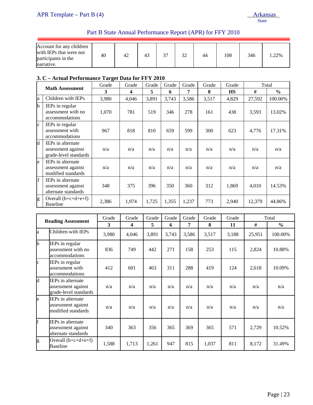# Part B State Annual Performance Report (APR) for FFY 2010

| Account for any children<br>with IEPs that were not<br>participants in the<br>narrative. | 40 | 42 | 4 <sup>2</sup> | $\sim$ | 32 | 44 | 108 | 346 | .22% |
|------------------------------------------------------------------------------------------|----|----|----------------|--------|----|----|-----|-----|------|

# **3. C – Actual Performance Target Data for FFY 2010**

|                 | <b>Math Assessment</b>                                                  | Grade | Grade | Grade | Grade | Grade | Grade | Grade     |        | Total         |
|-----------------|-------------------------------------------------------------------------|-------|-------|-------|-------|-------|-------|-----------|--------|---------------|
|                 |                                                                         | 3     | 4     | 5     | 6     | 7     | 8     | <b>HS</b> | #      | $\frac{6}{9}$ |
| la              | Children with IEPs                                                      | 3,980 | 4,046 | 3,891 | 3,743 | 3,586 | 3,517 | 4,829     | 27,592 | 100.00%       |
| lb.             | IEPs in regular<br>assessment with no<br>accommodations                 | 1,070 | 781   | 519   | 346   | 278   | 161   | 438       | 3,593  | 13.02%        |
| $\mathbf{c}$    | IEPs in regular<br>assessment with<br>accommodations                    | 967   | 818   | 810   | 659   | 599   | 300   | 623       | 4,776  | 17.31%        |
| d               | <b>IEPs</b> in alternate<br>assessment against<br>grade-level standards | n/a   | n/a   | n/a   | n/a   | n/a   | n/a   | n/a       | n/a    | n/a           |
| le              | <b>IEPs</b> in alternate<br>assessment against<br>modified standards    | n/a   | n/a   | n/a   | n/a   | n/a   | n/a   | n/a       | n/a    | n/a           |
| $\vert f \vert$ | <b>IEPs</b> in alternate<br>assessment against<br>alternate standards   | 348   | 375   | 396   | 350   | 360   | 312   | 1,869     | 4,010  | 14.53%        |
| g               | Overall $(b+c+d+e+f)$<br><b>Baseline</b>                                | 2,386 | 1,974 | 1,725 | 1,355 | 1,237 | 773   | 2,940     | 12,379 | 44.86%        |

|                           |                                                                         | Grade | Grade | Grade | Grade | Grade | Grade | Grade |        | Total         |
|---------------------------|-------------------------------------------------------------------------|-------|-------|-------|-------|-------|-------|-------|--------|---------------|
| <b>Reading Assessment</b> |                                                                         | 3     | 4     | 5     | 6     | 7     | 8     | 11    | #      | $\frac{0}{0}$ |
| la.                       | Children with IEPs                                                      | 3,980 | 4,046 | 3,891 | 3,743 | 3,586 | 3,517 | 3,188 | 25,951 | 100.00%       |
| b                         | IEPs in regular<br>assessment with no<br>accommodations                 | 836   | 749   | 442   | 271   | 158   | 253   | 115   | 2,824  | 10.88%        |
| $\mathbf{c}$              | IEPs in regular<br>assessment with<br>accommodations                    | 412   | 601   | 463   | 311   | 288   | 419   | 124   | 2,618  | 10.09%        |
| d                         | <b>IEPs</b> in alternate<br>assessment against<br>grade-level standards | n/a   | n/a   | n/a   | n/a   | n/a   | n/a   | n/a   | n/a    | n/a           |
| le                        | <b>IEPs</b> in alternate<br>assessment against<br>modified standards    | n/a   | n/a   | n/a   | n/a   | n/a   | n/a   | n/a   | n/a    | n/a           |
| f                         | IEPs in alternate<br>assessment against<br>alternate standards          | 340   | 363   | 356   | 365   | 369   | 365   | 571   | 2,729  | 10.52%        |
| g                         | Overall $(b+c+d+e+f)$<br>Baseline                                       | 1,588 | 1,713 | 1,261 | 947   | 815   | 1,037 | 811   | 8,172  | 31.49%        |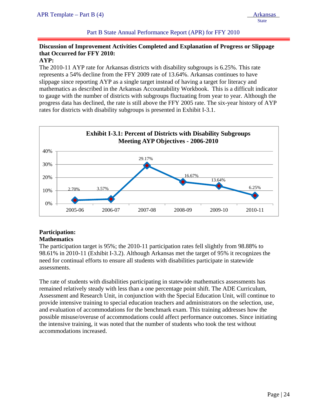**State** 

Part B State Annual Performance Report (APR) for FFY 2010

# **Discussion of Improvement Activities Completed and Explanation of Progress or Slippage that Occurred for FFY 2010:**

### **AYP:**

ļ

The 2010-11 AYP rate for Arkansas districts with disability subgroups is 6.25%. This rate represents a 54% decline from the FFY 2009 rate of 13.64%. Arkansas continues to have slippage since reporting AYP as a single target instead of having a target for literacy and mathematics as described in the Arkansas Accountability Workbook. This is a difficult indicator to gauge with the number of districts with subgroups fluctuating from year to year. Although the progress data has declined, the rate is still above the FFY 2005 rate. The six-year history of AYP rates for districts with disability subgroups is presented in Exhibit I-3.1.



# **Participation:**

# **Mathematics**

The participation target is 95%; the 2010-11 participation rates fell slightly from 98.88% to 98.61% in 2010-11 (Exhibit I-3.2). Although Arkansas met the target of 95% it recognizes the need for continual efforts to ensure all students with disabilities participate in statewide assessments.

The rate of students with disabilities participating in statewide mathematics assessments has remained relatively steady with less than a one percentage point shift. The ADE Curriculum, Assessment and Research Unit, in conjunction with the Special Education Unit, will continue to provide intensive training to special education teachers and administrators on the selection, use, and evaluation of accommodations for the benchmark exam. This training addresses how the possible misuse/overuse of accommodations could affect performance outcomes. Since initiating the intensive training, it was noted that the number of students who took the test without accommodations increased.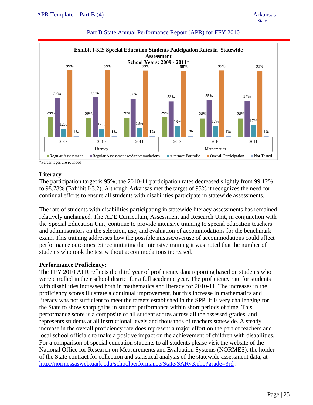# 29% 28% 28% 29% 28% 28% 58% 59% 57% 53% 55% 54% 54%  $12\%$  12% 12% 13% 13% 16% 16% 16% 17% 17% 17% 17% 99% 99% 99% 98% 99% 99% **School Years: 2009 - 2011\*** 1% 1% 1% 2% 1% 1% 2009 2010 2011 2009 2010 2011 2009 2010 Literacy Mathematics **Mathematics Exhibit I-3.2: Special Education Students Paticipation Rates in Statewide Assessment** Regular Assessment Regular Assessment w/Accommodations Alternate Portfolio Overall Participation Not Tested

#### Part B State Annual Performance Report (APR) for FFY 2010

\*Percentages are rounded

#### **Literacy**

The participation target is 95%; the 2010-11 participation rates decreased slightly from 99.12% to 98.78% (Exhibit I-3.2). Although Arkansas met the target of 95% it recognizes the need for continual efforts to ensure all students with disabilities participate in statewide assessments.

The rate of students with disabilities participating in statewide literacy assessments has remained relatively unchanged. The ADE Curriculum, Assessment and Research Unit, in conjunction with the Special Education Unit, continue to provide intensive training to special education teachers and administrators on the selection, use, and evaluation of accommodations for the benchmark exam. This training addresses how the possible misuse/overuse of accommodations could affect performance outcomes. Since initiating the intensive training it was noted that the number of students who took the test without accommodations increased.

# **Performance Proficiency:**

The FFY 2010 APR reflects the third year of proficiency data reporting based on students who were enrolled in their school district for a full academic year. The proficiency rate for students with disabilities increased both in mathematics and literacy for 2010-11. The increases in the proficiency scores illustrate a continual improvement, but this increase in mathematics and literacy was not sufficient to meet the targets established in the SPP. It is very challenging for the State to show sharp gains in student performance within short periods of time. This performance score is a composite of all student scores across all the assessed grades, and represents students at all instructional levels and thousands of teachers statewide. A steady increase in the overall proficiency rate does represent a major effort on the part of teachers and local school officials to make a positive impact on the achievement of children with disabilities. For a comparison of special education students to all students please visit the website of the National Office for Research on Measurements and Evaluation Systems (NORMES), the holder of the State contract for collection and statistical analysis of the statewide assessment data, at http://normessasweb.uark.edu/schoolperformance/State/SARy3.php?grade=3rd .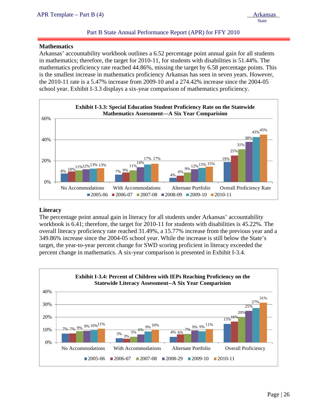**State** 

#### Part B State Annual Performance Report (APR) for FFY 2010

#### **Mathematics**

ļ

Arkansas' accountability workbook outlines a 6.52 percentage point annual gain for all students in mathematics; therefore, the target for 2010-11, for students with disabilities is 51.44%. The mathematics proficiency rate reached 44.86%, missing the target by 6.58 percentage points. This is the smallest increase in mathematics proficiency Arkansas has seen in seven years. However, the 2010-11 rate is a 5.47% increase from 2009-10 and a 274.42% increase since the 2004-05 school year. Exhibit I-3.3 displays a six-year comparison of mathematics proficiency.



#### **Literacy**

The percentage point annual gain in literacy for all students under Arkansas' accountability workbook is 6.41; therefore, the target for 2010-11 for students with disabilities is 45.22%. The overall literacy proficiency rate reached 31.49%, a 15.77% increase from the previous year and a 349.86% increase since the 2004-05 school year. While the increase is still below the State's target, the year-to-year percent change for SWD scoring proficient in literacy exceeded the percent change in mathematics. A six-year comparison is presented in Exhibit I-3.4.

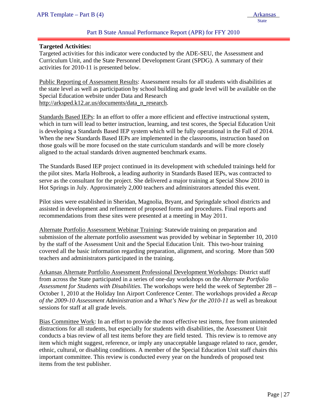#### Part B State Annual Performance Report (APR) for FFY 2010

#### **Targeted Activities:**

ļ

Targeted activities for this indicator were conducted by the ADE-SEU, the Assessment and Curriculum Unit, and the State Personnel Development Grant (SPDG). A summary of their activities for 2010-11 is presented below.

Public Reporting of Assessment Results: Assessment results for all students with disabilities at the state level as well as participation by school building and grade level will be available on the Special Education website under Data and Research http://arksped.k12.ar.us/documents/data\_n\_research.

Standards Based IEPs: In an effort to offer a more efficient and effective instructional system, which in turn will lead to better instruction, learning, and test scores, the Special Education Unit is developing a Standards Based IEP system which will be fully operational in the Fall of 2014. When the new Standards Based IEPs are implemented in the classrooms, instruction based on those goals will be more focused on the state curriculum standards and will be more closely aligned to the actual standards driven augmented benchmark exams.

The Standards Based IEP project continued in its development with scheduled trainings held for the pilot sites. Marla Holbrook, a leading authority in Standards Based IEPs, was contracted to serve as the consultant for the project. She delivered a major training at Special Show 2010 in Hot Springs in July. Approximately 2,000 teachers and administrators attended this event.

Pilot sites were established in Sheridan, Magnolia, Bryant, and Springdale school districts and assisted in development and refinement of proposed forms and procedures. Final reports and recommendations from these sites were presented at a meeting in May 2011.

Alternate Portfolio Assessment Webinar Training: Statewide training on preparation and submission of the alternate portfolio assessment was provided by webinar in September 10, 2010 by the staff of the Assessment Unit and the Special Education Unit. This two-hour training covered all the basic information regarding preparation, alignment, and scoring. More than 500 teachers and administrators participated in the training.

Arkansas Alternate Portfolio Assessment Professional Development Workshops: District staff from across the State participated in a series of one-day workshops on the *Alternate Portfolio Assessment for Students with Disabilities*. The workshops were held the week of September 28 – October 1, 2010 at the Holiday Inn Airport Conference Center. The workshops provided a *Recap of the 2009-10 Assessment Administration* and a *What's New for the 2010-11* as well as breakout sessions for staff at all grade levels.

Bias Committee Work: In an effort to provide the most effective test items, free from unintended distractions for all students, but especially for students with disabilities, the Assessment Unit conducts a bias review of all test items before they are field tested. This review is to remove any item which might suggest, reference, or imply any unacceptable language related to race, gender, ethnic, cultural, or disabling conditions. A member of the Special Education Unit staff chairs this important committee. This review is conducted every year on the hundreds of proposed test items from the test publisher.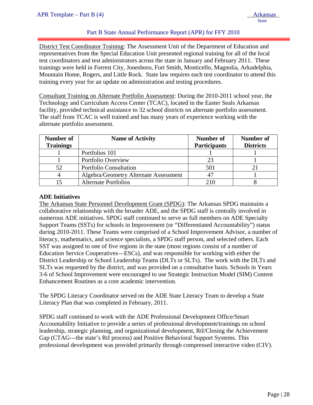#### Part B State Annual Performance Report (APR) for FFY 2010

District Test Coordinator Training: The Assessment Unit of the Department of Education and representatives from the Special Education Unit presented regional training for all of the local test coordinators and test administrators across the state in January and February 2011. These trainings were held in Forrest City, Jonesboro, Fort Smith, Monticello, Magnolia, Arkadelphia, Mountain Home, Rogers, and Little Rock. State law requires each test coordinator to attend this training every year for an update on administration and testing procedures.

Consultant Training on Alternate Portfolio Assessment: During the 2010-2011 school year, the Technology and Curriculum Access Center (TCAC), located in the Easter Seals Arkansas facility, provided technical assistance to 32 school districts on alternate portfolio assessment. The staff from TCAC is well trained and has many years of experience working with the alternate portfolio assessment.

| Number of<br><b>Trainings</b> | <b>Name of Activity</b>               | Number of<br><b>Participants</b> | Number of<br><b>Districts</b> |  |
|-------------------------------|---------------------------------------|----------------------------------|-------------------------------|--|
|                               | Portfolios 101                        |                                  |                               |  |
|                               | Portfolio Overview                    | 23                               |                               |  |
| 52                            | <b>Portfolio Consultation</b>         | 501                              |                               |  |
|                               | Algebra/Geometry Alternate Assessment |                                  |                               |  |
| l5                            | <b>Alternate Portfolios</b>           | 210                              |                               |  |

#### **ADE Initiatives**

The Arkansas State Personnel Development Grant (SPDG): The Arkansas SPDG maintains a collaborative relationship with the broader ADE, and the SPDG staff is centrally involved in numerous ADE initiatives. SPDG staff continued to serve as full members on ADE Specialty Support Teams (SSTs) for schools in Improvement (or "Differentiated Accountability") status during 2010-2011. These Teams were comprised of a School Improvement Advisor, a number of literacy, mathematics, and science specialists, a SPDG staff person, and selected others. Each SST was assigned to one of five regions in the state (most regions consist of a number of Education Service Cooperatives—ESCs), and was responsible for working with either the District Leadership or School Leadership Teams (DLTs or SLTs). The work with the DLTs and SLTs was requested by the district, and was provided on a consultative basis. Schools in Years 3-6 of School Improvement were encouraged to use Strategic Instruction Model (SIM) Content Enhancement Routines as a core academic intervention.

The SPDG Literacy Coordinator served on the ADE State Literacy Team to develop a State Literacy Plan that was completed in February, 2011.

SPDG staff continued to work with the ADE Professional Development Office/Smart Accountability Initiative to provide a series of professional development/trainings on school leadership, strategic planning, and organizational development, RtI/Closing the Achievement Gap (CTAG—the state's RtI process) and Positive Behavioral Support Systems. This professional development was provided primarily through compressed interactive video (CIV).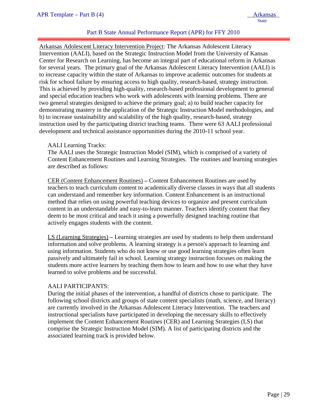#### Part B State Annual Performance Report (APR) for FFY 2010

Arkansas Adolescent Literacy Intervention Project: The Arkansas Adolescent Literacy Intervention (AALI), based on the Strategic Instruction Model from the University of Kansas Center for Research on Learning, has become an integral part of educational reform in Arkansas for several years. The primary goal of the Arkansas Adolescent Literacy Intervention (AALI) is to increase capacity within the state of Arkansas to improve academic outcomes for students at risk for school failure by ensuring access to high quality, research-based, strategy instruction. This is achieved by providing high-quality, research-based professional development to general and special education teachers who work with adolescents with learning problems. There are two general strategies designed to achieve the primary goal; a) to build teacher capacity for demonstrating mastery in the application of the Strategic Instruction Model methodologies, and b) to increase sustainability and scalability of the high quality, research-based, strategy instruction used by the participating district teaching teams. There were 63 AALI professional development and technical assistance opportunities during the 2010-11 school year.

#### AALI Learning Tracks:

The AALI uses the Strategic Instruction Model (SIM), which is comprised of a variety of Content Enhancement Routines and Learning Strategies. The routines and learning strategies are described as follows:

CER (Content Enhancement Routines) **–** Content Enhancement Routines are used by teachers to teach curriculum content to academically diverse classes in ways that all students can understand and remember key information. Content Enhancement is an instructional method that relies on using powerful teaching devices to organize and present curriculum content in an understandable and easy-to-learn manner. Teachers identify content that they deem to be most critical and teach it using a powerfully designed teaching routine that actively engages students with the content.

LS (Learning Strategies) **–** Learning strategies are used by students to help them understand information and solve problems. A learning strategy is a person's approach to learning and using information. Students who do not know or use good learning strategies often learn passively and ultimately fail in school. Learning strategy instruction focuses on making the students more active learners by teaching them how to learn and how to use what they have learned to solve problems and be successful.

#### AALI PARTICIPANTS:

During the initial phases of the intervention, a handful of districts chose to participate. The following school districts and groups of state content specialists (math, science, and literacy) are currently involved in the Arkansas Adolescent Literacy Intervention. The teachers and instructional specialists have participated in developing the necessary skills to effectively implement the Content Enhancement Routines (CER) and Learning Strategies (LS) that comprise the Strategic Instruction Model (SIM). A list of participating districts and the associated learning track is provided below.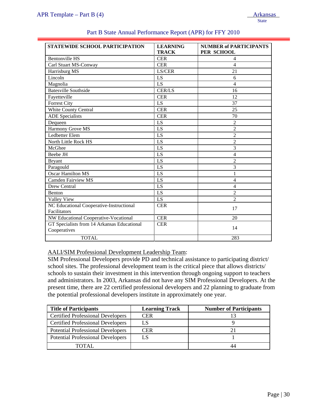| <b>STATEWIDE SCHOOL PARTICIPATION</b>                       | <b>LEARNING</b><br><b>TRACK</b> | <b>NUMBER of PARTICIPANTS</b><br>PER SCHOOL |
|-------------------------------------------------------------|---------------------------------|---------------------------------------------|
| <b>Bentonville HS</b>                                       | <b>CER</b>                      | 4                                           |
| Carl Stuart MS-Conway                                       | <b>CER</b>                      | 4                                           |
| Harrisburg MS                                               | LS/CER                          | 21                                          |
| Lincoln                                                     | LS                              | 6                                           |
| Magnolia                                                    | LS                              | 4                                           |
| <b>Batesville Southside</b>                                 | <b>CER/LS</b>                   | 16                                          |
| Fayetteville                                                | <b>CER</b>                      | 12                                          |
| <b>Forrest City</b>                                         | LS                              | 37                                          |
| White County Central                                        | <b>CER</b>                      | 25                                          |
| <b>ADE</b> Specialists                                      | <b>CER</b>                      | 70                                          |
| Dequeen                                                     | LS                              | $\overline{2}$                              |
| Harmony Grove MS                                            | LS                              | $\overline{2}$                              |
| Ledbetter Elem                                              | LS                              | $\overline{2}$                              |
| North Little Rock HS                                        | LS                              | $\overline{2}$                              |
| McGhee                                                      | LS                              | $\overline{3}$                              |
| Beebe JH                                                    | LS                              | $\overline{4}$                              |
| <b>Bryant</b>                                               | LS                              | 2                                           |
| Paragould                                                   | LS                              | 3                                           |
| <b>Oscar Hamilton MS</b>                                    | LS                              | 1                                           |
| <b>Camden Fairview MS</b>                                   | LS                              | $\overline{4}$                              |
| Drew Central                                                | LS                              | 4                                           |
| <b>Benton</b>                                               | LS                              | $\overline{2}$                              |
| Valley View                                                 | LS                              | $\overline{2}$                              |
| NC Educational Cooperative-Instructional                    | <b>CER</b>                      | 17                                          |
| Facilitators                                                |                                 |                                             |
| NW Educational Cooperative-Vocational                       | <b>CER</b>                      | 20                                          |
| GT Specialists from 14 Arkansas Educational<br>Cooperatives | <b>CER</b>                      | 14                                          |
| <b>TOTAL</b>                                                |                                 | 283                                         |

#### Part B State Annual Performance Report (APR) for FFY 2010

AALI/SIM Professional Development Leadership Team:

SIM Professional Developers provide PD and technical assistance to participating district/ school sites. The professional development team is the critical piece that allows districts/ schools to sustain their investment in this intervention through ongoing support to teachers and administrators. In 2003, Arkansas did not have any SIM Professional Developers. At the present time, there are 22 certified professional developers and 22 planning to graduate from the potential professional developers institute in approximately one year.

| <b>Title of Participants</b>             | <b>Learning Track</b> | <b>Number of Participants</b> |
|------------------------------------------|-----------------------|-------------------------------|
| <b>Certified Professional Developers</b> | CER                   |                               |
| <b>Certified Professional Developers</b> | LS                    |                               |
| <b>Potential Professional Developers</b> | <b>CER</b>            |                               |
| <b>Potential Professional Developers</b> | LS                    |                               |
| TOTAL.                                   |                       | 44                            |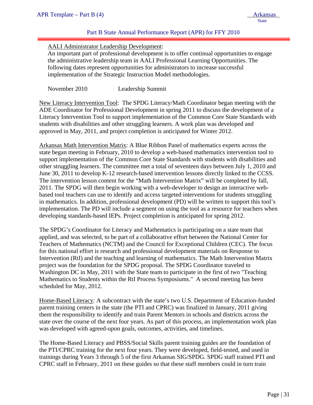#### Part B State Annual Performance Report (APR) for FFY 2010

#### AALI Administrator Leadership Development:

An important part of professional development is to offer continual opportunities to engage the administrative leadership team in AALI Professional Learning Opportunities. The following dates represent opportunities for administrators to increase successful implementation of the Strategic Instruction Model methodologies.

November 2010 Leadership Summit

New Literacy Intervention Tool: The SPDG Literacy/Math Coordinator began meeting with the ADE Coordinator for Professional Development in spring 2011 to discuss the development of a Literacy Intervention Tool to support implementation of the Common Core State Standards with students with disabilities and other struggling learners. A work plan was developed and approved in May, 2011, and project completion is anticipated for Winter 2012.

Arkansas Math Intervention Matrix: A Blue Ribbon Panel of mathematics experts across the state began meeting in February, 2010 to develop a web-based mathematics intervention tool to support implementation of the Common Core State Standards with students with disabilities and other struggling learners. The committee met a total of seventeen days between July 1, 2010 and June 30, 2011 to develop K-12 research-based intervention lessons directly linked to the CCSS. The intervention lesson content for the "Math Intervention Matrix" will be completed by fall, 2011. The SPDG will then begin working with a web-developer to design an interactive webbased tool teachers can use to identify and access targeted interventions for students struggling in mathematics. In addition, professional development (PD) will be written to support this tool's implementation. The PD will include a segment on using the tool as a resource for teachers when developing standards-based IEPs. Project completion is anticipated for spring 2012.

The SPDG's Coordinator for Literacy and Mathematics is participating on a state team that applied, and was selected, to be part of a collaborative effort between the National Center for Teachers of Mathematics (NCTM) and the Council for Exceptional Children (CEC). The focus for this national effort is research and professional development materials on Response to Intervention (RtI) and the teaching and learning of mathematics. The Math Intervention Matrix project was the foundation for the SPDG proposal. The SPDG Coordinator traveled to Washington DC in May, 2011 with the State team to participate in the first of two "Teaching Mathematics to Students within the RtI Process Symposiums." A second meeting has been scheduled for May, 2012.

Home-Based Literacy: A subcontract with the state's two U.S. Department of Education-funded parent training centers in the state (the PTI and CPRC) was finalized in January, 2011 giving them the responsibility to identify and train Parent Mentors in schools and districts across the state over the course of the next four years. As part of this process, an implementation work plan was developed with agreed-upon goals, outcomes, activities, and timelines.

The Home-Based Literacy and PBSS/Social Skills parent training guides are the foundation of the PTI/CPRC training for the next four years. They were developed, field-tested, and used in trainings during Years 3 through 5 of the first Arkansas SIG/SPDG. SPDG staff trained PTI and CPRC staff in February, 2011 on these guides so that these staff members could in turn train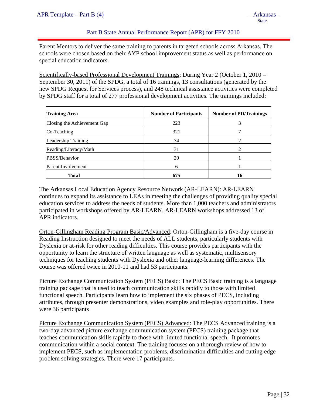Part B State Annual Performance Report (APR) for FFY 2010

Parent Mentors to deliver the same training to parents in targeted schools across Arkansas. The schools were chosen based on their AYP school improvement status as well as performance on special education indicators.

Scientifically-based Professional Development Trainings: During Year 2 (October 1, 2010 – September 30, 2011) of the SPDG, a total of 16 trainings, 13 consultations (generated by the new SPDG Request for Services process), and 248 technical assistance activities were completed by SPDG staff for a total of 277 professional development activities. The trainings included:

| <b>Training Area</b>        | <b>Number of Participants</b> | <b>Number of PD/Trainings</b> |
|-----------------------------|-------------------------------|-------------------------------|
| Closing the Achievement Gap | 223                           | 3                             |
| Co-Teaching                 | 321                           |                               |
| Leadership Training         | 74                            | $\mathcal{D}_{\mathcal{A}}$   |
| Reading/Literacy/Math       | 31                            | 2                             |
| PBSS/Behavior               | 20                            |                               |
| Parent Involvement          | 6                             |                               |
| <b>Total</b>                | 675                           | 16                            |

The Arkansas Local Education Agency Resource Network (AR-LEARN): AR-LEARN continues to expand its assistance to LEAs in meeting the challenges of providing quality special education services to address the needs of students. More than 1,000 teachers and administrators participated in workshops offered by AR-LEARN. AR-LEARN workshops addressed 13 of APR indicators.

Orton-Gillingham Reading Program Basic/Advanced: Orton-Gillingham is a five-day course in Reading Instruction designed to meet the needs of ALL students, particularly students with Dyslexia or at-risk for other reading difficulties. This course provides participants with the opportunity to learn the structure of written language as well as systematic, multisensory techniques for teaching students with Dyslexia and other language-learning differences. The course was offered twice in 2010-11 and had 53 participants.

Picture Exchange Communication System (PECS) Basic: The PECS Basic training is a language training package that is used to teach communication skills rapidly to those with limited functional speech. Participants learn how to implement the six phases of PECS, including attributes, through presenter demonstrations, video examples and role-play opportunities. There were 36 participants

Picture Exchange Communication System (PECS) Advanced: The PECS Advanced training is a two-day advanced picture exchange communication system (PECS) training package that teaches communication skills rapidly to those with limited functional speech. It promotes communication within a social context. The training focuses on a thorough review of how to implement PECS, such as implementation problems, discrimination difficulties and cutting edge problem solving strategies. There were 17 participants.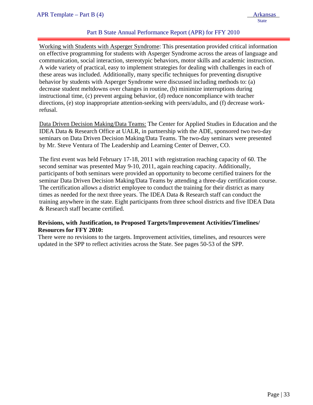### Part B State Annual Performance Report (APR) for FFY 2010

Working with Students with Asperger Syndrome: This presentation provided critical information on effective programming for students with Asperger Syndrome across the areas of language and communication, social interaction, stereotypic behaviors, motor skills and academic instruction. A wide variety of practical, easy to implement strategies for dealing with challenges in each of these areas was included. Additionally, many specific techniques for preventing disruptive behavior by students with Asperger Syndrome were discussed including methods to: (a) decrease student meltdowns over changes in routine, (b) minimize interruptions during instructional time, (c) prevent arguing behavior, (d) reduce noncompliance with teacher directions, (e) stop inappropriate attention-seeking with peers/adults, and (f) decrease workrefusal.

Data Driven Decision Making/Data Teams: The Center for Applied Studies in Education and the IDEA Data & Research Office at UALR, in partnership with the ADE, sponsored two two-day seminars on Data Driven Decision Making/Data Teams. The two-day seminars were presented by Mr. Steve Ventura of The Leadership and Learning Center of Denver, CO.

The first event was held February 17-18, 2011 with registration reaching capacity of 60. The second seminar was presented May 9-10, 2011, again reaching capacity. Additionally, participants of both seminars were provided an opportunity to become certified trainers for the seminar Data Driven Decision Making/Data Teams by attending a three-day certification course. The certification allows a district employee to conduct the training for their district as many times as needed for the next three years. The IDEA Data & Research staff can conduct the training anywhere in the state. Eight participants from three school districts and five IDEA Data & Research staff became certified.

#### **Revisions, with Justification, to Proposed Targets/Improvement Activities/Timelines/ Resources for FFY 2010:**

There were no revisions to the targets. Improvement activities, timelines, and resources were updated in the SPP to reflect activities across the State. See pages 50-53 of the SPP.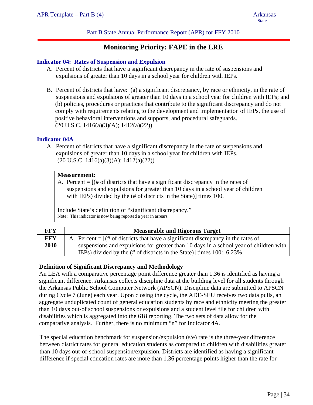#### Part B State Annual Performance Report (APR) for FFY 2010

# **Monitoring Priority: FAPE in the LRE**

#### **Indicator 04: Rates of Suspension and Expulsion**

- A. Percent of districts that have a significant discrepancy in the rate of suspensions and expulsions of greater than 10 days in a school year for children with IEPs.
- B. Percent of districts that have: (a) a significant discrepancy, by race or ethnicity, in the rate of suspensions and expulsions of greater than 10 days in a school year for children with IEPs; and (b) policies, procedures or practices that contribute to the significant discrepancy and do not comply with requirements relating to the development and implementation of IEPs, the use of positive behavioral interventions and supports, and procedural safeguards.  $(20 \text{ U.S.C. } 1416(a)(3)(A); 1412(a)(22))$

#### **Indicator 04A**

A. Percent of districts that have a significant discrepancy in the rate of suspensions and expulsions of greater than 10 days in a school year for children with IEPs.  $(20 \text{ U.S.C. } 1416(a)(3)(A); 1412(a)(22))$ 

#### **Measurement:**

A. Percent  $=$   $[(# of \, distincts \, that \, have \, a \, significant \, discrepancy \, in \, the \, rates \, of \,$ suspensions and expulsions for greater than 10 days in a school year of children with IEPs) divided by the (# of districts in the State)] times 100.

Include State's definition of "significant discrepancy." Note: This indicator is now being reported a year in arrears.

| FFY        | <b>Measurable and Rigorous Target</b>                                                                                    |
|------------|--------------------------------------------------------------------------------------------------------------------------|
| <b>FFY</b> | A. Percent $=$ $[(# of \, distincts \, that \, have \, a \, significant \, discrepancy \, in \, the \, rates \, of \, ]$ |
| 2010       | suspensions and expulsions for greater than 10 days in a school year of children with                                    |
|            | IEPs) divided by the $(\# \text{ of districts in the State})$ times 100: 6.23%                                           |

#### **Definition of Significant Discrepancy and Methodology**

An LEA with a comparative percentage point difference greater than 1.36 is identified as having a significant difference. Arkansas collects discipline data at the building level for all students through the Arkansas Public School Computer Network (APSCN). Discipline data are submitted to APSCN during Cycle 7 (June) each year. Upon closing the cycle, the ADE-SEU receives two data pulls, an aggregate unduplicated count of general education students by race and ethnicity meeting the greater than 10 days out-of school suspensions or expulsions and a student level file for children with disabilities which is aggregated into the 618 reporting. The two sets of data allow for the comparative analysis. Further, there is no minimum "n" for Indicator 4A.

The special education benchmark for suspension/expulsion (s/e) rate is the three-year difference between district rates for general education students as compared to children with disabilities greater than 10 days out-of-school suspension/expulsion. Districts are identified as having a significant difference if special education rates are more than 1.36 percentage points higher than the rate for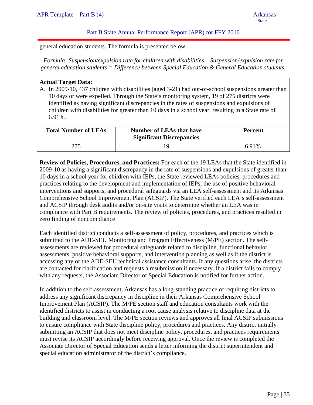general education students. The formula is presented below.

*Formula: Suspension/expulsion rate for children with disabilities – Suspension/expulsion rate for general education students = Difference between Special Education & General Education students.* 

#### **Actual Target Data:**

ļ

A. In 2009-10, 437 children with disabilities (aged 3-21) had out-of-school suspensions greater than 10 days or were expelled. Through the State's monitoring system, 19 of 275 districts were identified as having significant discrepancies in the rates of suspensions and expulsions of children with disabilities for greater than 10 days in a school year, resulting in a State rate of 6.91%.

| <b>Total Number of LEAs</b> | <b>Number of LEAs that have</b><br><b>Significant Discrepancies</b> | <b>Percent</b> |
|-----------------------------|---------------------------------------------------------------------|----------------|
|                             |                                                                     | 6.91%          |

**Review of Policies, Procedures, and Practices:** For each of the 19 LEAs that the State identified in 2009-10 as having a significant discrepancy in the rate of suspensions and expulsions of greater than 10 days in a school year for children with IEPs, the State reviewed LEAs policies, procedures and practices relating to the development and implementation of IEPs, the use of positive behavioral interventions and supports, and procedural safeguards via an LEA self-assessment and its Arkansas Comprehensive School Improvement Plan (ACSIP). The State verified each LEA's self-assessment and ACSIP through desk audits and/or on-site visits to determine whether an LEA was in compliance with Part B requirements. The review of policies, procedures, and practices resulted in zero finding of noncompliance

Each identified district conducts a self-assessment of policy, procedures, and practices which is submitted to the ADE-SEU Monitoring and Program Effectiveness (M/PE) section. The selfassessments are reviewed for procedural safeguards related to discipline, functional behavior assessments, positive behavioral supports, and intervention planning as well as if the district is accessing any of the ADE-SEU technical assistance consultants. If any questions arise, the districts are contacted for clarification and requests a resubmission if necessary. If a district fails to comply with any requests, the Associate Director of Special Education is notified for further action.

In addition to the self-assessment, Arkansas has a long-standing practice of requiring districts to address any significant discrepancy in discipline in their Arkansas Comprehensive School Improvement Plan (ACSIP). The M/PE section staff and education consultants work with the identified districts to assist in conducting a root cause analysis relative to discipline data at the building and classroom level. The M/PE section reviews and approves all final ACSIP submissions to ensure compliance with State discipline policy, procedures and practices. Any district initially submitting an ACSIP that does not meet discipline policy, procedures, and practices requirements must revise its ACSIP accordingly before receiving approval. Once the review is completed the Associate Director of Special Education sends a letter informing the district superintendent and special education administrator of the district's compliance.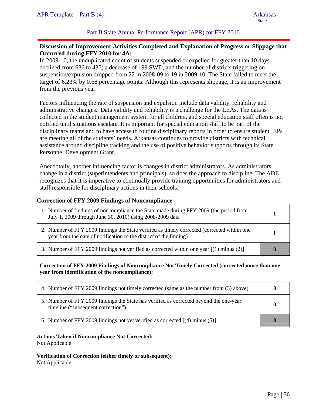#### Part B State Annual Performance Report (APR) for FFY 2010

## **Discussion of Improvement Activities Completed and Explanation of Progress or Slippage that Occurred during FFY 2010 for 4A:**

In 2009-10, the unduplicated count of students suspended or expelled for greater than 10 days declined from 636 to 437; a decrease of 199 SWD, and the number of districts triggering on suspension/expulsion dropped from 22 in 2008-09 to 19 in 2009-10. The State failed to meet the target of 6.23% by 0.68 percentage points. Although this represents slippage, it is an improvement from the previous year.

Factors influencing the rate of suspension and expulsion include data validity, reliability and administrative changes. Data validity and reliability is a challenge for the LEAs. The data is collected in the student management system for all children, and special education staff often is not notified until situations escalate. It is important for special education staff to be part of the disciplinary teams and to have access to routine disciplinary reports in order to ensure student IEPs are meeting all of the students' needs. Arkansas continues to provide districts with technical assistance around discipline tracking and the use of positive behavior supports through its State Personnel Development Grant.

Anecdotally, another influencing factor is changes in district administrators. As administrators change in a district (superintendents and principals), so does the approach to discipline. The ADE recognizes that it is imperative to continually provide training opportunities for administrators and staff responsible for disciplinary actions in their schools.

#### **Correction of FFY 2009 Findings of Noncompliance**

| 1. Number of findings of noncompliance the State made during FFY 2009 (the period from<br>July 1, 2009 through June 30, 2010) using 2008-2009 data                |  |
|-------------------------------------------------------------------------------------------------------------------------------------------------------------------|--|
| 2. Number of FFY 2009 findings the State verified as timely corrected (corrected within one<br>year from the date of notification to the district of the finding) |  |
| 3. Number of FFY 2009 findings not verified as corrected within one year $[(1)$ minus (2)]                                                                        |  |

#### **Correction of FFY 2009 Findings of Noncompliance Not Timely Corrected (corrected more than one year from identification of the noncompliance):**

| 4. Number of FFY 2009 findings not timely corrected (same as the number from (3) above)                                      |  |
|------------------------------------------------------------------------------------------------------------------------------|--|
| 5. Number of FFY 2009 findings the State has verified as corrected beyond the one-year<br>timeline ("subsequent correction") |  |
| 6. Number of FFY 2009 findings not yet verified as corrected [(4) minus (5)]                                                 |  |

#### **Actions Taken if Noncompliance Not Corrected:**

Not Applicable

**Verification of Correction (either timely or subsequent):**  Not Applicable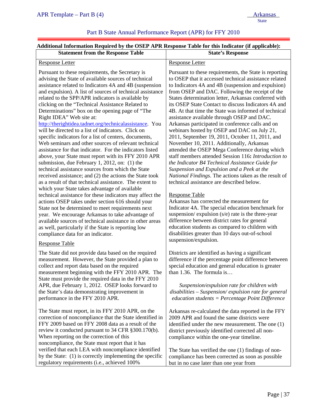# Part B State Annual Performance Report (APR) for FFY 2010

## **Additional Information Required by the OSEP APR Response Table for this Indicator (if applicable):**

| raunonai miorinanon requirea og ule oblir til it response rasie for uns maleator (n applicasie).<br><b>Statement from the Response Table</b>                                                                                                                                                                                                                                                                                                                                                                                                                                                                                                                                                                                                                                                                                                                                                                                                                                                                                                                                                                                                                                                                                                                                                                                                   | <b>State's Response</b>                                                                                                                                                                                                                                                                                                                                                                                                                                                                                                                                                                                                                                                                                                                                                                                                                                                                                                                                                                                                                                                                                                                                                                            |
|------------------------------------------------------------------------------------------------------------------------------------------------------------------------------------------------------------------------------------------------------------------------------------------------------------------------------------------------------------------------------------------------------------------------------------------------------------------------------------------------------------------------------------------------------------------------------------------------------------------------------------------------------------------------------------------------------------------------------------------------------------------------------------------------------------------------------------------------------------------------------------------------------------------------------------------------------------------------------------------------------------------------------------------------------------------------------------------------------------------------------------------------------------------------------------------------------------------------------------------------------------------------------------------------------------------------------------------------|----------------------------------------------------------------------------------------------------------------------------------------------------------------------------------------------------------------------------------------------------------------------------------------------------------------------------------------------------------------------------------------------------------------------------------------------------------------------------------------------------------------------------------------------------------------------------------------------------------------------------------------------------------------------------------------------------------------------------------------------------------------------------------------------------------------------------------------------------------------------------------------------------------------------------------------------------------------------------------------------------------------------------------------------------------------------------------------------------------------------------------------------------------------------------------------------------|
| <b>Response Letter</b>                                                                                                                                                                                                                                                                                                                                                                                                                                                                                                                                                                                                                                                                                                                                                                                                                                                                                                                                                                                                                                                                                                                                                                                                                                                                                                                         | <b>Response Letter</b>                                                                                                                                                                                                                                                                                                                                                                                                                                                                                                                                                                                                                                                                                                                                                                                                                                                                                                                                                                                                                                                                                                                                                                             |
| Pursuant to these requirements, the Secretary is<br>advising the State of available sources of technical<br>assistance related to Indicators 4A and 4B (suspension<br>and expulsion). A list of sources of technical assistance<br>related to the SPP/APR indicators is available by<br>clicking on the "Technical Assistance Related to<br>Determinations" box on the opening page of "The<br>Right IDEA" Web site at:<br>http://therightidea.tadnet.org/technicalassistance. You<br>will be directed to a list of indicators. Click on<br>specific indicators for a list of centers, documents,<br>Web seminars and other sources of relevant technical<br>assistance for that indicator. For the indicators listed<br>above, your State must report with its FFY 2010 APR<br>submission, due February 1, 2012, on: (1) the<br>technical assistance sources from which the State<br>received assistance; and (2) the actions the State took<br>as a result of that technical assistance. The extent to<br>which your State takes advantage of available<br>technical assistance for these indicators may affect the<br>actions OSEP takes under section 616 should your<br>State not be determined to meet requirements next<br>year. We encourage Arkansas to take advantage of<br>available sources of technical assistance in other areas | Pursuant to these requirements, the State is reporting<br>to OSEP that it accessed technical assistance related<br>to Indicators 4A and 4B (suspension and expulsion)<br>from OSEP and DAC. Following the receipt of the<br>States determination letter, Arkansas conferred with<br>its OSEP State Contact to discuss Indicators 4A and<br>4B. At that time the State was informed of technical<br>assistance available through OSEP and DAC.<br>Arkansas participated in conference calls and on<br>webinars hosted by OSEP and DAC on July 21,<br>2011, September 19, 2011, October 11, 2011, and<br>November 10, 2011. Additionally, Arkansas<br>attended the OSEP Mega Conference during which<br>staff members attended Session 116: Introduction to<br>the Indicator B4 Technical Assistance Guide for<br>Suspension and Expulsion and a Peek at the<br>National Findings. The actions taken as the result of<br>technical assistance are described below.<br><b>Response Table</b><br>Arkansas has corrected the measurement for<br>Indicator 4A. The special education benchmark for<br>suspension/expulsion (s/e) rate is the three-year<br>difference between district rates for general |
| as well, particularly if the State is reporting low<br>compliance data for an indicator.                                                                                                                                                                                                                                                                                                                                                                                                                                                                                                                                                                                                                                                                                                                                                                                                                                                                                                                                                                                                                                                                                                                                                                                                                                                       | education students as compared to children with<br>disabilities greater than 10 days out-of-school                                                                                                                                                                                                                                                                                                                                                                                                                                                                                                                                                                                                                                                                                                                                                                                                                                                                                                                                                                                                                                                                                                 |
| <b>Response Table</b>                                                                                                                                                                                                                                                                                                                                                                                                                                                                                                                                                                                                                                                                                                                                                                                                                                                                                                                                                                                                                                                                                                                                                                                                                                                                                                                          | suspension/expulsion.                                                                                                                                                                                                                                                                                                                                                                                                                                                                                                                                                                                                                                                                                                                                                                                                                                                                                                                                                                                                                                                                                                                                                                              |
| The State did not provide data based on the required<br>measurement. However, the State provided a plan to<br>collect and report data based on the required<br>measurement beginning with the FFY 2010 APR. The<br>State must provide the required data in the FFY 2010                                                                                                                                                                                                                                                                                                                                                                                                                                                                                                                                                                                                                                                                                                                                                                                                                                                                                                                                                                                                                                                                        | Districts are identified as having a significant<br>difference if the percentage point difference between<br>special education and general education is greater<br>than 1.36. The formula is                                                                                                                                                                                                                                                                                                                                                                                                                                                                                                                                                                                                                                                                                                                                                                                                                                                                                                                                                                                                       |
| APR, due February 1, 2012. OSEP looks forward to<br>the State's data demonstrating improvement in<br>performance in the FFY 2010 APR.                                                                                                                                                                                                                                                                                                                                                                                                                                                                                                                                                                                                                                                                                                                                                                                                                                                                                                                                                                                                                                                                                                                                                                                                          | Suspension/expulsion rate for children with<br>disabilities - Suspension/expulsion rate for general<br>$education students = Percentage Point Difference$                                                                                                                                                                                                                                                                                                                                                                                                                                                                                                                                                                                                                                                                                                                                                                                                                                                                                                                                                                                                                                          |
| The State must report, in its FFY 2010 APR, on the<br>correction of noncompliance that the State identified in<br>FFY 2009 based on FFY 2008 data as a result of the<br>review it conducted pursuant to 34 CFR §300.170(b).<br>When reporting on the correction of this<br>noncompliance, the State must report that it has<br>verified that each LEA with noncompliance identified                                                                                                                                                                                                                                                                                                                                                                                                                                                                                                                                                                                                                                                                                                                                                                                                                                                                                                                                                            | Arkansas re-calculated the data reported in the FFY<br>2009 APR and found the same districts were<br>identified under the new measurement. The one (1)<br>district previously identified corrected all non-<br>compliance within the one-year timeline.<br>The State has verified the one (1) findings of non-                                                                                                                                                                                                                                                                                                                                                                                                                                                                                                                                                                                                                                                                                                                                                                                                                                                                                     |
| by the State: (1) is correctly implementing the specific<br>regulatory requirements (i.e., achieved 100%                                                                                                                                                                                                                                                                                                                                                                                                                                                                                                                                                                                                                                                                                                                                                                                                                                                                                                                                                                                                                                                                                                                                                                                                                                       | compliance has been corrected as soon as possible<br>but in no case later than one year from                                                                                                                                                                                                                                                                                                                                                                                                                                                                                                                                                                                                                                                                                                                                                                                                                                                                                                                                                                                                                                                                                                       |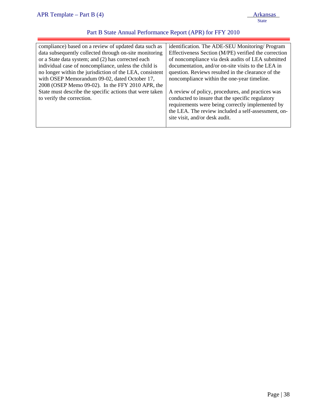| compliance) based on a review of updated data such as    | identification. The ADE-SEU Monitoring/Program       |
|----------------------------------------------------------|------------------------------------------------------|
| data subsequently collected through on-site monitoring   | Effectiveness Section (M/PE) verified the correction |
| or a State data system; and (2) has corrected each       | of noncompliance via desk audits of LEA submitted    |
| individual case of noncompliance, unless the child is    | documentation, and/or on-site visits to the LEA in   |
| no longer within the jurisdiction of the LEA, consistent | question. Reviews resulted in the clearance of the   |
| with OSEP Memorandum 09-02, dated October 17,            | noncompliance within the one-year timeline.          |
| 2008 (OSEP Memo 09-02). In the FFY 2010 APR, the         |                                                      |
| State must describe the specific actions that were taken | A review of policy, procedures, and practices was    |
| to verify the correction.                                | conducted to insure that the specific regulatory     |
|                                                          | requirements were being correctly implemented by     |
|                                                          | the LEA. The review included a self-assessment, on-  |
|                                                          | site visit, and/or desk audit.                       |
|                                                          |                                                      |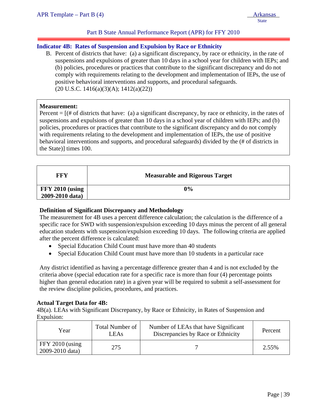# **Indicator 4B: Rates of Suspension and Expulsion by Race or Ethnicity**

B. Percent of districts that have: (a) a significant discrepancy, by race or ethnicity, in the rate of suspensions and expulsions of greater than 10 days in a school year for children with IEPs; and (b) policies, procedures or practices that contribute to the significant discrepancy and do not comply with requirements relating to the development and implementation of IEPs, the use of positive behavioral interventions and supports, and procedural safeguards.  $(20 \text{ U.S.C. } 1416(a)(3)(A); 1412(a)(22))$ 

#### **Measurement:**

ļ

Percent  $=$   $[$ (# of districts that have: (a) a significant discrepancy, by race or ethnicity, in the rates of suspensions and expulsions of greater than 10 days in a school year of children with IEPs; and (b) policies, procedures or practices that contribute to the significant discrepancy and do not comply with requirements relating to the development and implementation of IEPs, the use of positive behavioral interventions and supports, and procedural safeguards) divided by the (# of districts in the State)] times 100.

| <b>FFY</b>      | <b>Measurable and Rigorous Target</b> |
|-----------------|---------------------------------------|
| FFY 2010 (using | 0%                                    |
| 2009-2010 data) |                                       |

## **Definition of Significant Discrepancy and Methodology**

The measurement for 4B uses a percent difference calculation; the calculation is the difference of a specific race for SWD with suspension/expulsion exceeding 10 days minus the percent of all general education students with suspension/expulsion exceeding 10 days. The following criteria are applied after the percent difference is calculated:

- Special Education Child Count must have more than 40 students
- Special Education Child Count must have more than 10 students in a particular race

Any district identified as having a percentage difference greater than 4 and is not excluded by the criteria above (special education rate for a specific race is more than four (4) percentage points higher than general education rate) in a given year will be required to submit a self-assessment for the review discipline policies, procedures, and practices.

## **Actual Target Data for 4B:**

4B(a). LEAs with Significant Discrepancy, by Race or Ethnicity, in Rates of Suspension and Expulsion:

| Year                                 | <b>Total Number of</b><br><b>LEAs</b> | Number of LEAs that have Significant<br>Discrepancies by Race or Ethnicity | Percent |
|--------------------------------------|---------------------------------------|----------------------------------------------------------------------------|---------|
| $FFY 2010$ (using<br>2009-2010 data) | 275                                   |                                                                            | 2.55%   |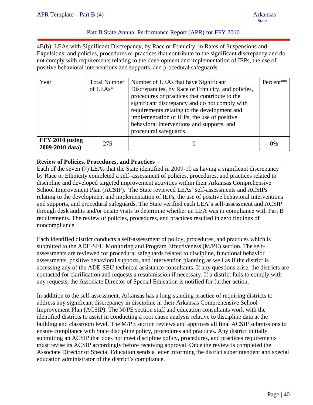# Part B State Annual Performance Report (APR) for FFY 2010

4B(b). LEAs with Significant Discrepancy, by Race or Ethnicity, in Rates of Suspensions and Expulsions; and policies, procedures or practices that contribute to the significant discrepancy and do not comply with requirements relating to the development and implementation of IEPs, the use of positive behavioral interventions and supports, and procedural safeguards.

| Year                                      | <b>Total Number</b><br>of $LEAs*$ | Number of LEAs that have Significant<br>Discrepancies, by Race or Ethnicity, and policies,<br>procedures or practices that contribute to the<br>significant discrepancy and do not comply with<br>requirements relating to the development and<br>implementation of IEPs, the use of positive<br>behavioral interventions and supports, and<br>procedural safeguards. | Percent** |
|-------------------------------------------|-----------------------------------|-----------------------------------------------------------------------------------------------------------------------------------------------------------------------------------------------------------------------------------------------------------------------------------------------------------------------------------------------------------------------|-----------|
| <b>FFY 2010 (using</b><br>2009-2010 data) | 275                               | O                                                                                                                                                                                                                                                                                                                                                                     | 0%        |

# **Review of Policies, Procedures, and Practices**

Each of the seven (7) LEAs that the State identified in 2009-10 as having a significant discrepancy by Race or Ethnicity completed a self–assessment of policies, procedures, and practices related to discipline and developed targeted improvement activities within their Arkansas Comprehensive School Improvement Plan (ACSIP). The State reviewed LEAs' self-assessments and ACSIPs relating to the development and implementation of IEPs, the use of positive behavioral interventions and supports, and procedural safeguards. The State verified each LEA's self-assessment and ACSIP through desk audits and/or onsite visits to determine whether an LEA was in compliance with Part B requirements. The review of policies, procedures, and practices resulted in zero findings of noncompliance.

Each identified district conducts a self-assessment of policy, procedures, and practices which is submitted to the ADE-SEU Monitoring and Program Effectiveness (M/PE) section. The selfassessments are reviewed for procedural safeguards related to discipline, functional behavior assessments, positive behavioral supports, and intervention planning as well as if the district is accessing any of the ADE-SEU technical assistance consultants. If any questions arise, the districts are contacted for clarification and requests a resubmission if necessary. If a district fails to comply with any requests, the Associate Director of Special Education is notified for further action.

In addition to the self-assessment, Arkansas has a long-standing practice of requiring districts to address any significant discrepancy in discipline in their Arkansas Comprehensive School Improvement Plan (ACSIP). The M/PE section staff and education consultants work with the identified districts to assist in conducting a root cause analysis relative to discipline data at the building and classroom level. The M/PE section reviews and approves all final ACSIP submissions to ensure compliance with State discipline policy, procedures and practices. Any district initially submitting an ACSIP that does not meet discipline policy, procedures, and practices requirements must revise its ACSIP accordingly before receiving approval. Once the review is completed the Associate Director of Special Education sends a letter informing the district superintendent and special education administrator of the district's compliance.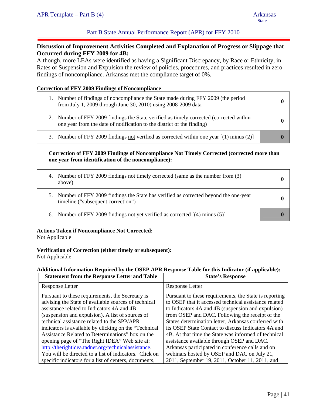# Part B State Annual Performance Report (APR) for FFY 2010

## **Discussion of Improvement Activities Completed and Explanation of Progress or Slippage that Occurred during FFY 2009 for 4B:**

Although, more LEAs were identified as having a Significant Discrepancy, by Race or Ethnicity, in Rates of Suspension and Expulsion the review of policies, procedures, and practices resulted in zero findings of noncompliance. Arkansas met the compliance target of 0%.

#### **Correction of FFY 2009 Findings of Noncompliance**

| Number of findings of noncompliance the State made during FFY 2009 (the period<br>from July 1, 2009 through June 30, 2010) using 2008-2009 data                   |  |
|-------------------------------------------------------------------------------------------------------------------------------------------------------------------|--|
| 2. Number of FFY 2009 findings the State verified as timely corrected (corrected within<br>one year from the date of notification to the district of the finding) |  |
| 3. Number of FFY 2009 findings not verified as corrected within one year $[(1)$ minus $(2)]$                                                                      |  |

#### **Correction of FFY 2009 Findings of Noncompliance Not Timely Corrected (corrected more than one year from identification of the noncompliance):**

| 4. Number of FFY 2009 findings not timely corrected (same as the number from (3)<br>above)                                   |  |
|------------------------------------------------------------------------------------------------------------------------------|--|
| 5. Number of FFY 2009 findings the State has verified as corrected beyond the one-year<br>timeline ("subsequent correction") |  |
| 6. Number of FFY 2009 findings not yet verified as corrected [(4) minus (5)]                                                 |  |

#### **Actions Taken if Noncompliance Not Corrected:**

Not Applicable

#### **Verification of Correction (either timely or subsequent):**

Not Applicable

# **Additional Information Required by the OSEP APR Response Table for this Indicator (if applicable):**

| <b>Statement from the Response Letter and Table</b>    | <b>State's Response</b>                                |
|--------------------------------------------------------|--------------------------------------------------------|
| <b>Response Letter</b>                                 | <b>Response Letter</b>                                 |
| Pursuant to these requirements, the Secretary is       | Pursuant to these requirements, the State is reporting |
| advising the State of available sources of technical   | to OSEP that it accessed technical assistance related  |
| assistance related to Indicators 4A and 4B             | to Indicators 4A and 4B (suspension and expulsion)     |
| (suspension and expulsion). A list of sources of       | from OSEP and DAC. Following the receipt of the        |
| technical assistance related to the SPP/APR            | States determination letter, Arkansas conferred with   |
| indicators is available by clicking on the "Technical" | its OSEP State Contact to discuss Indicators 4A and    |
| Assistance Related to Determinations" box on the       | 4B. At that time the State was informed of technical   |
| opening page of "The Right IDEA" Web site at:          | assistance available through OSEP and DAC.             |
| http://therightidea.tadnet.org/technicalassistance.    | Arkansas participated in conference calls and on       |
| You will be directed to a list of indicators. Click on | webinars hosted by OSEP and DAC on July 21,            |
| specific indicators for a list of centers, documents,  | 2011, September 19, 2011, October 11, 2011, and        |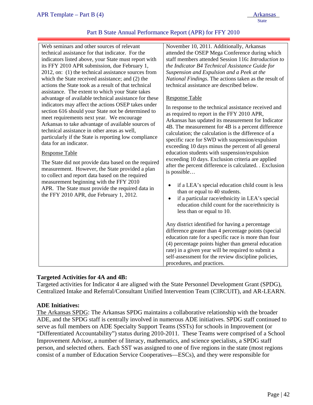## Part B State Annual Performance Report (APR) for FFY 2010

Web seminars and other sources of relevant technical assistance for that indicator. For the indicators listed above, your State must report with its FFY 2010 APR submission, due February 1, 2012, on: (1) the technical assistance sources from which the State received assistance; and (2) the actions the State took as a result of that technical assistance. The extent to which your State takes advantage of available technical assistance for these indicators may affect the actions OSEP takes under section 616 should your State not be determined to meet requirements next year. We encourage Arkansas to take advantage of available sources of technical assistance in other areas as well, particularly if the State is reporting low compliance data for an indicator.

#### Response Table

The State did not provide data based on the required measurement. However, the State provided a plan to collect and report data based on the required measurement beginning with the FFY 2010 APR. The State must provide the required data in the FFY 2010 APR, due February 1, 2012.

November 10, 2011. Additionally, Arkansas attended the OSEP Mega Conference during which staff members attended Session 116**:** *Introduction to the Indicator B4 Technical Assistance Guide for Suspension and Expulsion and a Peek at the National Findings*. The actions taken as the result of technical assistance are described below.

#### Response Table

In response to the technical assistance received and as required to report in the FFY 2010 APR, Arkansas has updated its measurement for Indicator 4B. The measurement for 4B is a percent difference calculation; the calculation is the difference of a specific race for SWD with suspension/expulsion exceeding 10 days minus the percent of all general education students with suspension/expulsion exceeding 10 days. Exclusion criteria are applied after the percent difference is calculated. . Exclusion is possible…

- if a LEA's special education child count is less than or equal to 40 students.
- if a particular race/ethnicity in LEA's special education child count for the race/ethnicity is less than or equal to 10.

Any district identified for having a percentage difference greater than 4 percentage points (special education rate for a specific race is more than four (4) percentage points higher than general education rate) in a given year will be required to submit a self-assessment for the review discipline policies, procedures, and practices.

## **Targeted Activities for 4A and 4B:**

Targeted activities for Indicator 4 are aligned with the State Personnel Development Grant (SPDG), Centralized Intake and Referral/Consultant Unified Intervention Team (CIRCUIT), and AR-LEARN.

## **ADE Initiatives:**

The Arkansas SPDG: The Arkansas SPDG maintains a collaborative relationship with the broader ADE, and the SPDG staff is centrally involved in numerous ADE initiatives. SPDG staff continued to serve as full members on ADE Specialty Support Teams (SSTs) for schools in Improvement (or "Differentiated Accountability") status during 2010-2011. These Teams were comprised of a School Improvement Advisor, a number of literacy, mathematics, and science specialists, a SPDG staff person, and selected others. Each SST was assigned to one of five regions in the state (most regions consist of a number of Education Service Cooperatives—ESCs), and they were responsible for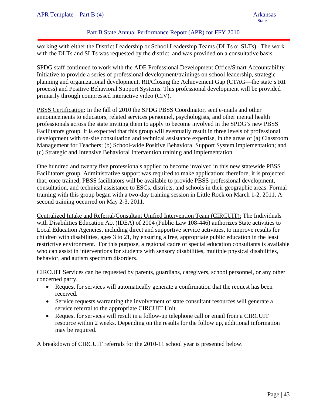## Part B State Annual Performance Report (APR) for FFY 2010

working with either the District Leadership or School Leadership Teams (DLTs or SLTs). The work with the DLTs and SLTs was requested by the district, and was provided on a consultative basis.

SPDG staff continued to work with the ADE Professional Development Office/Smart Accountability Initiative to provide a series of professional development/trainings on school leadership, strategic planning and organizational development, RtI/Closing the Achievement Gap (CTAG—the state's RtI process) and Positive Behavioral Support Systems. This professional development will be provided primarily through compressed interactive video (CIV).

PBSS Certification: In the fall of 2010 the SPDG PBSS Coordinator, sent e-mails and other announcements to educators, related services personnel, psychologists, and other mental health professionals across the state inviting them to apply to become involved in the SPDG's new PBSS Facilitators group. It is expected that this group will eventually result in three levels of professional development with on-site consultation and technical assistance expertise, in the areas of (a) Classroom Management for Teachers; (b) School-wide Positive Behavioral Support System implementation; and (c) Strategic and Intensive Behavioral Intervention training and implementation.

One hundred and twenty five professionals applied to become involved in this new statewide PBSS Facilitators group. Administrative support was required to make application; therefore, it is projected that, once trained, PBSS facilitators will be available to provide PBSS professional development, consultation, and technical assistance to ESCs, districts, and schools in their geographic areas. Formal training with this group began with a two-day training session in Little Rock on March 1-2, 2011. A second training occurred on May 2-3, 2011.

Centralized Intake and Referral/Consultant Unified Intervention Team (CIRCUIT): The Individuals with Disabilities Education Act (IDEA) of 2004 (Public Law 108-446) authorizes State activities to Local Education Agencies, including direct and supportive service activities, to improve results for children with disabilities, ages 3 to 21, by ensuring a free, appropriate public education in the least restrictive environment. For this purpose, a regional cadre of special education consultants is available who can assist in interventions for students with sensory disabilities, multiple physical disabilities, behavior, and autism spectrum disorders.

CIRCUIT Services can be requested by parents, guardians, caregivers, school personnel, or any other concerned party.

- Request for services will automatically generate a confirmation that the request has been received.
- Service requests warranting the involvement of state consultant resources will generate a service referral to the appropriate CIRCUIT Unit.
- Request for services will result in a follow-up telephone call or email from a CIRCUIT resource within 2 weeks. Depending on the results for the follow up, additional information may be required.

A breakdown of CIRCUIT referrals for the 2010-11 school year is presented below.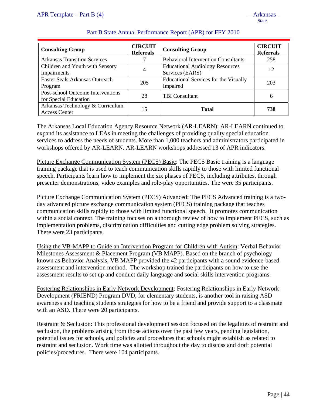| <b>Consulting Group</b>                                    | <b>CIRCUIT</b><br><b>Referrals</b> | <b>Consulting Group</b>                                   | <b>CIRCUIT</b><br><b>Referrals</b> |
|------------------------------------------------------------|------------------------------------|-----------------------------------------------------------|------------------------------------|
| <b>Arkansas Transition Services</b>                        |                                    | <b>Behavioral Intervention Consultants</b>                | 258                                |
| Children and Youth with Sensory<br>Impairments             |                                    | <b>Educational Audiology Resources</b><br>Services (EARS) | 12                                 |
| Easter Seals Arkansas Outreach<br>Program                  | 205                                | <b>Educational Services for the Visually</b><br>Impaired  | 203                                |
| Post-school Outcome Interventions<br>for Special Education | 28                                 | <b>TBI</b> Consultant                                     | 6                                  |
| Arkansas Technology & Curriculum<br><b>Access Center</b>   | 15                                 | <b>Total</b>                                              | 738                                |

The Arkansas Local Education Agency Resource Network (AR-LEARN): AR-LEARN continued to expand its assistance to LEAs in meeting the challenges of providing quality special education services to address the needs of students. More than 1,000 teachers and administrators participated in workshops offered by AR-LEARN. AR-LEARN workshops addressed 13 of APR indicators.

Picture Exchange Communication System (PECS) Basic: The PECS Basic training is a language training package that is used to teach communication skills rapidly to those with limited functional speech. Participants learn how to implement the six phases of PECS, including attributes, through presenter demonstrations, video examples and role-play opportunities. The were 35 participants.

Picture Exchange Communication System (PECS) Advanced: The PECS Advanced training is a twoday advanced picture exchange communication system (PECS) training package that teaches communication skills rapidly to those with limited functional speech. It promotes communication within a social context. The training focuses on a thorough review of how to implement PECS, such as implementation problems, discrimination difficulties and cutting edge problem solving strategies. There were 23 participants.

Using the VB-MAPP to Guide an Intervention Program for Children with Autism: Verbal Behavior Milestones Assessment & Placement Program (VB MAPP). Based on the branch of psychology known as Behavior Analysis, VB MAPP provided the 42 participants with a sound evidence-based assessment and intervention method. The workshop trained the participants on how to use the assessment results to set up and conduct daily language and social skills intervention programs.

Fostering Relationships in Early Network Development: Fostering Relationships in Early Network Development (FRIEND) Program DVD, for elementary students, is another tool in raising ASD awareness and teaching students strategies for how to be a friend and provide support to a classmate with an ASD. There were 20 participants.

Restraint & Seclusion: This professional development session focused on the legalities of restraint and seclusion, the problems arising from those actions over the past few years, pending legislation, potential issues for schools, and policies and procedures that schools might establish as related to restraint and seclusion. Work time was allotted throughout the day to discuss and draft potential policies/procedures. There were 104 participants.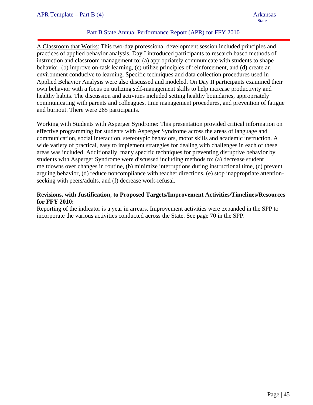# Part B State Annual Performance Report (APR) for FFY 2010

A Classroom that Works: This two-day professional development session included principles and practices of applied behavior analysis. Day I introduced participants to research based methods of instruction and classroom management to: (a) appropriately communicate with students to shape behavior, (b) improve on-task learning, (c) utilize principles of reinforcement, and (d) create an environment conducive to learning. Specific techniques and data collection procedures used in Applied Behavior Analysis were also discussed and modeled. On Day II participants examined their own behavior with a focus on utilizing self-management skills to help increase productivity and healthy habits. The discussion and activities included setting healthy boundaries, appropriately communicating with parents and colleagues, time management procedures, and prevention of fatigue and burnout. There were 265 participants.

Working with Students with Asperger Syndrome: This presentation provided critical information on effective programming for students with Asperger Syndrome across the areas of language and communication, social interaction, stereotypic behaviors, motor skills and academic instruction. A wide variety of practical, easy to implement strategies for dealing with challenges in each of these areas was included. Additionally, many specific techniques for preventing disruptive behavior by students with Asperger Syndrome were discussed including methods to: (a) decrease student meltdowns over changes in routine, (b) minimize interruptions during instructional time, (c) prevent arguing behavior, (d) reduce noncompliance with teacher directions, (e) stop inappropriate attentionseeking with peers/adults, and (f) decrease work-refusal.

## **Revisions, with Justification, to Proposed Targets/Improvement Activities/Timelines/Resources for FFY 2010:**

Reporting of the indicator is a year in arrears. Improvement activities were expanded in the SPP to incorporate the various activities conducted across the State. See page 70 in the SPP.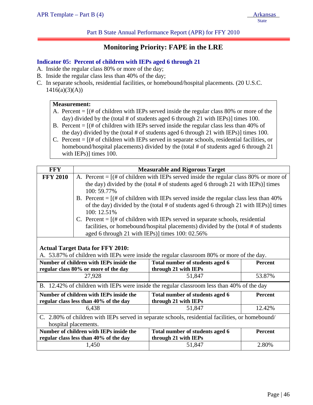Part B State Annual Performance Report (APR) for FFY 2010

# **Monitoring Priority: FAPE in the LRE**

#### **Indicator 05: Percent of children with IEPs aged 6 through 21**

- A. Inside the regular class 80% or more of the day;
- B. Inside the regular class less than 40% of the day;
- C. In separate schools, residential facilities, or homebound/hospital placements. (20 U.S.C.  $1416(a)(3)(A))$

#### **Measurement:**

- A. Percent  $=$  [ $#$  of children with IEPs served inside the regular class 80% or more of the day) divided by the (total # of students aged 6 through 21 with IEPs)] times 100.
- B. Percent  $=$   $[(# of children with IEPs served inside the regular class less than 40% of$ the day) divided by the (total # of students aged 6 through 21 with IEPs)] times 100.
- C. Percent = [(# of children with IEPs served in separate schools, residential facilities, or homebound/hospital placements) divided by the (total # of students aged 6 through 21 with IEPs)] times 100.

| <b>FFY</b>      |                                                                                                  | <b>Measurable and Rigorous Target</b>                                                      |                |  |  |  |
|-----------------|--------------------------------------------------------------------------------------------------|--------------------------------------------------------------------------------------------|----------------|--|--|--|
| <b>FFY 2010</b> | A. Percent = $[(# of children with IEPs served inside the regular class 80% or more of$          |                                                                                            |                |  |  |  |
|                 |                                                                                                  | the day) divided by the (total # of students aged 6 through 21 with IEPs)] times           |                |  |  |  |
|                 | 100: 59.77%                                                                                      |                                                                                            |                |  |  |  |
|                 |                                                                                                  | B. Percent $=$ [(# of children with IEPs served inside the regular class less than 40%     |                |  |  |  |
|                 |                                                                                                  | of the day) divided by the (total # of students aged 6 through 21 with IEPs)] times        |                |  |  |  |
|                 | 100: 12.51%                                                                                      |                                                                                            |                |  |  |  |
|                 |                                                                                                  | C. Percent $=$ $[$ (# of children with IEPs served in separate schools, residential        |                |  |  |  |
|                 |                                                                                                  | facilities, or homebound/hospital placements) divided by the (total # of students          |                |  |  |  |
|                 | aged 6 through 21 with IEPs)] times 100: 02.56%                                                  |                                                                                            |                |  |  |  |
|                 |                                                                                                  |                                                                                            |                |  |  |  |
|                 | <b>Actual Target Data for FFY 2010:</b>                                                          |                                                                                            |                |  |  |  |
|                 |                                                                                                  | A. 53.87% of children with IEPs were inside the regular classroom 80% or more of the day.  |                |  |  |  |
|                 | Number of children with IEPs inside the                                                          | Total number of students aged 6                                                            | <b>Percent</b> |  |  |  |
|                 | regular class 80% or more of the day                                                             | through 21 with IEPs                                                                       |                |  |  |  |
|                 | 27,928                                                                                           | 51,847                                                                                     | 53.87%         |  |  |  |
|                 |                                                                                                  | B. 12.42% of children with IEPs were inside the regular classroom less than 40% of the day |                |  |  |  |
|                 | Number of children with IEPs inside the                                                          | Total number of students aged 6                                                            | <b>Percent</b> |  |  |  |
|                 | through 21 with IEPs<br>regular class less than 40% of the day                                   |                                                                                            |                |  |  |  |
|                 | 12.42%<br>6,438<br>51,847                                                                        |                                                                                            |                |  |  |  |
|                 | C. 2.80% of children with IEPs served in separate schools, residential facilities, or homebound/ |                                                                                            |                |  |  |  |
|                 | hospital placements.                                                                             |                                                                                            |                |  |  |  |
|                 | Number of children with IEPs inside the<br>Total number of students aged 6<br><b>Percent</b>     |                                                                                            |                |  |  |  |
|                 | regular class less than 40% of the day                                                           | through 21 with IEPs                                                                       |                |  |  |  |
|                 | 1,450                                                                                            | 51,847                                                                                     | 2.80%          |  |  |  |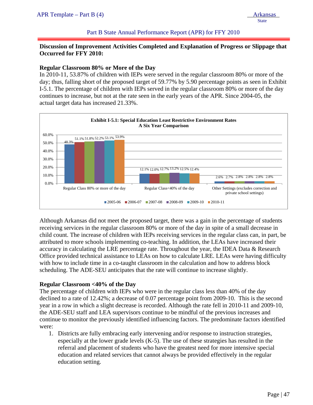## Part B State Annual Performance Report (APR) for FFY 2010

# **Discussion of Improvement Activities Completed and Explanation of Progress or Slippage that Occurred for FFY 2010:**

#### **Regular Classroom 80% or More of the Day**

In 2010-11, 53.87% of children with IEPs were served in the regular classroom 80% or more of the day; thus, falling short of the proposed target of 59.77% by 5.90 percentage points as seen in Exhibit I-5.1. The percentage of children with IEPs served in the regular classroom 80% or more of the day continues to increase, but not at the rate seen in the early years of the APR. Since 2004-05, the actual target data has increased 21.33%.



Although Arkansas did not meet the proposed target, there was a gain in the percentage of students receiving services in the regular classroom 80% or more of the day in spite of a small decrease in child count. The increase of children with IEPs receiving services in the regular class can, in part, be attributed to more schools implementing co-teaching. In addition, the LEAs have increased their accuracy in calculating the LRE percentage rate. Throughout the year, the IDEA Data  $\&$  Research Office provided technical assistance to LEAs on how to calculate LRE. LEAs were having difficulty with how to include time in a co-taught classroom in the calculation and how to address block scheduling. The ADE-SEU anticipates that the rate will continue to increase slightly.

## **Regular Classroom <40% of the Day**

The percentage of children with IEPs who were in the regular class less than 40% of the day declined to a rate of 12.42%; a decrease of 0.07 percentage point from 2009-10. This is the second year in a row in which a slight decrease is recorded. Although the rate fell in 2010-11 and 2009-10, the ADE-SEU staff and LEA supervisors continue to be mindful of the previous increases and continue to monitor the previously identified influencing factors. The predominate factors identified were:

1. Districts are fully embracing early intervening and/or response to instruction strategies, especially at the lower grade levels  $(K-5)$ . The use of these strategies has resulted in the referral and placement of students who have the greatest need for more intensive special education and related services that cannot always be provided effectively in the regular education setting.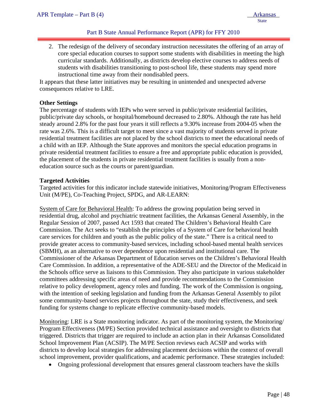2. The redesign of the delivery of secondary instruction necessitates the offering of an array of core special education courses to support some students with disabilities in meeting the high curricular standards. Additionally, as districts develop elective courses to address needs of students with disabilities transitioning to post-school life, these students may spend more instructional time away from their nondisabled peers.

It appears that these latter initiatives may be resulting in unintended and unexpected adverse consequences relative to LRE.

#### **Other Settings**

ļ

The percentage of students with IEPs who were served in public/private residential facilities, public/private day schools, or hospital/homebound decreased to 2.80%. Although the rate has held steady around 2.8% for the past four years it still reflects a 9.30% increase from 2004-05 when the rate was 2.6%. This is a difficult target to meet since a vast majority of students served in private residential treatment facilities are not placed by the school districts to meet the educational needs of a child with an IEP. Although the State approves and monitors the special education programs in private residential treatment facilities to ensure a free and appropriate public education is provided, the placement of the students in private residential treatment facilities is usually from a noneducation source such as the courts or parent/guardian.

#### **Targeted Activities**

Targeted activities for this indicator include statewide initiatives, Monitoring/Program Effectiveness Unit (M/PE), Co-Teaching Project, SPDG, and AR-LEARN:

System of Care for Behavioral Health: To address the growing population being served in residential drug, alcohol and psychiatric treatment facilities, the Arkansas General Assembly, in the Regular Session of 2007, passed Act 1593 that created The Children's Behavioral Health Care Commission. The Act seeks to "establish the principles of a System of Care for behavioral health care services for children and youth as the public policy of the state." There is a critical need to provide greater access to community-based services, including school-based mental health services (SBMH), as an alternative to over dependence upon residential and institutional care. The Commissioner of the Arkansas Department of Education serves on the Children's Behavioral Health Care Commission. In addition, a representative of the ADE-SEU and the Director of the Medicaid in the Schools office serve as liaisons to this Commission. They also participate in various stakeholder committees addressing specific areas of need and provide recommendations to the Commission relative to policy development, agency roles and funding. The work of the Commission is ongoing, with the intention of seeking legislation and funding from the Arkansas General Assembly to pilot some community-based services projects throughout the state, study their effectiveness, and seek funding for systems change to replicate effective community-based models.

Monitoring: LRE is a State monitoring indicator. As part of the monitoring system, the Monitoring/ Program Effectiveness (M/PE) Section provided technical assistance and oversight to districts that triggered. Districts that trigger are required to include an action plan in their Arkansas Consolidated School Improvement Plan (ACSIP). The M/PE Section reviews each ACSIP and works with districts to develop local strategies for addressing placement decisions within the context of overall school improvement, provider qualifications, and academic performance. These strategies included:

• Ongoing professional development that ensures general classroom teachers have the skills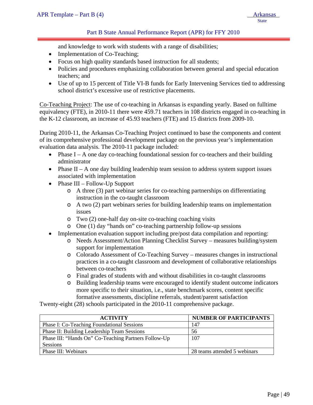Part B State Annual Performance Report (APR) for FFY 2010

and knowledge to work with students with a range of disabilities;

- Implementation of Co-Teaching;
- Focus on high quality standards based instruction for all students;
- Policies and procedures emphasizing collaboration between general and special education teachers; and
- Use of up to 15 percent of Title VI-B funds for Early Intervening Services tied to addressing school district's excessive use of restrictive placements.

Co-Teaching Project: The use of co-teaching in Arkansas is expanding yearly. Based on fulltime equivalency (FTE), in 2010-11 there were 459.71 teachers in 108 districts engaged in co-teaching in the K-12 classroom, an increase of 45.93 teachers (FTE) and 15 districts from 2009-10.

During 2010-11, the Arkansas Co-Teaching Project continued to base the components and content of its comprehensive professional development package on the previous year's implementation evaluation data analysis. The 2010-11 package included:

- Phase  $I A$  one day co-teaching foundational session for co-teachers and their building administrator
- Phase II A one day building leadership team session to address system support issues associated with implementation
- Phase III Follow-Up Support
	- o A three (3) part webinar series for co-teaching partnerships on differentiating instruction in the co-taught classroom
	- o A two (2) part webinars series for building leadership teams on implementation issues
	- o Two (2) one-half day on-site co-teaching coaching visits
	- o One (1) day "hands on" co-teaching partnership follow-up sessions
- Implementation evaluation support including pre/post data compilation and reporting:
	- o Needs Assessment/Action Planning Checklist Survey measures building/system support for implementation
	- o Colorado Assessment of Co-Teaching Survey measures changes in instructional practices in a co-taught classroom and development of collaborative relationships between co-teachers
	- o Final grades of students with and without disabilities in co-taught classrooms
	- o Building leadership teams were encouraged to identify student outcome indicators more specific to their situation, i.e., state benchmark scores, content specific formative assessments, discipline referrals, student/parent satisfaction

Twenty-eight (28) schools participated in the 2010-11 comprehensive package.

| <b>ACTIVITY</b>                                      | <b>NUMBER OF PARTICIPANTS</b> |
|------------------------------------------------------|-------------------------------|
| Phase I: Co-Teaching Foundational Sessions           | 147                           |
| Phase II: Building Leadership Team Sessions          | 56                            |
| Phase III: "Hands On" Co-Teaching Partners Follow-Up | 107                           |
| Sessions                                             |                               |
| Phase III: Webinars                                  | 28 teams attended 5 webinars  |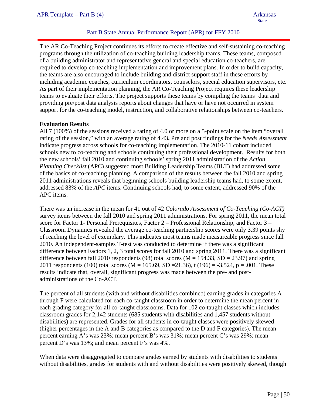# Part B State Annual Performance Report (APR) for FFY 2010

The AR Co-Teaching Project continues its efforts to create effective and self-sustaining co-teaching programs through the utilization of co-teaching building leadership teams. These teams, composed of a building administrator and representative general and special education co-teachers, are required to develop co-teaching implementation and improvement plans. In order to build capacity, the teams are also encouraged to include building and district support staff in these efforts by including academic coaches, curriculum coordinators, counselors, special education supervisors, etc. As part of their implementation planning, the AR Co-Teaching Project requires these leadership teams to evaluate their efforts. The project supports these teams by compiling the teams' data and providing pre/post data analysis reports about changes that have or have not occurred in system support for the co-teaching model, instruction, and collaborative relationships between co-teachers.

## **Evaluation Results**

All 7 (100%) of the sessions received a rating of 4.0 or more on a 5-point scale on the item "overall rating of the session," with an average rating of 4.43**.** Pre and post findings for the *Needs Assessment* indicate progress across schools for co-teaching implementation. The 2010-11 cohort included schools new to co-teaching and schools continuing their professional development. Results for both the new schools' fall 2010 and continuing schools' spring 2011 administration of the *Action Planning Checklist* (APC) suggested most Building Leadership Teams (BLT) had addressed some of the basics of co-teaching planning. A comparison of the results between the fall 2010 and spring 2011 administrations reveals that beginning schools building leadership teams had, to some extent, addressed 83% of the *APC* items. Continuing schools had, to some extent, addressed 90% of the APC items.

There was an increase in the mean for 41 out of 42 *Colorado Assessment of Co-Teaching (Co-ACT)* survey items between the fall 2010 and spring 2011 administrations. For spring 2011, the mean total score for Factor 1- Personal Prerequisites, Factor 2 – Professional Relationship, and Factor 3 – Classroom Dynamics revealed the average co-teaching partnership scores were only 3.39 points shy of reaching the level of exemplary. This indicates most teams made measureable progress since fall 2010. An independent-samples T-test was conducted to determine if there was a significant difference between Factors 1, 2, 3 total scores for fall 2010 and spring 2011. There was a significant difference between fall 2010 respondents (98) total scores ( $M = 154.33$ ,  $SD = 23.97$ ) and spring 2011 respondents (100) total scores (M = 165.69, SD = 21.36), t (196) = -3.524, p = .001. These results indicate that, overall, significant progress was made between the pre- and postadministrations of the Co-ACT.

The percent of all students (with and without disabilities combined) earning grades in categories A through F were calculated for each co-taught classroom in order to determine the mean percent in each grading category for all co-taught classrooms. Data for 102 co-taught classes which includes classroom grades for 2,142 students (685 students with disabilities and 1,457 students without disabilities) are represented. Grades for all students in co-taught classes were positively skewed (higher percentages in the A and B categories as compared to the D and F categories). The mean percent earning A's was 23%; mean percent B's was 31%; mean percent C's was 29%; mean percent D's was 13%; and mean percent F's was 4%.

When data were disaggregated to compare grades earned by students with disabilities to students without disabilities, grades for students with and without disabilities were positively skewed, though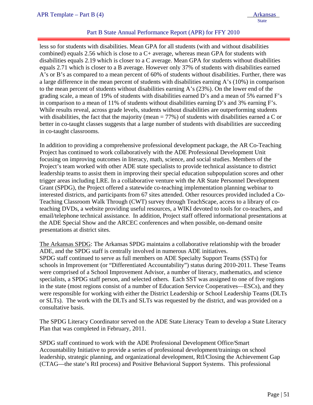# Part B State Annual Performance Report (APR) for FFY 2010

less so for students with disabilities. Mean GPA for all students (with and without disabilities combined) equals 2.56 which is close to a C+ average, whereas mean GPA for students with disabilities equals 2.19 which is closer to a C average. Mean GPA for students without disabilities equals 2.71 which is closer to a B average. However only 37% of students with disabilities earned A's or B's as compared to a mean percent of 60% of students without disabilities. Further, there was a large difference in the mean percent of students with disabilities earning A's (10%) in comparison to the mean percent of students without disabilities earning A's (23%). On the lower end of the grading scale, a mean of 19% of students with disabilities earned D's and a mean of 5% earned F's in comparison to a mean of 11% of students without disabilities earning D's and 3% earning F's. While results reveal, across grade levels, students without disabilities are outperforming students with disabilities, the fact that the majority (mean  $= 77\%$ ) of students with disabilities earned a C or better in co-taught classes suggests that a large number of students with disabilities are succeeding in co-taught classrooms.

In addition to providing a comprehensive professional development package, the AR Co-Teaching Project has continued to work collaboratively with the ADE Professional Development Unit focusing on improving outcomes in literacy, math, science, and social studies. Members of the Project's team worked with other ADE state specialists to provide technical assistance to district leadership teams to assist them in improving their special education subpopulation scores and other trigger areas including LRE. In a collaborative venture with the AR State Personnel Development Grant (SPDG), the Project offered a statewide co-teaching implementation planning webinar to interested districts, and participants from 67 sites attended. Other resources provided included a Co-Teaching Classroom Walk Through (CWT) survey through TeachScape, access to a library of coteaching DVDs, a website providing useful resources, a WIKI devoted to tools for co-teachers, and email/telephone technical assistance. In addition, Project staff offered informational presentations at the ADE Special Show and the ARCEC conferences and when possible, on-demand onsite presentations at district sites.

The Arkansas SPDG: The Arkansas SPDG maintains a collaborative relationship with the broader ADE, and the SPDG staff is centrally involved in numerous ADE initiatives. SPDG staff continued to serve as full members on ADE Specialty Support Teams (SSTs) for schools in Improvement (or "Differentiated Accountability") status during 2010-2011. These Teams were comprised of a School Improvement Advisor, a number of literacy, mathematics, and science specialists, a SPDG staff person, and selected others. Each SST was assigned to one of five regions in the state (most regions consist of a number of Education Service Cooperatives—ESCs), and they were responsible for working with either the District Leadership or School Leadership Teams (DLTs or SLTs). The work with the DLTs and SLTs was requested by the district, and was provided on a consultative basis.

The SPDG Literacy Coordinator served on the ADE State Literacy Team to develop a State Literacy Plan that was completed in February, 2011.

SPDG staff continued to work with the ADE Professional Development Office/Smart Accountability Initiative to provide a series of professional development/trainings on school leadership, strategic planning, and organizational development, RtI/Closing the Achievement Gap (CTAG—the state's RtI process) and Positive Behavioral Support Systems. This professional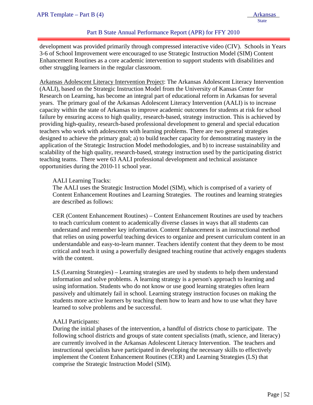# Part B State Annual Performance Report (APR) for FFY 2010

development was provided primarily through compressed interactive video (CIV). Schools in Years 3-6 of School Improvement were encouraged to use Strategic Instruction Model (SIM) Content Enhancement Routines as a core academic intervention to support students with disabilities and other struggling learners in the regular classroom.

Arkansas Adolescent Literacy Intervention Project: The Arkansas Adolescent Literacy Intervention (AALI), based on the Strategic Instruction Model from the University of Kansas Center for Research on Learning, has become an integral part of educational reform in Arkansas for several years. The primary goal of the Arkansas Adolescent Literacy Intervention (AALI) is to increase capacity within the state of Arkansas to improve academic outcomes for students at risk for school failure by ensuring access to high quality, research-based, strategy instruction. This is achieved by providing high-quality, research-based professional development to general and special education teachers who work with adolescents with learning problems. There are two general strategies designed to achieve the primary goal; a) to build teacher capacity for demonstrating mastery in the application of the Strategic Instruction Model methodologies, and b) to increase sustainability and scalability of the high quality, research-based, strategy instruction used by the participating district teaching teams. There were 63 AALI professional development and technical assistance opportunities during the 2010-11 school year.

#### AALI Learning Tracks:

The AALI uses the Strategic Instruction Model (SIM), which is comprised of a variety of Content Enhancement Routines and Learning Strategies. The routines and learning strategies are described as follows:

CER (Content Enhancement Routines) – Content Enhancement Routines are used by teachers to teach curriculum content to academically diverse classes in ways that all students can understand and remember key information. Content Enhancement is an instructional method that relies on using powerful teaching devices to organize and present curriculum content in an understandable and easy-to-learn manner. Teachers identify content that they deem to be most critical and teach it using a powerfully designed teaching routine that actively engages students with the content.

LS (Learning Strategies) – Learning strategies are used by students to help them understand information and solve problems. A learning strategy is a person's approach to learning and using information. Students who do not know or use good learning strategies often learn passively and ultimately fail in school. Learning strategy instruction focuses on making the students more active learners by teaching them how to learn and how to use what they have learned to solve problems and be successful.

## AALI Participants:

During the initial phases of the intervention, a handful of districts chose to participate. The following school districts and groups of state content specialists (math, science, and literacy) are currently involved in the Arkansas Adolescent Literacy Intervention. The teachers and instructional specialists have participated in developing the necessary skills to effectively implement the Content Enhancement Routines (CER) and Learning Strategies (LS) that comprise the Strategic Instruction Model (SIM).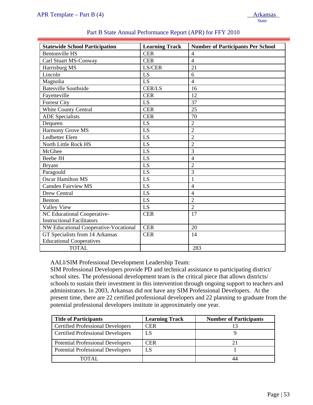Instructional Facilitators

Educational Cooperatives

GT Specialists from 14 Arkansas

| $T\mathbf{u}$ in Tumplane – I all $\mathbf{v}$ ( $\tau$ ) |                                                           | <u>Tunalisas</u><br><b>State</b>         |
|-----------------------------------------------------------|-----------------------------------------------------------|------------------------------------------|
|                                                           | Part B State Annual Performance Report (APR) for FFY 2010 |                                          |
| <b>Statewide School Participation</b>                     | <b>Learning Track</b>                                     | <b>Number of Participants Per School</b> |
| <b>Bentonville HS</b>                                     | <b>CER</b>                                                | $\overline{4}$                           |
| Carl Stuart MS-Conway                                     | <b>CER</b>                                                | $\overline{4}$                           |
| Harrisburg MS                                             | LS/CER                                                    | 21                                       |
| Lincoln                                                   | LS                                                        | 6                                        |
| Magnolia                                                  | LS                                                        | $\overline{4}$                           |
| <b>Batesville Southside</b>                               | <b>CER/LS</b>                                             | 16                                       |
| Fayetteville                                              | <b>CER</b>                                                | 12                                       |
| <b>Forrest City</b>                                       | LS                                                        | 37                                       |
| White County Central                                      | <b>CER</b>                                                | 25                                       |
| <b>ADE</b> Specialists                                    | <b>CER</b>                                                | 70                                       |
| Dequeen                                                   | LS                                                        | $\overline{2}$                           |
| Harmony Grove MS                                          | LS                                                        | $\overline{2}$                           |
| Ledbetter Elem                                            | LS                                                        | $\overline{2}$                           |
| North Little Rock HS                                      | LS                                                        | $\overline{2}$                           |
| McGhee                                                    | LS                                                        | 3                                        |
| Beebe JH                                                  | LS                                                        | $\overline{4}$                           |
| <b>Bryant</b>                                             | LS                                                        | $\overline{2}$                           |
| Paragould                                                 | LS                                                        | 3                                        |
| <b>Oscar Hamilton MS</b>                                  | LS                                                        | $\mathbf{1}$                             |
| <b>Camden Fairview MS</b>                                 | LS                                                        | $\overline{4}$                           |
| Drew Central                                              | LS                                                        | $\overline{4}$                           |
| Benton                                                    | LS                                                        | $\overline{2}$                           |
| Valley View                                               | LS                                                        | $\overline{2}$                           |
| NC Educational Cooperative-                               | <b>CER</b>                                                | 17                                       |

## AALI/SIM Professional Development Leadership Team:

TOTAL 283

NW Educational Cooperative-Vocational CER 20

SIM Professional Developers provide PD and technical assistance to participating district/ school sites. The professional development team is the critical piece that allows districts/ schools to sustain their investment in this intervention through ongoing support to teachers and administrators. In 2003, Arkansas did not have any SIM Professional Developers. At the present time, there are 22 certified professional developers and 22 planning to graduate from the potential professional developers institute in approximately one year.

CER 14

| <b>Title of Participants</b>             | <b>Learning Track</b> | <b>Number of Participants</b> |
|------------------------------------------|-----------------------|-------------------------------|
| <b>Certified Professional Developers</b> | <b>CER</b>            |                               |
| <b>Certified Professional Developers</b> | LS                    |                               |
| <b>Potential Professional Developers</b> | CER                   |                               |
| <b>Potential Professional Developers</b> | LS                    |                               |
| TOTAL.                                   |                       |                               |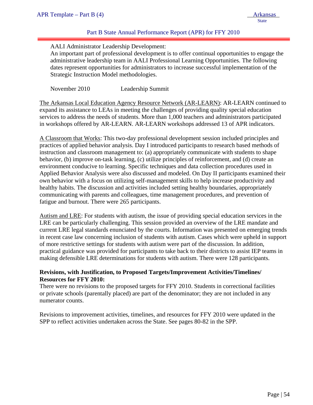# Part B State Annual Performance Report (APR) for FFY 2010

## AALI Administrator Leadership Development:

An important part of professional development is to offer continual opportunities to engage the administrative leadership team in AALI Professional Learning Opportunities. The following dates represent opportunities for administrators to increase successful implementation of the Strategic Instruction Model methodologies.

November 2010 Leadership Summit

The Arkansas Local Education Agency Resource Network (AR-LEARN): AR-LEARN continued to expand its assistance to LEAs in meeting the challenges of providing quality special education services to address the needs of students. More than 1,000 teachers and administrators participated in workshops offered by AR-LEARN. AR-LEARN workshops addressed 13 of APR indicators.

A Classroom that Works: This two-day professional development session included principles and practices of applied behavior analysis. Day I introduced participants to research based methods of instruction and classroom management to: (a) appropriately communicate with students to shape behavior, (b) improve on-task learning, (c) utilize principles of reinforcement, and (d) create an environment conducive to learning. Specific techniques and data collection procedures used in Applied Behavior Analysis were also discussed and modeled. On Day II participants examined their own behavior with a focus on utilizing self-management skills to help increase productivity and healthy habits. The discussion and activities included setting healthy boundaries, appropriately communicating with parents and colleagues, time management procedures, and prevention of fatigue and burnout. There were 265 participants.

Autism and LRE: For students with autism, the issue of providing special education services in the LRE can be particularly challenging. This session provided an overview of the LRE mandate and current LRE legal standards enunciated by the courts. Information was presented on emerging trends in recent case law concerning inclusion of students with autism. Cases which were upheld in support of more restrictive settings for students with autism were part of the discussion. In addition, practical guidance was provided for participants to take back to their districts to assist IEP teams in making defensible LRE determinations for students with autism. There were 128 participants.

# **Revisions, with Justification, to Proposed Targets/Improvement Activities/Timelines/ Resources for FFY 2010:**

There were no revisions to the proposed targets for FFY 2010. Students in correctional facilities or private schools (parentally placed) are part of the denominator; they are not included in any numerator counts.

Revisions to improvement activities, timelines, and resources for FFY 2010 were updated in the SPP to reflect activities undertaken across the State. See pages 80-82 in the SPP.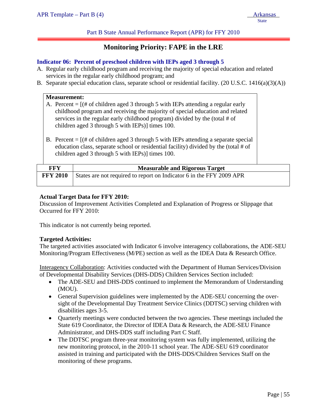Part B State Annual Performance Report (APR) for FFY 2010

# **Monitoring Priority: FAPE in the LRE**

#### **Indicator 06: Percent of preschool children with IEPs aged 3 through 5**

- A. Regular early childhood program and receiving the majority of special education and related services in the regular early childhood program; and
- B. Separate special education class, separate school or residential facility. (20 U.S.C. 1416(a)(3)(A))

|                                                     | <b>Measurement:</b> | A. Percent = $[(# of children aged 3 through 5 with IEPs attending a regular early)]$<br>childhood program and receiving the majority of special education and related<br>services in the regular early childhood program) divided by the (total # of<br>children aged 3 through 5 with IEPs)] times 100. |
|-----------------------------------------------------|---------------------|-----------------------------------------------------------------------------------------------------------------------------------------------------------------------------------------------------------------------------------------------------------------------------------------------------------|
|                                                     |                     | B. Percent = $[(# of children aged 3 through 5 with IEPs attending a separate special]$<br>education class, separate school or residential facility) divided by the (total # of<br>children aged 3 through 5 with IEPs)] times 100.                                                                       |
| <b>FFY</b><br><b>Measurable and Rigorous Target</b> |                     |                                                                                                                                                                                                                                                                                                           |
| <b>FFY 2010</b>                                     |                     | States are not required to report on Indicator 6 in the FFY 2009 APR                                                                                                                                                                                                                                      |

#### **Actual Target Data for FFY 2010:**

Discussion of Improvement Activities Completed and Explanation of Progress or Slippage that Occurred for FFY 2010:

This indicator is not currently being reported.

#### **Targeted Activities:**

The targeted activities associated with Indicator 6 involve interagency collaborations, the ADE-SEU Monitoring/Program Effectiveness (M/PE) section as well as the IDEA Data & Research Office.

Interagency Collaboration: Activities conducted with the Department of Human Services/Division of Developmental Disability Services (DHS-DDS) Children Services Section included:

- The ADE-SEU and DHS-DDS continued to implement the Memorandum of Understanding (MOU).
- General Supervision guidelines were implemented by the ADE-SEU concerning the oversight of the Developmental Day Treatment Service Clinics (DDTSC) serving children with disabilities ages 3-5.
- Quarterly meetings were conducted between the two agencies. These meetings included the State 619 Coordinator, the Director of IDEA Data & Research, the ADE-SEU Finance Administrator, and DHS-DDS staff including Part C Staff.
- The DDTSC program three-year monitoring system was fully implemented, utilizing the new monitoring protocol, in the 2010-11 school year. The ADE-SEU 619 coordinator assisted in training and participated with the DHS-DDS/Children Services Staff on the monitoring of these programs.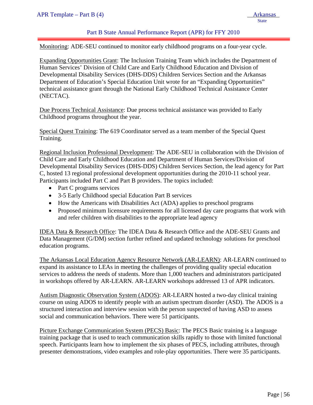## Part B State Annual Performance Report (APR) for FFY 2010

Monitoring: ADE-SEU continued to monitor early childhood programs on a four-year cycle.

Expanding Opportunities Grant: The Inclusion Training Team which includes the Department of Human Services' Division of Child Care and Early Childhood Education and Division of Developmental Disability Services (DHS-DDS) Children Services Section and the Arkansas Department of Education's Special Education Unit wrote for an "Expanding Opportunities" technical assistance grant through the National Early Childhood Technical Assistance Center (NECTAC).

Due Process Technical Assistance: Due process technical assistance was provided to Early Childhood programs throughout the year.

Special Quest Training: The 619 Coordinator served as a team member of the Special Quest Training.

Regional Inclusion Professional Development: The ADE-SEU in collaboration with the Division of Child Care and Early Childhood Education and Department of Human Services/Division of Developmental Disability Services (DHS-DDS) Children Services Section, the lead agency for Part C, hosted 13 regional professional development opportunities during the 2010-11 school year. Participants included Part C and Part B providers. The topics included:

- Part C programs services
- 3-5 Early Childhood special Education Part B services
- How the Americans with Disabilities Act (ADA) applies to preschool programs
- Proposed minimum licensure requirements for all licensed day care programs that work with and refer children with disabilities to the appropriate lead agency

IDEA Data & Research Office: The IDEA Data & Research Office and the ADE-SEU Grants and Data Management (G/DM) section further refined and updated technology solutions for preschool education programs.

The Arkansas Local Education Agency Resource Network (AR-LEARN): AR-LEARN continued to expand its assistance to LEAs in meeting the challenges of providing quality special education services to address the needs of students. More than 1,000 teachers and administrators participated in workshops offered by AR-LEARN. AR-LEARN workshops addressed 13 of APR indicators.

Autism Diagnostic Observation System (ADOS): AR-LEARN hosted a two-day clinical training course on using ADOS to identify people with an autism spectrum disorder (ASD). The ADOS is a structured interaction and interview session with the person suspected of having ASD to assess social and communication behaviors. There were 51 participants.

Picture Exchange Communication System (PECS) Basic: The PECS Basic training is a language training package that is used to teach communication skills rapidly to those with limited functional speech. Participants learn how to implement the six phases of PECS, including attributes, through presenter demonstrations, video examples and role-play opportunities. There were 35 participants.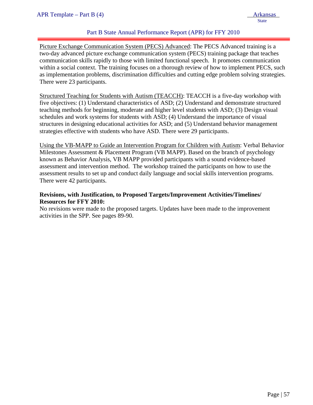# Part B State Annual Performance Report (APR) for FFY 2010

Picture Exchange Communication System (PECS) Advanced: The PECS Advanced training is a two-day advanced picture exchange communication system (PECS) training package that teaches communication skills rapidly to those with limited functional speech. It promotes communication within a social context. The training focuses on a thorough review of how to implement PECS, such as implementation problems, discrimination difficulties and cutting edge problem solving strategies. There were 23 participants.

Structured Teaching for Students with Autism (TEACCH): TEACCH is a five-day workshop with five objectives: (1) Understand characteristics of ASD; (2) Understand and demonstrate structured teaching methods for beginning, moderate and higher level students with ASD; (3) Design visual schedules and work systems for students with ASD; (4) Understand the importance of visual structures in designing educational activities for ASD; and (5) Understand behavior management strategies effective with students who have ASD. There were 29 participants.

Using the VB-MAPP to Guide an Intervention Program for Children with Autism: Verbal Behavior Milestones Assessment & Placement Program (VB MAPP). Based on the branch of psychology known as Behavior Analysis, VB MAPP provided participants with a sound evidence-based assessment and intervention method. The workshop trained the participants on how to use the assessment results to set up and conduct daily language and social skills intervention programs. There were 42 participants.

## **Revisions, with Justification, to Proposed Targets/Improvement Activities/Timelines/ Resources for FFY 2010:**

No revisions were made to the proposed targets. Updates have been made to the improvement activities in the SPP. See pages 89-90.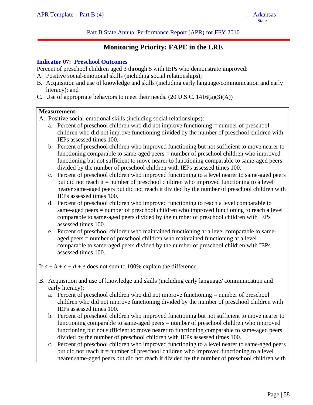# **Monitoring Priority: FAPE in the LRE**

#### **Indicator 07: Preschool Outcomes**

Percent of preschool children aged 3 through 5 with IEPs who demonstrate improved:

- A. Positive social-emotional skills (including social relationships);
- B. Acquisition and use of knowledge and skills (including early language/communication and early literacy); and
- C. Use of appropriate behaviors to meet their needs.  $(20 \text{ U.S.C. } 1416(a)(3)(\text{A}))$

#### **Measurement:**

ļ

- A. Positive social-emotional skills (including social relationships):
	- a. Percent of preschool children who did not improve functioning = number of preschool children who did not improve functioning divided by the number of preschool children with IEPs assessed times 100.
	- b. Percent of preschool children who improved functioning but not sufficient to move nearer to functioning comparable to same-aged peers = number of preschool children who improved functioning but not sufficient to move nearer to functioning comparable to same-aged peers divided by the number of preschool children with IEPs assessed times 100.
	- c. Percent of preschool children who improved functioning to a level nearer to same-aged peers but did not reach it = number of preschool children who improved functioning to a level nearer same-aged peers but did not reach it divided by the number of preschool children with IEPs assessed times 100.
	- d. Percent of preschool children who improved functioning to reach a level comparable to same-aged peers = number of preschool children who improved functioning to reach a level comparable to same-aged peers divided by the number of preschool children with IEPs assessed times 100.
	- e. Percent of preschool children who maintained functioning at a level comparable to sameaged peers = number of preschool children who maintained functioning at a level comparable to same-aged peers divided by the number of preschool children with IEPs assessed times 100.

If  $a + b + c + d + e$  does not sum to 100% explain the difference.

- B. Acquisition and use of knowledge and skills (including early language/ communication and early literacy):
	- a. Percent of preschool children who did not improve functioning = number of preschool children who did not improve functioning divided by the number of preschool children with IEPs assessed times 100.
	- b. Percent of preschool children who improved functioning but not sufficient to move nearer to functioning comparable to same-aged peers = number of preschool children who improved functioning but not sufficient to move nearer to functioning comparable to same-aged peers divided by the number of preschool children with IEPs assessed times 100.
	- c. Percent of preschool children who improved functioning to a level nearer to same-aged peers but did not reach it = number of preschool children who improved functioning to a level nearer same-aged peers but did not reach it divided by the number of preschool children with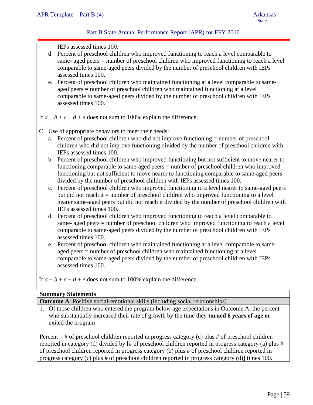# Part B State Annual Performance Report (APR) for FFY 2010

IEPs assessed times 100.

- d. Percent of preschool children who improved functioning to reach a level comparable to same- aged peers = number of preschool children who improved functioning to reach a level comparable to same-aged peers divided by the number of preschool children with IEPs assessed times 100.
- e. Percent of preschool children who maintained functioning at a level comparable to sameaged peers = number of preschool children who maintained functioning at a level comparable to same-aged peers divided by the number of preschool children with IEPs assessed times 100.

If  $a + b + c + d + e$  does not sum to 100% explain the difference.

- C. Use of appropriate behaviors to meet their needs:
	- a. Percent of preschool children who did not improve functioning = number of preschool children who did not improve functioning divided by the number of preschool children with IEPs assessed times 100.
	- b. Percent of preschool children who improved functioning but not sufficient to move nearer to functioning comparable to same-aged peers = number of preschool children who improved functioning but not sufficient to move nearer to functioning comparable to same-aged peers divided by the number of preschool children with IEPs assessed times 100.
	- c. Percent of preschool children who improved functioning to a level nearer to same-aged peers but did not reach it  $=$  number of preschool children who improved functioning to a level nearer same-aged peers but did not reach it divided by the number of preschool children with IEPs assessed times 100.
	- d. Percent of preschool children who improved functioning to reach a level comparable to same- aged peers = number of preschool children who improved functioning to reach a level comparable to same-aged peers divided by the number of preschool children with IEPs assessed times 100.
	- e. Percent of preschool children who maintained functioning at a level comparable to sameaged peers = number of preschool children who maintained functioning at a level comparable to same-aged peers divided by the number of preschool children with IEPs assessed times 100.

If  $a + b + c + d + e$  does not sum to 100% explain the difference.

#### **Summary Statements**

**Outcome A**: Positive social-emotional skills (including social relationships)

1. Of those children who entered the program below age expectations in Outcome A, the percent who substantially increased their rate of growth by the time they **turned 6 years of age or**  exited the program

Percent  $=$  # of preschool children reported in progress category (c) plus # of preschool children reported in category (d) divided by [# of preschool children reported in progress category (a) plus # of preschool children reported in progress category (b) plus # of preschool children reported in progress category (c) plus # of preschool children reported in progress category (d)] times 100.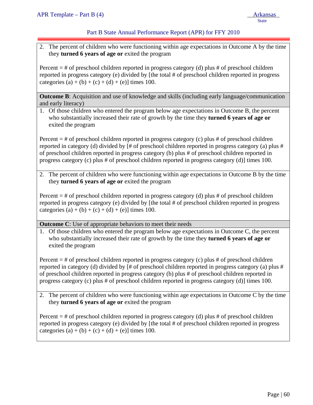# Part B State Annual Performance Report (APR) for FFY 2010

2. The percent of children who were functioning within age expectations in Outcome A by the time they **turned 6 years of age or** exited the program

Percent  $=$  # of preschool children reported in progress category (d) plus # of preschool children reported in progress category (e) divided by [the total # of preschool children reported in progress categories (a) + (b) + (c) + (d) + (e)] times 100.

**Outcome B:** Acquisition and use of knowledge and skills (including early language/communication and early literacy)

1. Of those children who entered the program below age expectations in Outcome B, the percent who substantially increased their rate of growth by the time they **turned 6 years of age or**  exited the program

Percent  $=$  # of preschool children reported in progress category (c) plus # of preschool children reported in category (d) divided by [# of preschool children reported in progress category (a) plus # of preschool children reported in progress category (b) plus # of preschool children reported in progress category (c) plus # of preschool children reported in progress category (d)] times 100.

2. The percent of children who were functioning within age expectations in Outcome B by the time they **turned 6 years of age or** exited the program

Percent  $=$  # of preschool children reported in progress category (d) plus # of preschool children reported in progress category (e) divided by [the total # of preschool children reported in progress categories (a) + (b) + (c) + (d) + (e)] times 100.

**Outcome C**: Use of appropriate behaviors to meet their needs

1. Of those children who entered the program below age expectations in Outcome C, the percent who substantially increased their rate of growth by the time they **turned 6 years of age or**  exited the program

Percent = # of preschool children reported in progress category (c) plus # of preschool children reported in category (d) divided by [# of preschool children reported in progress category (a) plus # of preschool children reported in progress category (b) plus # of preschool children reported in progress category (c) plus # of preschool children reported in progress category (d)] times 100.

2. The percent of children who were functioning within age expectations in Outcome C by the time they **turned 6 years of age or** exited the program

Percent  $=$  # of preschool children reported in progress category (d) plus # of preschool children reported in progress category (e) divided by [the total # of preschool children reported in progress categories (a) + (b) + (c) + (d) + (e)] times 100.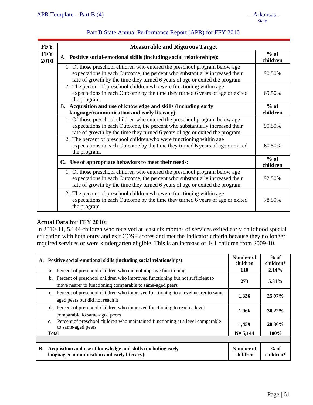| <b>FFY</b>         | <b>Measurable and Rigorous Target</b>                                                                                                                                                                                                     |                    |  |  |  |  |  |  |
|--------------------|-------------------------------------------------------------------------------------------------------------------------------------------------------------------------------------------------------------------------------------------|--------------------|--|--|--|--|--|--|
| <b>FFY</b><br>2010 | A. Positive social-emotional skills (including social relationships):                                                                                                                                                                     | $%$ of<br>children |  |  |  |  |  |  |
|                    | 1. Of those preschool children who entered the preschool program below age<br>expectations in each Outcome, the percent who substantially increased their<br>rate of growth by the time they turned 6 years of age or exited the program. |                    |  |  |  |  |  |  |
|                    | 2. The percent of preschool children who were functioning within age<br>expectations in each Outcome by the time they turned 6 years of age or exited<br>the program.<br>B. Acquisition and use of knowledge and skills (including early  |                    |  |  |  |  |  |  |
|                    |                                                                                                                                                                                                                                           |                    |  |  |  |  |  |  |
|                    | language/communication and early literacy):                                                                                                                                                                                               |                    |  |  |  |  |  |  |
|                    | 1. Of those preschool children who entered the preschool program below age<br>expectations in each Outcome, the percent who substantially increased their<br>rate of growth by the time they turned 6 years of age or exited the program. | 90.50%             |  |  |  |  |  |  |
|                    | 2. The percent of preschool children who were functioning within age<br>expectations in each Outcome by the time they turned 6 years of age or exited<br>the program.                                                                     |                    |  |  |  |  |  |  |
|                    | C. Use of appropriate behaviors to meet their needs:                                                                                                                                                                                      | $%$ of<br>children |  |  |  |  |  |  |
|                    | 1. Of those preschool children who entered the preschool program below age<br>expectations in each Outcome, the percent who substantially increased their<br>rate of growth by the time they turned 6 years of age or exited the program. | 92.50%             |  |  |  |  |  |  |
|                    | 2. The percent of preschool children who were functioning within age<br>expectations in each Outcome by the time they turned 6 years of age or exited<br>the program.                                                                     | 78.50%             |  |  |  |  |  |  |

# **Actual Data for FFY 2010:**

In 2010-11, 5,144 children who received at least six months of services exited early childhood special education with both entry and exit COSF scores and met the Indicator criteria because they no longer required services or were kindergarten eligible. This is an increase of 141 children from 2009-10.

| A. | Positive social-emotional skills (including social relationships):                                                                          | Number of<br>children | $%$ of<br>children* |
|----|---------------------------------------------------------------------------------------------------------------------------------------------|-----------------------|---------------------|
|    | a. Percent of preschool children who did not improve functioning                                                                            | 110                   | 2.14%               |
|    | b. Percent of preschool children who improved functioning but not sufficient to<br>move nearer to functioning comparable to same-aged peers | 273                   | 5.31%               |
|    | c. Percent of preschool children who improved functioning to a level nearer to same-<br>aged peers but did not reach it                     | 1,336                 | 25.97%              |
|    | d. Percent of preschool children who improved functioning to reach a level<br>comparable to same-aged peers                                 | 1,966                 | 38.22%              |
|    | Percent of preschool children who maintained functioning at a level comparable<br>e.<br>to same-aged peers                                  | 1,459                 | 28.36%              |
|    | Total                                                                                                                                       | $N = 5,144$           | 100%                |
|    |                                                                                                                                             |                       |                     |
| В. | Acquisition and use of knowledge and skills (including early<br>language/communication and early literacy):                                 | Number of<br>children | $%$ of<br>children* |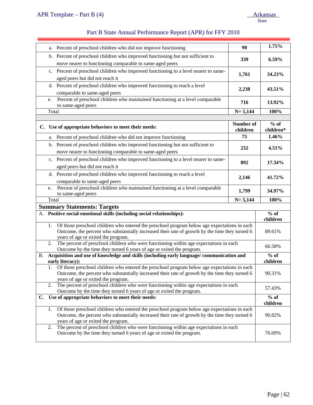|                                                                                                                   | a.                                                                                                                                                                                                                                           | Percent of preschool children who did not improve functioning                                                                                                                                                                          | 90                    | 1.75%                                   |  |  |  |
|-------------------------------------------------------------------------------------------------------------------|----------------------------------------------------------------------------------------------------------------------------------------------------------------------------------------------------------------------------------------------|----------------------------------------------------------------------------------------------------------------------------------------------------------------------------------------------------------------------------------------|-----------------------|-----------------------------------------|--|--|--|
|                                                                                                                   |                                                                                                                                                                                                                                              | b. Percent of preschool children who improved functioning but not sufficient to<br>move nearer to functioning comparable to same-aged peers                                                                                            | 339                   | 6.59%                                   |  |  |  |
|                                                                                                                   |                                                                                                                                                                                                                                              | c. Percent of preschool children who improved functioning to a level nearer to same-<br>aged peers but did not reach it                                                                                                                | 1,761                 | 34.23%                                  |  |  |  |
|                                                                                                                   |                                                                                                                                                                                                                                              | d. Percent of preschool children who improved functioning to reach a level<br>comparable to same-aged peers                                                                                                                            | 2,238                 | 43.51%                                  |  |  |  |
|                                                                                                                   | Percent of preschool children who maintained functioning at a level comparable<br>e.<br>716<br>to same-aged peers                                                                                                                            |                                                                                                                                                                                                                                        |                       |                                         |  |  |  |
|                                                                                                                   | Total                                                                                                                                                                                                                                        |                                                                                                                                                                                                                                        | $N = 5,144$           | 100%                                    |  |  |  |
|                                                                                                                   |                                                                                                                                                                                                                                              | C. Use of appropriate behaviors to meet their needs:                                                                                                                                                                                   | Number of<br>children | $%$ of<br>children*                     |  |  |  |
|                                                                                                                   |                                                                                                                                                                                                                                              | a. Percent of preschool children who did not improve functioning                                                                                                                                                                       | 75                    | 1.46%                                   |  |  |  |
|                                                                                                                   |                                                                                                                                                                                                                                              | b. Percent of preschool children who improved functioning but not sufficient to<br>move nearer to functioning comparable to same-aged peers                                                                                            | 232                   | 4.51%                                   |  |  |  |
|                                                                                                                   |                                                                                                                                                                                                                                              | c. Percent of preschool children who improved functioning to a level nearer to same-<br>892<br>aged peers but did not reach it                                                                                                         |                       |                                         |  |  |  |
|                                                                                                                   |                                                                                                                                                                                                                                              | d. Percent of preschool children who improved functioning to reach a level<br>2,146<br>comparable to same-aged peers                                                                                                                   |                       |                                         |  |  |  |
|                                                                                                                   | e.                                                                                                                                                                                                                                           | Percent of preschool children who maintained functioning at a level comparable<br>to same-aged peers                                                                                                                                   | 1,799                 | 34.97%                                  |  |  |  |
|                                                                                                                   | Total                                                                                                                                                                                                                                        |                                                                                                                                                                                                                                        | $N = 5,144$           | 100%                                    |  |  |  |
|                                                                                                                   |                                                                                                                                                                                                                                              | <b>Summary Statements: Targets</b>                                                                                                                                                                                                     |                       |                                         |  |  |  |
|                                                                                                                   |                                                                                                                                                                                                                                              | A. Positive social-emotional skills (including social relationships):                                                                                                                                                                  |                       | $\overline{\frac{9}{6}}$ of<br>children |  |  |  |
|                                                                                                                   | 1.                                                                                                                                                                                                                                           | Of those preschool children who entered the preschool program below age expectations in each<br>Outcome, the percent who substantially increased their rate of growth by the time they turned 6<br>years of age or exited the program. |                       | 89.61%                                  |  |  |  |
|                                                                                                                   | 2.                                                                                                                                                                                                                                           | The percent of preschool children who were functioning within age expectations in each<br>Outcome by the time they turned 6 years of age or exited the program.                                                                        |                       | 66.58%<br>$%$ of                        |  |  |  |
| Acquisition and use of knowledge and skills (including early language/communication and<br>В.<br>early literacy): |                                                                                                                                                                                                                                              |                                                                                                                                                                                                                                        |                       |                                         |  |  |  |
|                                                                                                                   |                                                                                                                                                                                                                                              | Of those preschool children who entered the preschool program below age expectations in each<br>Outcome, the percent who substantially increased their rate of growth by the time they turned 6<br>years of age or exited the program. |                       | 90.31%                                  |  |  |  |
|                                                                                                                   | The percent of preschool children who were functioning within age expectations in each<br>2.<br>Outcome by the time they turned 6 years of age or exited the program.                                                                        |                                                                                                                                                                                                                                        |                       |                                         |  |  |  |
|                                                                                                                   |                                                                                                                                                                                                                                              | C. Use of appropriate behaviors to meet their needs:                                                                                                                                                                                   |                       | $%$ of<br>children                      |  |  |  |
|                                                                                                                   | Of those preschool children who entered the preschool program below age expectations in each<br>1.<br>Outcome, the percent who substantially increased their rate of growth by the time they turned 6<br>years of age or exited the program. |                                                                                                                                                                                                                                        |                       |                                         |  |  |  |
|                                                                                                                   | The percent of preschool children who were functioning within age expectations in each<br>2.<br>Outcome by the time they turned 6 years of age or exited the program.                                                                        |                                                                                                                                                                                                                                        |                       |                                         |  |  |  |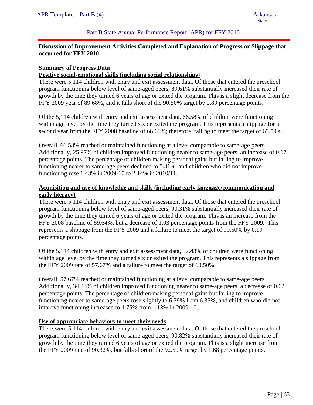#### Part B State Annual Performance Report (APR) for FFY 2010

# **Discussion of Improvement Activities Completed and Explanation of Progress or Slippage that occurred for FFY 2010:**

#### **Summary of Progress Data**

#### **Positive social-emotional skills (including social relationships)**

There were 5,114 children with entry and exit assessment data. Of those that entered the preschool program functioning below level of same-aged peers, 89.61% substantially increased their rate of growth by the time they turned 6 years of age or exited the program. This is a slight decrease from the FFY 2009 year of 89.68%, and it falls short of the 90.50% target by 0.89 percentage points.

Of the 5,114 children with entry and exit assessment data, 66.58% of children were functioning within age level by the time they turned six or exited the program. This represents a slippage for a second year from the FFY 2008 baseline of 68.61%; therefore, failing to meet the target of 69.50%.

Overall, 66.58% reached or maintained functioning at a level comparable to same-age peers. Additionally, 25.97% of children improved functioning nearer to same-age peers, an increase of 0.17 percentage points. The percentage of children making personal gains but failing to improve functioning nearer to same-age peers declined to 5.31%, and children who did not improve functioning rose 1.43% in 2009-10 to 2.14% in 2010/11.

# **Acquisition and use of knowledge and skills (including early language/communication and early literacy)**

There were 5,114 children with entry and exit assessment data. Of those that entered the preschool program functioning below level of same-aged peers, 90.31% substantially increased their rate of growth by the time they turned 6 years of age or exited the program. This is an increase from the FFY 2008 baseline of 89.64%, but a decrease of 1.03 percentage points from the FFY 2009. This represents a slippage from the FFY 2009 and a failure to meet the target of 90.50% by 0.19 percentage points.

Of the 5,114 children with entry and exit assessment data, 57.43% of children were functioning within age level by the time they turned six or exited the program. This represents a slippage from the FFY 2009 rate of 57.67% and a failure to meet the target of 60.50%.

Overall, 57.67% reached or maintained functioning at a level comparable to same-age peers. Additionally, 34.23% of children improved functioning nearer to same-age peers, a decrease of 0.62 percentage points. The percentage of children making personal gains but failing to improve functioning nearer to same-age peers rose slightly to 6.59% from 6.35%, and children who did not improve functioning increased to 1.75% from 1.13% in 2009-10.

## **Use of appropriate behaviors to meet their needs**

There were 5,114 children with entry and exit assessment data. Of those that entered the preschool program functioning below level of same-aged peers, 90.82% substantially increased their rate of growth by the time they turned 6 years of age or exited the program. This is a slight increase from the FFY 2009 rate of 90.32%, but falls short of the 92.50% target by 1.68 percentage points.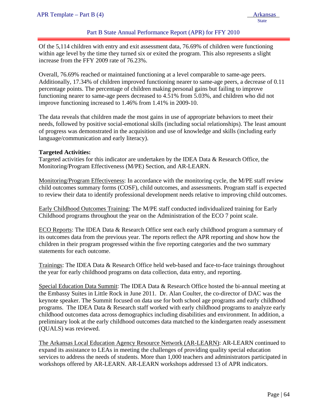# Part B State Annual Performance Report (APR) for FFY 2010

Of the 5,114 children with entry and exit assessment data, 76.69% of children were functioning within age level by the time they turned six or exited the program. This also represents a slight increase from the FFY 2009 rate of 76.23%.

Overall, 76.69% reached or maintained functioning at a level comparable to same-age peers. Additionally, 17.34% of children improved functioning nearer to same-age peers, a decrease of 0.11 percentage points. The percentage of children making personal gains but failing to improve functioning nearer to same-age peers decreased to 4.51% from 5.03%, and children who did not improve functioning increased to 1.46% from 1.41% in 2009-10.

The data reveals that children made the most gains in use of appropriate behaviors to meet their needs, followed by positive social-emotional skills (including social relationships). The least amount of progress was demonstrated in the acquisition and use of knowledge and skills (including early language/communication and early literacy).

#### **Targeted Activities:**

Targeted activities for this indicator are undertaken by the IDEA Data & Research Office, the Monitoring/Program Effectiveness (M/PE) Section, and AR-LEARN.

Monitoring/Program Effectiveness: In accordance with the monitoring cycle, the M/PE staff review child outcomes summary forms (COSF), child outcomes, and assessments. Program staff is expected to review their data to identify professional development needs relative to improving child outcomes.

Early Childhood Outcomes Training: The M/PE staff conducted individualized training for Early Childhood programs throughout the year on the Administration of the ECO 7 point scale.

ECO Reports: The IDEA Data & Research Office sent each early childhood program a summary of its outcomes data from the previous year. The reports reflect the APR reporting and show how the children in their program progressed within the five reporting categories and the two summary statements for each outcome.

Trainings: The IDEA Data & Research Office held web-based and face-to-face trainings throughout the year for early childhood programs on data collection, data entry, and reporting.

Special Education Data Summit: The IDEA Data & Research Office hosted the bi-annual meeting at the Embassy Suites in Little Rock in June 2011. Dr. Alan Coulter, the co-director of DAC was the keynote speaker. The Summit focused on data use for both school age programs and early childhood programs. The IDEA Data & Research staff worked with early childhood programs to analyze early childhood outcomes data across demographics including disabilities and environment. In addition, a preliminary look at the early childhood outcomes data matched to the kindergarten ready assessment (QUALS) was reviewed.

The Arkansas Local Education Agency Resource Network (AR-LEARN): AR-LEARN continued to expand its assistance to LEAs in meeting the challenges of providing quality special education services to address the needs of students. More than 1,000 teachers and administrators participated in workshops offered by AR-LEARN. AR-LEARN workshops addressed 13 of APR indicators.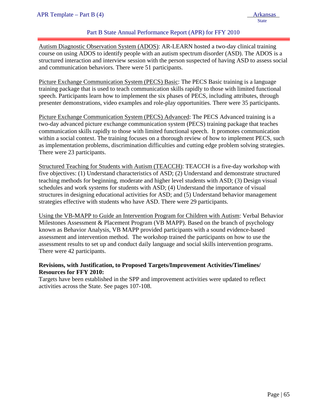# Part B State Annual Performance Report (APR) for FFY 2010

Autism Diagnostic Observation System (ADOS): AR-LEARN hosted a two-day clinical training course on using ADOS to identify people with an autism spectrum disorder (ASD). The ADOS is a structured interaction and interview session with the person suspected of having ASD to assess social and communication behaviors. There were 51 participants.

Picture Exchange Communication System (PECS) Basic: The PECS Basic training is a language training package that is used to teach communication skills rapidly to those with limited functional speech. Participants learn how to implement the six phases of PECS, including attributes, through presenter demonstrations, video examples and role-play opportunities. There were 35 participants.

Picture Exchange Communication System (PECS) Advanced: The PECS Advanced training is a two-day advanced picture exchange communication system (PECS) training package that teaches communication skills rapidly to those with limited functional speech. It promotes communication within a social context. The training focuses on a thorough review of how to implement PECS, such as implementation problems, discrimination difficulties and cutting edge problem solving strategies. There were 23 participants.

Structured Teaching for Students with Autism (TEACCH): TEACCH is a five-day workshop with five objectives: (1) Understand characteristics of ASD; (2) Understand and demonstrate structured teaching methods for beginning, moderate and higher level students with ASD; (3) Design visual schedules and work systems for students with ASD; (4) Understand the importance of visual structures in designing educational activities for ASD; and (5) Understand behavior management strategies effective with students who have ASD. There were 29 participants.

Using the VB-MAPP to Guide an Intervention Program for Children with Autism: Verbal Behavior Milestones Assessment & Placement Program (VB MAPP). Based on the branch of psychology known as Behavior Analysis, VB MAPP provided participants with a sound evidence-based assessment and intervention method. The workshop trained the participants on how to use the assessment results to set up and conduct daily language and social skills intervention programs. There were 42 participants.

## **Revisions, with Justification, to Proposed Targets/Improvement Activities/Timelines/ Resources for FFY 2010:**

Targets have been established in the SPP and improvement activities were updated to reflect activities across the State. See pages 107-108.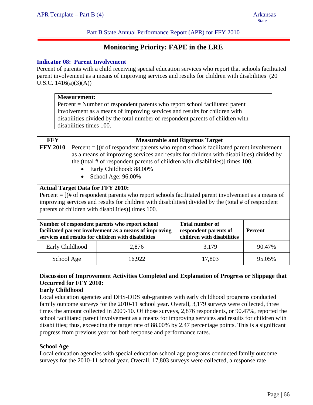Part B State Annual Performance Report (APR) for FFY 2010

# **Monitoring Priority: FAPE in the LRE**

#### **Indicator 08: Parent Involvement**

Percent of parents with a child receiving special education services who report that schools facilitated parent involvement as a means of improving services and results for children with disabilities (20 U.S.C.  $1416(a)(3)(A)$ 

|                                                                                                                                                            | <b>Measurement:</b>                                                                                                                                                                                                                                                                                                                                                                                                                                                                                |                                                                                                                                                                 |                                                                               |         |  |  |  |  |  |  |
|------------------------------------------------------------------------------------------------------------------------------------------------------------|----------------------------------------------------------------------------------------------------------------------------------------------------------------------------------------------------------------------------------------------------------------------------------------------------------------------------------------------------------------------------------------------------------------------------------------------------------------------------------------------------|-----------------------------------------------------------------------------------------------------------------------------------------------------------------|-------------------------------------------------------------------------------|---------|--|--|--|--|--|--|
|                                                                                                                                                            | $Percent = Number of respondent parents who report school facilitated parent$<br>involvement as a means of improving services and results for children with                                                                                                                                                                                                                                                                                                                                        |                                                                                                                                                                 |                                                                               |         |  |  |  |  |  |  |
|                                                                                                                                                            |                                                                                                                                                                                                                                                                                                                                                                                                                                                                                                    |                                                                                                                                                                 |                                                                               |         |  |  |  |  |  |  |
|                                                                                                                                                            |                                                                                                                                                                                                                                                                                                                                                                                                                                                                                                    | disabilities divided by the total number of respondent parents of children with                                                                                 |                                                                               |         |  |  |  |  |  |  |
|                                                                                                                                                            | disabilities times 100.                                                                                                                                                                                                                                                                                                                                                                                                                                                                            |                                                                                                                                                                 |                                                                               |         |  |  |  |  |  |  |
|                                                                                                                                                            |                                                                                                                                                                                                                                                                                                                                                                                                                                                                                                    |                                                                                                                                                                 |                                                                               |         |  |  |  |  |  |  |
| <b>FFY</b>                                                                                                                                                 |                                                                                                                                                                                                                                                                                                                                                                                                                                                                                                    |                                                                                                                                                                 | <b>Measurable and Rigorous Target</b>                                         |         |  |  |  |  |  |  |
|                                                                                                                                                            | <b>FFY 2010</b><br>Percent $=$ $[$ (# of respondent parents who report schools facilitated parent involvement<br>as a means of improving services and results for children with disabilities) divided by<br>the (total $#$ of respondent parents of children with disabilities)] times 100.<br>Early Childhood: 88.00%<br>School Age: 96.00%<br><b>Actual Target Data for FFY 2010:</b><br>Percent $=$ [ $#$ of respondent parents who report schools facilitated parent involvement as a means of |                                                                                                                                                                 |                                                                               |         |  |  |  |  |  |  |
| improving services and results for children with disabilities) divided by the (total # of respondent<br>parents of children with disabilities)] times 100. |                                                                                                                                                                                                                                                                                                                                                                                                                                                                                                    |                                                                                                                                                                 |                                                                               |         |  |  |  |  |  |  |
|                                                                                                                                                            |                                                                                                                                                                                                                                                                                                                                                                                                                                                                                                    | Number of respondent parents who report school<br>facilitated parent involvement as a means of improving<br>services and results for children with disabilities | <b>Total number of</b><br>respondent parents of<br>children with disabilities | Percent |  |  |  |  |  |  |
|                                                                                                                                                            | Early Childhood                                                                                                                                                                                                                                                                                                                                                                                                                                                                                    | 2,876                                                                                                                                                           | 3,179                                                                         | 90.47%  |  |  |  |  |  |  |
|                                                                                                                                                            | School Age                                                                                                                                                                                                                                                                                                                                                                                                                                                                                         | 16,922                                                                                                                                                          | 17,803                                                                        | 95.05%  |  |  |  |  |  |  |

# **Discussion of Improvement Activities Completed and Explanation of Progress or Slippage that Occurred for FFY 2010:**

## **Early Childhood**

Local education agencies and DHS-DDS sub-grantees with early childhood programs conducted family outcome surveys for the 2010-11 school year. Overall, 3,179 surveys were collected, three times the amount collected in 2009-10. Of those surveys, 2,876 respondents, or 90.47%, reported the school facilitated parent involvement as a means for improving services and results for children with disabilities; thus, exceeding the target rate of 88.00% by 2.47 percentage points. This is a significant progress from previous year for both response and performance rates.

## **School Age**

Local education agencies with special education school age programs conducted family outcome surveys for the 2010-11 school year. Overall, 17,803 surveys were collected, a response rate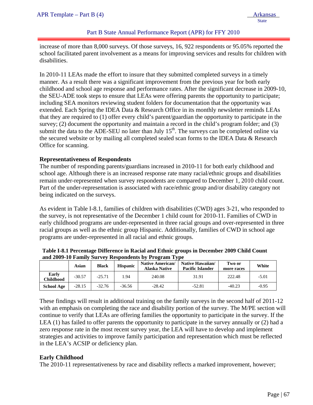## Part B State Annual Performance Report (APR) for FFY 2010

increase of more than 8,000 surveys. Of those surveys, 16, 922 respondents or 95.05% reported the school facilitated parent involvement as a means for improving services and results for children with disabilities.

In 2010-11 LEAs made the effort to insure that they submitted completed surveys in a timely manner. As a result there was a significant improvement from the previous year for both early childhood and school age response and performance rates. After the significant decrease in 2009-10, the SEU-ADE took steps to ensure that LEAs were offering parents the opportunity to participate; including SEA monitors reviewing student folders for documentation that the opportunity was extended. Each Spring the IDEA Data & Research Office in its monthly newsletter reminds LEAs that they are required to (1) offer every child's parent/guardian the opportunity to participate in the survey; (2) document the opportunity and maintain a record in the child's program folder; and (3) submit the data to the ADE-SEU no later than July  $15<sup>th</sup>$ . The surveys can be completed online via the secured website or by mailing all completed sealed scan forms to the IDEA Data & Research Office for scanning.

## **Representativeness of Respondents**

The number of responding parents/guardians increased in 2010-11 for both early childhood and school age. Although there is an increased response rate many racial/ethnic groups and disabilities remain under-represented when survey respondents are compared to December 1, 2010 child count. Part of the under-representation is associated with race/ethnic group and/or disability category not being indicated on the surveys.

As evident in Table I-8.1, families of children with disabilities (CWD) ages 3-21, who responded to the survey, is not representative of the December 1 child count for 2010-11. Families of CWD in early childhood programs are under-represented in three racial groups and over-represented in three racial groups as well as the ethnic group Hispanic. Additionally, families of CWD in school age programs are under-represented in all racial and ethnic groups.

| <u>WALWA AVUZ AVA WAANA LUWA LUL ANUDIZUWAANDA MT</u> |          |          |                 |                                          |                                             |                      |         |  |
|-------------------------------------------------------|----------|----------|-----------------|------------------------------------------|---------------------------------------------|----------------------|---------|--|
|                                                       | Asian    | Black    | <b>Hispanic</b> | <b>Native American/</b><br>Alaska Native | Native Hawaiian/<br><b>Pacific Islander</b> | Two or<br>more races | White   |  |
| Early<br>Childhood                                    | $-30.57$ | $-25.71$ | .94             | 240.08                                   | 31.91                                       | 222.48               | $-5.01$ |  |
| <b>School Age</b>                                     | $-28.15$ | $-32.76$ | -36.56          | $-28.42$                                 | $-52.81$                                    | $-40.23$             | $-0.95$ |  |

**Table I-8.1 Percentage Difference in Racial and Ethnic groups in December 2009 Child Count and 2009-10 Family Survey Respondents by Program Type** 

These findings will result in additional training on the family surveys in the second half of 2011-12 with an emphasis on completing the race and disability portion of the survey. The M/PE section will continue to verify that LEAs are offering families the opportunity to participate in the survey. If the LEA (1) has failed to offer parents the opportunity to participate in the survey annually or (2) had a zero response rate in the most recent survey year, the LEA will have to develop and implement strategies and activities to improve family participation and representation which must be reflected in the LEA's ACSIP or deficiency plan.

## **Early Childhood**

The 2010-11 representativeness by race and disability reflects a marked improvement, however;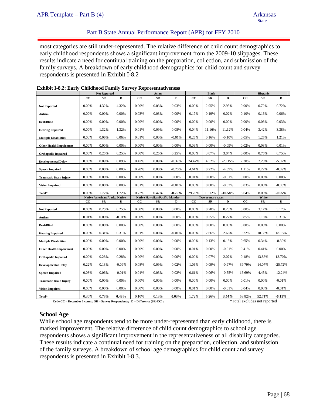## Part B State Annual Performance Report (APR) for FFY 2010

most categories are still under-represented. The relative difference of child count demographics to early childhood respondents shows a significant improvement from the 2009-10 slippages. These results indicate a need for continual training on the preparation, collection, and submission of the family surveys. A breakdown of early childhood demographics for child count and survey respondents is presented in Exhibit I-8.2

|                                | <b>Not Reported</b> |                                      | Asian    |       |                                         | <b>Black</b> |             |                   | <b>Hispanic</b> |             |        |           |
|--------------------------------|---------------------|--------------------------------------|----------|-------|-----------------------------------------|--------------|-------------|-------------------|-----------------|-------------|--------|-----------|
|                                | $_{\rm CC}$         | SR                                   | D        | cc    | SR                                      | D            | $_{\rm CC}$ | $_{SR}$           | D               | cc          | SR     | D         |
| <b>Not Reported</b>            | 0.00%               | 4.32%                                | 4.32%    | 0.00% | 0.03%                                   | 0.03%        | 0.00%       | 2.95%             | 2.95%           | 0.00%       | 0.72%  | 0.72%     |
| Autism                         | 0.00%               | 0.00%                                | 0.00%    | 0.03% | 0.03%                                   | 0.00%        | 0.17%       | 0.19%             | 0.02%           | 0.10%       | 0.16%  | 0.06%     |
| Deaf/Blind                     | 0.00%               | 0.00%                                | 0.00%    | 0.00% | 0.00%                                   | 0.00%        | 0.00%       | 0.00%             | 0.00%           | 0.00%       | 0.03%  | 0.03%     |
| <b>Hearing Impaired</b>        | 0.00%               | 1.32%                                | 1.32%    | 0.01% | 0.09%                                   | 0.08%        | 0.04%       | 11.16%            | 11.12%          | 0.04%       | 3.42%  | 3.38%     |
| <b>Multiple Disabilities</b>   | 0.00%               | 0.06%                                | 0.06%    | 0.01% | 0.00%                                   | $-0.01%$     | 0.26%       | 0.16%             | $-0.10%$        | 0.05%       | 1.25%  | 1.21%     |
| <b>Other Health Impairment</b> | 0.00%               | 0.00%                                | 0.00%    | 0.00% | 0.00%                                   | 0.00%        | 0.09%       | 0.00%             | $-0.09%$        | 0.02%       | 0.03%  | 0.01%     |
| <b>Orthopedic Impaired</b>     | 0.00%               | 0.25%                                | 0.25%    | 0.00% | 0.25%                                   | 0.25%        | 0.03%       | 3.07%             | 3.04%           | 0.00%       | 0.75%  | 0.75%     |
| <b>Developmental Delay</b>     | 0.00%               | 0.09%                                | 0.09%    | 0.47% | 0.09%                                   | $-0.37%$     | 24.47%      | 4.32%             | $-20.15%$       | 7.30%       | 2.23%  | $-5.07%$  |
| <b>Speech Impaired</b>         | 0.00%               | 0.00%                                | 0.00%    | 0.20% | 0.00%                                   | $-0.20%$     | 4.61%       | 0.22%             | $-4.39%$        | 1.11%       | 0.22%  | $-0.89%$  |
| <b>Traumatic Brain Injury</b>  | 0.00%               | 0.00%                                | 0.00%    | 0.00% | 0.00%                                   | 0.00%        | 0.01%       | 0.00%             | $-0.01%$        | 0.00%       | 0.00%  | 0.00%     |
| <b>Vision Impaired</b>         | 0.00%               | 0.00%                                | 0.00%    | 0.01% | 0.00%                                   | $-0.01%$     | 0.03%       | 0.00%             | $-0.03%$        | 0.03%       | 0.00%  | $-0.03%$  |
| Total*                         | 0.00%               | 1.72%                                | 1.72%    | 0.72% | 0.47%                                   | $-0.25%$     | 29.70%      | 19.12%            | $-10.58\%$      | 8.64%       | 8.09%  | $-0.55\%$ |
|                                |                     | <b>Native American/Alaska Native</b> |          |       | <b>Native Hawaiian/Pacific Islander</b> |              |             | Two or more races |                 |             | White  |           |
|                                | $_{\rm CC}$         | SR                                   | D        | cc    | SR                                      | D            | $_{\rm cc}$ | SR                | D               | $_{\rm cc}$ | SR     | D         |
| <b>Not Reported</b>            | 0.00%               | 0.25%                                | 0.25%    | 0.00% | 0.00%                                   | 0.00%        | 0.00%       | 0.28%             | 0.28%           | 0.00%       | 3.17%  | 3.17%     |
| Autism                         | 0.01%               | 0.00%                                | $-0.01%$ | 0.00% | 0.00%                                   | 0.00%        | 0.03%       | 0.25%             | 0.22%           | 0.85%       | 1.16%  | 0.31%     |
| Deaf/Blind                     | 0.00%               | 0.00%                                | 0.00%    | 0.00% | 0.00%                                   | 0.00%        | 0.00%       | 0.00%             | 0.00%           | 0.00%       | 0.00%  | 0.00%     |
| <b>Hearing Impaired</b>        | 0.00%               | 0.31%                                | 0.31%    | 0.01% | 0.00%                                   | $-0.01%$     | 0.00%       | 2.66%             | 2.66%           | 0.22%       | 18.36% | 18.15%    |
| <b>Multiple Disabilities</b>   | 0.00%               | 0.00%                                | 0.00%    | 0.00% | 0.00%                                   | 0.00%        | 0.00%       | 0.13%             | 0.13%           | 0.65%       | 0.34%  | $-0.30%$  |
| <b>Other Health Impairment</b> | 0.00%               | 0.00%                                | 0.00%    | 0.00% | 0.00%                                   | 0.00%        | 0.01%       | 0.00%             | $-0.01%$        | 0.41%       | 0.41%  | 0.00%     |
| <b>Orthopedic Impaired</b>     | 0.00%               | 0.28%                                | 0.28%    | 0.00% | 0.00%                                   | 0.00%        | 0.00%       | 2.07%             | 2.07%           | 0.18%       | 13.88% | 13.70%    |
| <b>Developmental Delay</b>     | 0.22%               | 0.13%                                | $-0.09%$ | 0.08% | 0.09%                                   | 0.02%        | 1.06%       | 0.09%             | $-0.97%$        | 39.79%      | 14.07% | $-25.72%$ |
| <b>Speech Impaired</b>         | 0.08%               | 0.06%                                | $-0.01%$ | 0.01% | 0.03%                                   | 0.02%        | 0.61%       | 0.06%             | $-0.55%$        | 16.69%      | 4.45%  | $-12.24%$ |
| <b>Traumatic Brain Injury</b>  | 0.00%               | 0.00%                                | 0.00%    | 0.00% | 0.00%                                   | 0.00%        | 0.00%       | 0.00%             | 0.00%           | 0.01%       | 0.00%  | $-0.01%$  |
| <b>Vision Impaired</b>         | 0.00%               | 0.00%                                | 0.00%    | 0.00% | 0.00%                                   | 0.00%        | 0.01%       | 0.00%             | $-0.01%$        | 0.04%       | 0.03%  | $-0.01%$  |
|                                | 0.30%               | 0.78%                                | 0.48%    | 0.10% | 0.13%                                   | 0.03%        | 1.72%       | 5.26%             | 3.54%           | 58.82%      | 52.71% | $-6.11\%$ |

#### **Exhibit I-8.2: Early Childhood Family Survey Representativeness**

Code CC – December 1 count; SR – Survey Respondents; D – Difference (SR-CC) : \*Total excludes not reported

#### **School Age**

While school age respondents tend to be more under-represented than early childhood, there is marked improvement. The relative difference of child count demographics to school age respondents shows a significant improvement in the representativeness of all disability categories. These results indicate a continual need for training on the preparation, collection, and submission of the family surveys. A breakdown of school age demographics for child count and survey respondents is presented in Exhibit I-8.3.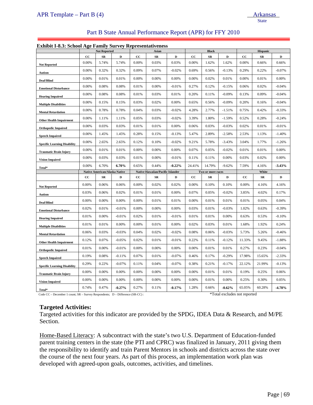| APR Template – Part B $(4)$ | <b>Arkansas</b> |
|-----------------------------|-----------------|
|                             | State           |

#### Part B State Annual Performance Report (APR) for FFY 2010

#### **Exhibit I-8.3: School Age Family Survey Representativeness**

| <b>EXILIDI</b> 1-0.3. SCHOOL Age Failing Survey Representativeness |                               | <b>Not Reported</b> |              |                                         | Asian |             |                   | <b>Black</b> |             |             | Hispanic   |          |
|--------------------------------------------------------------------|-------------------------------|---------------------|--------------|-----------------------------------------|-------|-------------|-------------------|--------------|-------------|-------------|------------|----------|
|                                                                    | cc                            | SR                  | $\mathbf{D}$ | cc                                      | SR    | $\mathbf D$ | cc                | ${\bf SR}$   | $\mathbf D$ | $_{\rm CC}$ | SR         | D        |
| <b>Not Reported</b>                                                | 0.00%                         | 5.74%               | 5.74%        | 0.00%                                   | 0.03% | 0.03%       | 0.00%             | 1.62%        | 1.62%       | 0.00%       | 0.66%      | 0.66%    |
| Autism                                                             | 0.00%                         | 0.32%               | 0.32%        | 0.09%                                   | 0.07% | $-0.02%$    | 0.69%             | 0.56%        | $-0.13%$    | 0.29%       | 0.22%      | $-0.07%$ |
| Deaf/Blind                                                         | 0.00%                         | 0.01%               | 0.01%        | 0.00%                                   | 0.00% | $0.00\%$    | 0.00%             | 0.02%        | 0.01%       | 0.00%       | 0.01%      | 0.00%    |
| <b>Emotional Disturbance</b>                                       | 0.00%                         | 0.08%               | 0.08%        | 0.01%                                   | 0.00% | $-0.01%$    | 0.27%             | 0.12%        | $-0.15%$    | 0.06%       | 0.02%      | $-0.04%$ |
| <b>Hearing Impaired</b>                                            | 0.00%                         | 0.08%               | 0.08%        | 0.01%                                   | 0.03% | 0.01%       | 0.20%             | 0.11%        | $-0.09%$    | 0.13%       | 0.09%      | $-0.04%$ |
| <b>Multiple Disabilities</b>                                       | 0.00%                         | 0.15%               | 0.15%        | 0.03%                                   | 0.02% | 0.00%       | 0.65%             | 0.56%        | $-0.09%$    | 0.20%       | 0.16%      | $-0.04%$ |
| <b>Mental Retardation</b>                                          | 0.00%                         | 0.78%               | 0.78%        | 0.04%                                   | 0.03% | $-0.02%$    | 4.28%             | 2.77%        | $-1.51%$    | 0.75%       | 0.42%      | $-0.33%$ |
| <b>Other Health Impairment</b>                                     | 0.00%                         | 1.11%               | 1.11%        | 0.05%                                   | 0.03% | $-0.02%$    | 3.39%             | 1.80%        | $-1.59%$    | 0.52%       | 0.28%      | $-0.24%$ |
| <b>Orthopedic Impaired</b>                                         | 0.00%                         | 0.03%               | 0.03%        | 0.01%                                   | 0.01% | 0.00%       | 0.06%             | 0.03%        | $-0.03%$    | 0.02%       | 0.01%      | $-0.01%$ |
| <b>Speech Impaired</b>                                             | 0.00%                         | 1.45%               | 1.45%        | 0.28%                                   | 0.15% | $-0.13%$    | 5.47%             | 2.89%        | $-2.58%$    | 2.53%       | 1.13%      | $-1.40%$ |
| <b>Specific Learning Disability</b>                                | 0.00%                         | 2.65%               | 2.65%        | 0.12%                                   | 0.10% | $-0.02%$    | 9.21%             | 5.78%        | $-3.43%$    | 3.04%       | 1.77%      | $-1.26%$ |
| <b>Traumatic Brain Injury</b>                                      | 0.00%                         | 0.01%               | 0.01%        | 0.00%                                   | 0.00% | 0.00%       | 0.07%             | 0.05%        | $-0.02%$    | 0.01%       | 0.01%      | 0.00%    |
| <b>Vision Impaired</b>                                             | 0.00%                         | 0.03%               | 0.03%        | 0.01%                                   | 0.00% | $-0.01%$    | 0.11%             | 0.11%        | 0.00%       | 0.03%       | 0.02%      | 0.00%    |
| Total*                                                             | 0.00%                         | 6.70%               | 6.70%        | 0.65%                                   | 0.44% | $-0.22%$    | 24.41%            | 14.79%       | $-9.62%$    | 7.59%       | 4.16%      | $-3.43%$ |
|                                                                    | Native American/Alaska Native |                     |              | <b>Native Hawaiian/Pacific Islander</b> |       |             | Two or more races |              |             | White       |            |          |
|                                                                    |                               |                     |              |                                         |       |             |                   |              |             |             |            |          |
|                                                                    | cc                            | SR                  | D            | cc                                      | SR    | D           | cc                | SR           | D           | cc          | ${\bf SR}$ | D        |
| <b>Not Reported</b>                                                | 0.00%                         | 0.06%               | 0.06%        | 0.00%                                   | 0.02% | 0.02%       | 0.00%             | 0.10%        | 0.10%       | 0.00%       | 4.16%      | 4.16%    |
| Autism                                                             | 0.03%                         | 0.06%               | 0.02%        | 0.01%                                   | 0.01% | 0.00%       | 0.07%             | 0.05%        | $-0.02%$    | 3.85%       | 4.02%      | 0.17%    |
| Deaf/Blind                                                         | 0.00%                         | 0.00%               | 0.00%        | 0.00%                                   | 0.01% | 0.01%       | 0.00%             | 0.01%        | 0.01%       | 0.01%       | 0.05%      | 0.04%    |
| <b>Emotional Disturbance</b>                                       | 0.02%                         | 0.01%               | $-0.01%$     | 0.00%                                   | 0.00% | 0.00%       | 0.03%             | 0.01%        | $-0.03%$    | 1.02%       | 0.63%      | $-0.39%$ |
| <b>Hearing Impaired</b>                                            | 0.01%                         | 0.00%               | $-0.01%$     | 0.02%                                   | 0.01% | $-0.01%$    | 0.01%             | 0.01%        | 0.00%       | 0.63%       | 0.53%      | $-0.10%$ |
| <b>Multiple Disabilities</b>                                       | 0.01%                         | 0.01%               | 0.00%        | 0.00%                                   | 0.01% | 0.00%       | 0.02%             | 0.03%        | 0.01%       | 1.68%       | 1.92%      | 0.24%    |
| <b>Mental Retardation</b>                                          | 0.06%                         | 0.03%               | $-0.03%$     | 0.04%                                   | 0.02% | $-0.02%$    | 0.08%             | 0.06%        | $-0.03%$    | 5.73%       | 5.26%      | $-0.46%$ |
| <b>Other Health Impairment</b>                                     | 0.12%                         | 0.07%               | $-0.05%$     | 0.02%                                   | 0.01% | $-0.01%$    | 0.22%             | 0.11%        | $-0.12%$    | 11.33%      | 9.45%      | $-1.88%$ |
| <b>Orthopedic Impaired</b>                                         | 0.01%                         | 0.00%               | $-0.01%$     | 0.00%                                   | 0.00% | 0.00%       | 0.00%             | 0.01%        | 0.01%       | 0.27%       | 0.23%      | $-0.04%$ |
| <b>Speech Impaired</b>                                             | 0.19%                         | 0.08%               | $-0.11%$     | 0.07%                                   | 0.01% | $-0.07%$    | 0.46%             | 0.17%        | $-0.29%$    | 17.98%      | 15.65%     | $-2.33%$ |
| <b>Specific Learning Disability</b>                                | 0.29%                         | 0.22%               | $-0.07%$     | 0.11%                                   | 0.04% | $-0.07%$    | 0.38%             | 0.21%        | $-0.17%$    | 22.12%      | 21.99%     | $-0.13%$ |
| <b>Traumatic Brain Injury</b>                                      | 0.00%                         | 0.00%               | 0.00%        | 0.00%                                   | 0.00% | 0.00%       | 0.00%             | 0.01%        | 0.01%       | 0.19%       | 0.25%      | 0.06%    |
| <b>Vision Impaired</b>                                             | 0.00%                         | 0.00%               | 0.00%        | 0.00%                                   | 0.00% | 0.00%       | 0.00%             | 0.01%        | 0.00%       | 0.25%       | 0.30%      | 0.05%    |

Code CC – December 1 count; SR – Survey Respondents; D – Difference (SR-CC) : \*Total excludes not reported

#### **Targeted Activities:**

Targeted activities for this indicator are provided by the SPDG, IDEA Data & Research, and M/PE Section.

Home-Based Literacy: A subcontract with the state's two U.S. Department of Education-funded parent training centers in the state (the PTI and CPRC) was finalized in January, 2011 giving them the responsibility to identify and train Parent Mentors in schools and districts across the state over the course of the next four years. As part of this process, an implementation work plan was developed with agreed-upon goals, outcomes, activities, and timelines.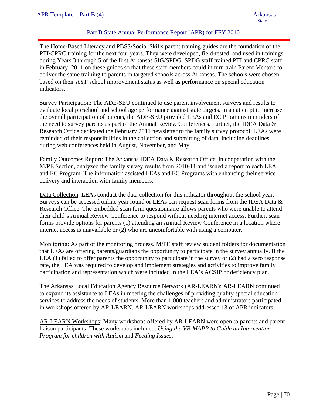# Part B State Annual Performance Report (APR) for FFY 2010

The Home-Based Literacy and PBSS/Social Skills parent training guides are the foundation of the PTI/CPRC training for the next four years. They were developed, field-tested, and used in trainings during Years 3 through 5 of the first Arkansas SIG/SPDG. SPDG staff trained PTI and CPRC staff in February, 2011 on these guides so that these staff members could in turn train Parent Mentors to deliver the same training to parents in targeted schools across Arkansas. The schools were chosen based on their AYP school improvement status as well as performance on special education indicators.

Survey Participation: The ADE-SEU continued to use parent involvement surveys and results to evaluate local preschool and school age performance against state targets. In an attempt to increase the overall participation of parents, the ADE-SEU provided LEAs and EC Programs reminders of the need to survey parents as part of the Annual Review Conferences. Further, the IDEA Data  $\&$ Research Office dedicated the February 2011 newsletter to the family survey protocol. LEAs were reminded of their responsibilities in the collection and submitting of data, including deadlines, during web conferences held in August, November, and May.

Family Outcomes Report: The Arkansas IDEA Data & Research Office, in cooperation with the M/PE Section, analyzed the family survey results from 2010-11 and issued a report to each LEA and EC Program. The information assisted LEAs and EC Programs with enhancing their service delivery and interaction with family members.

Data Collection: LEAs conduct the data collection for this indicator throughout the school year. Surveys can be accessed online year round or LEAs can request scan forms from the IDEA Data & Research Office. The embedded scan form questionnaire allows parents who were unable to attend their child's Annual Review Conference to respond without needing internet access. Further, scan forms provide options for parents (1) attending an Annual Review Conference in a location where internet access is unavailable or (2) who are uncomfortable with using a computer.

Monitoring: As part of the monitoring process, M/PE staff review student folders for documentation that LEAs are offering parents/guardians the opportunity to participate in the survey annually. If the LEA (1) failed to offer parents the opportunity to participate in the survey or (2) had a zero response rate, the LEA was required to develop and implement strategies and activities to improve family participation and representation which were included in the LEA's ACSIP or deficiency plan.

The Arkansas Local Education Agency Resource Network (AR-LEARN): AR-LEARN continued to expand its assistance to LEAs in meeting the challenges of providing quality special education services to address the needs of students. More than 1,000 teachers and administrators participated in workshops offered by AR-LEARN. AR-LEARN workshops addressed 13 of APR indicators.

AR-LEARN Workshops: Many workshops offered by AR-LEARN were open to parents and parent liaison participants. These workshops included: *Using the VB-MAPP to Guide an Intervention Program for children with Autism* and *Feeding Issues*.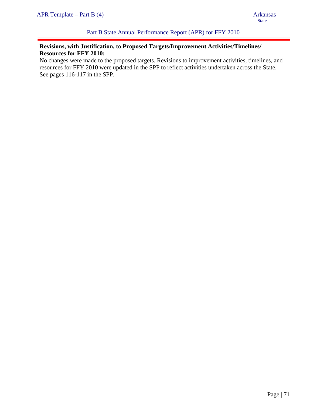# **Revisions, with Justification, to Proposed Targets/Improvement Activities/Timelines/ Resources for FFY 2010:**

No changes were made to the proposed targets. Revisions to improvement activities, timelines, and resources for FFY 2010 were updated in the SPP to reflect activities undertaken across the State. See pages 116-117 in the SPP.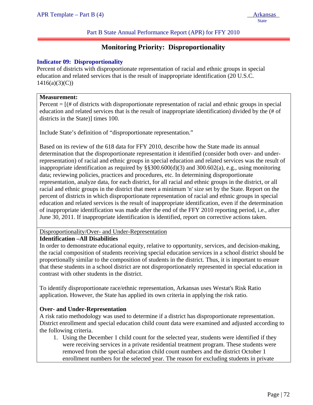Part B State Annual Performance Report (APR) for FFY 2010

# **Monitoring Priority: Disproportionality**

## **Indicator 09: Disproportionality**

Percent of districts with disproportionate representation of racial and ethnic groups in special education and related services that is the result of inappropriate identification (20 U.S.C.  $1416(a)(3)(C)$ 

#### **Measurement:**

ļ

Percent  $=$   $[$   $|$   $\#$  of districts with disproportionate representation of racial and ethnic groups in special education and related services that is the result of inappropriate identification) divided by the (# of districts in the State)] times 100.

Include State's definition of "disproportionate representation."

Based on its review of the 618 data for FFY 2010, describe how the State made its annual determination that the disproportionate representation it identified (consider both over- and underrepresentation) of racial and ethnic groups in special education and related services was the result of inappropriate identification as required by  $\S$ §300.600(d)(3) and 300.602(a), e.g., using monitoring data; reviewing policies, practices and procedures, etc. In determining disproportionate representation, analyze data, for each district, for all racial and ethnic groups in the district, or all racial and ethnic groups in the district that meet a minimum 'n' size set by the State. Report on the percent of districts in which disproportionate representation of racial and ethnic groups in special education and related services is the result of inappropriate identification, even if the determination of inappropriate identification was made after the end of the FFY 2010 reporting period, i.e., after June 30, 2011. If inappropriate identification is identified, report on corrective actions taken.

#### Disproportionality/Over- and Under-Representation

# **Identification –All Disabilities**

In order to demonstrate educational equity, relative to opportunity, services, and decision-making, the racial composition of students receiving special education services in a school district should be proportionally similar to the composition of students in the district. Thus, it is important to ensure that these students in a school district are not disproportionately represented in special education in contrast with other students in the district.

To identify disproportionate race/ethnic representation, Arkansas uses Westat's Risk Ratio application. However, the State has applied its own criteria in applying the risk ratio.

#### **Over- and Under-Representation**

A risk ratio methodology was used to determine if a district has disproportionate representation. District enrollment and special education child count data were examined and adjusted according to the following criteria.

1. Using the December 1 child count for the selected year, students were identified if they were receiving services in a private residential treatment program. These students were removed from the special education child count numbers and the district October 1 enrollment numbers for the selected year. The reason for excluding students in private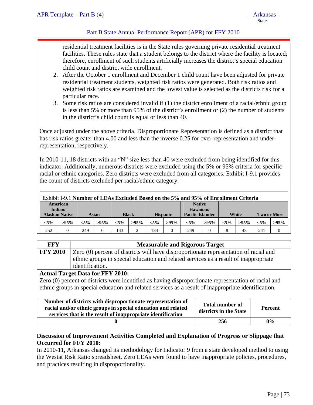# Part B State Annual Performance Report (APR) for FFY 2010

residential treatment facilities is in the State rules governing private residential treatment facilities. These rules state that a student belongs to the district where the facility is located; therefore, enrollment of such students artificially increases the district's special education child count and district wide enrollment.

- 2. After the October 1 enrollment and December 1 child count have been adjusted for private residential treatment students, weighted risk ratios were generated. Both risk ratios and weighted risk ratios are examined and the lowest value is selected as the districts risk for a particular race.
- 3. Some risk ratios are considered invalid if (1) the district enrollment of a racial/ethnic group is less than 5% or more than 95% of the district's enrollment or (2) the number of students in the district's child count is equal or less than 40.

Once adjusted under the above criteria, Disproportionate Representation is defined as a district that has risk ratios greater than 4.00 and less than the inverse 0.25 for over-representation and underrepresentation, respectively.

In 2010-11, 18 districts with an "N" size less than 40 were excluded from being identified for this indicator. Additionally, numerous districts were excluded using the 5% or 95% criteria for specific racial or ethnic categories. Zero districts were excluded from all categories. Exhibit I-9.1 provides the count of districts excluded per racial/ethnic category.

|                     | Exhibit I-9.1 Number of LEAs Excluded Based on the 5% and 95% of Enrollment Criteria |         |         |         |                            |         |                 |         |                         |         |         |         |                    |          |
|---------------------|--------------------------------------------------------------------------------------|---------|---------|---------|----------------------------|---------|-----------------|---------|-------------------------|---------|---------|---------|--------------------|----------|
| American<br>Indian/ |                                                                                      |         |         |         | <b>Native</b><br>Hawaiian/ |         |                 |         |                         |         |         |         |                    |          |
|                     | <b>Alaskan Native</b>                                                                |         | Asian   |         | <b>Black</b>               |         | <b>Hispanic</b> |         | <b>Pacific Islander</b> |         |         | White   | <b>Two or More</b> |          |
|                     | $< 5\%$                                                                              | $>95\%$ | $< 5\%$ | $>95\%$ | $< 5\%$                    | $>95\%$ | $< 5\%$         | $>95\%$ | $< 5\%$                 | $>95\%$ | $< 5\%$ | $>95\%$ | $< 5\%$            | $>95\%$  |
|                     | 252                                                                                  |         | 249     |         | 143                        |         | 184             |         | 249                     |         |         | 48      | 241                | $\Omega$ |

| <b>FFY</b>                                                                                               | <b>Measurable and Rigorous Target</b>                                                                 |  |  |  |  |  |  |  |
|----------------------------------------------------------------------------------------------------------|-------------------------------------------------------------------------------------------------------|--|--|--|--|--|--|--|
| <b>FFY 2010</b>                                                                                          | Zero (0) percent of districts will have disproportionate representation of racial and                 |  |  |  |  |  |  |  |
|                                                                                                          | ethnic groups in special education and related services as a result of inappropriate                  |  |  |  |  |  |  |  |
|                                                                                                          | identification.                                                                                       |  |  |  |  |  |  |  |
|                                                                                                          | <b>Actual Target Data for FFY 2010:</b>                                                               |  |  |  |  |  |  |  |
|                                                                                                          | Zero (0) percent of districts were identified as having disproportionate representation of racial and |  |  |  |  |  |  |  |
|                                                                                                          | ethnic groups in special education and related services as a result of inappropriate identification.  |  |  |  |  |  |  |  |
|                                                                                                          |                                                                                                       |  |  |  |  |  |  |  |
|                                                                                                          | Number of districts with disproportionate representation of<br><b>Total number of</b>                 |  |  |  |  |  |  |  |
| racial and/or ethnic groups in special education and related<br><b>Percent</b><br>districts in the State |                                                                                                       |  |  |  |  |  |  |  |
| services that is the result of inappropriate identification                                              |                                                                                                       |  |  |  |  |  |  |  |
| 256<br>$0\%$                                                                                             |                                                                                                       |  |  |  |  |  |  |  |

# **Discussion of Improvement Activities Completed and Explanation of Progress or Slippage that Occurred for FFY 2010:**

In 2010-11, Arkansas changed its methodology for Indicator 9 from a state developed method to using the Westat Risk Ratio spreadsheet. Zero LEAs were found to have inappropriate policies, procedures, and practices resulting in disproportionality.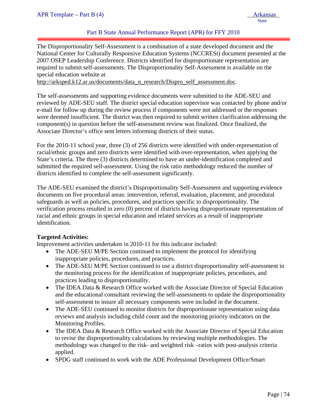# Part B State Annual Performance Report (APR) for FFY 2010

The Disproportionality Self-Assessment is a combination of a state developed document and the National Center for Culturally Responsive Education Systems (NCCRESt) document presented at the 2007 OSEP Leadership Conference. Districts identified for disproportionate representation are required to submit self-assessments. The Disproportionality Self-Assessment is available on the special education website at

http://arksped.k12.ar.us/documents/data\_n\_research/Dispro\_self\_assessment.doc.

The self-assessments and supporting evidence documents were submitted to the ADE-SEU and reviewed by ADE-SEU staff. The district special education supervisor was contacted by phone and/or e-mail for follow up during the review process if components were not addressed or the responses were deemed insufficient. The district was then required to submit written clarification addressing the component(s) in question before the self-assessment review was finalized. Once finalized, the Associate Director's office sent letters informing districts of their status.

For the 2010-11 school year, three (3) of 256 districts were identified with under-representation of racial/ethnic groups and zero districts were identified with over-representation, when applying the State's criteria. The three (3) districts determined to have an under-identification completed and submitted the required self-assessment. Using the risk ratio methodology reduced the number of districts identified to complete the self-assessment significantly.

The ADE-SEU examined the district's Disproportionality Self-Assessment and supporting evidence documents on five procedural areas: intervention, referral, evaluation, placement, and procedural safeguards as well as policies, procedures, and practices specific to disproportionality. The verification process resulted in zero (0) percent of districts having disproportionate representation of racial and ethnic groups in special education and related services as a result of inappropriate identification.

#### **Targeted Activities:**

Improvement activities undertaken in 2010-11 for this indicator included:

- The ADE-SEU M/PE Section continued to implement the protocol for identifying inappropriate policies, procedures, and practices.
- The ADE-SEU M/PE Section continued to use a district disproportionality self-assessment in the monitoring process for the identification of inappropriate policies, procedures, and practices leading to disproportionality.
- The IDEA Data & Research Office worked with the Associate Director of Special Education and the educational consultant reviewing the self-assessments to update the disproportionality self-assessment to insure all necessary components were included in the document.
- The ADE-SEU continued to monitor districts for disproportionate representation using data reviews and analysis including child count and the monitoring priority indicators on the Monitoring Profiles.
- The IDEA Data & Research Office worked with the Associate Director of Special Education to revise the disproportionality calculations by reviewing multiple methodologies. The methodology was changed to the risk- and weighted risk –ratios with post-analysis criteria applied.
- SPDG staff continued to work with the ADE Professional Development Office/Smart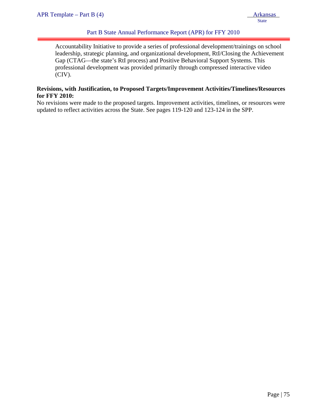# Part B State Annual Performance Report (APR) for FFY 2010

Accountability Initiative to provide a series of professional development/trainings on school leadership, strategic planning, and organizational development, RtI/Closing the Achievement Gap (CTAG—the state's RtI process) and Positive Behavioral Support Systems. This professional development was provided primarily through compressed interactive video (CIV).

#### **Revisions, with Justification, to Proposed Targets/Improvement Activities/Timelines/Resources for FFY 2010:**

No revisions were made to the proposed targets. Improvement activities, timelines, or resources were updated to reflect activities across the State. See pages 119-120 and 123-124 in the SPP.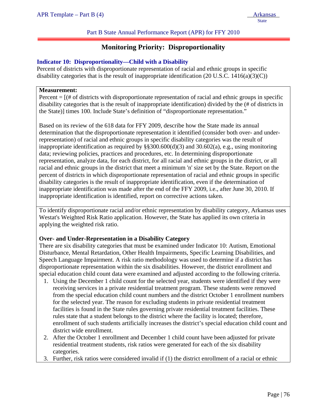Part B State Annual Performance Report (APR) for FFY 2010

# **Monitoring Priority: Disproportionality**

#### **Indicator 10: Disproportionality—Child with a Disability**

Percent of districts with disproportionate representation of racial and ethnic groups in specific disability categories that is the result of inappropriate identification  $(20 \text{ U.S.C. } 1416(a)(3)(C))$ 

#### **Measurement:**

ļ

Percent  $=$   $[$   $|$   $\#$  of districts with disproportionate representation of racial and ethnic groups in specific disability categories that is the result of inappropriate identification) divided by the (# of districts in the State)] times 100. Include State's definition of "disproportionate representation."

Based on its review of the 618 data for FFY 2009, describe how the State made its annual determination that the disproportionate representation it identified (consider both over- and underrepresentation) of racial and ethnic groups in specific disability categories was the result of inappropriate identification as required by  $\S$ §300.600(d)(3) and 30.602(a), e.g., using monitoring data; reviewing policies, practices and procedures, etc. In determining disproportionate representation, analyze data, for each district, for all racial and ethnic groups in the district, or all racial and ethnic groups in the district that meet a minimum 'n' size set by the State. Report on the percent of districts in which disproportionate representation of racial and ethnic groups in specific disability categories is the result of inappropriate identification, even if the determination of inappropriate identification was made after the end of the FFY 2009, i.e., after June 30, 2010. If inappropriate identification is identified, report on corrective actions taken.

To identify disproportionate racial and/or ethnic representation by disability category, Arkansas uses Westat's Weighted Risk Ratio application. However, the State has applied its own criteria in applying the weighted risk ratio.

#### **Over- and Under-Representation in a Disability Category**

There are six disability categories that must be examined under Indicator 10: Autism, Emotional Disturbance, Mental Retardation, Other Health Impairments, Specific Learning Disabilities, and Speech Language Impairment. A risk ratio methodology was used to determine if a district has disproportionate representation within the six disabilities. However, the district enrollment and special education child count data were examined and adjusted according to the following criteria.

- 1. Using the December 1 child count for the selected year, students were identified if they were receiving services in a private residential treatment program. These students were removed from the special education child count numbers and the district October 1 enrollment numbers for the selected year. The reason for excluding students in private residential treatment facilities is found in the State rules governing private residential treatment facilities. These rules state that a student belongs to the district where the facility is located; therefore, enrollment of such students artificially increases the district's special education child count and district wide enrollment.
- 2. After the October 1 enrollment and December 1 child count have been adjusted for private residential treatment students, risk ratios were generated for each of the six disability categories.
- 3. Further, risk ratios were considered invalid if (1) the district enrollment of a racial or ethnic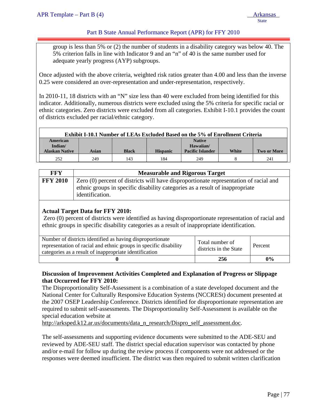# Part B State Annual Performance Report (APR) for FFY 2010

group is less than 5% or (2) the number of students in a disability category was below 40. The 5% criterion falls in line with Indicator 9 and an "n" of 40 is the same number used for adequate yearly progress (AYP) subgroups.

Once adjusted with the above criteria, weighted risk ratios greater than 4.00 and less than the inverse 0.25 were considered an over-representation and under-representation, respectively.

In 2010-11, 18 districts with an "N" size less than 40 were excluded from being identified for this indicator. Additionally, numerous districts were excluded using the 5% criteria for specific racial or ethnic categories. Zero districts were excluded from all categories. Exhibit I-10.1 provides the count of districts excluded per racial/ethnic category.

| <b>Exhibit I-10.1 Number of LEAs Excluded Based on the 5% of Enrollment Criteria</b> |       |              |                 |                         |       |                    |  |
|--------------------------------------------------------------------------------------|-------|--------------|-----------------|-------------------------|-------|--------------------|--|
| American                                                                             |       |              |                 | <b>Native</b>           |       |                    |  |
| Indian/                                                                              |       |              |                 | Hawaiian/               |       |                    |  |
| <b>Alaskan Native</b>                                                                | Asian | <b>Black</b> | <b>Hispanic</b> | <b>Pacific Islander</b> | White | <b>Two or More</b> |  |
| 252                                                                                  | 249   | 143          | 184             | 249                     |       | 241                |  |

| FFY                                                                                                      | <b>Measurable and Rigorous Target</b>                                                           |  |  |  |  |  |
|----------------------------------------------------------------------------------------------------------|-------------------------------------------------------------------------------------------------|--|--|--|--|--|
| <b>FFY 2010</b><br>Zero (0) percent of districts will have disproportionate representation of racial and |                                                                                                 |  |  |  |  |  |
|                                                                                                          | ethnic groups in specific disability categories as a result of inappropriate<br>identification. |  |  |  |  |  |

#### **Actual Target Data for FFY 2010:**

Zero (0) percent of districts were identified as having disproportionate representation of racial and ethnic groups in specific disability categories as a result of inappropriate identification.

| Number of districts identified as having disproportionate<br>representation of racial and ethnic groups in specific disability<br>categories as a result of inappropriate identification | Total number of<br>districts in the State | Percent |
|------------------------------------------------------------------------------------------------------------------------------------------------------------------------------------------|-------------------------------------------|---------|
|                                                                                                                                                                                          | 256                                       | $0\%$   |

#### **Discussion of Improvement Activities Completed and Explanation of Progress or Slippage that Occurred for FFY 2010:**

The Disproportionality Self-Assessment is a combination of a state developed document and the National Center for Culturally Responsive Education Systems (NCCRESt) document presented at the 2007 OSEP Leadership Conference. Districts identified for disproportionate representation are required to submit self-assessments. The Disproportionality Self-Assessment is available on the special education website at

http://arksped.k12.ar.us/documents/data\_n\_research/Dispro\_self\_assessment.doc.

The self-assessments and supporting evidence documents were submitted to the ADE-SEU and reviewed by ADE-SEU staff. The district special education supervisor was contacted by phone and/or e-mail for follow up during the review process if components were not addressed or the responses were deemed insufficient. The district was then required to submit written clarification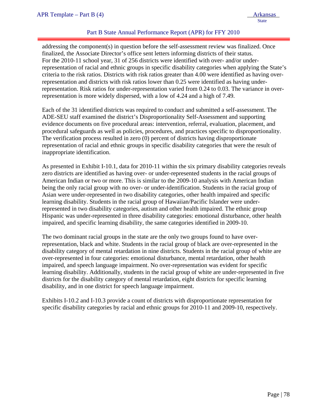# Part B State Annual Performance Report (APR) for FFY 2010

addressing the component(s) in question before the self-assessment review was finalized. Once finalized, the Associate Director's office sent letters informing districts of their status. For the 2010-11 school year, 31 of 256 districts were identified with over- and/or underrepresentation of racial and ethnic groups in specific disability categories when applying the State's criteria to the risk ratios. Districts with risk ratios greater than 4.00 were identified as having overrepresentation and districts with risk ratios lower than 0.25 were identified as having underrepresentation. Risk ratios for under-representation varied from 0.24 to 0.03. The variance in overrepresentation is more widely dispersed, with a low of 4.24 and a high of 7.49.

Each of the 31 identified districts was required to conduct and submitted a self-assessment. The ADE-SEU staff examined the district's Disproportionality Self-Assessment and supporting evidence documents on five procedural areas: intervention, referral, evaluation, placement, and procedural safeguards as well as policies, procedures, and practices specific to disproportionality. The verification process resulted in zero (0) percent of districts having disproportionate representation of racial and ethnic groups in specific disability categories that were the result of inappropriate identification.

As presented in Exhibit I-10.1, data for 2010-11 within the six primary disability categories reveals zero districts are identified as having over- or under-represented students in the racial groups of American Indian or two or more. This is similar to the 2009-10 analysis with American Indian being the only racial group with no over- or under-identification. Students in the racial group of Asian were under-represented in two disability categories, other health impaired and specific learning disability. Students in the racial group of Hawaiian/Pacific Islander were underrepresented in two disability categories, autism and other health impaired. The ethnic group Hispanic was under-represented in three disability categories: emotional disturbance, other health impaired, and specific learning disability, the same categories identified in 2009-10.

The two dominant racial groups in the state are the only two groups found to have overrepresentation, black and white. Students in the racial group of black are over-represented in the disability category of mental retardation in nine districts. Students in the racial group of white are over-represented in four categories: emotional disturbance, mental retardation, other health impaired, and speech language impairment. No over-representation was evident for specific learning disability. Additionally, students in the racial group of white are under-represented in five districts for the disability category of mental retardation, eight districts for specific learning disability, and in one district for speech language impairment.

Exhibits I-10.2 and I-10.3 provide a count of districts with disproportionate representation for specific disability categories by racial and ethnic groups for 2010-11 and 2009-10, respectively.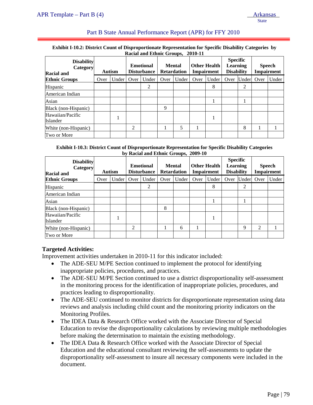# Part B State Annual Performance Report (APR) for FFY 2010

#### **Exhibit I-10.2: District Count of Disproportionate Representation for Specific Disability Categories by Racial and Ethnic Groups, 2010-11**

|                                             |      |               |      | Kacial and Ethnic Groups, 2010-11      |      |                                     |      |                                          |                                                         |       |      |                                    |
|---------------------------------------------|------|---------------|------|----------------------------------------|------|-------------------------------------|------|------------------------------------------|---------------------------------------------------------|-------|------|------------------------------------|
| <b>Disability</b><br>Category<br>Racial and |      | <b>Autism</b> |      | <b>Emotional</b><br><b>Disturbance</b> |      | <b>Mental</b><br><b>Retardation</b> |      | <b>Other Health</b><br><b>Impairment</b> | <b>Specific</b><br><b>Learning</b><br><b>Disability</b> |       |      | <b>Speech</b><br><b>Impairment</b> |
| <b>Ethnic Groups</b>                        | Over | Under         | Over | Under                                  | Over | Under                               | Over | Under                                    | Over                                                    | Under | Over | Under                              |
| <b>Hispanic</b>                             |      |               |      | 2                                      |      |                                     |      | 8                                        |                                                         | 2     |      |                                    |
| American Indian                             |      |               |      |                                        |      |                                     |      |                                          |                                                         |       |      |                                    |
| Asian                                       |      |               |      |                                        |      |                                     |      |                                          |                                                         |       |      |                                    |
| Black (non-Hispanic)                        |      |               |      |                                        | 9    |                                     |      |                                          |                                                         |       |      |                                    |
| Hawaiian/Pacific<br>Islander                |      |               |      |                                        |      |                                     |      |                                          |                                                         |       |      |                                    |
| White (non-Hispanic)                        |      |               | 2    |                                        |      | 5                                   |      |                                          |                                                         | 8     |      |                                    |
| Two or More                                 |      |               |      |                                        |      |                                     |      |                                          |                                                         |       |      |                                    |

#### **Exhibit I-10.3: District Count of Disproportionate Representation for Specific Disability Categories by Racial and Ethnic Groups, 2009-10**

| <b>Disability</b><br>Category<br><b>Racial and</b> |      | <b>Autism</b> |      | <b>Emotional</b><br><b>Disturbance</b> |      | <b>Mental</b><br><b>Retardation</b> |      | <b>Other Health</b><br><b>Impairment</b> | <b>Specific</b><br><b>Learning</b><br><b>Disability</b> |       |      | <b>Speech</b><br><b>Impairment</b> |
|----------------------------------------------------|------|---------------|------|----------------------------------------|------|-------------------------------------|------|------------------------------------------|---------------------------------------------------------|-------|------|------------------------------------|
| <b>Ethnic Groups</b>                               | Over | Under         | Over | Under                                  | Over | Under                               | Over | Under                                    | Over                                                    | Under | Over | Under                              |
| Hispanic                                           |      |               |      | 2                                      |      |                                     |      | 8                                        |                                                         | 2     |      |                                    |
| American Indian                                    |      |               |      |                                        |      |                                     |      |                                          |                                                         |       |      |                                    |
| Asian                                              |      |               |      |                                        |      |                                     |      |                                          |                                                         |       |      |                                    |
| Black (non-Hispanic)                               |      |               |      |                                        | 8    |                                     |      |                                          |                                                         |       |      |                                    |
| Hawaiian/Pacific<br>Islander                       |      |               |      |                                        |      |                                     |      |                                          |                                                         |       |      |                                    |
| White (non-Hispanic)                               |      |               | 2    |                                        |      | 6                                   |      |                                          |                                                         | 9     | 2    |                                    |
| Two or More                                        |      |               |      |                                        |      |                                     |      |                                          |                                                         |       |      |                                    |

#### **Targeted Activities:**

Improvement activities undertaken in 2010-11 for this indicator included:

- The ADE-SEU M/PE Section continued to implement the protocol for identifying inappropriate policies, procedures, and practices.
- The ADE-SEU M/PE Section continued to use a district disproportionality self-assessment in the monitoring process for the identification of inappropriate policies, procedures, and practices leading to disproportionality.
- The ADE-SEU continued to monitor districts for disproportionate representation using data reviews and analysis including child count and the monitoring priority indicators on the Monitoring Profiles.
- The IDEA Data & Research Office worked with the Associate Director of Special Education to revise the disproportionality calculations by reviewing multiple methodologies before making the determination to maintain the existing methodology.
- The IDEA Data & Research Office worked with the Associate Director of Special Education and the educational consultant reviewing the self-assessments to update the disproportionality self-assessment to insure all necessary components were included in the document.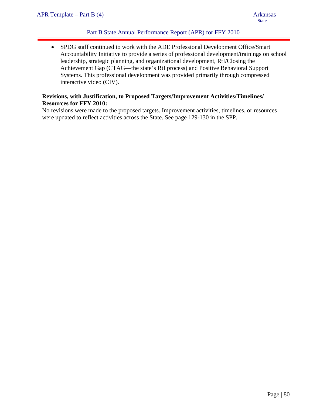# Part B State Annual Performance Report (APR) for FFY 2010

• SPDG staff continued to work with the ADE Professional Development Office/Smart Accountability Initiative to provide a series of professional development/trainings on school leadership, strategic planning, and organizational development, RtI/Closing the Achievement Gap (CTAG—the state's RtI process) and Positive Behavioral Support Systems. This professional development was provided primarily through compressed interactive video (CIV).

# **Revisions, with Justification, to Proposed Targets/Improvement Activities/Timelines/ Resources for FFY 2010:**

No revisions were made to the proposed targets. Improvement activities, timelines, or resources were updated to reflect activities across the State. See page 129-130 in the SPP.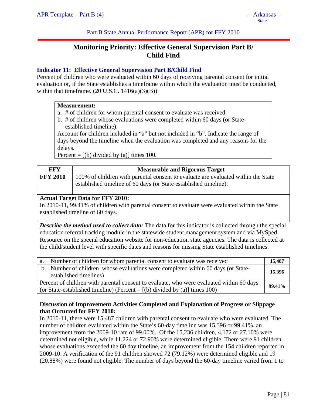Part B State Annual Performance Report (APR) for FFY 2010

# **Monitoring Priority: Effective General Supervision Part B/ Child Find**

# **Indicator 11: Effective General Supervision Part B/Child Find**

Percent of children who were evaluated within 60 days of receiving parental consent for initial evaluation or, if the State establishes a timeframe within which the evaluation must be conducted, within that timeframe.  $(20 U.S.C. 1416(a)(3)(B))$ 

#### **Measurement:**

- a. # of children for whom parental consent to evaluate was received.
- b. # of children whose evaluations were completed within 60 days (or Stateestablished timeline).

Account for children included in "a" but not included in "b". Indicate the range of days beyond the timeline when the evaluation was completed and any reasons for the delays.

Percent =  $[(b)$  divided by (a)] times 100.

| FFY             | <b>Measurable and Rigorous Target</b>                                                                                                                 |
|-----------------|-------------------------------------------------------------------------------------------------------------------------------------------------------|
| <b>FFY 2010</b> | 100% of children with parental consent to evaluate are evaluated within the State<br>established timeline of 60 days (or State established timeline). |

# **Actual Target Data for FFY 2010:**

In 2010-11, 99.41% of children with parental consent to evaluate were evaluated within the State established timeline of 60 days.

*Describe the method used to collect data:* The data for this indicator is collected through the special education referral tracking module in the statewide student management system and via MySped Resource on the special education website for non-education state agencies. The data is collected at the child/student level with specific dates and reasons for missing State established timelines.

|                                                                                                                                                                          | a. Number of children for whom parental consent to evaluate was received                                   | 15.487 |  |  |  |
|--------------------------------------------------------------------------------------------------------------------------------------------------------------------------|------------------------------------------------------------------------------------------------------------|--------|--|--|--|
|                                                                                                                                                                          | b. Number of children whose evaluations were completed within 60 days (or State-<br>established timelines) | 15,396 |  |  |  |
| Percent of children with parental consent to evaluate, who were evaluated within 60 days<br>(or State-established timeline) (Percent = $[(b)$ divided by (a)] times 100) |                                                                                                            |        |  |  |  |

# **Discussion of Improvement Activities Completed and Explanation of Progress or Slippage that Occurred for FFY 2010:**

In 2010-11, there were 15,487 children with parental consent to evaluate who were evaluated. The number of children evaluated within the State's 60-day timeline was 15,396 or 99.41%, an improvement from the 2009-10 rate of 99.00%. Of the 15,236 children, 4,172 or 27.10% were determined not eligible, while 11,224 or 72.90% were determined eligible. There were 91 children whose evaluations exceeded the 60 day timeline, an improvement from the 154 children reported in 2009-10. A verification of the 91 children showed 72 (79.12%) were determined eligible and 19 (20.88%) were found not eligible. The number of days beyond the 60-day timeline varied from 1 to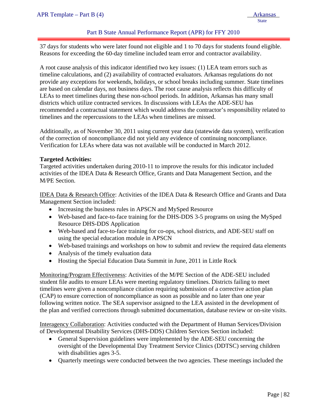#### Part B State Annual Performance Report (APR) for FFY 2010

37 days for students who were later found not eligible and 1 to 70 days for students found eligible. Reasons for exceeding the 60-day timeline included team error and contractor availability.

A root cause analysis of this indicator identified two key issues: (1) LEA team errors such as timeline calculations, and (2) availability of contracted evaluators. Arkansas regulations do not provide any exceptions for weekends, holidays, or school breaks including summer. State timelines are based on calendar days, not business days. The root cause analysis reflects this difficulty of LEAs to meet timelines during these non-school periods. In addition, Arkansas has many small districts which utilize contracted services. In discussions with LEAs the ADE-SEU has recommended a contractual statement which would address the contractor's responsibility related to timelines and the repercussions to the LEAs when timelines are missed.

Additionally, as of November 30, 2011 using current year data (statewide data system), verification of the correction of noncompliance did not yield any evidence of continuing noncompliance. Verification for LEAs where data was not available will be conducted in March 2012.

#### **Targeted Activities:**

Targeted activities undertaken during 2010-11 to improve the results for this indicator included activities of the IDEA Data & Research Office, Grants and Data Management Section, and the M/PE Section.

IDEA Data & Research Office: Activities of the IDEA Data & Research Office and Grants and Data Management Section included:

- Increasing the business rules in APSCN and MySped Resource
- Web-based and face-to-face training for the DHS-DDS 3-5 programs on using the MySped Resource DHS-DDS Application
- Web-based and face-to-face training for co-ops, school districts, and ADE-SEU staff on using the special education module in APSCN
- Web-based trainings and workshops on how to submit and review the required data elements
- Analysis of the timely evaluation data
- Hosting the Special Education Data Summit in June, 2011 in Little Rock

Monitoring/Program Effectiveness: Activities of the M/PE Section of the ADE-SEU included student file audits to ensure LEAs were meeting regulatory timelines. Districts failing to meet timelines were given a noncompliance citation requiring submission of a corrective action plan (CAP) to ensure correction of noncompliance as soon as possible and no later than one year following written notice. The SEA supervisor assigned to the LEA assisted in the development of the plan and verified corrections through submitted documentation, database review or on-site visits.

Interagency Collaboration: Activities conducted with the Department of Human Services/Division of Developmental Disability Services (DHS-DDS) Children Services Section included:

- General Supervision guidelines were implemented by the ADE-SEU concerning the oversight of the Developmental Day Treatment Service Clinics (DDTSC) serving children with disabilities ages 3-5.
- Quarterly meetings were conducted between the two agencies. These meetings included the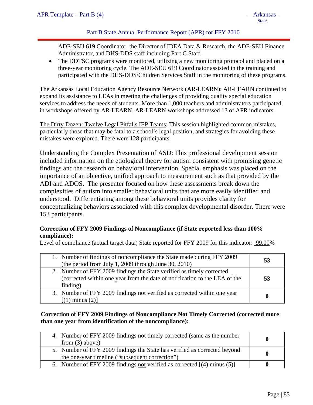# Part B State Annual Performance Report (APR) for FFY 2010

ADE-SEU 619 Coordinator, the Director of IDEA Data & Research, the ADE-SEU Finance Administrator, and DHS-DDS staff including Part C Staff.

The DDTSC programs were monitored, utilizing a new monitoring protocol and placed on a three-year monitoring cycle. The ADE-SEU 619 Coordinator assisted in the training and participated with the DHS-DDS/Children Services Staff in the monitoring of these programs.

The Arkansas Local Education Agency Resource Network (AR-LEARN): AR-LEARN continued to expand its assistance to LEAs in meeting the challenges of providing quality special education services to address the needs of students. More than 1,000 teachers and administrators participated in workshops offered by AR-LEARN. AR-LEARN workshops addressed 13 of APR indicators.

The Dirty Dozen: Twelve Legal Pitfalls IEP Teams: This session highlighted common mistakes, particularly those that may be fatal to a school's legal position, and strategies for avoiding these mistakes were explored. There were 128 participants.

Understanding the Complex Presentation of ASD: This professional development session included information on the etiological theory for autism consistent with promising genetic findings and the research on behavioral intervention. Special emphasis was placed on the importance of an objective, unified approach to measurement such as that provided by the ADI and ADOS. The presenter focused on how these assessments break down the complexities of autism into smaller behavioral units that are more easily identified and understood. Differentiating among these behavioral units provides clarity for conceptualizing behaviors associated with this complex developmental disorder. There were 153 participants.

# **Correction of FFY 2009 Findings of Noncompliance (if State reported less than 100% compliance):**

Level of compliance (actual target data) State reported for FFY 2009 for this indicator: 99.00%

| 1. Number of findings of noncompliance the State made during FFY 2009<br>(the period from July 1, 2009 through June 30, 2010)                                   | 53 |
|-----------------------------------------------------------------------------------------------------------------------------------------------------------------|----|
| 2. Number of FFY 2009 findings the State verified as timely corrected<br>(corrected within one year from the date of notification to the LEA of the<br>finding) | 53 |
| 3. Number of FFY 2009 findings not verified as corrected within one year<br>$[(1)$ minus $(2)]$                                                                 | 0  |

#### **Correction of FFY 2009 Findings of Noncompliance Not Timely Corrected (corrected more than one year from identification of the noncompliance):**

| 4. Number of FFY 2009 findings not timely corrected (same as the number<br>from $(3)$ above)                                 |  |
|------------------------------------------------------------------------------------------------------------------------------|--|
| 5. Number of FFY 2009 findings the State has verified as corrected beyond<br>the one-year timeline ("subsequent correction") |  |
| 6. Number of FFY 2009 findings <u>not</u> verified as corrected $[(4)$ minus (5)                                             |  |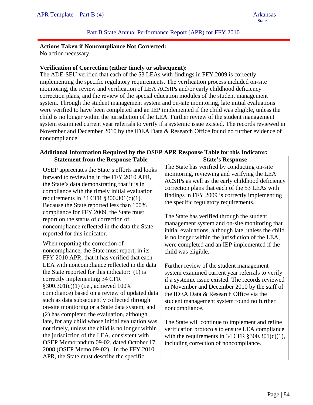#### **Actions Taken if Noncompliance Not Corrected:**

No action necessary

ļ

#### **Verification of Correction (either timely or subsequent):**

The ADE-SEU verified that each of the 53 LEAs with findings in FFY 2009 is correctly implementing the specific regulatory requirements. The verification process included on-site monitoring, the review and verification of LEA ACSIPs and/or early childhood deficiency correction plans, and the review of the special education modules of the student management system. Through the student management system and on-site monitoring, late initial evaluations were verified to have been completed and an IEP implemented if the child was eligible, unless the child is no longer within the jurisdiction of the LEA. Further review of the student management system examined current year referrals to verify if a systemic issue existed. The records reviewed in November and December 2010 by the IDEA Data & Research Office found no further evidence of noncompliance.

| <b>Statement from the Response Table</b>                                                                                                                                                                                                                                                                                                                                                                                                                                                                                                          | <b>State's Response</b>                                                                                                                                                                                                                                                                                                                                                                                                                                                                                                                                                        |
|---------------------------------------------------------------------------------------------------------------------------------------------------------------------------------------------------------------------------------------------------------------------------------------------------------------------------------------------------------------------------------------------------------------------------------------------------------------------------------------------------------------------------------------------------|--------------------------------------------------------------------------------------------------------------------------------------------------------------------------------------------------------------------------------------------------------------------------------------------------------------------------------------------------------------------------------------------------------------------------------------------------------------------------------------------------------------------------------------------------------------------------------|
| OSEP appreciates the State's efforts and looks<br>forward to reviewing in the FFY 2010 APR,<br>the State's data demonstrating that it is in<br>compliance with the timely initial evaluation<br>requirements in 34 CFR $\S 300.301(c)(1)$ .<br>Because the State reported less than 100%<br>compliance for FFY 2009, the State must<br>report on the status of correction of<br>noncompliance reflected in the data the State<br>reported for this indicator.<br>When reporting the correction of<br>noncompliance, the State must report, in its | The State has verified by conducting on-site<br>monitoring, reviewing and verifying the LEA<br>ACSIPs as well as the early childhood deficiency<br>correction plans that each of the 53 LEAs with<br>findings in FFY 2009 is correctly implementing<br>the specific regulatory requirements.<br>The State has verified through the student<br>management system and on-site monitoring that<br>initial evaluations, although late, unless the child<br>is no longer within the jurisdiction of the LEA,<br>were completed and an IEP implemented if the<br>child was eligible. |
| FFY 2010 APR, that it has verified that each<br>LEA with noncompliance reflected in the data<br>the State reported for this indicator: (1) is<br>correctly implementing 34 CFR<br>§300.301(c)(1) (i.e., achieved 100%<br>compliance) based on a review of updated data<br>such as data subsequently collected through<br>on-site monitoring or a State data system; and<br>(2) has completed the evaluation, although<br>late, for any child whose initial evaluation was                                                                         | Further review of the student management<br>system examined current year referrals to verify<br>if a systemic issue existed. The records reviewed<br>in November and December 2010 by the staff of<br>the IDEA Data & Research Office via the<br>student management system found no further<br>noncompliance.                                                                                                                                                                                                                                                                  |
| not timely, unless the child is no longer within<br>the jurisdiction of the LEA, consistent with<br>OSEP Memorandum 09-02, dated October 17,<br>2008 (OSEP Memo 09-02). In the FFY 2010<br>APR, the State must describe the specific                                                                                                                                                                                                                                                                                                              | The State will continue to implement and refine<br>verification protocols to ensure LEA compliance<br>with the requirements in 34 CFR $\S 300.301(c)(1)$ ,<br>including correction of noncompliance.                                                                                                                                                                                                                                                                                                                                                                           |

#### **Additional Information Required by the OSEP APR Response Table for this Indicator:**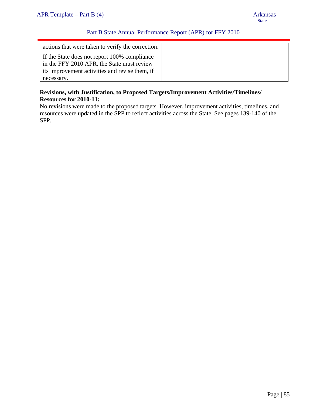necessary.

# Part B State Annual Performance Report (APR) for FFY 2010

| actions that were taken to verify the correction. |  |
|---------------------------------------------------|--|
|                                                   |  |
| If the State does not report 100% compliance      |  |
| in the FFY 2010 APR, the State must review        |  |
| its improvement activities and revise them, if    |  |

**Revisions, with Justification, to Proposed Targets/Improvement Activities/Timelines/ Resources for 2010-11:** 

No revisions were made to the proposed targets. However, improvement activities, timelines, and resources were updated in the SPP to reflect activities across the State. See pages 139-140 of the SPP.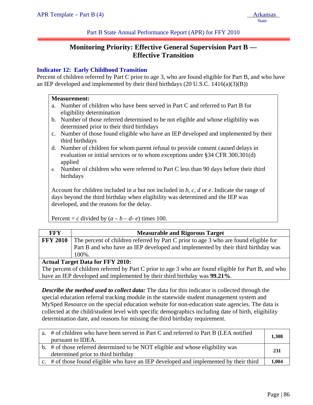Part B State Annual Performance Report (APR) for FFY 2010

# **Monitoring Priority: Effective General Supervision Part B — Effective Transition**

# **Indicator 12: Early Childhood Transition**

Percent of children referred by Part C prior to age 3, who are found eligible for Part B, and who have an IEP developed and implemented by their third birthdays (20 U.S.C. 1416(a)(3)(B))

#### **Measurement:**

- a. Number of children who have been served in Part C and referred to Part B for eligibility determination
- b. Number of those referred determined to be not eligible and whose eligibility was determined prior to their third birthdays
- c. Number of those found eligible who have an IEP developed and implemented by their third birthdays
- d. Number of children for whom parent refusal to provide consent caused delays in evaluation or initial services or to whom exceptions under §34 CFR 300.301(d) applied
- e. Number of children who were referred to Part C less than 90 days before their third birthdays

Account for children included in *a* but not included in *b*, *c, d* or *e*. Indicate the range of days beyond the third birthday when eligibility was determined and the IEP was developed, and the reasons for the delay.

Percent = *c* divided by  $(a - b - d - e)$  times 100.

| FFY                                     | <b>Measurable and Rigorous Target</b>                                                |  |  |
|-----------------------------------------|--------------------------------------------------------------------------------------|--|--|
| <b>FFY 2010</b>                         | The percent of children referred by Part C prior to age 3 who are found eligible for |  |  |
|                                         | Part B and who have an IEP developed and implemented by their third birthday was     |  |  |
|                                         | 100%.                                                                                |  |  |
| <b>Actual Target Data for FFY 2010:</b> |                                                                                      |  |  |
|                                         |                                                                                      |  |  |

The percent of children referred by Part C prior to age 3 who are found eligible for Part B, and who have an IEP developed and implemented by their third birthday was **99.21%**.

*Describe the method used to collect data:* The data for this indicator is collected through the special education referral tracking module in the statewide student management system and MySped Resource on the special education website for non-education state agencies. The data is collected at the child/student level with specific demographics including date of birth, eligibility determination date, and reasons for missing the third birthday requirement.

| a. # of children who have been served in Part C and referred to Part B (LEA notified  | 1,308 |
|---------------------------------------------------------------------------------------|-------|
| pursuant to IDEA.                                                                     |       |
| b. # of those referred determined to be NOT eligible and whose eligibility was        | 231   |
| determined prior to third birthday                                                    |       |
| c. # of those found eligible who have an IEP developed and implemented by their third | 1.004 |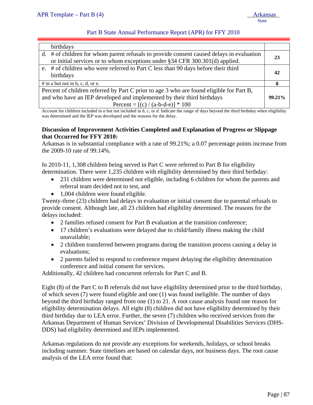#### Part B State Annual Performance Report (APR) for FFY 2010

| birthdays                                                                                                                                                                                                 |        |
|-----------------------------------------------------------------------------------------------------------------------------------------------------------------------------------------------------------|--------|
| d. # of children for whom parent refusals to provide consent caused delays in evaluation<br>or initial services or to whom exceptions under §34 CFR 300.301(d) applied.                                   | 23     |
| e. # of children who were referred to Part C less than 90 days before their third<br>birthdays                                                                                                            | 42     |
| $#$ in a but not in b, c, d, or e.                                                                                                                                                                        | х      |
| Percent of children referred by Part C prior to age 3 who are found eligible for Part B,<br>and who have an IEP developed and implemented by their third birthdays<br>Percent = $[(c) / (a-b-d-e)] * 100$ | 99.21% |

Account for children included in *a* but not included in *b*, *c,* or *d*. Indicate the range of days beyond the third birthday when eligibility was determined and the IEP was developed and the reasons for the delay.

#### **Discussion of Improvement Activities Completed and Explanation of Progress or Slippage that Occurred for FFY 2010:**

Arkansas is in substantial compliance with a rate of 99.21%; a 0.07 percentage points increase from the 2009-10 rate of 99.14%.

In 2010-11, 1,308 children being served in Part C were referred to Part B for eligibility determination. There were 1,235 children with eligibility determined by their third birthday:

- 231 children were determined not eligible, including 6 children for whom the parents and referral team decided not to test, and
- 1,004 children were found eligible.

Twenty-three (23) children had delays in evaluation or initial consent due to parental refusals to provide consent. Although late, all 23 children had eligibility determined. The reasons for the delays included:

- 2 families refused consent for Part B evaluation at the transition conference;
- 17 children's evaluations were delayed due to child/family illness making the child unavailable;
- 2 children transferred between programs during the transition process causing a delay in evaluations;
- 2 parents failed to respond to conference request delaying the eligibility determination conference and initial consent for services.

Additionally, 42 children had concurrent referrals for Part C and B.

Eight (8) of the Part C to B referrals did not have eligibility determined prior to the third birthday, of which seven (7) were found eligible and one (1) was found ineligible. The number of days beyond the third birthday ranged from one (1) to 21. A root cause analysis found one reason for eligibility determination delays. All eight (8) children did not have eligibility determined by their third birthday due to LEA error. Further, the seven (7) children who received services from the Arkansas Department of Human Services' Division of Developmental Disabilities Services (DHS-DDS) had eligibility determined and IEPs implemented.

Arkansas regulations do not provide any exceptions for weekends, holidays, or school breaks including summer. State timelines are based on calendar days, not business days. The root cause analysis of the LEA error found that: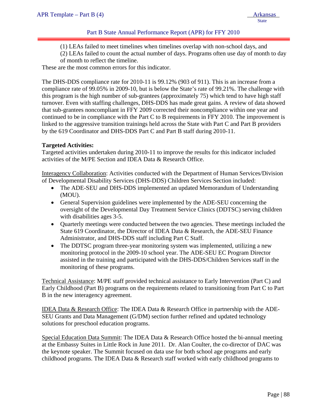# Part B State Annual Performance Report (APR) for FFY 2010

- (1) LEAs failed to meet timelines when timelines overlap with non-school days, and
- (2) LEAs failed to count the actual number of days. Programs often use day of month to day of month to reflect the timeline.

These are the most common errors for this indicator.

The DHS-DDS compliance rate for 2010-11 is 99.12% (903 of 911). This is an increase from a compliance rate of 99.05% in 2009-10, but is below the State's rate of 99.21%. The challenge with this program is the high number of sub-grantees (approximately 75) which tend to have high staff turnover. Even with staffing challenges, DHS-DDS has made great gains. A review of data showed that sub-grantees noncompliant in FFY 2009 corrected their noncompliance within one year and continued to be in compliance with the Part C to B requirements in FFY 2010. The improvement is linked to the aggressive transition trainings held across the State with Part C and Part B providers by the 619 Coordinator and DHS-DDS Part C and Part B staff during 2010-11.

#### **Targeted Activities:**

Targeted activities undertaken during 2010-11 to improve the results for this indicator included activities of the M/PE Section and IDEA Data & Research Office.

Interagency Collaboration: Activities conducted with the Department of Human Services/Division of Developmental Disability Services (DHS-DDS) Children Services Section included:

- The ADE-SEU and DHS-DDS implemented an updated Memorandum of Understanding (MOU).
- General Supervision guidelines were implemented by the ADE-SEU concerning the oversight of the Developmental Day Treatment Service Clinics (DDTSC) serving children with disabilities ages 3-5.
- Quarterly meetings were conducted between the two agencies. These meetings included the State 619 Coordinator, the Director of IDEA Data & Research, the ADE-SEU Finance Administrator, and DHS-DDS staff including Part C Staff.
- The DDTSC program three-year monitoring system was implemented, utilizing a new monitoring protocol in the 2009-10 school year. The ADE-SEU EC Program Director assisted in the training and participated with the DHS-DDS/Children Services staff in the monitoring of these programs.

Technical Assistance: M/PE staff provided technical assistance to Early Intervention (Part C) and Early Childhood (Part B) programs on the requirements related to transitioning from Part C to Part B in the new interagency agreement.

IDEA Data & Research Office: The IDEA Data & Research Office in partnership with the ADE-SEU Grants and Data Management (G/DM) section further refined and updated technology solutions for preschool education programs.

Special Education Data Summit: The IDEA Data & Research Office hosted the bi-annual meeting at the Embassy Suites in Little Rock in June 2011. Dr. Alan Coulter, the co-director of DAC was the keynote speaker. The Summit focused on data use for both school age programs and early childhood programs. The IDEA Data & Research staff worked with early childhood programs to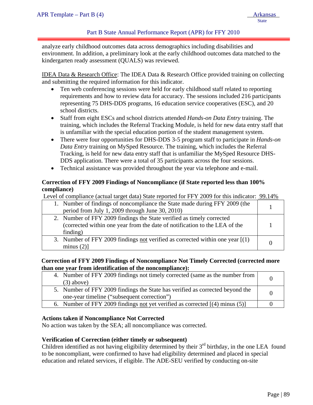## Part B State Annual Performance Report (APR) for FFY 2010

analyze early childhood outcomes data across demographics including disabilities and environment. In addition, a preliminary look at the early childhood outcomes data matched to the kindergarten ready assessment (QUALS) was reviewed.

IDEA Data & Research Office: The IDEA Data & Research Office provided training on collecting and submitting the required information for this indicator.

- Ten web conferencing sessions were held for early childhood staff related to reporting requirements and how to review data for accuracy. The sessions included 216 participants representing 75 DHS-DDS programs, 16 education service cooperatives (ESC), and 20 school districts.
- Staff from eight ESCs and school districts attended *Hands-on Data Entry* training. The training, which includes the Referral Tracking Module, is held for new data entry staff that is unfamiliar with the special education portion of the student management system.
- There were four opportunities for DHS-DDS 3-5 program staff to participate in *Hands-on Data Entry* training on MySped Resource. The training, which includes the Referral Tracking, is held for new data entry staff that is unfamiliar the MySped Resource DHS-DDS application. There were a total of 35 participants across the four sessions.
- Technical assistance was provided throughout the year via telephone and e-mail.

# **Correction of FFY 2009 Findings of Noncompliance (if State reported less than 100% compliance)**

Level of compliance (actual target data) State reported for FFY 2009 for this indicator: 99.14%

| 1. Number of findings of noncompliance the State made during FFY 2009 (the<br>period from July 1, 2009 through June 30, 2010)                                   |  |
|-----------------------------------------------------------------------------------------------------------------------------------------------------------------|--|
| 2. Number of FFY 2009 findings the State verified as timely corrected<br>(corrected within one year from the date of notification to the LEA of the<br>finding) |  |
| 3. Number of FFY 2009 findings not verified as corrected within one year $[(1)$<br>minus $(2)$ ]                                                                |  |

#### **Correction of FFY 2009 Findings of Noncompliance Not Timely Corrected (corrected more than one year from identification of the noncompliance):**

| 4. Number of FFY 2009 findings not timely corrected (same as the number from<br>$(3)$ above)                                 | $\Omega$ |
|------------------------------------------------------------------------------------------------------------------------------|----------|
| 5. Number of FFY 2009 findings the State has verified as corrected beyond the<br>one-year timeline ("subsequent correction") | $\Omega$ |
| 6. Number of FFY 2009 findings not yet verified as corrected [(4) minus (5)]                                                 |          |

#### **Actions taken if Noncompliance Not Corrected**

No action was taken by the SEA; all noncompliance was corrected.

#### **Verification of Correction (either timely or subsequent)**

Children identified as not having eligibility determined by their  $3<sup>rd</sup>$  birthday, in the one LEA found to be noncompliant, were confirmed to have had eligibility determined and placed in special education and related services, if eligible. The ADE-SEU verified by conducting on-site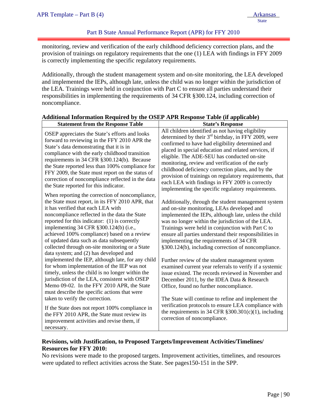monitoring, review and verification of the early childhood deficiency correction plans, and the provision of trainings on regulatory requirements that the one (1) LEA with findings in FFY 2009 is correctly implementing the specific regulatory requirements.

Additionally, through the student management system and on-site monitoring, the LEA developed and implemented the IEPs, although late, unless the child was no longer within the jurisdiction of the LEA. Trainings were held in conjunction with Part C to ensure all parties understand their responsibilities in implementing the requirements of 34 CFR §300.124, including correction of noncompliance.

| <b>Statement from the Response Table</b>                                                                                                                                                                                                                                                                                                                                                                                                                                       | <b>State's Response</b>                                                                                                                                                                                                                                                                                                                                                                                                                                                                                                                            |
|--------------------------------------------------------------------------------------------------------------------------------------------------------------------------------------------------------------------------------------------------------------------------------------------------------------------------------------------------------------------------------------------------------------------------------------------------------------------------------|----------------------------------------------------------------------------------------------------------------------------------------------------------------------------------------------------------------------------------------------------------------------------------------------------------------------------------------------------------------------------------------------------------------------------------------------------------------------------------------------------------------------------------------------------|
| OSEP appreciates the State's efforts and looks<br>forward to reviewing in the FFY 2010 APR the<br>State's data demonstrating that it is in<br>compliance with the early childhood transition<br>requirements in 34 CFR §300.124(b). Because<br>the State reported less than 100% compliance for<br>FFY 2009, the State must report on the status of<br>correction of noncompliance reflected in the data<br>the State reported for this indicator.                             | All children identified as not having eligibility<br>determined by their $3rd$ birthday, in FFY 2009, were<br>confirmed to have had eligibility determined and<br>placed in special education and related services, if<br>eligible. The ADE-SEU has conducted on-site<br>monitoring, review and verification of the early<br>childhood deficiency correction plans, and by the<br>provision of trainings on regulatory requirements, that<br>each LEA with findings in FFY 2009 is correctly<br>implementing the specific regulatory requirements. |
| When reporting the correction of noncompliance,<br>the State must report, in its FFY 2010 APR, that<br>it has verified that each LEA with<br>noncompliance reflected in the data the State<br>reported for this indicator: (1) is correctly<br>implementing 34 CFR §300.124(b) (i.e.,<br>achieved 100% compliance) based on a review<br>of updated data such as data subsequently<br>collected through on-site monitoring or a State<br>data system; and (2) has developed and | Additionally, through the student management system<br>and on-site monitoring, LEAs developed and<br>implemented the IEPs, although late, unless the child<br>was no longer within the jurisdiction of the LEA.<br>Trainings were held in conjunction with Part C to<br>ensure all parties understand their responsibilities in<br>implementing the requirements of 34 CFR<br>§300.124(b), including correction of noncompliance.                                                                                                                  |
| implemented the IEP, although late, for any child<br>for whom implementation of the IEP was not<br>timely, unless the child is no longer within the<br>jurisdiction of the LEA, consistent with OSEP<br>Memo 09-02. In the FFY 2010 APR, the State<br>must describe the specific actions that were<br>taken to verify the correction.                                                                                                                                          | Further review of the student management system<br>examined current year referrals to verify if a systemic<br>issue existed. The records reviewed in November and<br>December 2011, by the IDEA Data & Research<br>Office, found no further noncompliance.<br>The State will continue to refine and implement the                                                                                                                                                                                                                                  |
| If the State does not report 100% compliance in<br>the FFY 2010 APR, the State must review its<br>improvement activities and revise them, if<br>necessary.                                                                                                                                                                                                                                                                                                                     | verification protocols to ensure LEA compliance with<br>the requirements in 34 CFR $\S 300.301(c)(1)$ , including<br>correction of noncompliance.                                                                                                                                                                                                                                                                                                                                                                                                  |

# **Additional Information Required by the OSEP APR Response Table (if applicable)**

# **Revisions, with Justification, to Proposed Targets/Improvement Activities/Timelines/ Resources for FFY 2010:**

No revisions were made to the proposed targets. Improvement activities, timelines, and resources were updated to reflect activities across the State. See pages150-151 in the SPP.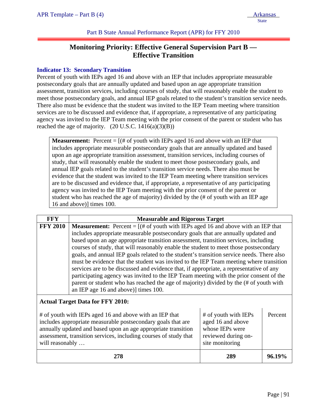Part B State Annual Performance Report (APR) for FFY 2010

# **Monitoring Priority: Effective General Supervision Part B — Effective Transition**

# **Indicator 13: Secondary Transition**

Percent of youth with IEPs aged 16 and above with an IEP that includes appropriate measurable postsecondary goals that are annually updated and based upon an age appropriate transition assessment, transition services, including courses of study, that will reasonably enable the student to meet those postsecondary goals, and annual IEP goals related to the student's transition service needs. There also must be evidence that the student was invited to the IEP Team meeting where transition services are to be discussed and evidence that, if appropriate, a representative of any participating agency was invited to the IEP Team meeting with the prior consent of the parent or student who has reached the age of majority.  $(20 U.S.C. 1416(a)(3)(B))$ 

**Measurement:** Percent  $=$   $[(# of youth with IEPs aged 16 and above with an IEP that$ includes appropriate measurable postsecondary goals that are annually updated and based upon an age appropriate transition assessment, transition services, including courses of study, that will reasonably enable the student to meet those postsecondary goals, and annual IEP goals related to the student's transition service needs. There also must be evidence that the student was invited to the IEP Team meeting where transition services are to be discussed and evidence that, if appropriate, a representative of any participating agency was invited to the IEP Team meeting with the prior consent of the parent or student who has reached the age of majority) divided by the (# of youth with an IEP age 16 and above)] times 100.

| <b>FFY</b>      | <b>Measurable and Rigorous Target</b>                                                                                                                                                                                                                                                                                                                                                                                                                                                                                                                                                                                                                                                                                                                                                                                                                                        |     |        |
|-----------------|------------------------------------------------------------------------------------------------------------------------------------------------------------------------------------------------------------------------------------------------------------------------------------------------------------------------------------------------------------------------------------------------------------------------------------------------------------------------------------------------------------------------------------------------------------------------------------------------------------------------------------------------------------------------------------------------------------------------------------------------------------------------------------------------------------------------------------------------------------------------------|-----|--------|
| <b>FFY 2010</b> | <b>Measurement:</b> Percent = $[(# of youth with IEPs aged 16 and above with an IEP that$<br>includes appropriate measurable postsecondary goals that are annually updated and<br>based upon an age appropriate transition assessment, transition services, including<br>courses of study, that will reasonably enable the student to meet those postsecondary<br>goals, and annual IEP goals related to the student's transition service needs. There also<br>must be evidence that the student was invited to the IEP Team meeting where transition<br>services are to be discussed and evidence that, if appropriate, a representative of any<br>participating agency was invited to the IEP Team meeting with the prior consent of the<br>parent or student who has reached the age of majority) divided by the (# of youth with<br>an IEP age 16 and above)] times 100. |     |        |
|                 | <b>Actual Target Data for FFY 2010:</b><br># of youth with IEPs<br># of youth with IEPs aged 16 and above with an IEP that<br>Percent<br>aged 16 and above<br>includes appropriate measurable postsecondary goals that are<br>whose IEPs were<br>annually updated and based upon an age appropriate transition<br>assessment, transition services, including courses of study that<br>reviewed during on-<br>site monitoring<br>will reasonably                                                                                                                                                                                                                                                                                                                                                                                                                              |     |        |
|                 | 278                                                                                                                                                                                                                                                                                                                                                                                                                                                                                                                                                                                                                                                                                                                                                                                                                                                                          | 289 | 96.19% |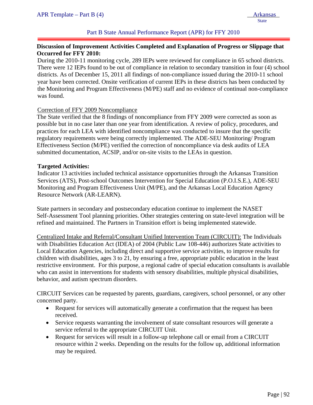## Part B State Annual Performance Report (APR) for FFY 2010

## **Discussion of Improvement Activities Completed and Explanation of Progress or Slippage that Occurred for FFY 2010:**

During the 2010-11 monitoring cycle, 289 IEPs were reviewed for compliance in 65 school districts. There were 12 IEPs found to be out of compliance in relation to secondary transition in four (4) school districts. As of December 15, 2011 all findings of non-compliance issued during the 2010-11 school year have been corrected. Onsite verification of current IEPs in these districts has been conducted by the Monitoring and Program Effectiveness (M/PE) staff and no evidence of continual non-compliance was found.

#### Correction of FFY 2009 Noncompliance

The State verified that the 8 findings of noncompliance from FFY 2009 were corrected as soon as possible but in no case later than one year from identification. A review of policy, procedures, and practices for each LEA with identified noncompliance was conducted to insure that the specific regulatory requirements were being correctly implemented. The ADE-SEU Monitoring/ Program Effectiveness Section (M/PE) verified the correction of noncompliance via desk audits of LEA submitted documentation, ACSIP, and/or on-site visits to the LEAs in question.

#### **Targeted Activities:**

Indicator 13 activities included technical assistance opportunities through the Arkansas Transition Services (ATS), Post-school Outcomes Intervention for Special Education (P.O.I.S.E.), ADE-SEU Monitoring and Program Effectiveness Unit (M/PE), and the Arkansas Local Education Agency Resource Network (AR-LEARN).

State partners in secondary and postsecondary education continue to implement the NASET Self-Assessment Tool planning priorities. Other strategies centering on state-level integration will be refined and maintained. The Partners in Transition effort is being implemented statewide.

Centralized Intake and Referral/Consultant Unified Intervention Team (CIRCUIT): The Individuals with Disabilities Education Act (IDEA) of 2004 (Public Law 108-446) authorizes State activities to Local Education Agencies, including direct and supportive service activities, to improve results for children with disabilities, ages 3 to 21, by ensuring a free, appropriate public education in the least restrictive environment. For this purpose, a regional cadre of special education consultants is available who can assist in interventions for students with sensory disabilities, multiple physical disabilities, behavior, and autism spectrum disorders.

CIRCUIT Services can be requested by parents, guardians, caregivers, school personnel, or any other concerned party.

- Request for services will automatically generate a confirmation that the request has been received.
- Service requests warranting the involvement of state consultant resources will generate a service referral to the appropriate CIRCUIT Unit.
- Request for services will result in a follow-up telephone call or email from a CIRCUIT resource within 2 weeks. Depending on the results for the follow up, additional information may be required.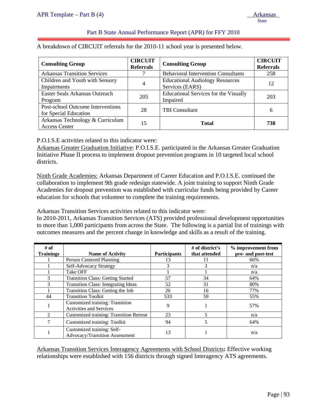# Part B State Annual Performance Report (APR) for FFY 2010

A breakdown of CIRCUIT referrals for the 2010-11 school year is presented below.

| <b>Consulting Group</b>                                    | <b>CIRCUIT</b><br><b>Referrals</b> | <b>Consulting Group</b>                                   | <b>CIRCUIT</b><br><b>Referrals</b> |
|------------------------------------------------------------|------------------------------------|-----------------------------------------------------------|------------------------------------|
| <b>Arkansas Transition Services</b>                        |                                    | <b>Behavioral Intervention Consultants</b>                | 258                                |
| Children and Youth with Sensory<br>Impairments             | 4                                  | <b>Educational Audiology Resources</b><br>Services (EARS) | 12                                 |
| Easter Seals Arkansas Outreach<br>Program                  | 205                                | <b>Educational Services for the Visually</b><br>Impaired  | 203                                |
| Post-school Outcome Interventions<br>for Special Education | 28                                 | <b>TBI</b> Consultant                                     | 6                                  |
| Arkansas Technology & Curriculum<br><b>Access Center</b>   | 15                                 | <b>Total</b>                                              | 738                                |

P.O.I.S.E activities related to this indicator were:

Arkansas Greater Graduation Initiative: P.O.I.S.E. participated in the Arkansas Greater Graduation Initiative Phase II process to implement dropout prevention programs in 10 targeted local school districts.

Ninth Grade Academies: Arkansas Department of Career Education and P.O.I.S.E. continued the collaboration to implement 9th grade redesign statewide. A joint training to support Ninth Grade Academies for dropout prevention was established with curricular funds being provided by Career education for schools that volunteer to complete the training requirements.

Arkansas Transition Services activities related to this indicator were:

In 2010-2011, Arkansas Transition Services (ATS) provided professional development opportunities to more than 1,000 participants from across the State. The following is a partial list of trainings with outcomes measures and the percent change in knowledge and skills as a result of the training.

| # of<br><b>Trainings</b> | <b>Name of Activity</b>                                           | <b>Participants</b> | # of district's<br>that attended | % improvement from<br>pre- and post-test |
|--------------------------|-------------------------------------------------------------------|---------------------|----------------------------------|------------------------------------------|
|                          | Person Centered Planning                                          | 13                  |                                  | 66%                                      |
|                          | Self-Advocacy Strategy                                            | 3                   | 3                                | n/a                                      |
|                          | Take OFF                                                          |                     |                                  | n/a                                      |
| 3                        | <b>Transition Class: Getting Started</b>                          | 57                  | 34                               | 64%                                      |
| 3                        | <b>Transition Class: Integrating Ideas</b>                        | 52                  | 31                               | 80%                                      |
|                          | Transition Class: Getting the Job                                 | 26                  | 16                               | 77%                                      |
| 44                       | <b>Transition Toolkit</b>                                         | 533                 | 59                               | 55%                                      |
|                          | Customized training: Transition<br><b>Activities and Services</b> | 9                   |                                  | 57%                                      |
| $\mathfrak{D}$           | <b>Customized training: Transition Retreat</b>                    | 23                  | 5                                | n/a                                      |
|                          | Customized training: Toolkit                                      | 94                  | 5                                | 64%                                      |
|                          | Customized training: Self-<br>Advocacy/Transition Assessment      | 13                  |                                  | n/a                                      |

Arkansas Transition Services Interagency Agreements with School Districts**:** Effective working relationships were established with 156 districts through signed Interagency ATS agreements.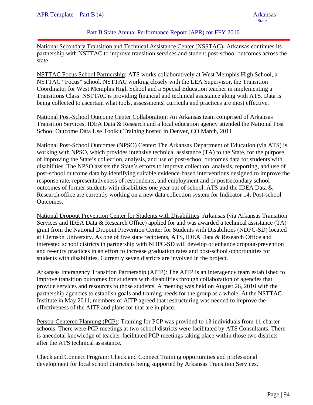#### Part B State Annual Performance Report (APR) for FFY 2010

National Secondary Transition and Technical Assistance Center (NSSTAC)**:** Arkansas continues its partnership with NSTTAC to improve transition services and student post-school outcomes across the state.

NSTTAC Focus School Partnership: ATS works collaboratively at West Memphis High School, a NSTTAC "Focus" school. NSTTAC working closely with the LEA Supervisor, the Transition Coordinator for West Memphis High School and a Special Education teacher in implementing a Transitions Class. NSTTAC is providing financial and technical assistance along with ATS. Data is being collected to ascertain what tools, assessments, curricula and practices are most effective.

National Post-School Outcome Center Collaboration: An Arkansas team comprised of Arkansas Transition Services, IDEA Data & Research and a local education agency attended the National Post School Outcome Data Use Toolkit Training hosted in Denver, CO March, 2011.

National Post-School Outcomes (NPSO) Center: The Arkansas Department of Education (via ATS) is working with NPSO, which provides intensive technical assistance (TA) to the State, for the purpose of improving the State's collection, analysis, and use of post-school outcomes data for students with disabilities. The NPSO assists the State's efforts to improve collection, analysis, reporting, and use of post-school outcome data by identifying suitable evidence-based interventions designed to improve the response rate, representativeness of respondents, and employment and or postsecondary school outcomes of former students with disabilities one year out of school. ATS and the IDEA Data & Research office are currently working on a new data collection system for Indicator 14: Post-school Outcomes.

National Dropout Prevention Center for Students with Disabilities: Arkansas (via Arkansas Transition Services and IDEA Data & Research Office) applied for and was awarded a technical assistance (TA) grant from the National Dropout Prevention Center for Students with Disabilities (NDPC-SD) located at Clemson University. As one of five state recipients, ATS, IDEA Data & Research Office and interested school districts in partnership with NDPC-SD will develop or enhance dropout-prevention and re-entry practices in an effort to increase graduation rates and post-school opportunities for students with disabilities. Currently seven districts are involved in the project.

Arkansas Interagency Transition Partnership (AITP): The AITP is an interagency team established to improve transition outcomes for students with disabilities through collaboration of agencies that provide services and resources to those students. A meeting was held on August 26, 2010 with the partnership agencies to establish goals and training needs for the group as a whole. At the NSTTAC Institute in May 2011, members of AITP agreed that restructuring was needed to improve the effectiveness of the AITP and plans for that are in place.

Person-Centered Planning (PCP): Training for PCP was provided to 13 individuals from 11 charter schools. There were PCP meetings at two school districts were facilitated by ATS Consultants. There is anecdotal knowledge of teacher-facilitated PCP meetings taking place within those two districts after the ATS technical assistance.

Check and Connect Program: Check and Connect Training opportunities and professional development for local school districts is being supported by Arkansas Transition Services.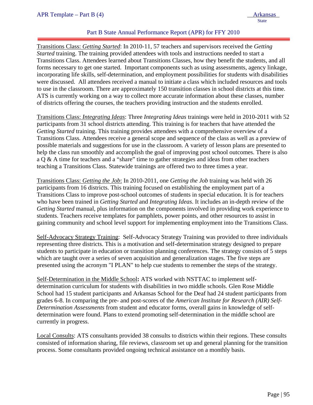# Part B State Annual Performance Report (APR) for FFY 2010

Transitions Class: *Getting Started*: In 2010-11, 57 teachers and supervisors received the *Getting Started* training. The training provided attendees with tools and instructions needed to start a Transitions Class. Attendees learned about Transitions Classes, how they benefit the students, and all forms necessary to get one started. Important components such as using assessments, agency linkage, incorporating life skills, self-determination, and employment possibilities for students with disabilities were discussed. All attendees received a manual to initiate a class which included resources and tools to use in the classroom. There are approximately 150 transition classes in school districts at this time. ATS is currently working on a way to collect more accurate information about these classes, number of districts offering the courses, the teachers providing instruction and the students enrolled.

Transitions Class: *Integrating Ideas*: Three *Integrating Ideas* trainings were held in 2010-2011 with 52 participants from 31 school districts attending. This training is for teachers that have attended the *Getting Started* training. This training provides attendees with a comprehensive overview of a Transitions Class. Attendees receive a general scope and sequence of the class as well as a preview of possible materials and suggestions for use in the classroom. A variety of lesson plans are presented to help the class run smoothly and accomplish the goal of improving post school outcomes. There is also a Q & A time for teachers and a "share" time to gather strategies and ideas from other teachers teaching a Transitions Class. Statewide trainings are offered two to three times a year.

Transitions Class: *Getting the Job*: In 2010-2011, one *Getting the Job* training was held with 26 participants from 16 districts. This training focused on establishing the employment part of a Transitions Class to improve post-school outcomes of students in special education. It is for teachers who have been trained in *Getting Started* and *Integrating Ideas*. It includes an in-depth review of the *Getting Started* manual, plus information on the components involved in providing work experience to students. Teachers receive templates for pamphlets, power points, and other resources to assist in gaining community and school level support for implementing employment into the Transitions Class.

Self-Advocacy Strategy Training: Self-Advocacy Strategy Training was provided to three individuals representing three districts. This is a motivation and self-determination strategy designed to prepare students to participate in education or transition planning conferences. The strategy consists of 5 steps which are taught over a series of seven acquisition and generalization stages. The five steps are presented using the acronym "I PLAN" to help cue students to remember the steps of the strategy.

Self-Determination in the Middle School**:** ATS worked with NSTTAC to implement selfdetermination curriculum for students with disabilities in two middle schools. Glen Rose Middle School had 15 student participants and Arkansas School for the Deaf had 24 student participants from grades 6-8. In comparing the pre- and post-scores of the *American Institute for Research (AIR) Self-Determination Assessments* from student and educator forms, overall gains in knowledge of selfdetermination were found. Plans to extend promoting self-determination in the middle school are currently in progress.

Local Consults: ATS consultants provided 38 consults to districts within their regions. These consults consisted of information sharing, file reviews, classroom set up and general planning for the transition process. Some consultants provided ongoing technical assistance on a monthly basis.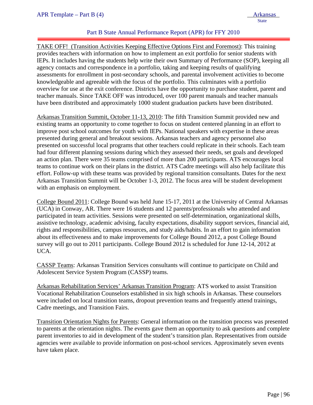# Part B State Annual Performance Report (APR) for FFY 2010

TAKE OFF! (Transition Activities Keeping Effective Options First and Foremost): This training provides teachers with information on how to implement an exit portfolio for senior students with IEPs. It includes having the students help write their own Summary of Performance (SOP), keeping all agency contacts and correspondence in a portfolio, taking and keeping results of qualifying assessments for enrollment in post-secondary schools, and parental involvement activities to become knowledgeable and agreeable with the focus of the portfolio. This culminates with a portfolio overview for use at the exit conference. Districts have the opportunity to purchase student, parent and teacher manuals. Since TAKE OFF was introduced, over 100 parent manuals and teacher manuals have been distributed and approximately 1000 student graduation packets have been distributed.

Arkansas Transition Summit, October 11-13, 2010: The fifth Transition Summit provided new and existing teams an opportunity to come together to focus on student centered planning in an effort to improve post school outcomes for youth with IEPs. National speakers with expertise in these areas presented during general and breakout sessions. Arkansas teachers and agency personnel also presented on successful local programs that other teachers could replicate in their schools. Each team had four different planning sessions during which they assessed their needs, set goals and developed an action plan. There were 35 teams comprised of more than 200 participants. ATS encourages local teams to continue work on their plans in the district. ATS Cadre meetings will also help facilitate this effort. Follow-up with these teams was provided by regional transition consultants. Dates for the next Arkansas Transition Summit will be October 1-3, 2012. The focus area will be student development with an emphasis on employment.

College Bound 2011: College Bound was held June 15-17, 2011 at the University of Central Arkansas (UCA) in Conway, AR. There were 16 students and 12 parents/professionals who attended and participated in team activities. Sessions were presented on self-determination, organizational skills, assistive technology, academic advising, faculty expectations, disability support services, financial aid, rights and responsibilities, campus resources, and study aids/habits. In an effort to gain information about its effectiveness and to make improvements for College Bound 2012, a post College Bound survey will go out to 2011 participants. College Bound 2012 is scheduled for June 12-14, 2012 at UCA.

CASSP Teams: Arkansas Transition Services consultants will continue to participate on Child and Adolescent Service System Program (CASSP) teams.

Arkansas Rehabilitation Services' Arkansas Transition Program: ATS worked to assist Transition Vocational Rehabilitation Counselors established in six high schools in Arkansas. These counselors were included on local transition teams, dropout prevention teams and frequently attend trainings, Cadre meetings, and Transition Fairs.

Transition Orientation Nights for Parents: General information on the transition process was presented to parents at the orientation nights. The events gave them an opportunity to ask questions and complete parent inventories to aid in development of the student's transition plan. Representatives from outside agencies were available to provide information on post-school services. Approximately seven events have taken place.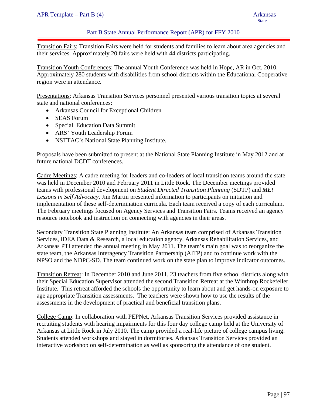#### Part B State Annual Performance Report (APR) for FFY 2010

Transition Fairs: Transition Fairs were held for students and families to learn about area agencies and their services. Approximately 20 fairs were held with 44 districts participating.

Transition Youth Conferences: The annual Youth Conference was held in Hope, AR in Oct. 2010. Approximately 280 students with disabilities from school districts within the Educational Cooperative region were in attendance.

Presentations: Arkansas Transition Services personnel presented various transition topics at several state and national conferences:

- Arkansas Council for Exceptional Children
- SEAS Forum
- Special Education Data Summit
- ARS' Youth Leadership Forum
- NSTTAC's National State Planning Institute.

Proposals have been submitted to present at the National State Planning Institute in May 2012 and at future national DCDT conferences.

Cadre Meetings: A cadre meeting for leaders and co-leaders of local transition teams around the state was held in December 2010 and February 2011 in Little Rock. The December meetings provided teams with professional development on *Student Directed Transition Planning* (SDTP) and *ME! Lessons in Self Advocacy*. Jim Martin presented information to participants on initiation and implementation of these self-determination curricula. Each team received a copy of each curriculum. The February meetings focused on Agency Services and Transition Fairs. Teams received an agency resource notebook and instruction on connecting with agencies in their areas.

Secondary Transition State Planning Institute: An Arkansas team comprised of Arkansas Transition Services, IDEA Data & Research, a local education agency, Arkansas Rehabilitation Services, and Arkansas PTI attended the annual meeting in May 2011. The team's main goal was to reorganize the state team, the Arkansas Interagency Transition Partnership (AITP) and to continue work with the NPSO and the NDPC-SD. The team continued work on the state plan to improve indicator outcomes.

Transition Retreat: In December 2010 and June 2011, 23 teachers from five school districts along with their Special Education Supervisor attended the second Transition Retreat at the Winthrop Rockefeller Institute. This retreat afforded the schools the opportunity to learn about and get hands-on exposure to age appropriate Transition assessments. The teachers were shown how to use the results of the assessments in the development of practical and beneficial transition plans.

College Camp: In collaboration with PEPNet, Arkansas Transition Services provided assistance in recruiting students with hearing impairments for this four day college camp held at the University of Arkansas at Little Rock in July 2010. The camp provided a real-life picture of college campus living. Students attended workshops and stayed in dormitories. Arkansas Transition Services provided an interactive workshop on self-determination as well as sponsoring the attendance of one student.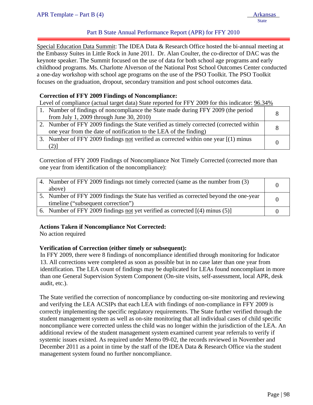# Part B State Annual Performance Report (APR) for FFY 2010

ļ Special Education Data Summit: The IDEA Data & Research Office hosted the bi-annual meeting at the Embassy Suites in Little Rock in June 2011. Dr. Alan Coulter, the co-director of DAC was the keynote speaker. The Summit focused on the use of data for both school age programs and early childhood programs. Ms. Charlotte Alverson of the National Post School Outcomes Center conducted a one-day workshop with school age programs on the use of the PSO Toolkit. The PSO Toolkit focuses on the graduation, dropout, secondary transition and post school outcomes data.

#### **Correction of FFY 2009 Findings of Noncompliance:**

Level of compliance (actual target data) State reported for FFY 2009 for this indicator:  $96.34\%$ 

| 1. Number of findings of noncompliance the State made during FFY 2009 (the period<br>from July 1, 2009 through June 30, 2010)                                |  |
|--------------------------------------------------------------------------------------------------------------------------------------------------------------|--|
| 2. Number of FFY 2009 findings the State verified as timely corrected (corrected within<br>one year from the date of notification to the LEA of the finding) |  |
| 3. Number of FFY 2009 findings not verified as corrected within one year $[(1)$ minus<br>2) 1                                                                |  |

Correction of FFY 2009 Findings of Noncompliance Not Timely Corrected (corrected more than one year from identification of the noncompliance):

| 4. Number of FFY 2009 findings not timely corrected (same as the number from (3)       |  |
|----------------------------------------------------------------------------------------|--|
| above)                                                                                 |  |
| 5. Number of FFY 2009 findings the State has verified as corrected beyond the one-year |  |
| timeline ("subsequent correction")                                                     |  |
| 6. Number of FFY 2009 findings not yet verified as corrected $[(4)$ minus $(5)]$       |  |

#### **Actions Taken if Noncompliance Not Corrected:**

No action required

#### **Verification of Correction (either timely or subsequent):**

In FFY 2009, there were 8 findings of noncompliance identified through monitoring for Indicator 13. All corrections were completed as soon as possible but in no case later than one year from identification. The LEA count of findings may be duplicated for LEAs found noncompliant in more than one General Supervision System Component (On-site visits, self-assessment, local APR, desk audit, etc.).

The State verified the correction of noncompliance by conducting on-site monitoring and reviewing and verifying the LEA ACSIPs that each LEA with findings of non-compliance in FFY 2009 is correctly implementing the specific regulatory requirements. The State further verified through the student management system as well as on-site monitoring that all individual cases of child specific noncompliance were corrected unless the child was no longer within the jurisdiction of the LEA. An additional review of the student management system examined current year referrals to verify if systemic issues existed. As required under Memo 09-02, the records reviewed in November and December 2011 as a point in time by the staff of the IDEA Data & Research Office via the student management system found no further noncompliance.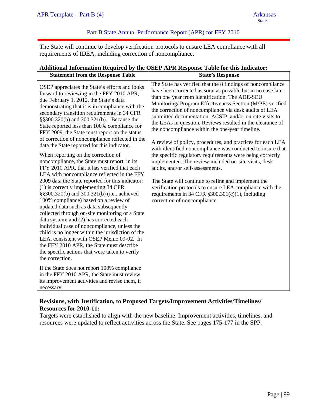# Part B State Annual Performance Report (APR) for FFY 2010

The State will continue to develop verification protocols to ensure LEA compliance with all requirements of IDEA, including correction of noncompliance.

| <b>Statement from the Response Table</b>                                                                                                                                                                                                                                                                                                                                                                                                                                                                                                                                                                                                                                                                                                                                                                                                                                                                                                                                                                                                                                                                                                                                                                                                                                                                                                                                                                                                    | $A$ uunonai mioi manon Kequn eu $\sigma y$ uie Obert Art K Kesponse Table for uns mureaur .<br><b>State's Response</b>                                                                                                                                                                                                                                                                                                                                                                                                                                                                                                                                                                                                                                                                                                                                                                                                                                                              |
|---------------------------------------------------------------------------------------------------------------------------------------------------------------------------------------------------------------------------------------------------------------------------------------------------------------------------------------------------------------------------------------------------------------------------------------------------------------------------------------------------------------------------------------------------------------------------------------------------------------------------------------------------------------------------------------------------------------------------------------------------------------------------------------------------------------------------------------------------------------------------------------------------------------------------------------------------------------------------------------------------------------------------------------------------------------------------------------------------------------------------------------------------------------------------------------------------------------------------------------------------------------------------------------------------------------------------------------------------------------------------------------------------------------------------------------------|-------------------------------------------------------------------------------------------------------------------------------------------------------------------------------------------------------------------------------------------------------------------------------------------------------------------------------------------------------------------------------------------------------------------------------------------------------------------------------------------------------------------------------------------------------------------------------------------------------------------------------------------------------------------------------------------------------------------------------------------------------------------------------------------------------------------------------------------------------------------------------------------------------------------------------------------------------------------------------------|
| OSEP appreciates the State's efforts and looks<br>forward to reviewing in the FFY 2010 APR,<br>due February 1, 2012, the State's data<br>demonstrating that it is in compliance with the<br>secondary transition requirements in 34 CFR<br>§§300.320(b) and 300.321(b). Because the<br>State reported less than 100% compliance for<br>FFY 2009, the State must report on the status<br>of correction of noncompliance reflected in the<br>data the State reported for this indicator.<br>When reporting on the correction of<br>noncompliance, the State must report, in its<br>FFY 2010 APR, that it has verified that each<br>LEA with noncompliance reflected in the FFY<br>2009 data the State reported for this indicator:<br>$(1)$ is correctly implementing 34 CFR<br>§§300.320(b) and 300.321(b) (i.e., achieved<br>100% compliance) based on a review of<br>updated data such as data subsequently<br>collected through on-site monitoring or a State<br>data system; and (2) has corrected each<br>individual case of noncompliance, unless the<br>child is no longer within the jurisdiction of the<br>LEA, consistent with OSEP Memo 09-02. In<br>the FFY 2010 APR, the State must describe<br>the specific actions that were taken to verify<br>the correction.<br>If the State does not report 100% compliance<br>in the FFY 2010 APR, the State must review<br>its improvement activities and revise them, if<br>necessary. | The State has verified that the 8 findings of noncompliance<br>have been corrected as soon as possible but in no case later<br>than one year from identification. The ADE-SEU<br>Monitoring/ Program Effectiveness Section (M/PE) verified<br>the correction of noncompliance via desk audits of LEA<br>submitted documentation, ACSIP, and/or on-site visits to<br>the LEAs in question. Reviews resulted in the clearance of<br>the noncompliance within the one-year timeline.<br>A review of policy, procedures, and practices for each LEA<br>with identified noncompliance was conducted to insure that<br>the specific regulatory requirements were being correctly<br>implemented. The review included on-site visits, desk<br>audits, and/or self-assessments.<br>The State will continue to refine and implement the<br>verification protocols to ensure LEA compliance with the<br>requirements in 34 CFR $\S 300.301(c)(1)$ , including<br>correction of noncompliance. |

# **Additional Information Required by the OSEP APR Response Table for this Indicator:**

# **Revisions, with Justification, to Proposed Targets/Improvement Activities/Timelines/ Resources for 2010-11:**

Targets were established to align with the new baseline. Improvement activities, timelines, and resources were updated to reflect activities across the State. See pages 175-177 in the SPP.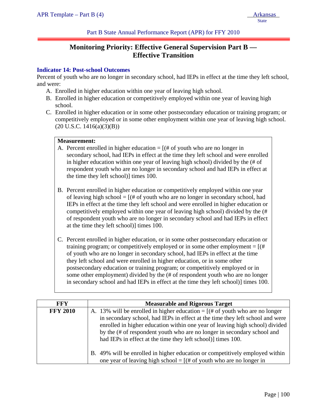Part B State Annual Performance Report (APR) for FFY 2010

# **Monitoring Priority: Effective General Supervision Part B — Effective Transition**

#### **Indicator 14: Post-school Outcomes**

Percent of youth who are no longer in secondary school, had IEPs in effect at the time they left school, and were:

- A. Enrolled in higher education within one year of leaving high school.
- B. Enrolled in higher education or competitively employed within one year of leaving high school.
- C. Enrolled in higher education or in some other postsecondary education or training program; or competitively employed or in some other employment within one year of leaving high school.  $(20 \text{ U.S.C. } 1416(a)(3)(B))$

# **Measurement:**

- A. Percent enrolled in higher education  $=$  [(# of youth who are no longer in secondary school, had IEPs in effect at the time they left school and were enrolled in higher education within one year of leaving high school) divided by the (# of respondent youth who are no longer in secondary school and had IEPs in effect at the time they left school)] times 100.
- B. Percent enrolled in higher education or competitively employed within one year of leaving high school  $=$   $[(# of$  youth who are no longer in secondary school, had IEPs in effect at the time they left school and were enrolled in higher education or competitively employed within one year of leaving high school) divided by the (# of respondent youth who are no longer in secondary school and had IEPs in effect at the time they left school)] times 100.
- C. Percent enrolled in higher education, or in some other postsecondary education or training program; or competitively employed or in some other employment  $=$   $[(#$ of youth who are no longer in secondary school, had IEPs in effect at the time they left school and were enrolled in higher education, or in some other postsecondary education or training program; or competitively employed or in some other employment) divided by the (# of respondent youth who are no longer in secondary school and had IEPs in effect at the time they left school)] times 100.

| <b>FFY</b>      | <b>Measurable and Rigorous Target</b>                                                                                                                                                                                                                                                                                                                                                     |
|-----------------|-------------------------------------------------------------------------------------------------------------------------------------------------------------------------------------------------------------------------------------------------------------------------------------------------------------------------------------------------------------------------------------------|
| <b>FFY 2010</b> | A. 13% will be enrolled in higher education = $[(# of youth who are no longer$<br>in secondary school, had IEPs in effect at the time they left school and were<br>enrolled in higher education within one year of leaving high school) divided<br>by the (# of respondent youth who are no longer in secondary school and<br>had IEPs in effect at the time they left school) times 100. |
|                 | B. 49% will be enrolled in higher education or competitively employed within<br>one year of leaving high school = $[(# of youth who are no longer in$                                                                                                                                                                                                                                     |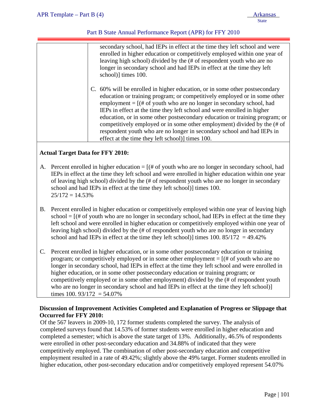# Part B State Annual Performance Report (APR) for FFY 2010

| secondary school, had IEPs in effect at the time they left school and were<br>enrolled in higher education or competitively employed within one year of<br>leaving high school) divided by the (# of respondent youth who are no<br>longer in secondary school and had IEPs in effect at the time they left<br>school)] times 100.                                                                                                                                                                                                                                                                     |
|--------------------------------------------------------------------------------------------------------------------------------------------------------------------------------------------------------------------------------------------------------------------------------------------------------------------------------------------------------------------------------------------------------------------------------------------------------------------------------------------------------------------------------------------------------------------------------------------------------|
| C. 60% will be enrolled in higher education, or in some other postsecondary<br>education or training program; or competitively employed or in some other<br>employment = $[(# of youth who are no longer in secondary school, had$<br>IEPs in effect at the time they left school and were enrolled in higher<br>education, or in some other postsecondary education or training program; or<br>competitively employed or in some other employment) divided by the (# of<br>respondent youth who are no longer in secondary school and had IEPs in<br>effect at the time they left school)] times 100. |
|                                                                                                                                                                                                                                                                                                                                                                                                                                                                                                                                                                                                        |

# **Actual Target Data for FFY 2010:**

- A. Percent enrolled in higher education  $=$   $[$  (# of youth who are no longer in secondary school, had IEPs in effect at the time they left school and were enrolled in higher education within one year of leaving high school) divided by the (# of respondent youth who are no longer in secondary school and had IEPs in effect at the time they left school)] times 100.  $25/172 = 14.53\%$
- B. Percent enrolled in higher education or competitively employed within one year of leaving high  $school = [(# of youth who are no longer in secondary school, had IEPs in effect at the time they$ left school and were enrolled in higher education or competitively employed within one year of leaving high school) divided by the (# of respondent youth who are no longer in secondary school and had IEPs in effect at the time they left school)] times  $100. 85/172 = 49.42\%$
- C. Percent enrolled in higher education, or in some other postsecondary education or training program; or competitively employed or in some other employment  $=$  [ $#$  of youth who are no longer in secondary school, had IEPs in effect at the time they left school and were enrolled in higher education, or in some other postsecondary education or training program; or competitively employed or in some other employment) divided by the (# of respondent youth who are no longer in secondary school and had IEPs in effect at the time they left school)] times 100.  $93/172 = 54.07\%$

# **Discussion of Improvement Activities Completed and Explanation of Progress or Slippage that Occurred for FFY 2010:**

Of the 567 leavers in 2009-10, 172 former students completed the survey. The analysis of completed surveys found that 14.53% of former students were enrolled in higher education and completed a semester; which is above the state target of 13%. Additionally, 46.5% of respondents were enrolled in other post-secondary education and 34.88% of indicated that they were competitively employed. The combination of other post-secondary education and competitive employment resulted in a rate of 49.42%; slightly above the 49% target. Former students enrolled in higher education, other post-secondary education and/or competitively employed represent 54.07%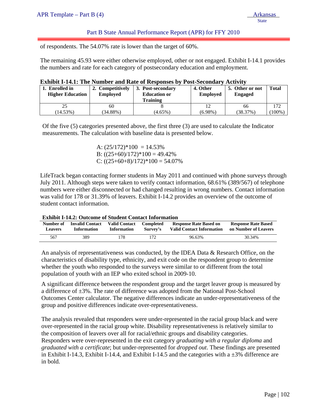# Part B State Annual Performance Report (APR) for FFY 2010

of respondents. The 54.07% rate is lower than the target of 60%.

The remaining 45.93 were either otherwise employed, other or not engaged. Exhibit I-14.1 provides the numbers and rate for each category of postsecondary education and employment.

|  | <b>Exhibit I-14.1: The Number and Rate of Responses by Post-Secondary Activity</b> |  |
|--|------------------------------------------------------------------------------------|--|
|  |                                                                                    |  |

| Enrolled in<br><b>Higher Education</b> | 2. Competitively<br><b>Employed</b> | 3. Post-secondary<br><b>Education or</b><br>Training | 4. Other<br><b>Employed</b> | 5. Other or not<br><b>Engaged</b> | <b>Total</b> |
|----------------------------------------|-------------------------------------|------------------------------------------------------|-----------------------------|-----------------------------------|--------------|
|                                        | 60                                  |                                                      |                             | 66                                | 172          |
| $14.53\%)$                             | $(34.88\%)$                         | $(4.65\%)$                                           | $(6.98\%)$                  | (38.37%)                          | 100%)        |

Of the five (5) categories presented above, the first three (3) are used to calculate the Indicator measurements. The calculation with baseline data is presented below.

> A:  $(25/172)*100 = 14.53%$ B:  $((25+60)/172)*100 = 49.42%$ C:  $((25+60+8)/172)*100 = 54.07%$

LifeTrack began contacting former students in May 2011 and continued with phone surveys through July 2011. Although steps were taken to verify contact information, 68.61% (389/567) of telephone numbers were either disconnected or had changed resulting in wrong numbers. Contact information was valid for 178 or 31.39% of leavers. Exhibit I-14.2 provides an overview of the outcome of student contact information.

| <b>Exhibit I-14.2: Outcome of Student Contact Information</b> |  |  |  |  |
|---------------------------------------------------------------|--|--|--|--|
|---------------------------------------------------------------|--|--|--|--|

| Number of      | <b>Invalid Contact</b> | <b>Valid Contact</b> | Completed | <b>Response Rate Based on</b>    | <b>Response Rate Based</b> |
|----------------|------------------------|----------------------|-----------|----------------------------------|----------------------------|
| <b>Leavers</b> | <b>Information</b>     | <b>Information</b>   | Survey's  | <b>Valid Contact Information</b> | on Number of Leavers       |
| 567            | 389                    | '78.                 |           | 96.63%                           | 30.34%                     |

An analysis of representativeness was conducted, by the IDEA Data & Research Office, on the characteristics of disability type, ethnicity, and exit code on the respondent group to determine whether the youth who responded to the surveys were similar to or different from the total population of youth with an IEP who exited school in 2009-10.

A significant difference between the respondent group and the target leaver group is measured by a difference of  $\pm 3\%$ . The rate of difference was adopted from the National Post-School Outcomes Center calculator. The negative differences indicate an under-representativeness of the group and positive differences indicate over-representativeness.

The analysis revealed that responders were under-represented in the racial group black and were over-represented in the racial group white. Disability representativeness is relatively similar to the composition of leavers over all for racial/ethnic groups and disability categories. Responders were over-represented in the exit category *graduating with a regular diploma* and *graduated with a certificate*; but under-represented for *dropped out*. These findings are presented in Exhibit I-14.3, Exhibit I-14.4, and Exhibit I-14.5 and the categories with a  $\pm 3\%$  difference are in bold.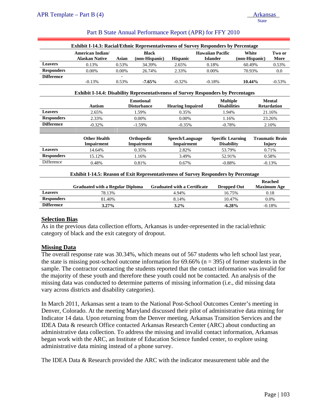|                   | <b>Exhibit I-14.3: Racial/Ethnic Representativeness of Survey Responders by Percentage</b>  |       |                                      |                                               |                                            |                                         |                |  |
|-------------------|---------------------------------------------------------------------------------------------|-------|--------------------------------------|-----------------------------------------------|--------------------------------------------|-----------------------------------------|----------------|--|
|                   | <b>American Indian/</b><br><b>Alaskan Native</b>                                            | Asian | <b>Black</b><br>(non-Hispanic)       | <b>Hispanic</b>                               | <b>Hawaiian Pacific</b><br><b>Islander</b> | White<br>(non-Hispanic)                 | Two or<br>More |  |
| <b>Leavers</b>    | 0.13%                                                                                       | 0.53% | 34.39%                               | 2.65%                                         | 0.18%                                      | 60.49%                                  | 0.53%          |  |
| <b>Responders</b> | 0.00%                                                                                       | 0.00% | 26.74%                               | 2.33%                                         | 0.00%                                      | 70.93%                                  | 0.0            |  |
| <b>Difference</b> | $-0.13%$                                                                                    | 0.53% | $-7.65\%$                            | $-0.32%$                                      | $-0.18%$                                   | 10.44%                                  | $-0.53%$       |  |
|                   | <b>Exhibit I-14.4: Disability Representativeness of Survey Responders by Percentages</b>    |       |                                      |                                               |                                            |                                         |                |  |
|                   | <b>Emotional</b><br><b>Autism</b><br><b>Disturbance</b>                                     |       | <b>Hearing Impaired</b>              | <b>Multiple</b><br><b>Disabilities</b>        |                                            | <b>Mental</b><br><b>Retardation</b>     |                |  |
| <b>Leavers</b>    | 2.65%                                                                                       |       | 1.59%                                | 0.35%                                         | 1.94%                                      |                                         | 21.16%         |  |
| <b>Responders</b> | 2.33%                                                                                       |       | 0.00%                                | 0.00%                                         | 1.16%                                      |                                         | 23.26%         |  |
| <b>Difference</b> | $-0.32%$                                                                                    |       | $-1.59\%$                            | $-0.35%$                                      | $-0.78%$                                   |                                         | 2.10%          |  |
|                   |                                                                                             |       |                                      |                                               |                                            |                                         |                |  |
|                   | <b>Other Health</b><br>Orthopedic<br><b>Impairment</b><br><b>Impairment</b>                 |       | Speech/Language<br><b>Impairment</b> | <b>Specific Learning</b><br><b>Disability</b> |                                            | <b>Traumatic Brain</b><br><b>Injury</b> |                |  |
| <b>Leavers</b>    | 14.64%                                                                                      |       | 0.35%                                | 2.82%                                         | 53.79%                                     |                                         | 0.71%          |  |
| <b>Responders</b> | 15.12%                                                                                      |       | 1.16%                                | 3.49%                                         | 52.91%                                     |                                         | 0.58%          |  |
| Difference        | 0.48%                                                                                       |       | 0.81%                                | 0.67%                                         | $-0.88%$                                   |                                         | $-0.13%$       |  |
|                   | <b>Exhibit I-14.5: Reason of Exit Representativeness of Survey Responders by Percentage</b> |       |                                      |                                               |                                            |                                         |                |  |

#### Part B State Annual Performance Report (APR) for FFY 2010

|                   | <b>Graduated with a Regular Diploma</b> | <b>Graduated with a Certificate</b> | <b>Dropped Out</b> | <b>Reached</b><br><b>Maximum Age</b> |
|-------------------|-----------------------------------------|-------------------------------------|--------------------|--------------------------------------|
| <b>Leavers</b>    | 78.13%                                  | 4.94%                               | 16.75%             | 0.18                                 |
| <b>Responders</b> | 81.40%                                  | 8.14%                               | 10.47%             | $0.0\%$                              |
| <b>Difference</b> | $3.27\%$                                | $3.2\%$                             | $-6.28%$           | $-0.18%$                             |

# **Selection Bias**

As in the previous data collection efforts, Arkansas is under-represented in the racial/ethnic category of black and the exit category of dropout.

#### **Missing Data**

The overall response rate was 30.34%, which means out of 567 students who left school last year, the state is missing post-school outcome information for  $69.66\%$  (n = 395) of former students in the sample. The contractor contacting the students reported that the contact information was invalid for the majority of these youth and therefore these youth could not be contacted. An analysis of the missing data was conducted to determine patterns of missing information (i.e., did missing data vary across districts and disability categories).

In March 2011, Arkansas sent a team to the National Post-School Outcomes Center's meeting in Denver, Colorado. At the meeting Maryland discussed their pilot of administrative data mining for Indicator 14 data. Upon returning from the Denver meeting, Arkansas Transition Services and the IDEA Data & research Office contacted Arkansas Research Center (ARC) about conducting an administrative data collection. To address the missing and invalid contact information, Arkansas began work with the ARC, an Institute of Education Science funded center, to explore using administrative data mining instead of a phone survey.

The IDEA Data & Research provided the ARC with the indicator measurement table and the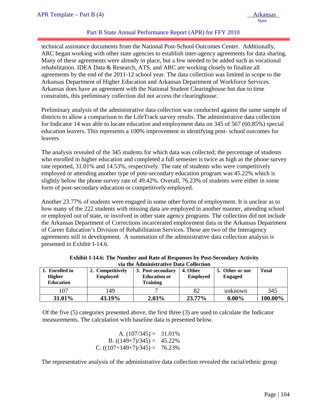# Part B State Annual Performance Report (APR) for FFY 2010

technical assistance documents from the National Post-School Outcomes Center. Additionally, ARC began working with other state agencies to establish inter-agency agreements for data sharing. Many of these agreements were already in place, but a few needed to be added such as vocational rehabilitation. IDEA Data & Research, ATS, and ARC are working closely to finalize all agreements by the end of the 2011-12 school year. The data collection was limited in scope to the Arkansas Department of Higher Education and Arkansas Department of Workforce Services. Arkansas does have an agreement with the National Student Clearinghouse but due to time constraints, this preliminary collection did not access the clearinghouse.

Preliminary analysis of the administrative data collection was conducted against the same sample of districts to allow a comparison to the LifeTrack survey results. The administrative data collection for Indicator 14 was able to locate education and employment data on 345 of 567 (60.85%) special education leavers. This represents a 100% improvement in identifying post- school outcomes for leavers.

The analysis revealed of the 345 students for which data was collected; the percentage of students who enrolled in higher education and completed a full semester is twice as high as the phone survey rate reported, 31.01% and 14.53%, respectively. The rate of students who were competitively employed or attending another type of post-secondary education program was 45.22% which is slightly below the phone survey rate of 49.42%. Overall, 76.23% of students were either in some form of post-secondary education or competitively employed.

Another 23.77% of students were engaged in some other forms of employment. It is unclear as to how many of the 222 students with missing data are employed in another manner, attending school or employed out of state, or involved in other state agency programs. The collection did not include the Arkansas Department of Corrections incarcerated employment data or the Arkansas Department of Career Education's Division of Rehabilitation Services. These are two of the Interagency agreements still in development. A summation of the administrative data collection analysis is presented in Exhibit I-14.6.

| Enrolled in<br><b>Higher</b><br><b>Education</b> | 2. Competitively<br><b>Employed</b> | 3. Post-secondary<br><b>Education or</b><br><b>Training</b> | 4. Other<br><b>Employed</b> | 5. Other or not<br><b>Engaged</b> | <b>Total</b> |
|--------------------------------------------------|-------------------------------------|-------------------------------------------------------------|-----------------------------|-----------------------------------|--------------|
| 107                                              | 149                                 |                                                             |                             | unknown                           | 345          |
| 31.01%                                           | 43.19%                              | $2.03\%$                                                    | 23.77%                      | $0.00\%$                          | 100.00%      |

**Exhibit I-14.6: The Number and Rate of Responses by Post-Secondary Activity via the Administrative Data Collection** 

Of the five (5) categories presented above, the first three (3) are used to calculate the Indicator measurements. The calculation with baseline data is presented below.

A. 
$$
(107/345) = 31.01\%
$$
  
B.  $((149+7)/345) = 45.22\%$   
C.  $((107+149+7)/345) = 76.23\%$ 

The representative analysis of the administrative data collection revealed the racial/ethnic group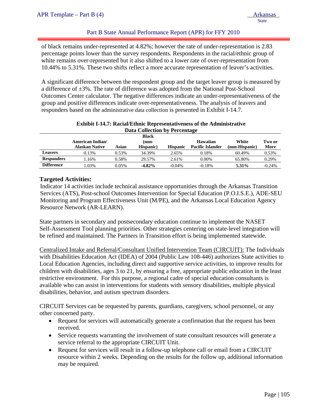## Part B State Annual Performance Report (APR) for FFY 2010

of black remains under-represented at 4.82%; however the rate of under-representation is 2.83 percentage points lower than the survey respondents. Respondents in the racial/ethnic group of white remains over-represented but it also shifted to a lower rate of over-representation from 10.44% to 5.31%. These two shifts reflect a more accurate representation of leaver's activities.

A significant difference between the respondent group and the target leaver group is measured by a difference of  $\pm 3\%$ . The rate of difference was adopted from the National Post-School Outcomes Center calculator. The negative differences indicate an under-representativeness of the group and positive differences indicate over-representativeness. The analysis of leavers and responders based on the administrative data collection is presented in Exhibit I-14.7.

|                   | Data Collection by Percentage                                                                                                                                                 |       |           |           |          |        |                |
|-------------------|-------------------------------------------------------------------------------------------------------------------------------------------------------------------------------|-------|-----------|-----------|----------|--------|----------------|
|                   | <b>Black</b><br>American Indian/<br>White<br>Hawaiian<br>(non-<br><b>Pacific Islander</b><br><b>Alaskan Native</b><br>Asian<br>Hispanic)<br>(non-Hispanic)<br><b>Hispanic</b> |       |           |           |          |        | Two or<br>More |
| <b>Leavers</b>    | 0.13%                                                                                                                                                                         | 0.53% | 34.39%    | 2.65%     | 0.18%    | 60.49% | 0.53%          |
| <b>Responders</b> | 1.16%                                                                                                                                                                         | 0.58% | 29.57%    | 2.61%     | $0.00\%$ | 65.80% | 0.29%          |
| <b>Difference</b> | 1.03%                                                                                                                                                                         | 0.05% | $-4.82\%$ | $-0.04\%$ | $-0.18%$ | 5.31%  | $-0.24%$       |

# **Exhibit I-14.7: Racial/Ethnic Representativeness of the Administrative**

#### **Targeted Activities:**

Indicator 14 activities include technical assistance opportunities through the Arkansas Transition Services (ATS), Post-school Outcomes Intervention for Special Education (P.O.I.S.E.), ADE-SEU Monitoring and Program Effectiveness Unit (M/PE), and the Arkansas Local Education Agency Resource Network (AR-LEARN).

State partners in secondary and postsecondary education continue to implement the NASET Self-Assessment Tool planning priorities. Other strategies centering on state-level integration will be refined and maintained. The Partners in Transition effort is being implemented statewide.

Centralized Intake and Referral/Consultant Unified Intervention Team (CIRCUIT): The Individuals with Disabilities Education Act (IDEA) of 2004 (Public Law 108-446) authorizes State activities to Local Education Agencies, including direct and supportive service activities, to improve results for children with disabilities, ages 3 to 21, by ensuring a free, appropriate public education in the least restrictive environment. For this purpose, a regional cadre of special education consultants is available who can assist in interventions for students with sensory disabilities, multiple physical disabilities, behavior, and autism spectrum disorders.

CIRCUIT Services can be requested by parents, guardians, caregivers, school personnel, or any other concerned party.

- Request for services will automatically generate a confirmation that the request has been received.
- Service requests warranting the involvement of state consultant resources will generate a service referral to the appropriate CIRCUIT Unit.
- Request for services will result in a follow-up telephone call or email from a CIRCUIT resource within 2 weeks. Depending on the results for the follow up, additional information may be required.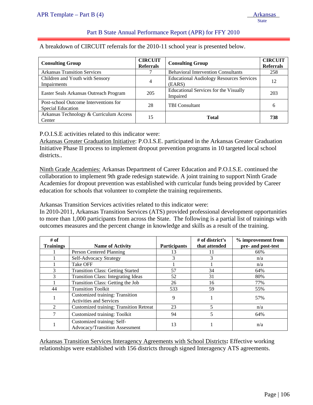## Part B State Annual Performance Report (APR) for FFY 2010

A breakdown of CIRCUIT referrals for the 2010-11 school year is presented below.

| <b>Consulting Group</b>                                    | <b>CIRCUIT</b><br><b>Referrals</b> | <b>Consulting Group</b>                                   | <b>CIRCUIT</b><br><b>Referrals</b> |
|------------------------------------------------------------|------------------------------------|-----------------------------------------------------------|------------------------------------|
| <b>Arkansas Transition Services</b>                        |                                    | <b>Behavioral Intervention Consultants</b>                | 258                                |
| Children and Youth with Sensory<br>Impairments             | 4                                  | <b>Educational Audiology Resources Services</b><br>(EARS) | 12                                 |
| Easter Seals Arkansas Outreach Program                     | 205                                | <b>Educational Services for the Visually</b><br>Impaired  | 203                                |
| Post-school Outcome Interventions for<br>Special Education | 28                                 | <b>TBI</b> Consultant                                     | 6                                  |
| Arkansas Technology & Curriculum Access<br>Center          | 15                                 | <b>Total</b>                                              | 738                                |

P.O.I.S.E activities related to this indicator were:

Arkansas Greater Graduation Initiative: P.O.I.S.E. participated in the Arkansas Greater Graduation Initiative Phase II process to implement dropout prevention programs in 10 targeted local school districts..

Ninth Grade Academies: Arkansas Department of Career Education and P.O.I.S.E. continued the collaboration to implement 9th grade redesign statewide. A joint training to support Ninth Grade Academies for dropout prevention was established with curricular funds being provided by Career education for schools that volunteer to complete the training requirements.

Arkansas Transition Services activities related to this indicator were:

In 2010-2011, Arkansas Transition Services (ATS) provided professional development opportunities to more than 1,000 participants from across the State. The following is a partial list of trainings with outcomes measures and the percent change in knowledge and skills as a result of the training.

| # of<br><b>Trainings</b> | <b>Name of Activity</b>                                           | <b>Participants</b> | # of district's<br>that attended | % improvement from<br>pre- and post-test |
|--------------------------|-------------------------------------------------------------------|---------------------|----------------------------------|------------------------------------------|
|                          | Person Centered Planning                                          | 13                  |                                  | 66%                                      |
|                          | Self-Advocacy Strategy                                            |                     |                                  | n/a                                      |
|                          | Take OFF                                                          |                     |                                  | n/a                                      |
| 3                        | <b>Transition Class: Getting Started</b>                          | 57                  | 34                               | 64%                                      |
| 3                        | <b>Transition Class: Integrating Ideas</b>                        | 52                  | 31                               | 80%                                      |
|                          | Transition Class: Getting the Job                                 | 26                  | 16                               | 77%                                      |
| 44                       | <b>Transition Toolkit</b>                                         | 533                 | 59                               | 55%                                      |
|                          | Customized training: Transition<br><b>Activities and Services</b> | 9                   |                                  | 57%                                      |
| $\mathfrak{D}$           | <b>Customized training: Transition Retreat</b>                    | 23                  | 5                                | n/a                                      |
| 7                        | Customized training: Toolkit                                      | 94                  | 5                                | 64%                                      |
|                          | Customized training: Self-<br>Advocacy/Transition Assessment      | 13                  |                                  | n/a                                      |

Arkansas Transition Services Interagency Agreements with School Districts**:** Effective working relationships were established with 156 districts through signed Interagency ATS agreements.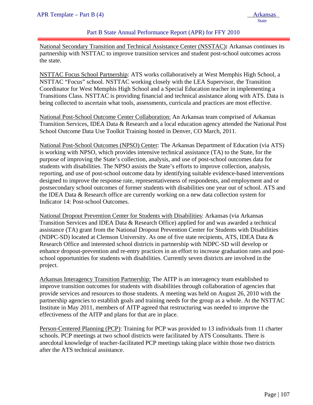### Part B State Annual Performance Report (APR) for FFY 2010

National Secondary Transition and Technical Assistance Center (NSSTAC)**:** Arkansas continues its partnership with NSTTAC to improve transition services and student post-school outcomes across the state.

NSTTAC Focus School Partnership: ATS works collaboratively at West Memphis High School, a NSTTAC "Focus" school. NSTTAC working closely with the LEA Supervisor, the Transition Coordinator for West Memphis High School and a Special Education teacher in implementing a Transitions Class. NSTTAC is providing financial and technical assistance along with ATS. Data is being collected to ascertain what tools, assessments, curricula and practices are most effective.

National Post-School Outcome Center Collaboration: An Arkansas team comprised of Arkansas Transition Services, IDEA Data & Research and a local education agency attended the National Post School Outcome Data Use Toolkit Training hosted in Denver, CO March, 2011.

National Post-School Outcomes (NPSO) Center: The Arkansas Department of Education (via ATS) is working with NPSO, which provides intensive technical assistance (TA) to the State, for the purpose of improving the State's collection, analysis, and use of post-school outcomes data for students with disabilities. The NPSO assists the State's efforts to improve collection, analysis, reporting, and use of post-school outcome data by identifying suitable evidence-based interventions designed to improve the response rate, representativeness of respondents, and employment and or postsecondary school outcomes of former students with disabilities one year out of school. ATS and the IDEA Data & Research office are currently working on a new data collection system for Indicator 14: Post-school Outcomes.

National Dropout Prevention Center for Students with Disabilities: Arkansas (via Arkansas Transition Services and IDEA Data & Research Office) applied for and was awarded a technical assistance (TA) grant from the National Dropout Prevention Center for Students with Disabilities (NDPC-SD) located at Clemson University. As one of five state recipients, ATS, IDEA Data & Research Office and interested school districts in partnership with NDPC-SD will develop or enhance dropout-prevention and re-entry practices in an effort to increase graduation rates and postschool opportunities for students with disabilities. Currently seven districts are involved in the project.

Arkansas Interagency Transition Partnership: The AITP is an interagency team established to improve transition outcomes for students with disabilities through collaboration of agencies that provide services and resources to those students. A meeting was held on August 26, 2010 with the partnership agencies to establish goals and training needs for the group as a whole. At the NSTTAC Institute in May 2011, members of AITP agreed that restructuring was needed to improve the effectiveness of the AITP and plans for that are in place.

Person-Centered Planning (PCP): Training for PCP was provided to 13 individuals from 11 charter schools. PCP meetings at two school districts were facilitated by ATS Consultants. There is anecdotal knowledge of teacher-facilitated PCP meetings taking place within those two districts after the ATS technical assistance.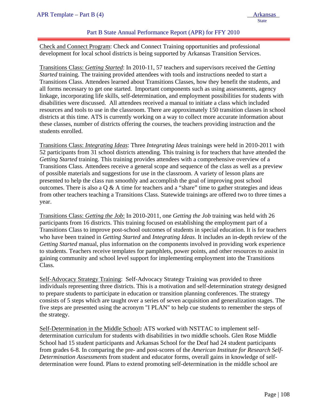### Part B State Annual Performance Report (APR) for FFY 2010

Check and Connect Program: Check and Connect Training opportunities and professional development for local school districts is being supported by Arkansas Transition Services.

Transitions Class: *Getting Started*: In 2010-11, 57 teachers and supervisors received the *Getting Started* training. The training provided attendees with tools and instructions needed to start a Transitions Class. Attendees learned about Transitions Classes, how they benefit the students, and all forms necessary to get one started. Important components such as using assessments, agency linkage, incorporating life skills, self-determination, and employment possibilities for students with disabilities were discussed. All attendees received a manual to initiate a class which included resources and tools to use in the classroom. There are approximately 150 transition classes in school districts at this time. ATS is currently working on a way to collect more accurate information about these classes, number of districts offering the courses, the teachers providing instruction and the students enrolled.

Transitions Class: *Integrating Ideas*: Three *Integrating Ideas* trainings were held in 2010-2011 with 52 participants from 31 school districts attending. This training is for teachers that have attended the *Getting Started* training. This training provides attendees with a comprehensive overview of a Transitions Class. Attendees receive a general scope and sequence of the class as well as a preview of possible materials and suggestions for use in the classroom. A variety of lesson plans are presented to help the class run smoothly and accomplish the goal of improving post school outcomes. There is also a Q & A time for teachers and a "share" time to gather strategies and ideas from other teachers teaching a Transitions Class. Statewide trainings are offered two to three times a year.

Transitions Class: *Getting the Job*: In 2010-2011, one *Getting the Job* training was held with 26 participants from 16 districts. This training focused on establishing the employment part of a Transitions Class to improve post-school outcomes of students in special education. It is for teachers who have been trained in *Getting Started* and *Integrating Ideas*. It includes an in-depth review of the *Getting Started* manual, plus information on the components involved in providing work experience to students. Teachers receive templates for pamphlets, power points, and other resources to assist in gaining community and school level support for implementing employment into the Transitions Class.

Self-Advocacy Strategy Training: Self-Advocacy Strategy Training was provided to three individuals representing three districts. This is a motivation and self-determination strategy designed to prepare students to participate in education or transition planning conferences. The strategy consists of 5 steps which are taught over a series of seven acquisition and generalization stages. The five steps are presented using the acronym "I PLAN" to help cue students to remember the steps of the strategy.

Self-Determination in the Middle School**:** ATS worked with NSTTAC to implement selfdetermination curriculum for students with disabilities in two middle schools. Glen Rose Middle School had 15 student participants and Arkansas School for the Deaf had 24 student participants from grades 6-8. In comparing the pre- and post-scores of the *American Institute for Research Self-Determination Assessments* from student and educator forms, overall gains in knowledge of selfdetermination were found. Plans to extend promoting self-determination in the middle school are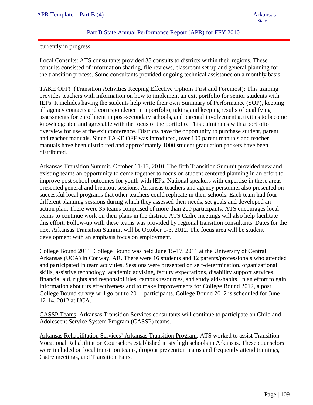**State** 

## Part B State Annual Performance Report (APR) for FFY 2010

currently in progress.

ļ

Local Consults: ATS consultants provided 38 consults to districts within their regions. These consults consisted of information sharing, file reviews, classroom set up and general planning for the transition process. Some consultants provided ongoing technical assistance on a monthly basis.

TAKE OFF! (Transition Activities Keeping Effective Options First and Foremost): This training provides teachers with information on how to implement an exit portfolio for senior students with IEPs. It includes having the students help write their own Summary of Performance (SOP), keeping all agency contacts and correspondence in a portfolio, taking and keeping results of qualifying assessments for enrollment in post-secondary schools, and parental involvement activities to become knowledgeable and agreeable with the focus of the portfolio. This culminates with a portfolio overview for use at the exit conference. Districts have the opportunity to purchase student, parent and teacher manuals. Since TAKE OFF was introduced, over 100 parent manuals and teacher manuals have been distributed and approximately 1000 student graduation packets have been distributed.

Arkansas Transition Summit, October 11-13, 2010: The fifth Transition Summit provided new and existing teams an opportunity to come together to focus on student centered planning in an effort to improve post school outcomes for youth with IEPs. National speakers with expertise in these areas presented general and breakout sessions. Arkansas teachers and agency personnel also presented on successful local programs that other teachers could replicate in their schools. Each team had four different planning sessions during which they assessed their needs, set goals and developed an action plan. There were 35 teams comprised of more than 200 participants. ATS encourages local teams to continue work on their plans in the district. ATS Cadre meetings will also help facilitate this effort. Follow-up with these teams was provided by regional transition consultants. Dates for the next Arkansas Transition Summit will be October 1-3, 2012. The focus area will be student development with an emphasis focus on employment.

College Bound 2011: College Bound was held June 15-17, 2011 at the University of Central Arkansas (UCA) in Conway, AR. There were 16 students and 12 parents/professionals who attended and participated in team activities. Sessions were presented on self-determination, organizational skills, assistive technology, academic advising, faculty expectations, disability support services, financial aid, rights and responsibilities, campus resources, and study aids/habits. In an effort to gain information about its effectiveness and to make improvements for College Bound 2012, a post College Bound survey will go out to 2011 participants. College Bound 2012 is scheduled for June 12-14, 2012 at UCA.

CASSP Teams: Arkansas Transition Services consultants will continue to participate on Child and Adolescent Service System Program (CASSP) teams.

Arkansas Rehabilitation Services' Arkansas Transition Program: ATS worked to assist Transition Vocational Rehabilitation Counselors established in six high schools in Arkansas. These counselors were included on local transition teams, dropout prevention teams and frequently attend trainings, Cadre meetings, and Transition Fairs.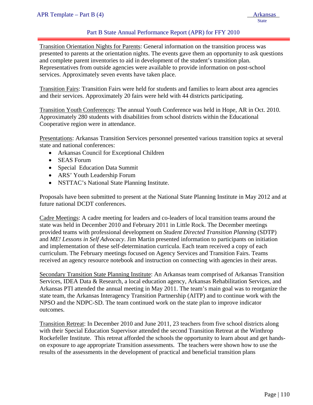## Part B State Annual Performance Report (APR) for FFY 2010

Transition Orientation Nights for Parents: General information on the transition process was presented to parents at the orientation nights. The events gave them an opportunity to ask questions and complete parent inventories to aid in development of the student's transition plan. Representatives from outside agencies were available to provide information on post-school services. Approximately seven events have taken place.

Transition Fairs: Transition Fairs were held for students and families to learn about area agencies and their services. Approximately 20 fairs were held with 44 districts participating.

Transition Youth Conferences: The annual Youth Conference was held in Hope, AR in Oct. 2010. Approximately 280 students with disabilities from school districts within the Educational Cooperative region were in attendance.

Presentations: Arkansas Transition Services personnel presented various transition topics at several state and national conferences:

- Arkansas Council for Exceptional Children
- SEAS Forum
- Special Education Data Summit
- ARS' Youth Leadership Forum
- NSTTAC's National State Planning Institute.

Proposals have been submitted to present at the National State Planning Institute in May 2012 and at future national DCDT conferences.

Cadre Meetings: A cadre meeting for leaders and co-leaders of local transition teams around the state was held in December 2010 and February 2011 in Little Rock. The December meetings provided teams with professional development on *Student Directed Transition Planning* (SDTP) and *ME! Lessons in Self Advocacy*. Jim Martin presented information to participants on initiation and implementation of these self-determination curricula. Each team received a copy of each curriculum. The February meetings focused on Agency Services and Transition Fairs. Teams received an agency resource notebook and instruction on connecting with agencies in their areas.

Secondary Transition State Planning Institute: An Arkansas team comprised of Arkansas Transition Services, IDEA Data & Research, a local education agency, Arkansas Rehabilitation Services, and Arkansas PTI attended the annual meeting in May 2011. The team's main goal was to reorganize the state team, the Arkansas Interagency Transition Partnership (AITP) and to continue work with the NPSO and the NDPC-SD. The team continued work on the state plan to improve indicator outcomes.

Transition Retreat: In December 2010 and June 2011, 23 teachers from five school districts along with their Special Education Supervisor attended the second Transition Retreat at the Winthrop Rockefeller Institute. This retreat afforded the schools the opportunity to learn about and get handson exposure to age appropriate Transition assessments. The teachers were shown how to use the results of the assessments in the development of practical and beneficial transition plans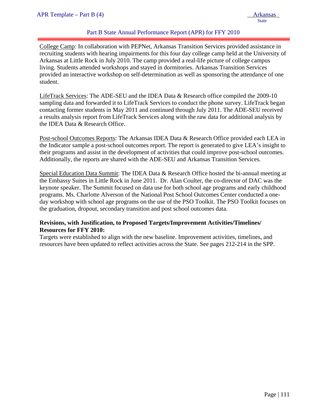## Part B State Annual Performance Report (APR) for FFY 2010

College Camp: In collaboration with PEPNet, Arkansas Transition Services provided assistance in recruiting students with hearing impairments for this four day college camp held at the University of Arkansas at Little Rock in July 2010. The camp provided a real-life picture of college campus living. Students attended workshops and stayed in dormitories. Arkansas Transition Services provided an interactive workshop on self-determination as well as sponsoring the attendance of one student.

LifeTrack Services: The ADE-SEU and the IDEA Data & Research office compiled the 2009-10 sampling data and forwarded it to LifeTrack Services to conduct the phone survey. LifeTrack began contacting former students in May 2011 and continued through July 2011. The ADE-SEU received a results analysis report from LifeTrack Services along with the raw data for additional analysis by the IDEA Data & Research Office.

Post-school Outcomes Reports: The Arkansas IDEA Data & Research Office provided each LEA in the Indicator sample a post-school outcomes report. The report is generated to give LEA's insight to their programs and assist in the development of activities that could improve post-school outcomes. Additionally, the reports are shared with the ADE-SEU and Arkansas Transition Services.

Special Education Data Summit: The IDEA Data & Research Office hosted the bi-annual meeting at the Embassy Suites in Little Rock in June 2011. Dr. Alan Coulter, the co-director of DAC was the keynote speaker. The Summit focused on data use for both school age programs and early childhood programs. Ms. Charlotte Alverson of the National Post School Outcomes Center conducted a oneday workshop with school age programs on the use of the PSO Toolkit. The PSO Toolkit focuses on the graduation, dropout, secondary transition and post school outcomes data.

### **Revisions, with Justification, to Proposed Targets/Improvement Activities/Timelines/ Resources for FFY 2010:**

Targets were established to align with the new baseline. Improvement activities, timelines, and resources have been updated to reflect activities across the State. See pages 212-214 in the SPP.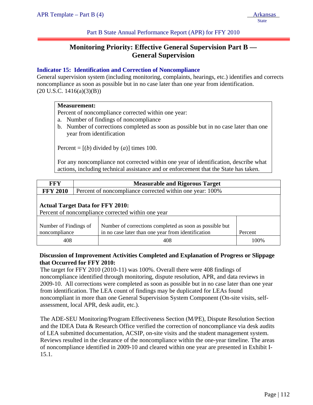Part B State Annual Performance Report (APR) for FFY 2010

# **Monitoring Priority: Effective General Supervision Part B — General Supervision**

### **Indicator 15: Identification and Correction of Noncompliance**

General supervision system (including monitoring, complaints, hearings, etc.) identifies and corrects noncompliance as soon as possible but in no case later than one year from identification.  $(20 U.S.C. 1416(a)(3)(B))$ 

#### **Measurement:**

Percent of noncompliance corrected within one year:

- a. Number of findings of noncompliance
- b. Number of corrections completed as soon as possible but in no case later than one year from identification

Percent =  $[(b)$  divided by  $(a)$ ] times 100.

For any noncompliance not corrected within one year of identification, describe what actions, including technical assistance and or enforcement that the State has taken.

| <b>FFY</b>                                                                                    | <b>Measurable and Rigorous Target</b> |                                                                                                               |         |  |
|-----------------------------------------------------------------------------------------------|---------------------------------------|---------------------------------------------------------------------------------------------------------------|---------|--|
| <b>FFY 2010</b>                                                                               |                                       | Percent of noncompliance corrected within one year: 100%                                                      |         |  |
| <b>Actual Target Data for FFY 2010:</b><br>Percent of noncompliance corrected within one year |                                       |                                                                                                               |         |  |
| Number of Findings of<br>noncompliance                                                        |                                       | Number of corrections completed as soon as possible but<br>in no case later than one year from identification | Percent |  |
| 408                                                                                           |                                       | 408                                                                                                           | 100%    |  |

### **Discussion of Improvement Activities Completed and Explanation of Progress or Slippage that Occurred for FFY 2010:**

The target for FFY 2010 (2010-11) was 100%. Overall there were 408 findings of noncompliance identified through monitoring, dispute resolution, APR, and data reviews in 2009-10. All corrections were completed as soon as possible but in no case later than one year from identification. The LEA count of findings may be duplicated for LEAs found noncompliant in more than one General Supervision System Component (On-site visits, selfassessment, local APR, desk audit, etc.).

The ADE-SEU Monitoring/Program Effectiveness Section (M/PE), Dispute Resolution Section and the IDEA Data & Research Office verified the correction of noncompliance via desk audits of LEA submitted documentation, ACSIP, on-site visits and the student management system. Reviews resulted in the clearance of the noncompliance within the one-year timeline. The areas of noncompliance identified in 2009-10 and cleared within one year are presented in Exhibit I-15.1.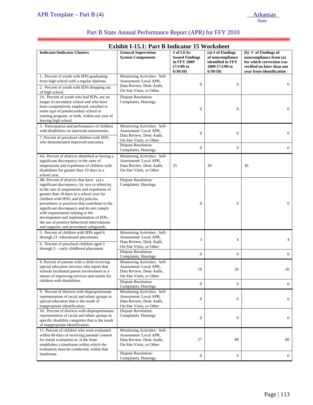ī

| <b>Exhibit I-15.1: Part B Indicator 15 Worksheet</b>                                                                                                                                                                                                                                                                                                                                                                                                                                                         |                                                                                                               |                                                                                |                                                                                            |                                                                                                                                        |  |  |
|--------------------------------------------------------------------------------------------------------------------------------------------------------------------------------------------------------------------------------------------------------------------------------------------------------------------------------------------------------------------------------------------------------------------------------------------------------------------------------------------------------------|---------------------------------------------------------------------------------------------------------------|--------------------------------------------------------------------------------|--------------------------------------------------------------------------------------------|----------------------------------------------------------------------------------------------------------------------------------------|--|--|
| <b>Indicator/Indicator Clusters</b>                                                                                                                                                                                                                                                                                                                                                                                                                                                                          | <b>General Supervision</b><br><b>System Components</b>                                                        | # of LEAs<br><b>Issued Findings</b><br>in FFY 2009<br>$(7/1/09)$ to<br>6/30/10 | $(a)$ # of Findings<br>of noncompliance<br>identified in FFY<br>2009 (7/1/09 to<br>6/30/10 | (b) $#$ of Findings of<br>noncompliance from (a)<br>for which correction was<br>verified no later than one<br>year from identification |  |  |
| 1. Percent of youth with IEPs graduating<br>from high school with a regular diploma.<br>2. Percent of youth with IEPs dropping out<br>of high school.                                                                                                                                                                                                                                                                                                                                                        | Monitoring Activities: Self-<br>Assessment/Local APR,<br>Data Review, Desk Audit,<br>On-Site Visits, or Other | $\boldsymbol{0}$                                                               | $\mathbf{0}$                                                                               | $\overline{0}$                                                                                                                         |  |  |
| 14. Percent of youth who had IEPs, are no<br>longer in secondary school and who have<br>been competitively employed, enrolled in<br>some type of postsecondary school or<br>training program, or both, within one year of<br>leaving high school.                                                                                                                                                                                                                                                            | Dispute Resolution:<br>Complaints, Hearings                                                                   | $\boldsymbol{0}$                                                               | $\mathbf{0}$                                                                               | $\mathbf{0}$                                                                                                                           |  |  |
| 3. Participation and performance of children<br>with disabilities on statewide assessments.<br>7. Percent of preschool children with IEPs                                                                                                                                                                                                                                                                                                                                                                    | Monitoring Activities: Self-<br>Assessment/Local APR,<br>Data Review, Desk Audit,<br>On-Site Visits, or Other | $\mathbf{0}$                                                                   | $\mathbf{0}$                                                                               | $\boldsymbol{0}$                                                                                                                       |  |  |
| who demonstrated improved outcomes.                                                                                                                                                                                                                                                                                                                                                                                                                                                                          | Dispute Resolution:<br>Complaints, Hearings                                                                   | $\overline{0}$                                                                 | $\boldsymbol{0}$                                                                           | $\mathbf{0}$                                                                                                                           |  |  |
| 4A. Percent of districts identified as having a<br>significant discrepancy in the rates of<br>suspensions and expulsions of children with<br>disabilities for greater than 10 days in a<br>school year.                                                                                                                                                                                                                                                                                                      | Monitoring Activities: Self-<br>Assessment/Local APR,<br>Data Review, Desk Audit,<br>On-Site Visits, or Other | 25                                                                             | 30                                                                                         | 30                                                                                                                                     |  |  |
| 4B. Percent of districts that have: (a) a<br>significant discrepancy, by race or ethnicity,<br>in the rate of suspensions and expulsions of<br>greater than 10 days in a school year for<br>children with IEPs; and (b) policies,<br>procedures or practices that contribute to the<br>significant discrepancy and do not comply<br>with requirements relating to the<br>development and implementation of IEPs,<br>the use of positive behavioral interventions<br>and supports, and procedural safeguards. | <b>Dispute Resolution:</b><br>Complaints, Hearings                                                            | $\overline{0}$                                                                 | $\boldsymbol{0}$                                                                           | $\overline{0}$                                                                                                                         |  |  |
| 5. Percent of children with IEPs aged 6<br>through 21 -educational placements.<br>6. Percent of preschool children aged 3                                                                                                                                                                                                                                                                                                                                                                                    | Monitoring Activities: Self-<br>Assessment/Local APR,<br>Data Review, Desk Audit,<br>On-Site Visits, or Other | 3                                                                              | $\overline{4}$                                                                             | 4                                                                                                                                      |  |  |
| through $5$ – early childhood placement.                                                                                                                                                                                                                                                                                                                                                                                                                                                                     | Dispute Resolution:<br>Complaints, Hearings                                                                   | 0                                                                              | $\mathbf{0}$                                                                               | $\boldsymbol{0}$                                                                                                                       |  |  |
| 8. Percent of parents with a child receiving<br>special education services who report that<br>schools facilitated parent involvement as a<br>means of improving services and results for                                                                                                                                                                                                                                                                                                                     | Monitoring Activities: Self-<br>Assessment/Local APR,<br>Data Review, Desk Audit,<br>On-Site Visits, or Other | 10                                                                             | 26                                                                                         | 26                                                                                                                                     |  |  |
| children with disabilities.                                                                                                                                                                                                                                                                                                                                                                                                                                                                                  | <b>Dispute Resolution:</b><br>Complaints, Hearings                                                            | $\overline{0}$                                                                 | $\overline{0}$                                                                             | $\overline{0}$                                                                                                                         |  |  |
| 9. Percent of districts with disproportionate<br>representation of racial and ethnic groups in<br>special education that is the result of<br>inappropriate identification.                                                                                                                                                                                                                                                                                                                                   | Monitoring Activities: Self-<br>Assessment/Local APR,<br>Data Review, Desk Audit,<br>On-Site Visits, or Other | $\boldsymbol{0}$                                                               | $\boldsymbol{0}$                                                                           | $\mathbf{0}$                                                                                                                           |  |  |
| 10. Percent of districts with disproportionate<br>representation of racial and ethnic groups in<br>specific disability categories that is the result<br>of inappropriate identification.                                                                                                                                                                                                                                                                                                                     | <b>Dispute Resolution:</b><br>Complaints, Hearings                                                            | $\mathbf{0}$                                                                   | $\mathbf{0}$                                                                               | $\overline{0}$                                                                                                                         |  |  |
| 11. Percent of children who were evaluated<br>within 60 days of receiving parental consent<br>for initial evaluation or, if the State<br>establishes a timeframe within which the<br>evaluation must be conducted, within that                                                                                                                                                                                                                                                                               | Monitoring Activities: Self-<br>Assessment/Local APR,<br>Data Review, Desk Audit,<br>On-Site Visits, or Other | 57                                                                             | 68                                                                                         | 68                                                                                                                                     |  |  |
| timeframe.                                                                                                                                                                                                                                                                                                                                                                                                                                                                                                   | <b>Dispute Resolution:</b><br>Complaints, Hearings                                                            | $\boldsymbol{0}$                                                               | $\boldsymbol{0}$                                                                           | $\mathbf{0}$                                                                                                                           |  |  |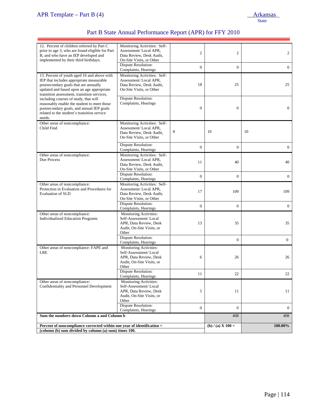# Part B State Annual Performance Report (APR) for FFY 2010

| 12. Percent of children referred by Part C<br>prior to age 3, who are found eligible for Part<br>B, and who have an IEP developed and<br>implemented by their third birthdays.                                               | Monitoring Activities: Self-<br>Assessment/Local APR,<br>Data Review, Desk Audit,<br>On-Site Visits, or Other   | $\overline{c}$   | $\overline{c}$      | $\overline{2}$   |
|------------------------------------------------------------------------------------------------------------------------------------------------------------------------------------------------------------------------------|-----------------------------------------------------------------------------------------------------------------|------------------|---------------------|------------------|
|                                                                                                                                                                                                                              | Dispute Resolution:<br>Complaints, Hearings                                                                     | $\boldsymbol{0}$ | $\overline{0}$      | $\overline{0}$   |
| 13. Percent of youth aged 16 and above with<br>IEP that includes appropriate measurable<br>postsecondary goals that are annually<br>updated and based upon an age appropriate<br>transition assessment, transition services, | Monitoring Activities: Self-<br>Assessment/Local APR,<br>Data Review, Desk Audit,<br>On-Site Visits, or Other   | 18               | 25                  | 25               |
| including courses of study, that will<br>reasonably enable the student to meet those<br>postsecondary goals, and annual IEP goals<br>related to the student's transition service<br>needs.                                   | <b>Dispute Resolution:</b><br>Complaints, Hearings                                                              | $\boldsymbol{0}$ | $\boldsymbol{0}$    | $\overline{0}$   |
| Other areas of noncompliance:<br>Child Find                                                                                                                                                                                  | Monitoring Activities: Self-<br>Assessment/Local APR,<br>Data Review, Desk Audit,<br>On-Site Visits, or Other   | 8                | 10                  | 10               |
|                                                                                                                                                                                                                              | <b>Dispute Resolution:</b><br>Complaints, Hearings                                                              | $\boldsymbol{0}$ | $\boldsymbol{0}$    | $\overline{0}$   |
| Other areas of noncompliance:<br>Due Process                                                                                                                                                                                 | Monitoring Activities: Self-<br>Assessment/Local APR,<br>Data Review, Desk Audit,<br>On-Site Visits, or Other   | 11               | 40                  | 40               |
|                                                                                                                                                                                                                              | <b>Dispute Resolution:</b><br>Complaints, Hearings                                                              | $\boldsymbol{0}$ | $\boldsymbol{0}$    | $\overline{0}$   |
| Other areas of noncompliance:<br>Protection in Evaluation and Procedures for<br><b>Evaluation of SLD</b>                                                                                                                     | Monitoring Activities: Self-<br>Assessment/Local APR,<br>Data Review, Desk Audit,<br>On-Site Visits, or Other   | 17               | 109                 | 109              |
|                                                                                                                                                                                                                              | Dispute Resolution:<br>Complaints, Hearings                                                                     | $\overline{0}$   | $\overline{0}$      | $\overline{0}$   |
| Other areas of noncompliance:<br><b>Individualized Education Programs</b>                                                                                                                                                    | Monitoring Activities:<br>Self-Assessment/Local<br>APR, Data Review, Desk<br>Audit, On-Site Visits, or<br>Other | 13               | 35                  | 35               |
|                                                                                                                                                                                                                              | <b>Dispute Resolution:</b><br>Complaints, Hearings                                                              |                  | $\mathbf{0}$        | $\boldsymbol{0}$ |
| Other areas of noncompliance: FAPE and<br><b>LRE</b>                                                                                                                                                                         | Monitoring Activities:<br>Self-Assessment/Local<br>APR, Data Review, Desk<br>Audit, On-Site Visits, or<br>Other | 6                | 26                  | 26               |
|                                                                                                                                                                                                                              | Dispute Resolution:<br>Complaints, Hearings                                                                     | 11               | 22                  | 22               |
| Other areas of noncompliance:<br>Confidentiality and Personnel Development                                                                                                                                                   | Monitoring Activities:<br>Self-Assessment/Local<br>APR, Data Review, Desk<br>Audit, On-Site Visits, or<br>Other | 5                | 11                  | 11               |
|                                                                                                                                                                                                                              | Dispute Resolution:<br>Complaints, Hearings                                                                     | $\boldsymbol{0}$ | $\overline{0}$      | $\mathbf{0}$     |
| Sum the numbers down Column a and Column b                                                                                                                                                                                   |                                                                                                                 |                  | 408                 | 408              |
| Percent of noncompliance corrected within one year of identification =<br>(column (b) sum divided by column (a) sum) times 100.                                                                                              |                                                                                                                 |                  | (b) $/$ (a) X 100 = | 100.00%          |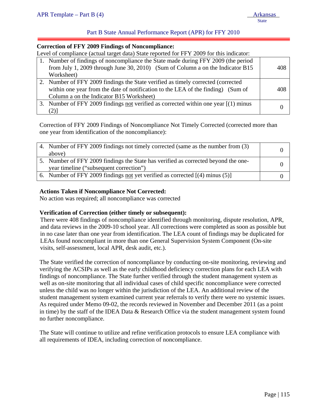### Part B State Annual Performance Report (APR) for FFY 2010

#### **Correction of FFY 2009 Findings of Noncompliance:**

Level of compliance (actual target data) State reported for FFY 2009 for this indicator:

| 1. Number of findings of noncompliance the State made during FFY 2009 (the period<br>from July 1, 2009 through June 30, 2010) (Sum of Column a on the Indicator B15 | 408 |
|---------------------------------------------------------------------------------------------------------------------------------------------------------------------|-----|
| Worksheet)                                                                                                                                                          |     |
| 2. Number of FFY 2009 findings the State verified as timely corrected (corrected)                                                                                   |     |
| within one year from the date of notification to the LEA of the finding) (Sum of                                                                                    | 408 |
| Column a on the Indicator B15 Worksheet)                                                                                                                            |     |
| 3. Number of FFY 2009 findings not verified as corrected within one year [(1) minus                                                                                 |     |
|                                                                                                                                                                     |     |

Correction of FFY 2009 Findings of Noncompliance Not Timely Corrected (corrected more than one year from identification of the noncompliance):

| 4. Number of FFY 2009 findings not timely corrected (same as the number from (3)   |  |
|------------------------------------------------------------------------------------|--|
| above)                                                                             |  |
| 5. Number of FFY 2009 findings the State has verified as corrected beyond the one- |  |
| year timeline ("subsequent correction")                                            |  |
| 6. Number of FFY 2009 findings not yet verified as corrected $[(4)$ minus (5)      |  |

### **Actions Taken if Noncompliance Not Corrected:**

No action was required; all noncompliance was corrected

### **Verification of Correction (either timely or subsequent):**

There were 408 findings of noncompliance identified through monitoring, dispute resolution, APR, and data reviews in the 2009-10 school year. All corrections were completed as soon as possible but in no case later than one year from identification. The LEA count of findings may be duplicated for LEAs found noncompliant in more than one General Supervision System Component (On-site visits, self-assessment, local APR, desk audit, etc.).

The State verified the correction of noncompliance by conducting on-site monitoring, reviewing and verifying the ACSIPs as well as the early childhood deficiency correction plans for each LEA with findings of noncompliance. The State further verified through the student management system as well as on-site monitoring that all individual cases of child specific noncompliance were corrected unless the child was no longer within the jurisdiction of the LEA. An additional review of the student management system examined current year referrals to verify there were no systemic issues. As required under Memo 09-02, the records reviewed in November and December 2011 (as a point in time) by the staff of the IDEA Data & Research Office via the student management system found no further noncompliance.

The State will continue to utilize and refine verification protocols to ensure LEA compliance with all requirements of IDEA, including correction of noncompliance.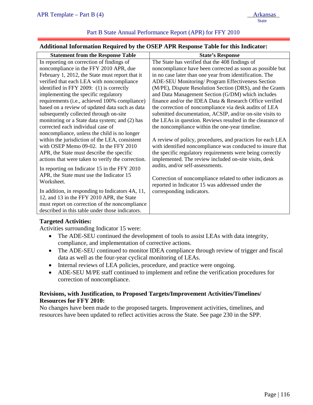### Part B State Annual Performance Report (APR) for FFY 2010

#### **Additional Information Required by the OSEP APR Response Table for this Indicator:**

| <b>Statement from the Response Table</b>          | <b>State's Response</b>                                    |
|---------------------------------------------------|------------------------------------------------------------|
| In reporting on correction of findings of         | The State has verified that the 408 findings of            |
| noncompliance in the FFY 2010 APR, due            | noncompliance have been corrected as soon as possible but  |
| February 1, 2012, the State must report that it   | in no case later than one year from identification. The    |
| verified that each LEA with noncompliance         | ADE-SEU Monitoring/ Program Effectiveness Section          |
| identified in FFY 2009: (1) is correctly          | (M/PE), Dispute Resolution Section (DRS), and the Grants   |
| implementing the specific regulatory              | and Data Management Section (G/DM) which includes          |
| requirements (i.e., achieved 100% compliance)     | finance and/or the IDEA Data & Research Office verified    |
| based on a review of updated data such as data    | the correction of noncompliance via desk audits of LEA     |
| subsequently collected through on-site            | submitted documentation, ACSIP, and/or on-site visits to   |
| monitoring or a State data system; and (2) has    | the LEAs in question. Reviews resulted in the clearance of |
| corrected each individual case of                 | the noncompliance within the one-year timeline.            |
| noncompliance, unless the child is no longer      |                                                            |
| within the jurisdiction of the LEA, consistent    | A review of policy, procedures, and practices for each LEA |
| with OSEP Memo 09-02. In the FFY 2010             | with identified noncompliance was conducted to insure that |
| APR, the State must describe the specific         | the specific regulatory requirements were being correctly  |
| actions that were taken to verify the correction. | implemented. The review included on-site visits, desk      |
| In reporting on Indicator 15 in the FFY 2010      | audits, and/or self-assessments.                           |
| APR, the State must use the Indicator 15          |                                                            |
| Worksheet.                                        | Correction of noncompliance related to other indicators as |
|                                                   | reported in Indicator 15 was addressed under the           |
| In addition, in responding to Indicators 4A, 11,  | corresponding indicators.                                  |
| 12, and 13 in the FFY 2010 APR, the State         |                                                            |
| must report on correction of the noncompliance    |                                                            |
| described in this table under those indicators.   |                                                            |

### **Targeted Activities:**

Activities surrounding Indicator 15 were:

- The ADE-SEU continued the development of tools to assist LEAs with data integrity, compliance, and implementation of corrective actions.
- The ADE-SEU continued to monitor IDEA compliance through review of trigger and fiscal data as well as the four-year cyclical monitoring of LEAs.
- Internal reviews of LEA policies, procedure, and practice were ongoing.
- ADE-SEU M/PE staff continued to implement and refine the verification procedures for correction of noncompliance.

### **Revisions, with Justification, to Proposed Targets/Improvement Activities/Timelines/ Resources for FFY 2010:**

No changes have been made to the proposed targets. Improvement activities, timelines, and resources have been updated to reflect activities across the State. See page 230 in the SPP.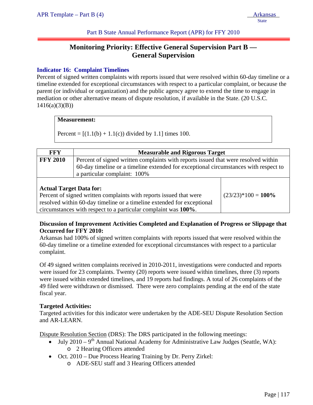Part B State Annual Performance Report (APR) for FFY 2010

# **Monitoring Priority: Effective General Supervision Part B — General Supervision**

## **Indicator 16: Complaint Timelines**

Percent of signed written complaints with reports issued that were resolved within 60-day timeline or a timeline extended for exceptional circumstances with respect to a particular complaint, or because the parent (or individual or organization) and the public agency agree to extend the time to engage in mediation or other alternative means of dispute resolution, if available in the State. (20 U.S.C.  $1416(a)(3)(B)$ 

#### **Measurement:**

Percent =  $[(1.1(b) + 1.1(c))$  divided by 1.1] times 100.

| <b>FFY</b>                     | <b>Measurable and Rigorous Target</b>                                                                                                                                                                      |  |
|--------------------------------|------------------------------------------------------------------------------------------------------------------------------------------------------------------------------------------------------------|--|
| <b>FFY 2010</b>                | Percent of signed written complaints with reports issued that were resolved within<br>60-day timeline or a timeline extended for exceptional circumstances with respect to<br>a particular complaint: 100% |  |
| <b>Actual Target Data for:</b> |                                                                                                                                                                                                            |  |

Percent of signed written complaints with reports issued that were resolved within 60-day timeline or a timeline extended for exceptional circumstances with respect to a particular complaint was **100%**.

 $(23/23)*100 = 100\%$ 

## **Discussion of Improvement Activities Completed and Explanation of Progress or Slippage that Occurred for FFY 2010:**

Arkansas had 100% of signed written complaints with reports issued that were resolved within the 60-day timeline or a timeline extended for exceptional circumstances with respect to a particular complaint.

Of 49 signed written complaints received in 2010-2011, investigations were conducted and reports were issued for 23 complaints. Twenty (20) reports were issued within timelines, three (3) reports were issued within extended timelines, and 19 reports had findings. A total of 26 complaints of the 49 filed were withdrawn or dismissed. There were zero complaints pending at the end of the state fiscal year.

### **Targeted Activities:**

Targeted activities for this indicator were undertaken by the ADE-SEU Dispute Resolution Section and AR-LEARN.

Dispute Resolution Section (DRS): The DRS participated in the following meetings:

- July 2010 9<sup>th</sup> Annual National Academy for Administrative Law Judges (Seattle, WA): o 2 Hearing Officers attended
- Oct. 2010 Due Process Hearing Training by Dr. Perry Zirkel:
	- o ADE-SEU staff and 3 Hearing Officers attended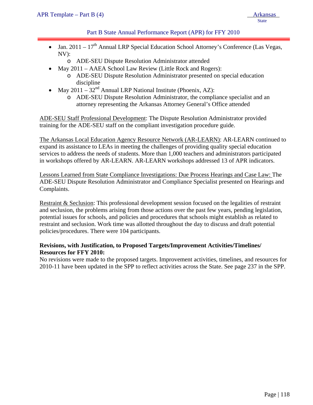## Part B State Annual Performance Report (APR) for FFY 2010

- Jan. 2011  $17<sup>th</sup>$  Annual LRP Special Education School Attorney's Conference (Las Vegas, NV):
	- o ADE-SEU Dispute Resolution Administrator attended
- May 2011 AAEA School Law Review (Little Rock and Rogers):
	- o ADE-SEU Dispute Resolution Administrator presented on special education discipline
- May 2011  $32<sup>nd</sup>$  Annual LRP National Institute (Phoenix, AZ):
	- o ADE-SEU Dispute Resolution Administrator, the compliance specialist and an attorney representing the Arkansas Attorney General's Office attended

ADE-SEU Staff Professional Development: The Dispute Resolution Administrator provided training for the ADE-SEU staff on the compliant investigation procedure guide.

The Arkansas Local Education Agency Resource Network (AR-LEARN): AR-LEARN continued to expand its assistance to LEAs in meeting the challenges of providing quality special education services to address the needs of students. More than 1,000 teachers and administrators participated in workshops offered by AR-LEARN. AR-LEARN workshops addressed 13 of APR indicators.

Lessons Learned from State Compliance Investigations: Due Process Hearings and Case Law: The ADE-SEU Dispute Resolution Administrator and Compliance Specialist presented on Hearings and Complaints.

Restraint & Seclusion: This professional development session focused on the legalities of restraint and seclusion, the problems arising from those actions over the past few years, pending legislation, potential issues for schools, and policies and procedures that schools might establish as related to restraint and seclusion. Work time was allotted throughout the day to discuss and draft potential policies/procedures. There were 104 participants.

### **Revisions, with Justification, to Proposed Targets/Improvement Activities/Timelines/ Resources for FFY 2010:**

No revisions were made to the proposed targets. Improvement activities, timelines, and resources for 2010-11 have been updated in the SPP to reflect activities across the State. See page 237 in the SPP.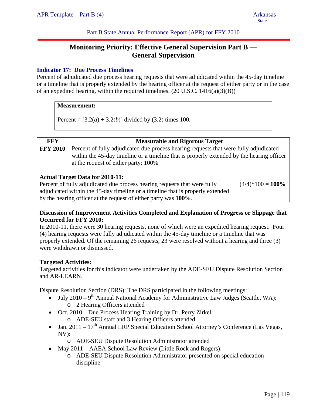Part B State Annual Performance Report (APR) for FFY 2010

# **Monitoring Priority: Effective General Supervision Part B — General Supervision**

## **Indicator 17: Due Process Timelines**

Percent of adjudicated due process hearing requests that were adjudicated within the 45-day timeline or a timeline that is properly extended by the hearing officer at the request of either party or in the case of an expedited hearing, within the required timelines.  $(20 \text{ U.S.C. } 1416(a)(3)(B))$ 

#### **Measurement:**

Percent =  $[3.2(a) + 3.2(b)]$  divided by (3.2) times 100.

by the hearing officer at the request of either party was **100%**.

| <b>FFY</b>      | <b>Measurable and Rigorous Target</b>                                                                                                                                                                                      |                     |
|-----------------|----------------------------------------------------------------------------------------------------------------------------------------------------------------------------------------------------------------------------|---------------------|
| <b>FFY 2010</b> | Percent of fully adjudicated due process hearing requests that were fully adjudicated<br>within the 45-day timeline or a timeline that is properly extended by the hearing officer<br>at the request of either party: 100% |                     |
|                 | <b>Actual Target Data for 2010-11:</b><br>Percent of fully adjudicated due process hearing requests that were fully<br>adjudicated within the 45-day timeline or a timeline that is properly extended                      | $(4/4)*100 = 100\%$ |

# **Discussion of Improvement Activities Completed and Explanation of Progress or Slippage that Occurred for FFY 2010:**

In 2010-11, there were 30 hearing requests, none of which were an expedited hearing request. Four (4) hearing requests were fully adjudicated within the 45-day timeline or a timeline that was properly extended. Of the remaining 26 requests, 23 were resolved without a hearing and three (3) were withdrawn or dismissed.

### **Targeted Activities:**

Targeted activities for this indicator were undertaken by the ADE-SEU Dispute Resolution Section and AR-LEARN.

Dispute Resolution Section (DRS): The DRS participated in the following meetings:

- July 2010 9<sup>th</sup> Annual National Academy for Administrative Law Judges (Seattle, WA): o 2 Hearing Officers attended
- Oct. 2010 Due Process Hearing Training by Dr. Perry Zirkel: o ADE-SEU staff and 3 Hearing Officers attended
- Jan.  $2011 17<sup>th</sup>$  Annual LRP Special Education School Attorney's Conference (Las Vegas, NV):
	- o ADE-SEU Dispute Resolution Administrator attended
- May 2011 AAEA School Law Review (Little Rock and Rogers):
	- o ADE-SEU Dispute Resolution Administrator presented on special education discipline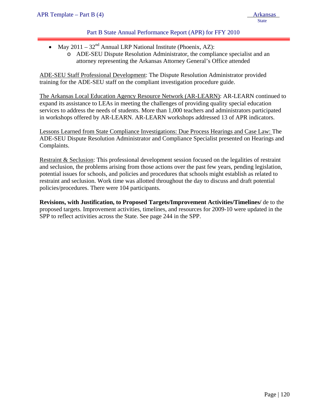## Part B State Annual Performance Report (APR) for FFY 2010

- May  $2011 32<sup>nd</sup>$  Annual LRP National Institute (Phoenix, AZ):
	- o ADE-SEU Dispute Resolution Administrator, the compliance specialist and an attorney representing the Arkansas Attorney General's Office attended

ADE-SEU Staff Professional Development: The Dispute Resolution Administrator provided training for the ADE-SEU staff on the compliant investigation procedure guide.

The Arkansas Local Education Agency Resource Network (AR-LEARN): AR-LEARN continued to expand its assistance to LEAs in meeting the challenges of providing quality special education services to address the needs of students. More than 1,000 teachers and administrators participated in workshops offered by AR-LEARN. AR-LEARN workshops addressed 13 of APR indicators.

Lessons Learned from State Compliance Investigations: Due Process Hearings and Case Law: The ADE-SEU Dispute Resolution Administrator and Compliance Specialist presented on Hearings and Complaints.

Restraint & Seclusion: This professional development session focused on the legalities of restraint and seclusion, the problems arising from those actions over the past few years, pending legislation, potential issues for schools, and policies and procedures that schools might establish as related to restraint and seclusion. Work time was allotted throughout the day to discuss and draft potential policies/procedures. There were 104 participants.

**Revisions, with Justification, to Proposed Targets/Improvement Activities/Timelines/** de to the proposed targets. Improvement activities, timelines, and resources for 2009-10 were updated in the SPP to reflect activities across the State. See page 244 in the SPP.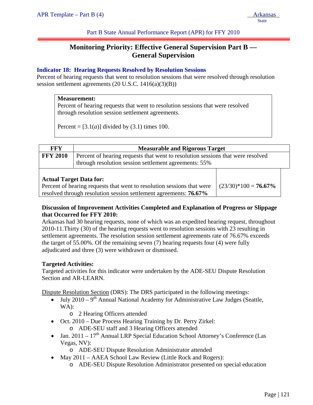Part B State Annual Performance Report (APR) for FFY 2010

# **Monitoring Priority: Effective General Supervision Part B — General Supervision**

### **Indicator 18: Hearing Requests Resolved by Resolution Sessions**

Percent of hearing requests that went to resolution sessions that were resolved through resolution session settlement agreements (20 U.S.C. 1416(a)(3)(B))

#### **Measurement:**

Percent of hearing requests that went to resolution sessions that were resolved through resolution session settlement agreements.

Percent =  $[3.1(a)]$  divided by  $(3.1)$  times 100.

| <b>FFY</b>                                                                                                                          | <b>Measurable and Rigorous Target</b>                                                                                                    |  |  |
|-------------------------------------------------------------------------------------------------------------------------------------|------------------------------------------------------------------------------------------------------------------------------------------|--|--|
| <b>FFY 2010</b>                                                                                                                     | Percent of hearing requests that went to resolution sessions that were resolved<br>through resolution session settlement agreements: 55% |  |  |
| <b>Actual Target Data for:</b><br>Percent of hearing requests that went to resolution sessions that were<br>$(23/30)*100 = 76.67\%$ |                                                                                                                                          |  |  |

resolved through resolution session settlement agreements: **76.67%**

### **Discussion of Improvement Activities Completed and Explanation of Progress or Slippage that Occurred for FFY 2010:**

Arkansas had 30 hearing requests, none of which was an expedited hearing request, throughout 2010-11.Thirty (30) of the hearing requests went to resolution sessions with 23 resulting in settlement agreements. The resolution session settlement agreements rate of 76.67% exceeds the target of 55.00%. Of the remaining seven (7) hearing requests four (4) were fully adjudicated and three (3) were withdrawn or dismissed.

### **Targeted Activities:**

Targeted activities for this indicator were undertaken by the ADE-SEU Dispute Resolution Section and AR-LEARN.

Dispute Resolution Section (DRS): The DRS participated in the following meetings:

- July  $2010 9$ <sup>th</sup> Annual National Academy for Administrative Law Judges (Seattle, WA):
	- o 2 Hearing Officers attended
- Oct. 2010 Due Process Hearing Training by Dr. Perry Zirkel:
	- o ADE-SEU staff and 3 Hearing Officers attended
- Jan.  $2011 17$ <sup>th</sup> Annual LRP Special Education School Attorney's Conference (Las Vegas, NV):
	- o ADE-SEU Dispute Resolution Administrator attended
- May 2011 AAEA School Law Review (Little Rock and Rogers):
	- o ADE-SEU Dispute Resolution Administrator presented on special education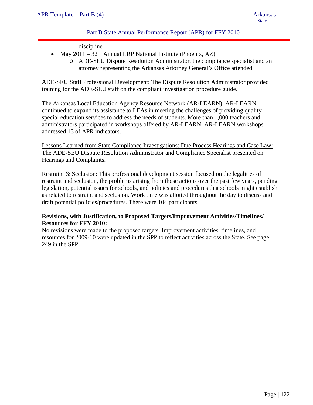## Part B State Annual Performance Report (APR) for FFY 2010

discipline

- May  $2011 32<sup>nd</sup>$  Annual LRP National Institute (Phoenix, AZ):
	- o ADE-SEU Dispute Resolution Administrator, the compliance specialist and an attorney representing the Arkansas Attorney General's Office attended

ADE-SEU Staff Professional Development: The Dispute Resolution Administrator provided training for the ADE-SEU staff on the compliant investigation procedure guide.

The Arkansas Local Education Agency Resource Network (AR-LEARN): AR-LEARN continued to expand its assistance to LEAs in meeting the challenges of providing quality special education services to address the needs of students. More than 1,000 teachers and administrators participated in workshops offered by AR-LEARN. AR-LEARN workshops addressed 13 of APR indicators.

Lessons Learned from State Compliance Investigations: Due Process Hearings and Case Law: The ADE-SEU Dispute Resolution Administrator and Compliance Specialist presented on Hearings and Complaints.

Restraint & Seclusion: This professional development session focused on the legalities of restraint and seclusion, the problems arising from those actions over the past few years, pending legislation, potential issues for schools, and policies and procedures that schools might establish as related to restraint and seclusion. Work time was allotted throughout the day to discuss and draft potential policies/procedures. There were 104 participants.

### **Revisions, with Justification, to Proposed Targets/Improvement Activities/Timelines/ Resources for FFY 2010:**

No revisions were made to the proposed targets. Improvement activities, timelines, and resources for 2009-10 were updated in the SPP to reflect activities across the State. See page 249 in the SPP.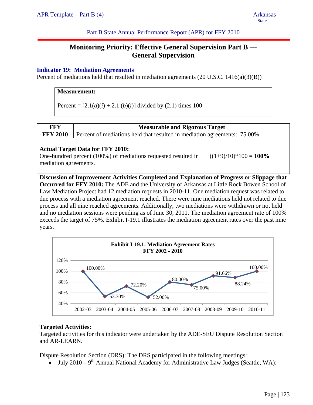Part B State Annual Performance Report (APR) for FFY 2010

# **Monitoring Priority: Effective General Supervision Part B — General Supervision**

### **Indicator 19: Mediation Agreements**

Percent of mediations held that resulted in mediation agreements (20 U.S.C. 1416(a)(3)(B))

### **Measurement:**

Percent =  $[2.1(a)(i) + 2.1(b)(i)]$  divided by (2.1) times 100

| <b>FFY</b>            | <b>Measurable and Rigorous Target</b>                                                                     |                          |  |
|-----------------------|-----------------------------------------------------------------------------------------------------------|--------------------------|--|
| <b>FFY 2010</b>       | Percent of mediations held that resulted in mediation agreements: 75.00%                                  |                          |  |
| mediation agreements. | <b>Actual Target Data for FFY 2010:</b><br>One-hundred percent (100%) of mediations requested resulted in | $((1+9)/10)*100 = 100\%$ |  |

**Discussion of Improvement Activities Completed and Explanation of Progress or Slippage that Occurred for FFY 2010:** The ADE and the University of Arkansas at Little Rock Bowen School of Law Mediation Project had 12 mediation requests in 2010-11. One mediation request was related to due process with a mediation agreement reached. There were nine mediations held not related to due process and all nine reached agreements. Additionally, two mediations were withdrawn or not held and no mediation sessions were pending as of June 30, 2011. The mediation agreement rate of 100% exceeds the target of 75%. Exhibit I-19.1 illustrates the mediation agreement rates over the past nine years.



### **Targeted Activities:**

Targeted activities for this indicator were undertaken by the ADE-SEU Dispute Resolution Section and AR-LEARN.

Dispute Resolution Section (DRS): The DRS participated in the following meetings:

• July 2010 – 9<sup>th</sup> Annual National Academy for Administrative Law Judges (Seattle, WA):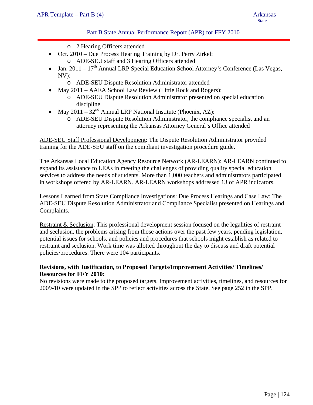### Part B State Annual Performance Report (APR) for FFY 2010

- o 2 Hearing Officers attended
- Oct. 2010 Due Process Hearing Training by Dr. Perry Zirkel: o ADE-SEU staff and 3 Hearing Officers attended
- Jan.  $2011 17<sup>th</sup>$  Annual LRP Special Education School Attorney's Conference (Las Vegas, NV):
	- o ADE-SEU Dispute Resolution Administrator attended
	- May 2011 AAEA School Law Review (Little Rock and Rogers):
		- o ADE-SEU Dispute Resolution Administrator presented on special education discipline
- May 2011  $32<sup>nd</sup>$  Annual LRP National Institute (Phoenix, AZ):
	- o ADE-SEU Dispute Resolution Administrator, the compliance specialist and an attorney representing the Arkansas Attorney General's Office attended

ADE-SEU Staff Professional Development: The Dispute Resolution Administrator provided training for the ADE-SEU staff on the compliant investigation procedure guide.

The Arkansas Local Education Agency Resource Network (AR-LEARN): AR-LEARN continued to expand its assistance to LEAs in meeting the challenges of providing quality special education services to address the needs of students. More than 1,000 teachers and administrators participated in workshops offered by AR-LEARN. AR-LEARN workshops addressed 13 of APR indicators.

Lessons Learned from State Compliance Investigations: Due Process Hearings and Case Law: The ADE-SEU Dispute Resolution Administrator and Compliance Specialist presented on Hearings and Complaints.

Restraint & Seclusion: This professional development session focused on the legalities of restraint and seclusion, the problems arising from those actions over the past few years, pending legislation, potential issues for schools, and policies and procedures that schools might establish as related to restraint and seclusion. Work time was allotted throughout the day to discuss and draft potential policies/procedures. There were 104 participants.

### **Revisions, with Justification, to Proposed Targets/Improvement Activities/ Timelines/ Resources for FFY 2010:**

No revisions were made to the proposed targets. Improvement activities, timelines, and resources for 2009-10 were updated in the SPP to reflect activities across the State. See page 252 in the SPP.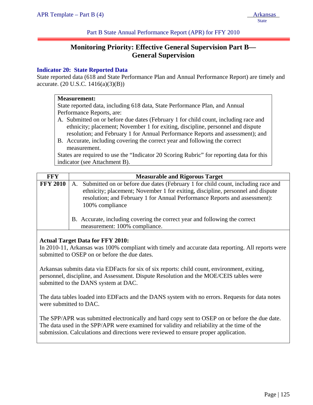Part B State Annual Performance Report (APR) for FFY 2010

# **Monitoring Priority: Effective General Supervision Part B— General Supervision**

### **Indicator 20: State Reported Data**

State reported data (618 and State Performance Plan and Annual Performance Report) are timely and accurate. (20 U.S.C. 1416(a)(3)(B))

#### **Measurement:**

State reported data, including 618 data, State Performance Plan, and Annual Performance Reports, are:

- A. Submitted on or before due dates (February 1 for child count, including race and ethnicity; placement; November 1 for exiting, discipline, personnel and dispute resolution; and February 1 for Annual Performance Reports and assessment); and
- B. Accurate, including covering the correct year and following the correct measurement.

States are required to use the "Indicator 20 Scoring Rubric" for reporting data for this indicator (see Attachment B).

| FFY             | <b>Measurable and Rigorous Target</b>                                                                                                                                                                                                                                      |
|-----------------|----------------------------------------------------------------------------------------------------------------------------------------------------------------------------------------------------------------------------------------------------------------------------|
| <b>FFY 2010</b> | Submitted on or before due dates (February 1 for child count, including race and<br>A.<br>ethnicity; placement; November 1 for exiting, discipline, personnel and dispute<br>resolution; and February 1 for Annual Performance Reports and assessment):<br>100% compliance |
|                 | B. Accurate, including covering the correct year and following the correct<br>measurement: 100% compliance.                                                                                                                                                                |

### **Actual Target Data for FFY 2010:**

In 2010-11, Arkansas was 100% compliant with timely and accurate data reporting. All reports were submitted to OSEP on or before the due dates.

Arkansas submits data via EDFacts for six of six reports: child count, environment, exiting, personnel, discipline, and Assessment. Dispute Resolution and the MOE/CEIS tables were submitted to the DANS system at DAC.

The data tables loaded into EDFacts and the DANS system with no errors. Requests for data notes were submitted to DAC.

The SPP/APR was submitted electronically and hard copy sent to OSEP on or before the due date. The data used in the SPP/APR were examined for validity and reliability at the time of the submission. Calculations and directions were reviewed to ensure proper application.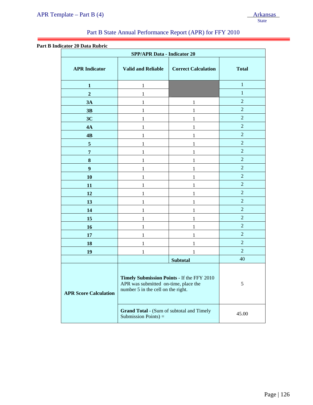# Part B State Annual Performance Report (APR) for FFY 2010

#### **Part B Indicator 20 Data Rubric**

ļ

| <b>SPP/APR Data - Indicator 20</b> |                                                                                                                          |                            |                |
|------------------------------------|--------------------------------------------------------------------------------------------------------------------------|----------------------------|----------------|
| <b>APR</b> Indicator               | <b>Valid and Reliable</b>                                                                                                | <b>Correct Calculation</b> | <b>Total</b>   |
| $\mathbf{1}$                       | $\mathbf{1}$                                                                                                             |                            | $\mathbf{1}$   |
| $\overline{2}$                     | 1                                                                                                                        |                            | $\mathbf{1}$   |
| 3A                                 | 1                                                                                                                        | 1                          | $\overline{2}$ |
| 3B                                 | 1                                                                                                                        | 1                          | $\overline{2}$ |
| 3C                                 | 1                                                                                                                        | 1                          | $\overline{2}$ |
| 4A                                 | 1                                                                                                                        | 1                          | $\overline{2}$ |
| 4B                                 | 1                                                                                                                        | 1                          | $\overline{2}$ |
| $\sqrt{5}$                         | 1                                                                                                                        | 1                          | $\overline{2}$ |
| $\overline{7}$                     | 1                                                                                                                        | 1                          | $\overline{2}$ |
| ${\bf 8}$                          | 1                                                                                                                        | 1                          | $\overline{2}$ |
| $\boldsymbol{9}$                   | 1                                                                                                                        | 1                          | $\overline{2}$ |
| 10                                 | 1                                                                                                                        | 1                          | $\overline{2}$ |
| 11                                 | 1                                                                                                                        | 1                          | $\overline{2}$ |
| 12                                 | 1                                                                                                                        | 1                          | $\overline{2}$ |
| 13                                 | 1                                                                                                                        | 1                          | $\overline{2}$ |
| 14                                 | 1                                                                                                                        | 1                          | $\overline{2}$ |
| 15                                 | 1                                                                                                                        | 1                          | $\overline{2}$ |
| 16                                 | 1                                                                                                                        | 1                          | $\overline{2}$ |
| 17                                 | 1                                                                                                                        | 1                          | $\overline{2}$ |
| 18                                 | 1                                                                                                                        | 1                          | $\overline{2}$ |
| 19                                 | 1                                                                                                                        | 1                          | $\overline{2}$ |
|                                    |                                                                                                                          | <b>Subtotal</b>            | 40             |
| <b>APR Score Calculation</b>       | Timely Submission Points - If the FFY 2010<br>APR was submitted on-time, place the<br>number 5 in the cell on the right. |                            | 5              |
|                                    | <b>Grand Total - (Sum of subtotal and Timely</b><br>Submission Points $) =$                                              |                            | 45.00          |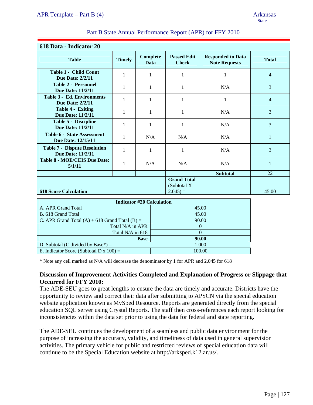**618 Score Calculation** 

|                                                                 |               |                         |                                    |                                                  | <b>State</b>   |
|-----------------------------------------------------------------|---------------|-------------------------|------------------------------------|--------------------------------------------------|----------------|
| Part B State Annual Performance Report (APR) for FFY 2010       |               |                         |                                    |                                                  |                |
| 618 Data - Indicator 20                                         |               |                         |                                    |                                                  |                |
| <b>Table</b>                                                    | <b>Timely</b> | <b>Complete</b><br>Data | <b>Passed Edit</b><br><b>Check</b> | <b>Responded to Data</b><br><b>Note Requests</b> | <b>Total</b>   |
| <b>Table 1 - Child Count</b><br><b>Due Date: 2/2/11</b>         |               | 1                       |                                    |                                                  | $\overline{4}$ |
| <b>Table 2 - Personnel</b><br><b>Due Date: 11/2/11</b>          | 1             | 1                       | 1                                  | N/A                                              | 3              |
| <b>Table 3 - Ed. Environments</b><br><b>Due Date: 2/2/11</b>    | 1             |                         |                                    | 1                                                | $\overline{4}$ |
| Table 4 - Exiting<br>Due Date: 11/2/11                          | 1             |                         |                                    | N/A                                              | 3              |
| Table 5 - Discipline<br><b>Due Date: 11/2/11</b>                | 1             |                         |                                    | N/A                                              | 3              |
| <b>Table 6 - State Assessment</b><br><b>Due Date: 12/15/11</b>  | 1             | N/A                     | N/A                                | N/A                                              | 1              |
| <b>Table 7 - Dispute Resolution</b><br><b>Due Date: 11/2/11</b> | 1             | 1                       | 1                                  | N/A                                              | 3              |
| <b>Table 8 - MOE/CEIS Due Date:</b><br>5/1/11                   | 1             | N/A                     | N/A                                | N/A                                              | 1              |
|                                                                 |               |                         |                                    | <b>Subtotal</b>                                  | 22             |

**Grand Total**  (Subtotal X

 $2.045$ ) = 45.00

| <b>Indicator #20 Calculation</b>                   |        |  |  |
|----------------------------------------------------|--------|--|--|
| A. APR Grand Total                                 | 45.00  |  |  |
| B. 618 Grand Total                                 | 45.00  |  |  |
| C. APR Grand Total $(A)$ + 618 Grand Total $(B)$ = | 90.00  |  |  |
| Total N/A in APR                                   |        |  |  |
| Total N/A in 618                                   |        |  |  |
| <b>Base</b>                                        | 90.00  |  |  |
| D. Subtotal (C divided by Base*) $=$               | 1.000  |  |  |
| E. Indicator Score (Subtotal D x $100$ ) =         | 100.00 |  |  |

\* Note any cell marked as N/A will decrease the denominator by 1 for APR and 2.045 for 618

### **Discussion of Improvement Activities Completed and Explanation of Progress or Slippage that Occurred for FFY 2010:**

The ADE-SEU goes to great lengths to ensure the data are timely and accurate. Districts have the opportunity to review and correct their data after submitting to APSCN via the special education website application known as MySped Resource. Reports are generated directly from the special education SQL server using Crystal Reports. The staff then cross-references each report looking for inconsistencies within the data set prior to using the data for federal and state reporting.

The ADE-SEU continues the development of a seamless and public data environment for the purpose of increasing the accuracy, validity, and timeliness of data used in general supervision activities. The primary vehicle for public and restricted reviews of special education data will continue to be the Special Education website at http://arksped.k12.ar.us/.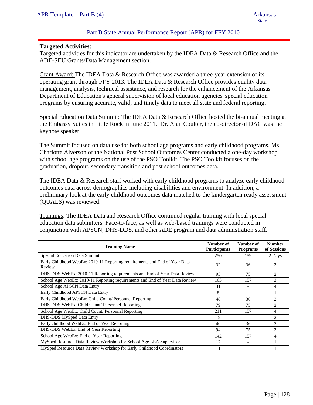### Part B State Annual Performance Report (APR) for FFY 2010

#### **Targeted Activities:**

ļ

Targeted activities for this indicator are undertaken by the IDEA Data & Research Office and the ADE-SEU Grants/Data Management section.

Grant Award: The IDEA Data & Research Office was awarded a three-year extension of its operating grant through FFY 2013. The IDEA Data & Research Office provides quality data management, analysis, technical assistance, and research for the enhancement of the Arkansas Department of Education's general supervision of local education agencies' special education programs by ensuring accurate, valid, and timely data to meet all state and federal reporting.

Special Education Data Summit: The IDEA Data & Research Office hosted the bi-annual meeting at the Embassy Suites in Little Rock in June 2011. Dr. Alan Coulter, the co-director of DAC was the keynote speaker.

The Summit focused on data use for both school age programs and early childhood programs. Ms. Charlotte Alverson of the National Post School Outcomes Center conducted a one-day workshop with school age programs on the use of the PSO Toolkit. The PSO Toolkit focuses on the graduation, dropout, secondary transition and post school outcomes data.

The IDEA Data & Research staff worked with early childhood programs to analyze early childhood outcomes data across demographics including disabilities and environment. In addition, a preliminary look at the early childhood outcomes data matched to the kindergarten ready assessment (QUALS) was reviewed.

Trainings: The IDEA Data and Research Office continued regular training with local special education data submitters. Face-to-face, as well as web-based trainings were conducted in conjunction with APSCN, DHS-DDS, and other ADE program and data administration staff.

| <b>Training Name</b>                                                                 | Number of<br><b>Participants</b> | Number of<br><b>Programs</b> | <b>Number</b><br>of Sessions |
|--------------------------------------------------------------------------------------|----------------------------------|------------------------------|------------------------------|
| Special Education Data Summit                                                        | 250                              | 159                          | 2 Days                       |
| Early Childhood WebEx: 2010-11 Reporting requirements and End of Year Data<br>Review | 32                               | 36                           | 3                            |
| DHS-DDS WebEx: 2010-11 Reporting requirements and End of Year Data Review            | 93                               | 75                           | 2                            |
| School Age WebEx: 2010-11 Reporting requirements and End of Year Data Review         | 163                              | 157                          | 3                            |
| School Age APSCN Data Entry                                                          | 31                               |                              | 4                            |
| Early Childhood APSCN Data Entry                                                     | 8                                |                              |                              |
| Early Childhood WebEx: Child Count/ Personnel Reporting                              | 48                               | 36                           | $\overline{c}$               |
| DHS-DDS WebEx: Child Count/ Personnel Reporting                                      | 79                               | 75                           | $\overline{2}$               |
| School Age WebEx: Child Count/ Personnel Reporting                                   | 211                              | 157                          | 4                            |
| DHS-DDS MySped Data Entry                                                            | 19                               |                              | $\overline{2}$               |
| Early childhood WebEx: End of Year Reporting                                         | 40                               | 36                           | $\overline{2}$               |
| DHS-DDS WebEx: End of Year Reporting                                                 | 94                               | 75                           | 3                            |
| School Age WebEx: End of Year Reporting                                              | 142                              | 157                          | 4                            |
| MySped Resource Data Review Workshop for School Age LEA Supervisor                   | 12                               | ۰                            |                              |
| MySped Resource Data Review Workshop for Early Childhood Coordinators                | 11                               |                              |                              |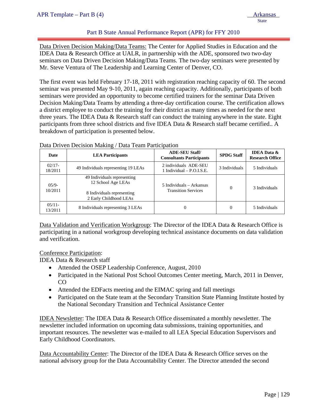## Part B State Annual Performance Report (APR) for FFY 2010

Data Driven Decision Making/Data Teams: The Center for Applied Studies in Education and the IDEA Data & Research Office at UALR, in partnership with the ADE, sponsored two two-day seminars on Data Driven Decision Making/Data Teams. The two-day seminars were presented by Mr. Steve Ventura of The Leadership and Learning Center of Denver, CO.

The first event was held February 17-18, 2011 with registration reaching capacity of 60. The second seminar was presented May 9-10, 2011, again reaching capacity. Additionally, participants of both seminars were provided an opportunity to become certified trainers for the seminar Data Driven Decision Making/Data Teams by attending a three-day certification course. The certification allows a district employee to conduct the training for their district as many times as needed for the next three years. The IDEA Data & Research staff can conduct the training anywhere in the state. Eight participants from three school districts and five IDEA Data & Research staff became certified.. A breakdown of participation is presented below.

| Date                 | <b>LEA Participants</b>                                                                                   | <b>ADE-SEU Staff</b><br><b>Consultants Participants</b> | <b>SPDG Staff</b> | <b>IDEA</b> Data &<br><b>Research Office</b> |
|----------------------|-----------------------------------------------------------------------------------------------------------|---------------------------------------------------------|-------------------|----------------------------------------------|
| $02/17-$<br>18/2011  | 49 Individuals representing 19 LEAs                                                                       | 2 individuals ADE-SEU<br>1 Individual $-$ P.O.I.S.E.    | 3 Individuals     | 5 Individuals                                |
| $0.5/9 -$<br>10/2011 | 49 Individuals representing<br>12 School Age LEAs<br>8 Individuals representing<br>2 Early Childhood LEAs | 5 Individuals – Arkansas<br><b>Transition Services</b>  | $\theta$          | 3 Individuals                                |
| $05/11$ -<br>13/2011 | 8 Individuals representing 3 LEAs                                                                         | $\overline{0}$                                          | $\theta$          | 5 Individuals                                |

Data Driven Decision Making / Data Team Participation

Data Validation and Verification Workgroup: The Director of the IDEA Data & Research Office is participating in a national workgroup developing technical assistance documents on data validation and verification.

Conference Participation:

IDEA Data & Research staff

- Attended the OSEP Leadership Conference, August, 2010
- Participated in the National Post School Outcomes Center meeting, March, 2011 in Denver, CO
- Attended the EDFacts meeting and the EIMAC spring and fall meetings
- Participated on the State team at the Secondary Transition State Planning Institute hosted by the National Secondary Transition and Technical Assistance Center

IDEA Newsletter: The IDEA Data & Research Office disseminated a monthly newsletter. The newsletter included information on upcoming data submissions, training opportunities, and important resources. The newsletter was e-mailed to all LEA Special Education Supervisors and Early Childhood Coordinators.

Data Accountability Center: The Director of the IDEA Data & Research Office serves on the national advisory group for the Data Accountability Center. The Director attended the second